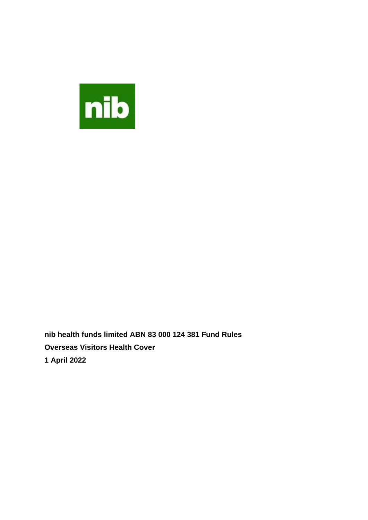

**nib health funds limited ABN 83 000 124 381 Fund Rules Overseas Visitors Health Cover 1 April 2022**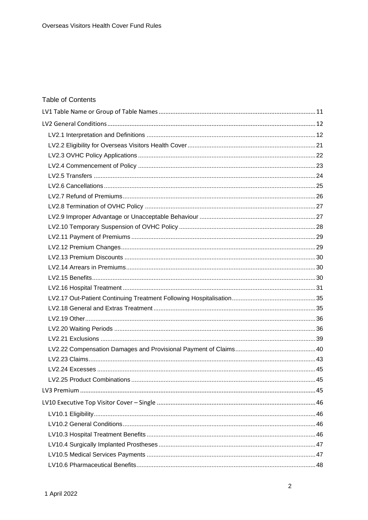# **Table of Contents**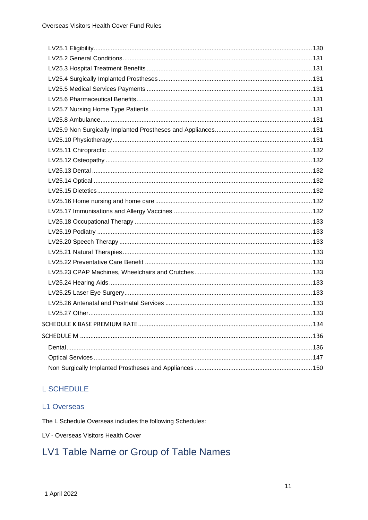# **L SCHEDULE**

# L1 Overseas

The L Schedule Overseas includes the following Schedules:

LV - Overseas Visitors Health Cover

# <span id="page-10-0"></span>LV1 Table Name or Group of Table Names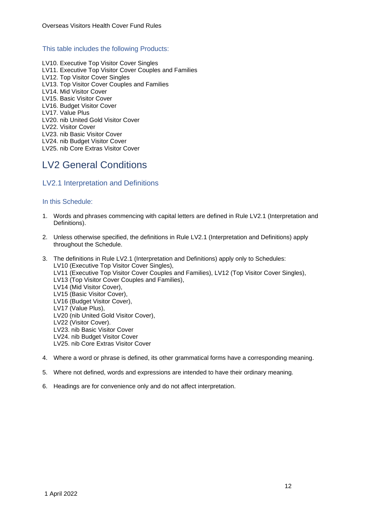### This table includes the following Products:

LV10. Executive Top Visitor Cover Singles LV11. Executive Top Visitor Cover Couples and Families LV12. Top Visitor Cover Singles LV13. Top Visitor Cover Couples and Families LV14. Mid Visitor Cover LV15. Basic Visitor Cover LV16. Budget Visitor Cover LV17. Value Plus LV20. nib United Gold Visitor Cover LV22. Visitor Cover LV23. nib Basic Visitor Cover LV24. nib Budget Visitor Cover LV25. nib Core Extras Visitor Cover

# <span id="page-11-0"></span>LV2 General Conditions

# <span id="page-11-1"></span>LV2.1 Interpretation and Definitions

# In this Schedule:

- 1. Words and phrases commencing with capital letters are defined in Rule LV2.1 (Interpretation and Definitions).
- 2. Unless otherwise specified, the definitions in Rule LV2.1 (Interpretation and Definitions) apply throughout the Schedule.
- 3. The definitions in Rule LV2.1 (Interpretation and Definitions) apply only to Schedules: LV10 (Executive Top Visitor Cover Singles), LV11 (Executive Top Visitor Cover Couples and Families), LV12 (Top Visitor Cover Singles), LV13 (Top Visitor Cover Couples and Families), LV14 (Mid Visitor Cover), LV15 (Basic Visitor Cover), LV16 (Budget Visitor Cover), LV17 (Value Plus), LV20 (nib United Gold Visitor Cover), LV22 (Visitor Cover). LV23. nib Basic Visitor Cover LV24. nib Budget Visitor Cover LV25. nib Core Extras Visitor Cover
- 4. Where a word or phrase is defined, its other grammatical forms have a corresponding meaning.
- 5. Where not defined, words and expressions are intended to have their ordinary meaning.
- 6. Headings are for convenience only and do not affect interpretation.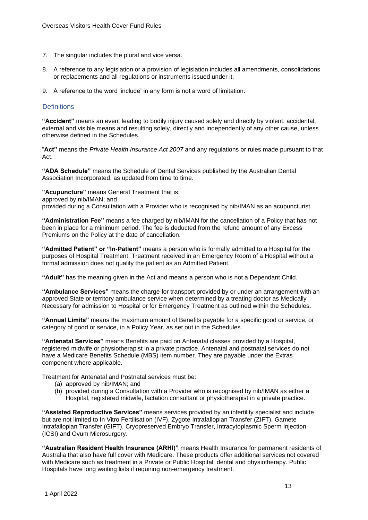- 7. The singular includes the plural and vice versa.
- 8. A reference to any legislation or a provision of legislation includes all amendments, consolidations or replacements and all regulations or instruments issued under it.
- 9. A reference to the word 'include' in any form is not a word of limitation.

### **Definitions**

**"Accident"** means an event leading to bodily injury caused solely and directly by violent, accidental, external and visible means and resulting solely, directly and independently of any other cause, unless otherwise defined in the Schedules.

"**Act"** means the *Private Health Insurance Act 2007* and any regulations or rules made pursuant to that Act.

**"ADA Schedule"** means the Schedule of Dental Services published by the Australian Dental Association Incorporated, as updated from time to time.

**"Acupuncture"** means General Treatment that is: approved by nib/IMAN; and provided during a Consultation with a Provider who is recognised by nib/IMAN as an acupuncturist.

**"Administration Fee"** means a fee charged by nib/IMAN for the cancellation of a Policy that has not been in place for a minimum period. The fee is deducted from the refund amount of any Excess Premiums on the Policy at the date of cancellation.

**"Admitted Patient" or "In-Patient"** means a person who is formally admitted to a Hospital for the purposes of Hospital Treatment. Treatment received in an Emergency Room of a Hospital without a formal admission does not qualify the patient as an Admitted Patient*.*

**"Adult"** has the meaning given in the Act and means a person who is not a Dependant Child.

**"Ambulance Services"** means the charge for transport provided by or under an arrangement with an approved State or territory ambulance service when determined by a treating doctor as Medically Necessary for admission to Hospital or for Emergency Treatment as outlined within the Schedules.

**"Annual Limits"** means the maximum amount of Benefits payable for a specific good or service, or category of good or service, in a Policy Year, as set out in the Schedules.

**"Antenatal Services"** means Benefits are paid on Antenatal classes provided by a Hospital, registered midwife or physiotherapist in a private practice. Antenatal and postnatal services do not have a Medicare Benefits Schedule (MBS) item number. They are payable under the Extras component where applicable.

Treatment for Antenatal and Postnatal services must be:

- (a) approved by nib/IMAN; and
- (b) provided during a Consultation with a Provider who is recognised by nib/IMAN as either a Hospital, registered midwife, lactation consultant or physiotherapist in a private practice.

**"Assisted Reproductive Services"** means services provided by an infertility specialist and include but are not limited to In Vitro Fertilisation (IVF), Zygote Intrafallopian Transfer (ZIFT), Gamete Intrafallopian Transfer (GIFT), Cryopreserved Embryo Transfer, Intracytoplasmic Sperm Injection (ICSI) and Ovum Microsurgery.

**"Australian Resident Health Insurance (ARHI)"** means Health Insurance for permanent residents of Australia that also have full cover with Medicare. These products offer additional services not covered with Medicare such as treatment in a Private or Public Hospital, dental and physiotherapy. Public Hospitals have long waiting lists if requiring non-emergency treatment.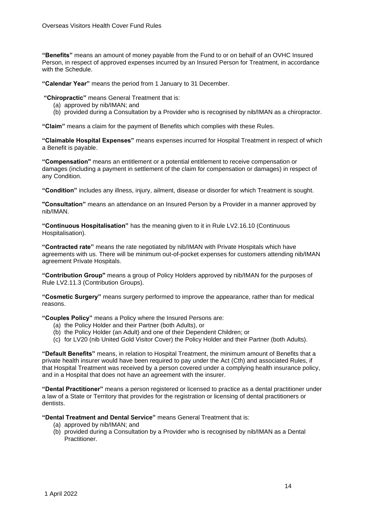**"Benefits"** means an amount of money payable from the Fund to or on behalf of an OVHC Insured Person, in respect of approved expenses incurred by an Insured Person for Treatment, in accordance with the Schedule.

**"Calendar Year"** means the period from 1 January to 31 December.

**"Chiropractic"** means General Treatment that is:

- (a) approved by nib/IMAN; and
- (b) provided during a Consultation by a Provider who is recognised by nib/IMAN as a chiropractor.

**"Claim"** means a claim for the payment of Benefits which complies with these Rules.

**"Claimable Hospital Expenses"** means expenses incurred for Hospital Treatment in respect of which a Benefit is payable.

**"Compensation"** means an entitlement or a potential entitlement to receive compensation or damages (including a payment in settlement of the claim for compensation or damages) in respect of any Condition.

**"Condition"** includes any illness, injury, ailment, disease or disorder for which Treatment is sought.

**"Consultation"** means an attendance on an Insured Person by a Provider in a manner approved by nib/IMAN.

**"Continuous Hospitalisation"** has the meaning given to it in Rule LV2.16.10 (Continuous Hospitalisation).

**"Contracted rate"** means the rate negotiated by nib/IMAN with Private Hospitals which have agreements with us. There will be minimum out-of-pocket expenses for customers attending nib/IMAN agreement Private Hospitals.

**"Contribution Group"** means a group of Policy Holders approved by nib/IMAN for the purposes of Rule LV2.11.3 (Contribution Groups).

**"Cosmetic Surgery"** means surgery performed to improve the appearance, rather than for medical reasons.

**"Couples Policy"** means a Policy where the Insured Persons are:

- (a) the Policy Holder and their Partner (both Adults), or
- (b) the Policy Holder (an Adult) and one of their Dependent Children; or
- (c) for LV20 (nib United Gold Visitor Cover) the Policy Holder and their Partner (both Adults).

**"Default Benefits"** means, in relation to Hospital Treatment, the minimum amount of Benefits that a private health insurer would have been required to pay under the Act (Cth) and associated Rules, if that Hospital Treatment was received by a person covered under a complying health insurance policy, and in a Hospital that does not have an agreement with the insurer.

**"Dental Practitioner"** means a person registered or licensed to practice as a dental practitioner under a law of a State or Territory that provides for the registration or licensing of dental practitioners or dentists.

**"Dental Treatment and Dental Service"** means General Treatment that is:

- (a) approved by nib/IMAN; and
- (b) provided during a Consultation by a Provider who is recognised by nib/IMAN as a Dental **Practitioner**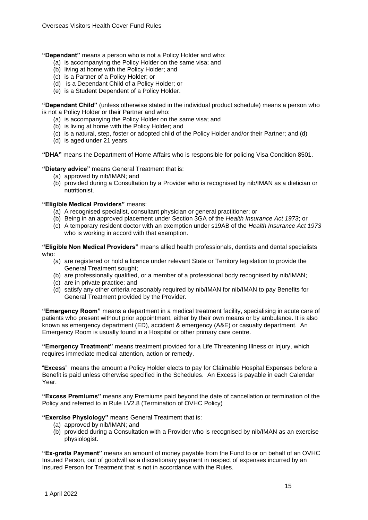**"Dependant"** means a person who is not a Policy Holder and who:

- (a) is accompanying the Policy Holder on the same visa; and
- (b) living at home with the Policy Holder; and
- (c) is a Partner of a Policy Holder; or
- (d) is a Dependant Child of a Policy Holder; or
- (e) is a Student Dependent of a Policy Holder.

**"Dependant Child"** (unless otherwise stated in the individual product schedule) means a person who is not a Policy Holder or their Partner and who:

- (a) is accompanying the Policy Holder on the same visa; and
- (b) is living at home with the Policy Holder; and
- (c) is a natural, step, foster or adopted child of the Policy Holder and/or their Partner; and (d)
- (d) is aged under 21 years.

**"DHA"** means the Department of Home Affairs who is responsible for policing Visa Condition 8501.

**"Dietary advice"** means General Treatment that is:

- (a) approved by nib/IMAN; and
- (b) provided during a Consultation by a Provider who is recognised by nib/IMAN as a dietician or nutritionist.

### **"Eligible Medical Providers"** means:

- (a) A recognised specialist, consultant physician or general practitioner; or
- (b) Being in an approved placement under Section 3GA of the *Health Insurance Act 1973*; or
- (c) A temporary resident doctor with an exemption under s19AB of the *Health Insurance Act 1973*  who is working in accord with that exemption.

**"Eligible Non Medical Providers"** means allied health professionals, dentists and dental specialists who:

- (a) are registered or hold a licence under relevant State or Territory legislation to provide the General Treatment sought;
- (b) are professionally qualified, or a member of a professional body recognised by nib/IMAN;
- (c) are in private practice; and
- (d) satisfy any other criteria reasonably required by nib/IMAN for nib/IMAN to pay Benefits for General Treatment provided by the Provider.

**"Emergency Room"** means a department in a medical treatment facility, specialising in acute care of patients who present without prior appointment, either by their own means or by ambulance. It is also known as emergency department (ED), accident & emergency (A&E) or casualty department. An Emergency Room is usually found in a Hospital or other primary care centre.

**"Emergency Treatment"** means treatment provided for a Life Threatening Illness or Injury, which requires immediate medical attention, action or remedy.

"**Excess**" means the amount a Policy Holder elects to pay for Claimable Hospital Expenses before a Benefit is paid unless otherwise specified in the Schedules. An Excess is payable in each Calendar Year.

**"Excess Premiums"** means any Premiums paid beyond the date of cancellation or termination of the Policy and referred to in Rule LV2.8 (Termination of OVHC Policy)

**"Exercise Physiology"** means General Treatment that is:

- (a) approved by nib/IMAN; and
- (b) provided during a Consultation with a Provider who is recognised by nib/IMAN as an exercise physiologist.

**"Ex-gratia Payment"** means an amount of money payable from the Fund to or on behalf of an OVHC Insured Person, out of goodwill as a discretionary payment in respect of expenses incurred by an Insured Person for Treatment that is not in accordance with the Rules.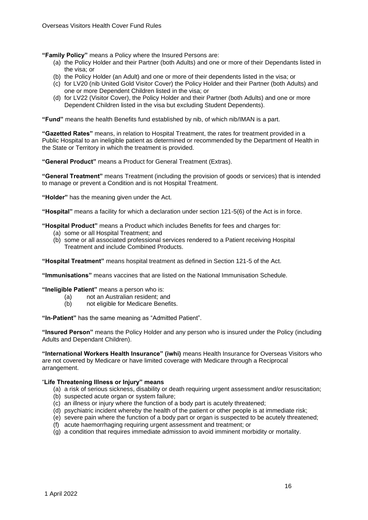**"Family Policy"** means a Policy where the Insured Persons are:

- (a) the Policy Holder and their Partner (both Adults) and one or more of their Dependants listed in the visa; or
- (b) the Policy Holder (an Adult) and one or more of their dependents listed in the visa; or
- (c) for LV20 (nib United Gold Visitor Cover) the Policy Holder and their Partner (both Adults) and one or more Dependent Children listed in the visa; or
- (d) for LV22 (Visitor Cover), the Policy Holder and their Partner (both Adults) and one or more Dependent Children listed in the visa but excluding Student Dependents).

**"Fund"** means the health Benefits fund established by nib, of which nib/IMAN is a part.

**"Gazetted Rates"** means, in relation to Hospital Treatment, the rates for treatment provided in a Public Hospital to an ineligible patient as determined or recommended by the Department of Health in the State or Territory in which the treatment is provided.

**"General Product"** means a Product for General Treatment (Extras).

**"General Treatment"** means Treatment (including the provision of goods or services) that is intended to manage or prevent a Condition and is not Hospital Treatment.

**"Holder"** has the meaning given under the Act.

**"Hospital"** means a facility for which a declaration under section 121-5(6) of the Act is in force.

**"Hospital Product"** means a Product which includes Benefits for fees and charges for:

- (a) some or all Hospital Treatment; and
- (b) some or all associated professional services rendered to a Patient receiving Hospital Treatment and include Combined Products.

**"Hospital Treatment"** means hospital treatment as defined in Section 121-5 of the Act.

**"Immunisations"** means vaccines that are listed on the National Immunisation Schedule.

**"Ineligible Patient"** means a person who is:

- (a) not an Australian resident; and
- (b) not eligible for Medicare Benefits.

**"In-Patient"** has the same meaning as "Admitted Patient".

**"Insured Person"** means the Policy Holder and any person who is insured under the Policy (including Adults and Dependant Children).

**"International Workers Health Insurance" (iwhi)** means Health Insurance for Overseas Visitors who are not covered by Medicare or have limited coverage with Medicare through a Reciprocal arrangement.

#### "**Life Threatening Illness or Injury" means**

- (a) a risk of serious sickness, disability or death requiring urgent assessment and/or resuscitation;
- (b) suspected acute organ or system failure;
- (c) an illness or injury where the function of a body part is acutely threatened;
- (d) psychiatric incident whereby the health of the patient or other people is at immediate risk;
- (e) severe pain where the function of a body part or organ is suspected to be acutely threatened;
- (f) acute haemorrhaging requiring urgent assessment and treatment; or
- (g) a condition that requires immediate admission to avoid imminent morbidity or mortality.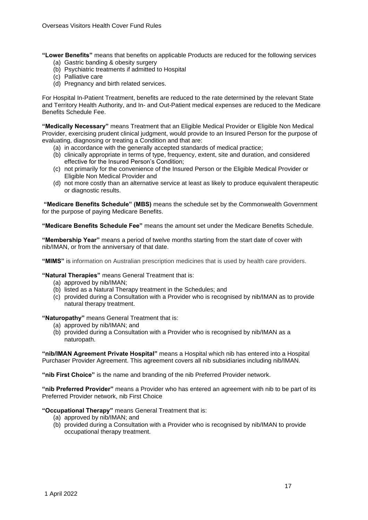**"Lower Benefits"** means that benefits on applicable Products are reduced for the following services (a) Gastric banding & obesity surgery

- (b) Psychiatric treatments if admitted to Hospital
- (c) Palliative care
- (d) Pregnancy and birth related services.

For Hospital In-Patient Treatment, benefits are reduced to the rate determined by the relevant State and Territory Health Authority, and In- and Out-Patient medical expenses are reduced to the Medicare Benefits Schedule Fee.

**"Medically Necessary"** means Treatment that an Eligible Medical Provider or Eligible Non Medical Provider, exercising prudent clinical judgment, would provide to an Insured Person for the purpose of evaluating, diagnosing or treating a Condition and that are:

- (a) in accordance with the generally accepted standards of medical practice;
- (b) clinically appropriate in terms of type, frequency, extent, site and duration, and considered effective for the Insured Person's Condition;
- (c) not primarily for the convenience of the Insured Person or the Eligible Medical Provider or Eligible Non Medical Provider and
- (d) not more costly than an alternative service at least as likely to produce equivalent therapeutic or diagnostic results.

**"Medicare Benefits Schedule" (MBS)** means the schedule set by the Commonwealth Government for the purpose of paying Medicare Benefits.

**"Medicare Benefits Schedule Fee"** means the amount set under the Medicare Benefits Schedule.

**"Membership Year"** means a period of twelve months starting from the start date of cover with nib/IMAN, or from the anniversary of that date.

**"MIMS"** is information on Australian prescription medicines that is used by health care providers.

**"Natural Therapies"** means General Treatment that is:

- (a) approved by nib/IMAN;
- (b) listed as a Natural Therapy treatment in the Schedules; and
- (c) provided during a Consultation with a Provider who is recognised by nib/IMAN as to provide natural therapy treatment.

**"Naturopathy"** means General Treatment that is:

- (a) approved by nib/IMAN; and
- (b) provided during a Consultation with a Provider who is recognised by nib/IMAN as a naturopath.

**"nib/IMAN Agreement Private Hospital"** means a Hospital which nib has entered into a Hospital Purchaser Provider Agreement. This agreement covers all nib subsidiaries including nib/IMAN.

**"nib First Choice"** is the name and branding of the nib Preferred Provider network.

**"nib Preferred Provider"** means a Provider who has entered an agreement with nib to be part of its Preferred Provider network, nib First Choice

**"Occupational Therapy"** means General Treatment that is:

- (a) approved by nib/IMAN; and
- (b) provided during a Consultation with a Provider who is recognised by nib/IMAN to provide occupational therapy treatment.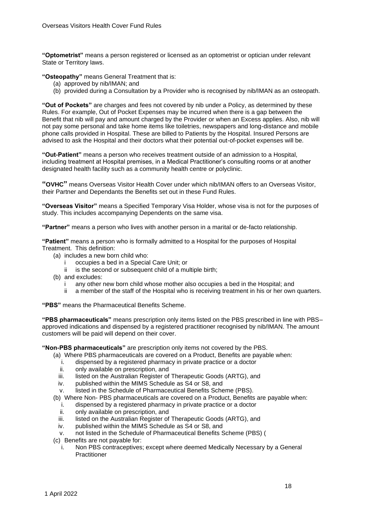**"Optometrist"** means a person registered or licensed as an optometrist or optician under relevant State or Territory laws.

**"Osteopathy"** means General Treatment that is:

- (a) approved by nib/IMAN; and
- (b) provided during a Consultation by a Provider who is recognised by nib/IMAN as an osteopath.

**"Out of Pockets"** are charges and fees not covered by nib under a Policy, as determined by these Rules. For example, Out of Pocket Expenses may be incurred when there is a gap between the Benefit that nib will pay and amount charged by the Provider or when an Excess applies. Also, nib will not pay some personal and take home items like toiletries, newspapers and long-distance and mobile phone calls provided in Hospital. These are billed to Patients by the Hospital. Insured Persons are advised to ask the Hospital and their doctors what their potential out-of-pocket expenses will be.

**"Out-Patient"** means a person who receives treatment outside of an admission to a Hospital, including treatment at Hospital premises, in a Medical Practitioner's consulting rooms or at another designated health facility such as a community health centre or polyclinic.

**"OVHC"** means Overseas Visitor Health Cover under which nib/IMAN offers to an Overseas Visitor, their Partner and Dependants the Benefits set out in these Fund Rules.

**"Overseas Visitor"** means a Specified Temporary Visa Holder, whose visa is not for the purposes of study. This includes accompanying Dependents on the same visa.

**"Partner"** means a person who lives with another person in a marital or de-facto relationship.

**"Patient"** means a person who is formally admitted to a Hospital for the purposes of Hospital Treatment. This definition:

- (a) includes a new born child who:
	- i occupies a bed in a Special Care Unit; or
	- ii is the second or subsequent child of a multiple birth;
- (b) and excludes:
	- any other new born child whose mother also occupies a bed in the Hospital; and
	- ii a member of the staff of the Hospital who is receiving treatment in his or her own quarters.

**"PBS"** means the Pharmaceutical Benefits Scheme.

**"PBS pharmaceuticals"** means prescription only items listed on the PBS prescribed in line with PBS– approved indications and dispensed by a registered practitioner recognised by nib/IMAN. The amount customers will be paid will depend on their cover.

**"Non-PBS pharmaceuticals"** are prescription only items not covered by the PBS.

- (a) Where PBS pharmaceuticals are covered on a Product, Benefits are payable when:
	- i. dispensed by a registered pharmacy in private practice or a doctor
	- ii. only available on prescription, and
	- iii. listed on the Australian Register of Therapeutic Goods (ARTG), and
	- iv. published within the MIMS Schedule as S4 or S8, and
	- v. listed in the Schedule of Pharmaceutical Benefits Scheme (PBS).
- (b) Where Non- PBS pharmaceuticals are covered on a Product, Benefits are payable when:
	- i. dispensed by a registered pharmacy in private practice or a doctor
	- ii. only available on prescription, and
	- iii. listed on the Australian Register of Therapeutic Goods (ARTG), and
	- iv. published within the MIMS Schedule as S4 or S8, and
	- v. not listed in the Schedule of Pharmaceutical Benefits Scheme (PBS) (
- (c) Benefits are not payable for:
	- i. Non PBS contraceptives; except where deemed Medically Necessary by a General Practitioner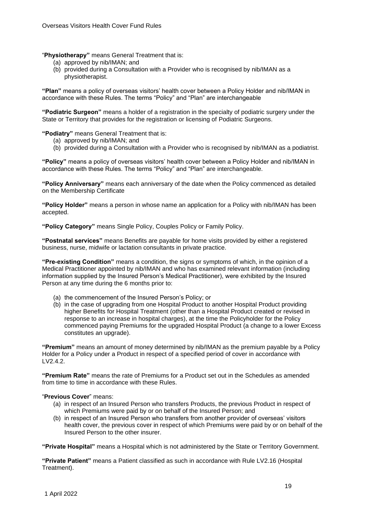"**Physiotherapy"** means General Treatment that is:

- (a) approved by nib/IMAN; and
- (b) provided during a Consultation with a Provider who is recognised by nib/IMAN as a physiotherapist.

**"Plan"** means a policy of overseas visitors' health cover between a Policy Holder and nib/IMAN in accordance with these Rules. The terms "Policy" and "Plan" are interchangeable

**"Podiatric Surgeon"** means a holder of a registration in the specialty of podiatric surgery under the State or Territory that provides for the registration or licensing of Podiatric Surgeons.

**"Podiatry"** means General Treatment that is:

- (a) approved by nib/IMAN; and
- (b) provided during a Consultation with a Provider who is recognised by nib/IMAN as a podiatrist.

**"Policy"** means a policy of overseas visitors' health cover between a Policy Holder and nib/IMAN in accordance with these Rules. The terms "Policy" and "Plan" are interchangeable.

**"Policy Anniversary"** means each anniversary of the date when the Policy commenced as detailed on the Membership Certificate

**"Policy Holder"** means a person in whose name an application for a Policy with nib/IMAN has been accepted.

**"Policy Category"** means Single Policy, Couples Policy or Family Policy.

**"Postnatal services"** means Benefits are payable for home visits provided by either a registered business, nurse, midwife or lactation consultants in private practice.

**"Pre-existing Condition"** means a condition, the signs or symptoms of which, in the opinion of a Medical Practitioner appointed by nib/IMAN and who has examined relevant information (including information supplied by the Insured Person's Medical Practitioner), were exhibited by the Insured Person at any time during the 6 months prior to:

- (a) the commencement of the Insured Person's Policy; or
- (b) in the case of upgrading from one Hospital Product to another Hospital Product providing higher Benefits for Hospital Treatment (other than a Hospital Product created or revised in response to an increase in hospital charges), at the time the Policyholder for the Policy commenced paying Premiums for the upgraded Hospital Product (a change to a lower Excess constitutes an upgrade).

**"Premium"** means an amount of money determined by nib/IMAN as the premium payable by a Policy Holder for a Policy under a Product in respect of a specified period of cover in accordance with LV2.4.2.

**"Premium Rate"** means the rate of Premiums for a Product set out in the Schedules as amended from time to time in accordance with these Rules.

### "**Previous Cover**" means:

- (a) in respect of an Insured Person who transfers Products, the previous Product in respect of which Premiums were paid by or on behalf of the Insured Person; and
- (b) in respect of an Insured Person who transfers from another provider of overseas' visitors health cover, the previous cover in respect of which Premiums were paid by or on behalf of the Insured Person to the other insurer.

**"Private Hospital"** means a Hospital which is not administered by the State or Territory Government.

**"Private Patient"** means a Patient classified as such in accordance with Rule LV2.16 (Hospital Treatment).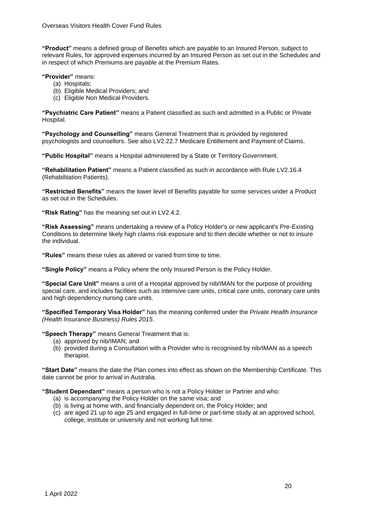**"Product"** means a defined group of Benefits which are payable to an Insured Person, subject to relevant Rules, for approved expenses incurred by an Insured Person as set out in the Schedules and in respect of which Premiums are payable at the Premium Rates.

**"Provider"** means:

- (a) Hospitals;
- (b) Eligible Medical Providers; and
- (c) Eligible Non Medical Providers.

**"Psychiatric Care Patient"** means a Patient classified as such and admitted in a Public or Private Hospital.

**"Psychology and Counselling"** means General Treatment that is provided by registered psychologists and counsellors. See also LV2.22.7 Medicare Entitlement and Payment of Claims.

**"Public Hospital"** means a Hospital administered by a State or Territory Government.

**"Rehabilitation Patient"** means a Patient classified as such in accordance with Rule LV2.16.4 (Rehabilitation Patients).

**"Restricted Benefits"** means the lower level of Benefits payable for some services under a Product as set out in the Schedules.

**"Risk Rating"** has the meaning set out in LV2.4.2.

**"Risk Assessing"** means undertaking a review of a Policy Holder's or new applicant's Pre-Existing Conditions to determine likely high claims risk exposure and to then decide whether or not to insure the individual.

**"Rules"** means these rules as altered or varied from time to time.

**"Single Policy"** means a Policy where the only Insured Person is the Policy Holder.

**"Special Care Unit"** means a unit of a Hospital approved by nib/IMAN for the purpose of providing special care, and includes facilities such as intensive care units, critical care units, coronary care units and high dependency nursing care units.

**"Specified Temporary Visa Holder"** has the meaning conferred under the *Private Health Insurance (Health Insurance Business) Rules 2015*.

**"Speech Therapy"** means General Treatment that is:

- (a) approved by nib/IMAN; and
- (b) provided during a Consultation with a Provider who is recognised by nib/IMAN as a speech therapist.

**"Start Date"** means the date the Plan comes into effect as shown on the Membership Certificate. This date cannot be prior to arrival in Australia.

**"Student Dependant"** means a person who is not a Policy Holder or Partner and who:

- (a) is accompanying the Policy Holder on the same visa; and
- (b) is living at home with, and financially dependent on, the Policy Holder; and
- (c) are aged 21 up to age 25 and engaged in full-time or part-time study at an approved school, college, institute or university and not working full time.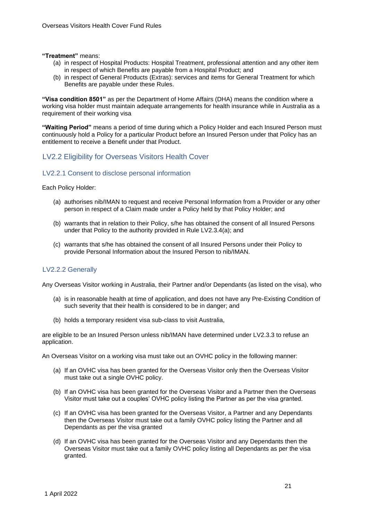#### **"Treatment"** means:

- (a) in respect of Hospital Products: Hospital Treatment, professional attention and any other item in respect of which Benefits are payable from a Hospital Product; and
- (b) in respect of General Products (Extras): services and items for General Treatment for which Benefits are payable under these Rules.

**"Visa condition 8501"** as per the Department of Home Affairs (DHA) means the condition where a working visa holder must maintain adequate arrangements for health insurance while in Australia as a requirement of their working visa

**"Waiting Period"** means a period of time during which a Policy Holder and each Insured Person must continuously hold a Policy for a particular Product before an Insured Person under that Policy has an entitlement to receive a Benefit under that Product.

# <span id="page-20-0"></span>LV2.2 Eligibility for Overseas Visitors Health Cover

### LV2.2.1 Consent to disclose personal information

Each Policy Holder:

- (a) authorises nib/IMAN to request and receive Personal Information from a Provider or any other person in respect of a Claim made under a Policy held by that Policy Holder; and
- (b) warrants that in relation to their Policy, s/he has obtained the consent of all Insured Persons under that Policy to the authority provided in Rule LV2.3.4(a); and
- (c) warrants that s/he has obtained the consent of all Insured Persons under their Policy to provide Personal Information about the Insured Person to nib/IMAN.

### LV2.2.2 Generally

Any Overseas Visitor working in Australia, their Partner and/or Dependants (as listed on the visa), who

- (a) is in reasonable health at time of application, and does not have any Pre-Existing Condition of such severity that their health is considered to be in danger; and
- (b) holds a temporary resident visa sub-class to visit Australia,

are eligible to be an Insured Person unless nib/IMAN have determined under LV2.3.3 to refuse an application.

An Overseas Visitor on a working visa must take out an OVHC policy in the following manner:

- (a) If an OVHC visa has been granted for the Overseas Visitor only then the Overseas Visitor must take out a single OVHC policy.
- (b) If an OVHC visa has been granted for the Overseas Visitor and a Partner then the Overseas Visitor must take out a couples' OVHC policy listing the Partner as per the visa granted.
- (c) If an OVHC visa has been granted for the Overseas Visitor, a Partner and any Dependants then the Overseas Visitor must take out a family OVHC policy listing the Partner and all Dependants as per the visa granted
- (d) If an OVHC visa has been granted for the Overseas Visitor and any Dependants then the Overseas Visitor must take out a family OVHC policy listing all Dependants as per the visa granted.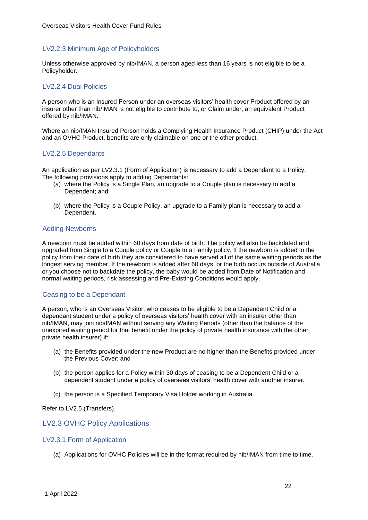## LV2.2.3 Minimum Age of Policyholders

Unless otherwise approved by nib/IMAN, a person aged less than 16 years is not eligible to be a Policyholder.

### LV2.2.4 Dual Policies

A person who is an Insured Person under an overseas visitors' health cover Product offered by an insurer other than nib/IMAN is not eligible to contribute to, or Claim under, an equivalent Product offered by nib/IMAN.

Where an nib/IMAN Insured Person holds a Complying Health Insurance Product (CHIP) under the Act and an OVHC Product, benefits are only claimable on one or the other product.

# LV2.2.5 Dependants

An application as per LV2.3.1 (Form of Application) is necessary to add a Dependant to a Policy. The following provisions apply to adding Dependants:

- (a) where the Policy is a Single Plan, an upgrade to a Couple plan is necessary to add a Dependent; and
- (b) where the Policy is a Couple Policy, an upgrade to a Family plan is necessary to add a Dependent.

### Adding Newborns

A newborn must be added within 60 days from date of birth. The policy will also be backdated and upgraded from Single to a Couple policy or Couple to a Family policy. If the newborn is added to the policy from their date of birth they are considered to have served all of the same waiting periods as the longest serving member. If the newborn is added after 60 days, or the birth occurs outside of Australia or you choose not to backdate the policy, the baby would be added from Date of Notification and normal waiting periods, risk assessing and Pre-Existing Conditions would apply.

### Ceasing to be a Dependant

A person, who is an Overseas Visitor, who ceases to be eligible to be a Dependent Child or a dependant student under a policy of overseas visitors' health cover with an insurer other than nib/IMAN, may join nib/IMAN without serving any Waiting Periods (other than the balance of the unexpired waiting period for that benefit under the policy of private health insurance with the other private health insurer) if:

- (a) the Benefits provided under the new Product are no higher than the Benefits provided under the Previous Cover; and
- (b) the person applies for a Policy within 30 days of ceasing to be a Dependent Child or a dependent student under a policy of overseas visitors' health cover with another insurer.
- (c) the person is a Specified Temporary Visa Holder working in Australia.

Refer to LV2.5 (Transfers).

# <span id="page-21-0"></span>LV2.3 OVHC Policy Applications

### LV2.3.1 Form of Application

(a) Applications for OVHC Policies will be in the format required by nib/IMAN from time to time.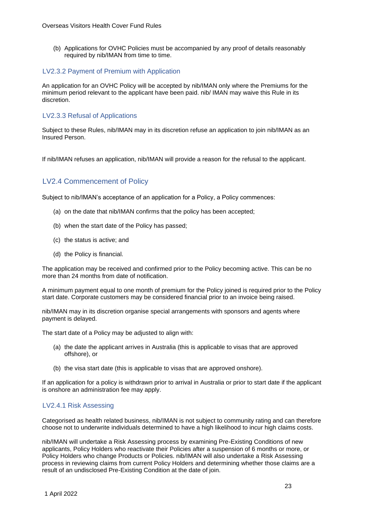(b) Applications for OVHC Policies must be accompanied by any proof of details reasonably required by nib/IMAN from time to time.

# LV2.3.2 Payment of Premium with Application

An application for an OVHC Policy will be accepted by nib/IMAN only where the Premiums for the minimum period relevant to the applicant have been paid. nib/ IMAN may waive this Rule in its discretion.

# LV2.3.3 Refusal of Applications

Subject to these Rules, nib/IMAN may in its discretion refuse an application to join nib/IMAN as an Insured Person.

If nib/IMAN refuses an application, nib/IMAN will provide a reason for the refusal to the applicant.

# <span id="page-22-0"></span>LV2.4 Commencement of Policy

Subject to nib/IMAN's acceptance of an application for a Policy, a Policy commences:

- (a) on the date that nib/IMAN confirms that the policy has been accepted;
- (b) when the start date of the Policy has passed;
- (c) the status is active; and
- (d) the Policy is financial.

The application may be received and confirmed prior to the Policy becoming active. This can be no more than 24 months from date of notification.

A minimum payment equal to one month of premium for the Policy joined is required prior to the Policy start date. Corporate customers may be considered financial prior to an invoice being raised.

nib/IMAN may in its discretion organise special arrangements with sponsors and agents where payment is delayed.

The start date of a Policy may be adjusted to align with:

- (a) the date the applicant arrives in Australia (this is applicable to visas that are approved offshore), or
- (b) the visa start date (this is applicable to visas that are approved onshore).

If an application for a policy is withdrawn prior to arrival in Australia or prior to start date if the applicant is onshore an administration fee may apply.

### LV2.4.1 Risk Assessing

Categorised as health related business, nib/IMAN is not subject to community rating and can therefore choose not to underwrite individuals determined to have a high likelihood to incur high claims costs.

nib/IMAN will undertake a Risk Assessing process by examining Pre-Existing Conditions of new applicants, Policy Holders who reactivate their Policies after a suspension of 6 months or more, or Policy Holders who change Products or Policies. nib/IMAN will also undertake a Risk Assessing process in reviewing claims from current Policy Holders and determining whether those claims are a result of an undisclosed Pre-Existing Condition at the date of join.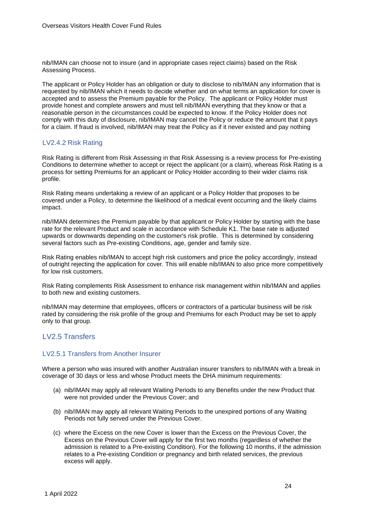nib/IMAN can choose not to insure (and in appropriate cases reject claims) based on the Risk Assessing Process.

The applicant or Policy Holder has an obligation or duty to disclose to nib/IMAN any information that is requested by nib/IMAN which it needs to decide whether and on what terms an application for cover is accepted and to assess the Premium payable for the Policy. The applicant or Policy Holder must provide honest and complete answers and must tell nib/IMAN everything that they know or that a reasonable person in the circumstances could be expected to know. If the Policy Holder does not comply with this duty of disclosure, nib/IMAN may cancel the Policy or reduce the amount that it pays for a claim. If fraud is involved, nib/IMAN may treat the Policy as if it never existed and pay nothing

# LV2.4.2 Risk Rating

Risk Rating is different from Risk Assessing in that Risk Assessing is a review process for Pre-existing Conditions to determine whether to accept or reject the applicant (or a claim), whereas Risk Rating is a process for setting Premiums for an applicant or Policy Holder according to their wider claims risk profile.

Risk Rating means undertaking a review of an applicant or a Policy Holder that proposes to be covered under a Policy, to determine the likelihood of a medical event occurring and the likely claims impact.

nib/IMAN determines the Premium payable by that applicant or Policy Holder by starting with the base rate for the relevant Product and scale in accordance with Schedule K1. The base rate is adjusted upwards or downwards depending on the customer's risk profile. This is determined by considering several factors such as Pre-existing Conditions, age, gender and family size.

Risk Rating enables nib/IMAN to accept high risk customers and price the policy accordingly, instead of outright rejecting the application for cover. This will enable nib/IMAN to also price more competitively for low risk customers.

Risk Rating complements Risk Assessment to enhance risk management within nib/IMAN and applies to both new and existing customers.

nib/IMAN may determine that employees, officers or contractors of a particular business will be risk rated by considering the risk profile of the group and Premiums for each Product may be set to apply only to that group.

# <span id="page-23-0"></span>LV2.5 Transfers

### LV2.5.1 Transfers from Another Insurer

Where a person who was insured with another Australian insurer transfers to nib/IMAN with a break in coverage of 30 days or less and whose Product meets the DHA minimum requirements:

- (a) nib/IMAN may apply all relevant Waiting Periods to any Benefits under the new Product that were not provided under the Previous Cover; and
- (b) nib/IMAN may apply all relevant Waiting Periods to the unexpired portions of any Waiting Periods not fully served under the Previous Cover.
- (c) where the Excess on the new Cover is lower than the Excess on the Previous Cover, the Excess on the Previous Cover will apply for the first two months (regardless of whether the admission is related to a Pre-existing Condition). For the following 10 months, if the admission relates to a Pre-existing Condition or pregnancy and birth related services, the previous excess will apply.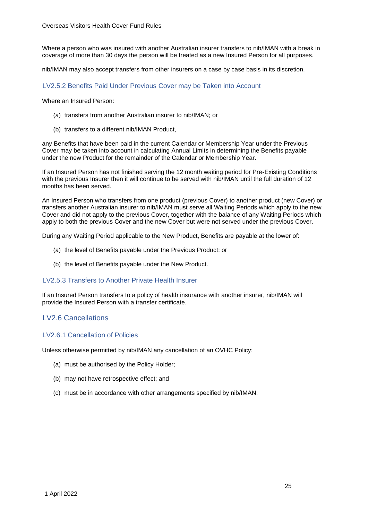Where a person who was insured with another Australian insurer transfers to nib/IMAN with a break in coverage of more than 30 days the person will be treated as a new Insured Person for all purposes.

nib/IMAN may also accept transfers from other insurers on a case by case basis in its discretion.

### LV2.5.2 Benefits Paid Under Previous Cover may be Taken into Account

Where an Insured Person:

- (a) transfers from another Australian insurer to nib/IMAN; or
- (b) transfers to a different nib/IMAN Product,

any Benefits that have been paid in the current Calendar or Membership Year under the Previous Cover may be taken into account in calculating Annual Limits in determining the Benefits payable under the new Product for the remainder of the Calendar or Membership Year.

If an Insured Person has not finished serving the 12 month waiting period for Pre-Existing Conditions with the previous Insurer then it will continue to be served with nib/IMAN until the full duration of 12 months has been served.

An Insured Person who transfers from one product (previous Cover) to another product (new Cover) or transfers another Australian insurer to nib/IMAN must serve all Waiting Periods which apply to the new Cover and did not apply to the previous Cover, together with the balance of any Waiting Periods which apply to both the previous Cover and the new Cover but were not served under the previous Cover.

During any Waiting Period applicable to the New Product, Benefits are payable at the lower of:

- (a) the level of Benefits payable under the Previous Product; or
- (b) the level of Benefits payable under the New Product.

### LV2.5.3 Transfers to Another Private Health Insurer

If an Insured Person transfers to a policy of health insurance with another insurer, nib/IMAN will provide the Insured Person with a transfer certificate.

# <span id="page-24-0"></span>LV2.6 Cancellations

### LV2.6.1 Cancellation of Policies

Unless otherwise permitted by nib/IMAN any cancellation of an OVHC Policy:

- (a) must be authorised by the Policy Holder;
- (b) may not have retrospective effect; and
- (c) must be in accordance with other arrangements specified by nib/IMAN.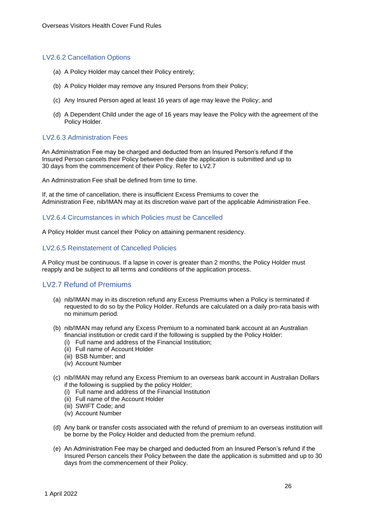### LV2.6.2 Cancellation Options

- (a) A Policy Holder may cancel their Policy entirely;
- (b) A Policy Holder may remove any Insured Persons from their Policy;
- (c) Any Insured Person aged at least 16 years of age may leave the Policy; and
- (d) A Dependent Child under the age of 16 years may leave the Policy with the agreement of the Policy Holder.

# LV2.6.3 Administration Fees

An Administration Fee may be charged and deducted from an Insured Person's refund if the Insured Person cancels their Policy between the date the application is submitted and up to 30 days from the commencement of their Policy. Refer to LV2.7

An Administration Fee shall be defined from time to time.

If, at the time of cancellation, there is insufficient Excess Premiums to cover the Administration Fee, nib/IMAN may at its discretion waive part of the applicable Administration Fee.

### LV2.6.4 Circumstances in which Policies must be Cancelled

A Policy Holder must cancel their Policy on attaining permanent residency.

### LV2.6.5 Reinstatement of Cancelled Policies

A Policy must be continuous. If a lapse in cover is greater than 2 months, the Policy Holder must reapply and be subject to all terms and conditions of the application process.

# <span id="page-25-0"></span>LV2.7 Refund of Premiums

- (a) nib/IMAN may in its discretion refund any Excess Premiums when a Policy is terminated if requested to do so by the Policy Holder. Refunds are calculated on a daily pro-rata basis with no minimum period.
- (b) nib/IMAN may refund any Excess Premium to a nominated bank account at an Australian financial institution or credit card if the following is supplied by the Policy Holder:
	- (i) Full name and address of the Financial Institution;
	- (ii) Full name of Account Holder
	- (iii) BSB Number; and
	- (iv) Account Number
- (c) nib/IMAN may refund any Excess Premium to an overseas bank account in Australian Dollars if the following is supplied by the policy Holder;
	- (i) Full name and address of the Financial Institution
	- (ii) Full name of the Account Holder
	- (iii) SWIFT Code; and
	- (iv) Account Number
- (d) Any bank or transfer costs associated with the refund of premium to an overseas institution will be borne by the Policy Holder and deducted from the premium refund.
- (e) An Administration Fee may be charged and deducted from an Insured Person's refund if the Insured Person cancels their Policy between the date the application is submitted and up to 30 days from the commencement of their Policy.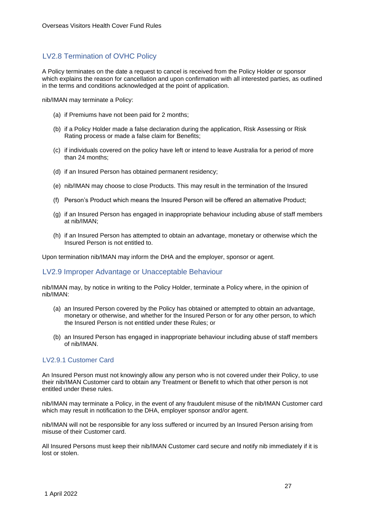# <span id="page-26-0"></span>LV2.8 Termination of OVHC Policy

A Policy terminates on the date a request to cancel is received from the Policy Holder or sponsor which explains the reason for cancellation and upon confirmation with all interested parties, as outlined in the terms and conditions acknowledged at the point of application.

nib/IMAN may terminate a Policy:

- (a) if Premiums have not been paid for 2 months;
- (b) if a Policy Holder made a false declaration during the application, Risk Assessing or Risk Rating process or made a false claim for Benefits;
- (c) if individuals covered on the policy have left or intend to leave Australia for a period of more than 24 months;
- (d) if an Insured Person has obtained permanent residency;
- (e) nib/IMAN may choose to close Products. This may result in the termination of the Insured
- (f) Person's Product which means the Insured Person will be offered an alternative Product;
- (g) if an Insured Person has engaged in inappropriate behaviour including abuse of staff members at nib/IMAN;
- (h) if an Insured Person has attempted to obtain an advantage, monetary or otherwise which the Insured Person is not entitled to.

Upon termination nib/IMAN may inform the DHA and the employer, sponsor or agent.

# <span id="page-26-1"></span>LV2.9 Improper Advantage or Unacceptable Behaviour

nib/IMAN may, by notice in writing to the Policy Holder, terminate a Policy where, in the opinion of nib/IMAN:

- (a) an Insured Person covered by the Policy has obtained or attempted to obtain an advantage, monetary or otherwise, and whether for the Insured Person or for any other person, to which the Insured Person is not entitled under these Rules; or
- (b) an Insured Person has engaged in inappropriate behaviour including abuse of staff members of nib/IMAN.

# LV2.9.1 Customer Card

An Insured Person must not knowingly allow any person who is not covered under their Policy, to use their nib/IMAN Customer card to obtain any Treatment or Benefit to which that other person is not entitled under these rules.

nib/IMAN may terminate a Policy, in the event of any fraudulent misuse of the nib/IMAN Customer card which may result in notification to the DHA, employer sponsor and/or agent.

nib/IMAN will not be responsible for any loss suffered or incurred by an Insured Person arising from misuse of their Customer card.

All Insured Persons must keep their nib/IMAN Customer card secure and notify nib immediately if it is lost or stolen.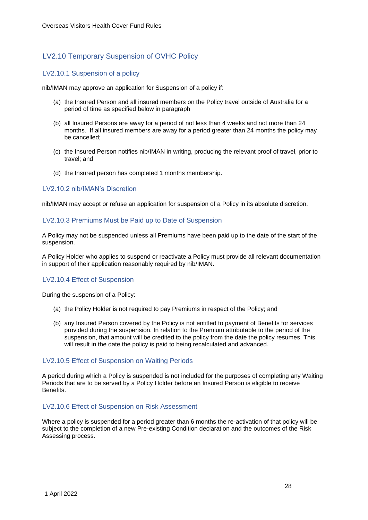# <span id="page-27-0"></span>LV2.10 Temporary Suspension of OVHC Policy

# LV2.10.1 Suspension of a policy

nib/IMAN may approve an application for Suspension of a policy if:

- (a) the Insured Person and all insured members on the Policy travel outside of Australia for a period of time as specified below in paragraph
- (b) all Insured Persons are away for a period of not less than 4 weeks and not more than 24 months. If all insured members are away for a period greater than 24 months the policy may be cancelled;
- (c) the Insured Person notifies nib/IMAN in writing, producing the relevant proof of travel, prior to travel; and
- (d) the Insured person has completed 1 months membership.

# LV2.10.2 nib/IMAN's Discretion

nib/IMAN may accept or refuse an application for suspension of a Policy in its absolute discretion.

# LV2.10.3 Premiums Must be Paid up to Date of Suspension

A Policy may not be suspended unless all Premiums have been paid up to the date of the start of the suspension.

A Policy Holder who applies to suspend or reactivate a Policy must provide all relevant documentation in support of their application reasonably required by nib/IMAN.

# LV2.10.4 Effect of Suspension

During the suspension of a Policy:

- (a) the Policy Holder is not required to pay Premiums in respect of the Policy; and
- (b) any Insured Person covered by the Policy is not entitled to payment of Benefits for services provided during the suspension. In relation to the Premium attributable to the period of the suspension, that amount will be credited to the policy from the date the policy resumes. This will result in the date the policy is paid to being recalculated and advanced.

### LV2.10.5 Effect of Suspension on Waiting Periods

A period during which a Policy is suspended is not included for the purposes of completing any Waiting Periods that are to be served by a Policy Holder before an Insured Person is eligible to receive Benefits.

### LV2.10.6 Effect of Suspension on Risk Assessment

Where a policy is suspended for a period greater than 6 months the re-activation of that policy will be subject to the completion of a new Pre-existing Condition declaration and the outcomes of the Risk Assessing process.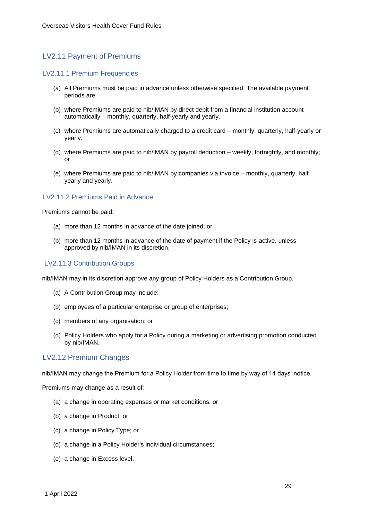# <span id="page-28-0"></span>LV2.11 Payment of Premiums

### LV2.11.1 Premium Frequencies

- (a) All Premiums must be paid in advance unless otherwise specified. The available payment periods are:
- (b) where Premiums are paid to nib/IMAN by direct debit from a financial institution account automatically – monthly, quarterly, half-yearly and yearly.
- (c) where Premiums are automatically charged to a credit card monthly, quarterly, half-yearly or yearly.
- (d) where Premiums are paid to nib/IMAN by payroll deduction weekly, fortnightly, and monthly; or
- (e) where Premiums are paid to nib/IMAN by companies via invoice monthly, quarterly, half yearly and yearly.

### LV2.11.2 Premiums Paid in Advance

Premiums cannot be paid:

- (a) more than 12 months in advance of the date joined; or
- (b) more than 12 months in advance of the date of payment if the Policy is active, unless approved by nib/IMAN in its discretion.

### LV2.11.3 Contribution Groups

nib/IMAN may in its discretion approve any group of Policy Holders as a Contribution Group.

- (a) A Contribution Group may include:
- (b) employees of a particular enterprise or group of enterprises;
- (c) members of any organisation; or
- (d) Policy Holders who apply for a Policy during a marketing or advertising promotion conducted by nib/IMAN.

### <span id="page-28-1"></span>LV2.12 Premium Changes

nib/IMAN may change the Premium for a Policy Holder from time to time by way of 14 days' notice.

Premiums may change as a result of:

- (a) a change in operating expenses or market conditions; or
- (b) a change in Product; or
- (c) a change in Policy Type; or
- (d) a change in a Policy Holder's individual circumstances;
- (e) a change in Excess level.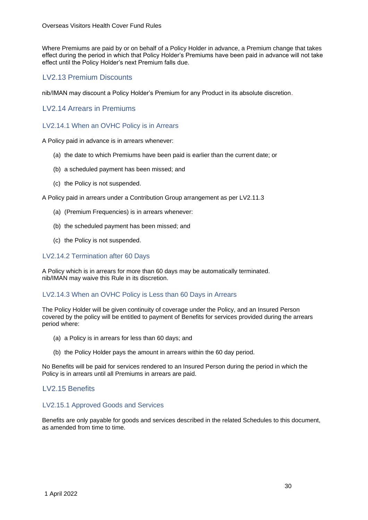Where Premiums are paid by or on behalf of a Policy Holder in advance, a Premium change that takes effect during the period in which that Policy Holder's Premiums have been paid in advance will not take effect until the Policy Holder's next Premium falls due.

# <span id="page-29-0"></span>LV2.13 Premium Discounts

nib/IMAN may discount a Policy Holder's Premium for any Product in its absolute discretion.

# <span id="page-29-1"></span>LV2.14 Arrears in Premiums

# LV2.14.1 When an OVHC Policy is in Arrears

A Policy paid in advance is in arrears whenever:

- (a) the date to which Premiums have been paid is earlier than the current date; or
- (b) a scheduled payment has been missed; and
- (c) the Policy is not suspended.

A Policy paid in arrears under a Contribution Group arrangement as per LV2.11.3

- (a) (Premium Frequencies) is in arrears whenever:
- (b) the scheduled payment has been missed; and
- (c) the Policy is not suspended.

# LV2.14.2 Termination after 60 Days

A Policy which is in arrears for more than 60 days may be automatically terminated. nib/IMAN may waive this Rule in its discretion.

### LV2.14.3 When an OVHC Policy is Less than 60 Days in Arrears

The Policy Holder will be given continuity of coverage under the Policy, and an Insured Person covered by the policy will be entitled to payment of Benefits for services provided during the arrears period where:

- (a) a Policy is in arrears for less than 60 days; and
- (b) the Policy Holder pays the amount in arrears within the 60 day period.

No Benefits will be paid for services rendered to an Insured Person during the period in which the Policy is in arrears until all Premiums in arrears are paid.

# <span id="page-29-2"></span>LV2.15 Benefits

### LV2.15.1 Approved Goods and Services

Benefits are only payable for goods and services described in the related Schedules to this document, as amended from time to time.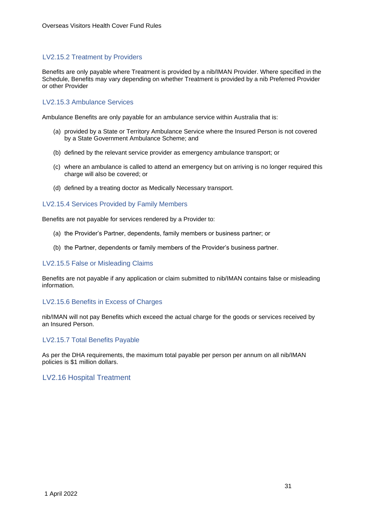# LV2.15.2 Treatment by Providers

Benefits are only payable where Treatment is provided by a nib/IMAN Provider. Where specified in the Schedule, Benefits may vary depending on whether Treatment is provided by a nib Preferred Provider or other Provider

# LV2.15.3 Ambulance Services

Ambulance Benefits are only payable for an ambulance service within Australia that is:

- (a) provided by a State or Territory Ambulance Service where the Insured Person is not covered by a State Government Ambulance Scheme; and
- (b) defined by the relevant service provider as emergency ambulance transport; or
- (c) where an ambulance is called to attend an emergency but on arriving is no longer required this charge will also be covered; or
- (d) defined by a treating doctor as Medically Necessary transport.

### LV2.15.4 Services Provided by Family Members

Benefits are not payable for services rendered by a Provider to:

- (a) the Provider's Partner, dependents, family members or business partner; or
- (b) the Partner, dependents or family members of the Provider's business partner.

#### LV2.15.5 False or Misleading Claims

Benefits are not payable if any application or claim submitted to nib/IMAN contains false or misleading information.

#### LV2.15.6 Benefits in Excess of Charges

nib/IMAN will not pay Benefits which exceed the actual charge for the goods or services received by an Insured Person.

### LV2.15.7 Total Benefits Payable

As per the DHA requirements, the maximum total payable per person per annum on all nib/IMAN policies is \$1 million dollars.

### <span id="page-30-0"></span>LV2.16 Hospital Treatment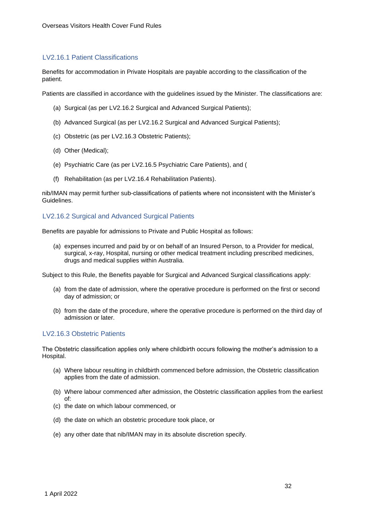## LV2.16.1 Patient Classifications

Benefits for accommodation in Private Hospitals are payable according to the classification of the patient.

Patients are classified in accordance with the guidelines issued by the Minister. The classifications are:

- (a) Surgical (as per LV2.16.2 Surgical and Advanced Surgical Patients);
- (b) Advanced Surgical (as per LV2.16.2 Surgical and Advanced Surgical Patients);
- (c) Obstetric (as per LV2.16.3 Obstetric Patients);
- (d) Other (Medical);
- (e) Psychiatric Care (as per LV2.16.5 Psychiatric Care Patients), and (
- (f) Rehabilitation (as per LV2.16.4 Rehabilitation Patients).

nib/IMAN may permit further sub-classifications of patients where not inconsistent with the Minister's Guidelines.

### LV2.16.2 Surgical and Advanced Surgical Patients

Benefits are payable for admissions to Private and Public Hospital as follows:

(a) expenses incurred and paid by or on behalf of an Insured Person, to a Provider for medical, surgical, x-ray, Hospital, nursing or other medical treatment including prescribed medicines, drugs and medical supplies within Australia.

Subject to this Rule, the Benefits payable for Surgical and Advanced Surgical classifications apply:

- (a) from the date of admission, where the operative procedure is performed on the first or second day of admission; or
- (b) from the date of the procedure, where the operative procedure is performed on the third day of admission or later.

### LV2.16.3 Obstetric Patients

The Obstetric classification applies only where childbirth occurs following the mother's admission to a Hospital.

- (a) Where labour resulting in childbirth commenced before admission, the Obstetric classification applies from the date of admission.
- (b) Where labour commenced after admission, the Obstetric classification applies from the earliest of:
- (c) the date on which labour commenced, or
- (d) the date on which an obstetric procedure took place, or
- (e) any other date that nib/IMAN may in its absolute discretion specify.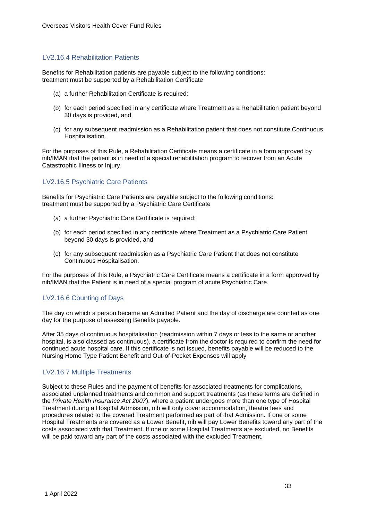### LV2.16.4 Rehabilitation Patients

Benefits for Rehabilitation patients are payable subject to the following conditions: treatment must be supported by a Rehabilitation Certificate

- (a) a further Rehabilitation Certificate is required:
- (b) for each period specified in any certificate where Treatment as a Rehabilitation patient beyond 30 days is provided, and
- (c) for any subsequent readmission as a Rehabilitation patient that does not constitute Continuous Hospitalisation.

For the purposes of this Rule, a Rehabilitation Certificate means a certificate in a form approved by nib/IMAN that the patient is in need of a special rehabilitation program to recover from an Acute Catastrophic Illness or Injury.

# LV2.16.5 Psychiatric Care Patients

Benefits for Psychiatric Care Patients are payable subject to the following conditions: treatment must be supported by a Psychiatric Care Certificate

- (a) a further Psychiatric Care Certificate is required:
- (b) for each period specified in any certificate where Treatment as a Psychiatric Care Patient beyond 30 days is provided, and
- (c) for any subsequent readmission as a Psychiatric Care Patient that does not constitute Continuous Hospitalisation.

For the purposes of this Rule, a Psychiatric Care Certificate means a certificate in a form approved by nib/IMAN that the Patient is in need of a special program of acute Psychiatric Care.

# LV2.16.6 Counting of Days

The day on which a person became an Admitted Patient and the day of discharge are counted as one day for the purpose of assessing Benefits payable.

After 35 days of continuous hospitalisation (readmission within 7 days or less to the same or another hospital, is also classed as continuous), a certificate from the doctor is required to confirm the need for continued acute hospital care. If this certificate is not issued, benefits payable will be reduced to the Nursing Home Type Patient Benefit and Out-of-Pocket Expenses will apply

### LV2.16.7 Multiple Treatments

Subject to these Rules and the payment of benefits for associated treatments for complications, associated unplanned treatments and common and support treatments (as these terms are defined in the *Private Health Insurance Act 2007*), where a patient undergoes more than one type of Hospital Treatment during a Hospital Admission, nib will only cover accommodation, theatre fees and procedures related to the covered Treatment performed as part of that Admission. If one or some Hospital Treatments are covered as a Lower Benefit, nib will pay Lower Benefits toward any part of the costs associated with that Treatment. If one or some Hospital Treatments are excluded, no Benefits will be paid toward any part of the costs associated with the excluded Treatment.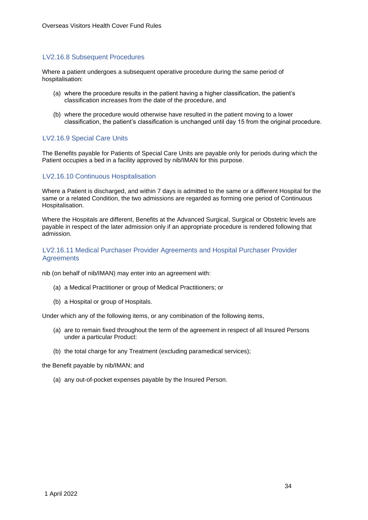### LV2.16.8 Subsequent Procedures

Where a patient undergoes a subsequent operative procedure during the same period of hospitalisation:

- (a) where the procedure results in the patient having a higher classification, the patient's classification increases from the date of the procedure, and
- (b) where the procedure would otherwise have resulted in the patient moving to a lower classification, the patient's classification is unchanged until day 15 from the original procedure.

### LV2.16.9 Special Care Units

The Benefits payable for Patients of Special Care Units are payable only for periods during which the Patient occupies a bed in a facility approved by nib/IMAN for this purpose.

### LV2.16.10 Continuous Hospitalisation

Where a Patient is discharged, and within 7 days is admitted to the same or a different Hospital for the same or a related Condition, the two admissions are regarded as forming one period of Continuous Hospitalisation.

Where the Hospitals are different, Benefits at the Advanced Surgical, Surgical or Obstetric levels are payable in respect of the later admission only if an appropriate procedure is rendered following that admission.

### LV2.16.11 Medical Purchaser Provider Agreements and Hospital Purchaser Provider **Agreements**

nib (on behalf of nib/IMAN) may enter into an agreement with:

- (a) a Medical Practitioner or group of Medical Practitioners; or
- (b) a Hospital or group of Hospitals.

Under which any of the following items, or any combination of the following items,

- (a) are to remain fixed throughout the term of the agreement in respect of all Insured Persons under a particular Product:
- (b) the total charge for any Treatment (excluding paramedical services);

the Benefit payable by nib/IMAN; and

(a) any out-of-pocket expenses payable by the Insured Person.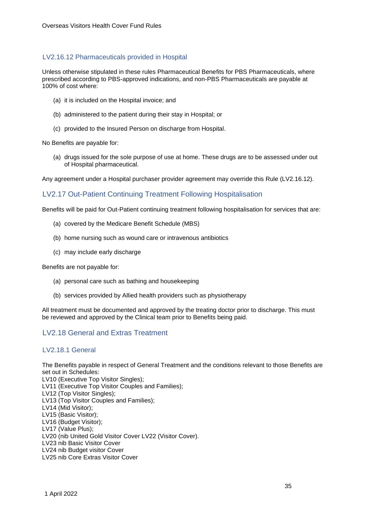# LV2.16.12 Pharmaceuticals provided in Hospital

Unless otherwise stipulated in these rules Pharmaceutical Benefits for PBS Pharmaceuticals, where prescribed according to PBS-approved indications, and non-PBS Pharmaceuticals are payable at 100% of cost where:

- (a) it is included on the Hospital invoice; and
- (b) administered to the patient during their stay in Hospital; or
- (c) provided to the Insured Person on discharge from Hospital.

No Benefits are payable for:

(a) drugs issued for the sole purpose of use at home. These drugs are to be assessed under out of Hospital pharmaceutical.

Any agreement under a Hospital purchaser provider agreement may override this Rule (LV2.16.12).

# <span id="page-34-0"></span>LV2.17 Out-Patient Continuing Treatment Following Hospitalisation

Benefits will be paid for Out-Patient continuing treatment following hospitalisation for services that are:

- (a) covered by the Medicare Benefit Schedule (MBS)
- (b) home nursing such as wound care or intravenous antibiotics
- (c) may include early discharge

Benefits are not payable for:

- (a) personal care such as bathing and housekeeping
- (b) services provided by Allied health providers such as physiotherapy

All treatment must be documented and approved by the treating doctor prior to discharge. This must be reviewed and approved by the Clinical team prior to Benefits being paid.

# <span id="page-34-1"></span>LV2.18 General and Extras Treatment

### LV2.18.1 General

The Benefits payable in respect of General Treatment and the conditions relevant to those Benefits are set out in Schedules: LV10 (Executive Top Visitor Singles); LV11 (Executive Top Visitor Couples and Families); LV12 (Top Visitor Singles); LV13 (Top Visitor Couples and Families); LV14 (Mid Visitor); LV15 (Basic Visitor); LV16 (Budget Visitor); LV17 (Value Plus); LV20 (nib United Gold Visitor Cover LV22 (Visitor Cover). LV23 nib Basic Visitor Cover LV24 nib Budget visitor Cover LV25 nib Core Extras Visitor Cover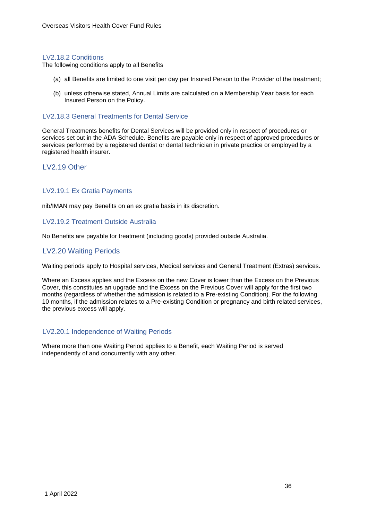### LV2.18.2 Conditions

The following conditions apply to all Benefits

- (a) all Benefits are limited to one visit per day per Insured Person to the Provider of the treatment;
- (b) unless otherwise stated, Annual Limits are calculated on a Membership Year basis for each Insured Person on the Policy.

#### LV2.18.3 General Treatments for Dental Service

General Treatments benefits for Dental Services will be provided only in respect of procedures or services set out in the ADA Schedule. Benefits are payable only in respect of approved procedures or services performed by a registered dentist or dental technician in private practice or employed by a registered health insurer.

# <span id="page-35-0"></span>LV2.19 Other

### LV2.19.1 Ex Gratia Payments

nib/IMAN may pay Benefits on an ex gratia basis in its discretion.

### LV2.19.2 Treatment Outside Australia

No Benefits are payable for treatment (including goods) provided outside Australia.

# <span id="page-35-1"></span>LV2.20 Waiting Periods

Waiting periods apply to Hospital services, Medical services and General Treatment (Extras) services.

Where an Excess applies and the Excess on the new Cover is lower than the Excess on the Previous Cover, this constitutes an upgrade and the Excess on the Previous Cover will apply for the first two months (regardless of whether the admission is related to a Pre-existing Condition). For the following 10 months, if the admission relates to a Pre-existing Condition or pregnancy and birth related services, the previous excess will apply.

### LV2.20.1 Independence of Waiting Periods

Where more than one Waiting Period applies to a Benefit, each Waiting Period is served independently of and concurrently with any other.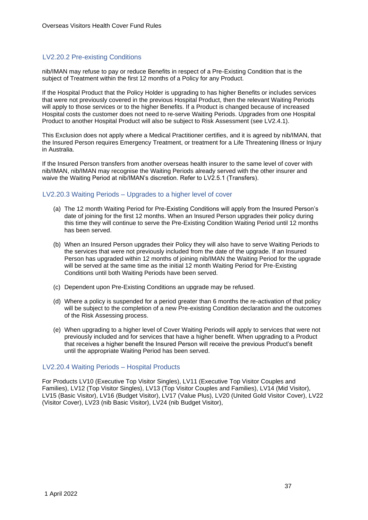### LV2.20.2 Pre-existing Conditions

nib/IMAN may refuse to pay or reduce Benefits in respect of a Pre-Existing Condition that is the subject of Treatment within the first 12 months of a Policy for any Product.

If the Hospital Product that the Policy Holder is upgrading to has higher Benefits or includes services that were not previously covered in the previous Hospital Product, then the relevant Waiting Periods will apply to those services or to the higher Benefits. If a Product is changed because of increased Hospital costs the customer does not need to re-serve Waiting Periods. Upgrades from one Hospital Product to another Hospital Product will also be subject to Risk Assessment (see LV2.4.1).

This Exclusion does not apply where a Medical Practitioner certifies, and it is agreed by nib/IMAN, that the Insured Person requires Emergency Treatment, or treatment for a Life Threatening Illness or Injury in Australia.

If the Insured Person transfers from another overseas health insurer to the same level of cover with nib/IMAN, nib/IMAN may recognise the Waiting Periods already served with the other insurer and waive the Waiting Period at nib/IMAN's discretion. Refer to LV2.5.1 (Transfers).

### LV2.20.3 Waiting Periods – Upgrades to a higher level of cover

- (a) The 12 month Waiting Period for Pre-Existing Conditions will apply from the Insured Person's date of joining for the first 12 months. When an Insured Person upgrades their policy during this time they will continue to serve the Pre-Existing Condition Waiting Period until 12 months has been served.
- (b) When an Insured Person upgrades their Policy they will also have to serve Waiting Periods to the services that were not previously included from the date of the upgrade. If an Insured Person has upgraded within 12 months of joining nib/IMAN the Waiting Period for the upgrade will be served at the same time as the initial 12 month Waiting Period for Pre-Existing Conditions until both Waiting Periods have been served.
- (c) Dependent upon Pre-Existing Conditions an upgrade may be refused.
- (d) Where a policy is suspended for a period greater than 6 months the re-activation of that policy will be subject to the completion of a new Pre-existing Condition declaration and the outcomes of the Risk Assessing process.
- (e) When upgrading to a higher level of Cover Waiting Periods will apply to services that were not previously included and for services that have a higher benefit. When upgrading to a Product that receives a higher benefit the Insured Person will receive the previous Product's benefit until the appropriate Waiting Period has been served.

#### LV2.20.4 Waiting Periods – Hospital Products

For Products LV10 (Executive Top Visitor Singles), LV11 (Executive Top Visitor Couples and Families), LV12 (Top Visitor Singles), LV13 (Top Visitor Couples and Families), LV14 (Mid Visitor), LV15 (Basic Visitor), LV16 (Budget Visitor), LV17 (Value Plus), LV20 (United Gold Visitor Cover), LV22 (Visitor Cover), LV23 (nib Basic Visitor), LV24 (nib Budget Visitor),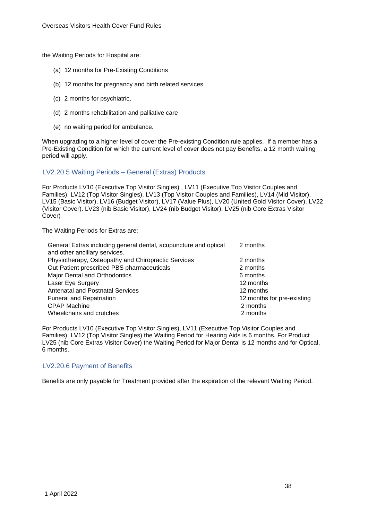the Waiting Periods for Hospital are:

- (a) 12 months for Pre-Existing Conditions
- (b) 12 months for pregnancy and birth related services
- (c) 2 months for psychiatric,
- (d) 2 months rehabilitation and palliative care
- (e) no waiting period for ambulance.

When upgrading to a higher level of cover the Pre-existing Condition rule applies. If a member has a Pre-Existing Condition for which the current level of cover does not pay Benefits, a 12 month waiting period will apply.

#### LV2.20.5 Waiting Periods – General (Extras) Products

For Products LV10 (Executive Top Visitor Singles) , LV11 (Executive Top Visitor Couples and Families), LV12 (Top Visitor Singles), LV13 (Top Visitor Couples and Families), LV14 (Mid Visitor), LV15 (Basic Visitor), LV16 (Budget Visitor), LV17 (Value Plus), LV20 (United Gold Visitor Cover), LV22 (Visitor Cover). LV23 (nib Basic Visitor), LV24 (nib Budget Visitor), LV25 (nib Core Extras Visitor Cover)

The Waiting Periods for Extras are:

| General Extras including general dental, acupuncture and optical<br>and other ancillary services. | 2 months                   |
|---------------------------------------------------------------------------------------------------|----------------------------|
| Physiotherapy, Osteopathy and Chiropractic Services                                               | 2 months                   |
| Out-Patient prescribed PBS pharmaceuticals                                                        | 2 months                   |
| Major Dental and Orthodontics                                                                     | 6 months                   |
| Laser Eye Surgery                                                                                 | 12 months                  |
| <b>Antenatal and Postnatal Services</b>                                                           | 12 months                  |
| <b>Funeral and Repatriation</b>                                                                   | 12 months for pre-existing |
| <b>CPAP Machine</b>                                                                               | 2 months                   |
| Wheelchairs and crutches                                                                          | 2 months                   |

For Products LV10 (Executive Top Visitor Singles), LV11 (Executive Top Visitor Couples and Families), LV12 (Top Visitor Singles) the Waiting Period for Hearing Aids is 6 months. For Product LV25 (nib Core Extras Visitor Cover) the Waiting Period for Major Dental is 12 months and for Optical, 6 months.

## LV2.20.6 Payment of Benefits

Benefits are only payable for Treatment provided after the expiration of the relevant Waiting Period.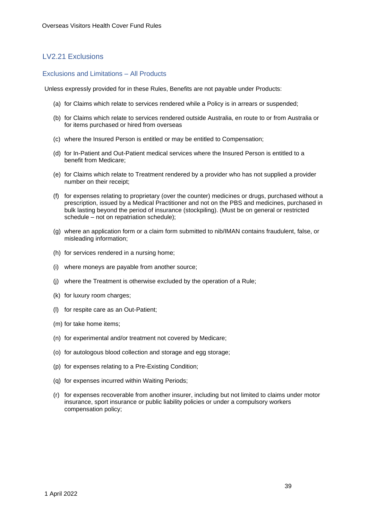# LV2.21 Exclusions

#### Exclusions and Limitations – All Products

Unless expressly provided for in these Rules, Benefits are not payable under Products:

- (a) for Claims which relate to services rendered while a Policy is in arrears or suspended;
- (b) for Claims which relate to services rendered outside Australia, en route to or from Australia or for items purchased or hired from overseas
- (c) where the Insured Person is entitled or may be entitled to Compensation;
- (d) for In-Patient and Out-Patient medical services where the Insured Person is entitled to a benefit from Medicare;
- (e) for Claims which relate to Treatment rendered by a provider who has not supplied a provider number on their receipt;
- (f) for expenses relating to proprietary (over the counter) medicines or drugs, purchased without a prescription, issued by a Medical Practitioner and not on the PBS and medicines, purchased in bulk lasting beyond the period of insurance (stockpiling). (Must be on general or restricted schedule – not on repatriation schedule);
- (g) where an application form or a claim form submitted to nib/IMAN contains fraudulent, false, or misleading information;
- (h) for services rendered in a nursing home;
- (i) where moneys are payable from another source;
- (j) where the Treatment is otherwise excluded by the operation of a Rule;
- (k) for luxury room charges;
- (l) for respite care as an Out-Patient;
- (m) for take home items;
- (n) for experimental and/or treatment not covered by Medicare;
- (o) for autologous blood collection and storage and egg storage;
- (p) for expenses relating to a Pre-Existing Condition;
- (q) for expenses incurred within Waiting Periods;
- (r) for expenses recoverable from another insurer, including but not limited to claims under motor insurance, sport insurance or public liability policies or under a compulsory workers compensation policy;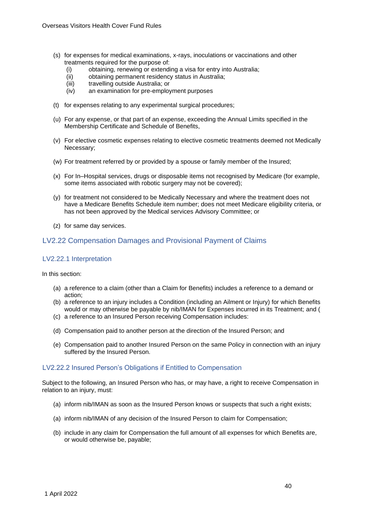- (s) for expenses for medical examinations, x-rays, inoculations or vaccinations and other treatments required for the purpose of:
	- (i) obtaining, renewing or extending a visa for entry into Australia;<br>(ii) obtaining permanent residency status in Australia;
	- obtaining permanent residency status in Australia;
	- (iii) travelling outside Australia; or
	- (iv) an examination for pre-employment purposes
- (t) for expenses relating to any experimental surgical procedures;
- (u) For any expense, or that part of an expense, exceeding the Annual Limits specified in the Membership Certificate and Schedule of Benefits,
- (v) For elective cosmetic expenses relating to elective cosmetic treatments deemed not Medically Necessary;
- (w) For treatment referred by or provided by a spouse or family member of the Insured;
- (x) For In–Hospital services, drugs or disposable items not recognised by Medicare (for example, some items associated with robotic surgery may not be covered);
- (y) for treatment not considered to be Medically Necessary and where the treatment does not have a Medicare Benefits Schedule item number; does not meet Medicare eligibility criteria, or has not been approved by the Medical services Advisory Committee; or
- (z) for same day services.

# LV2.22 Compensation Damages and Provisional Payment of Claims

#### LV2.22.1 Interpretation

In this section:

- (a) a reference to a claim (other than a Claim for Benefits) includes a reference to a demand or action;
- (b) a reference to an injury includes a Condition (including an Ailment or Injury) for which Benefits would or may otherwise be payable by nib/IMAN for Expenses incurred in its Treatment; and (
- (c) a reference to an Insured Person receiving Compensation includes:
- (d) Compensation paid to another person at the direction of the Insured Person; and
- (e) Compensation paid to another Insured Person on the same Policy in connection with an injury suffered by the Insured Person.

#### LV2.22.2 Insured Person's Obligations if Entitled to Compensation

Subject to the following, an Insured Person who has, or may have, a right to receive Compensation in relation to an injury, must:

- (a) inform nib/IMAN as soon as the Insured Person knows or suspects that such a right exists;
- (a) inform nib/IMAN of any decision of the Insured Person to claim for Compensation;
- (b) include in any claim for Compensation the full amount of all expenses for which Benefits are, or would otherwise be, payable;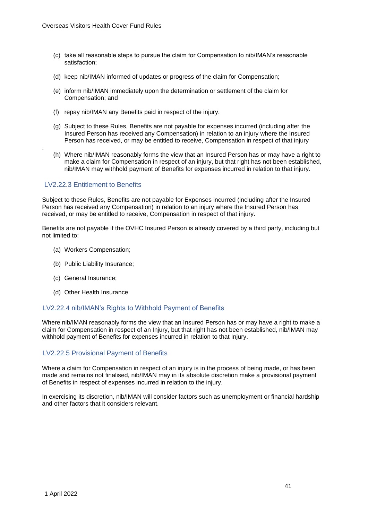- (c) take all reasonable steps to pursue the claim for Compensation to nib/IMAN's reasonable satisfaction;
- (d) keep nib/IMAN informed of updates or progress of the claim for Compensation;
- (e) inform nib/IMAN immediately upon the determination or settlement of the claim for Compensation; and
- (f) repay nib/IMAN any Benefits paid in respect of the injury.
- (g) Subject to these Rules, Benefits are not payable for expenses incurred (including after the Insured Person has received any Compensation) in relation to an injury where the Insured Person has received, or may be entitled to receive, Compensation in respect of that injury
- (h) Where nib/IMAN reasonably forms the view that an Insured Person has or may have a right to make a claim for Compensation in respect of an injury, but that right has not been established, nib/IMAN may withhold payment of Benefits for expenses incurred in relation to that injury.

## LV2.22.3 Entitlement to Benefits

.

Subject to these Rules, Benefits are not payable for Expenses incurred (including after the Insured Person has received any Compensation) in relation to an injury where the Insured Person has received, or may be entitled to receive, Compensation in respect of that injury.

Benefits are not payable if the OVHC Insured Person is already covered by a third party, including but not limited to:

- (a) Workers Compensation;
- (b) Public Liability Insurance;
- (c) General Insurance;
- (d) Other Health Insurance

#### LV2.22.4 nib/IMAN's Rights to Withhold Payment of Benefits

Where nib/IMAN reasonably forms the view that an Insured Person has or may have a right to make a claim for Compensation in respect of an Injury, but that right has not been established, nib/IMAN may withhold payment of Benefits for expenses incurred in relation to that Injury.

#### LV2.22.5 Provisional Payment of Benefits

Where a claim for Compensation in respect of an injury is in the process of being made, or has been made and remains not finalised, nib/IMAN may in its absolute discretion make a provisional payment of Benefits in respect of expenses incurred in relation to the injury.

In exercising its discretion, nib/IMAN will consider factors such as unemployment or financial hardship and other factors that it considers relevant.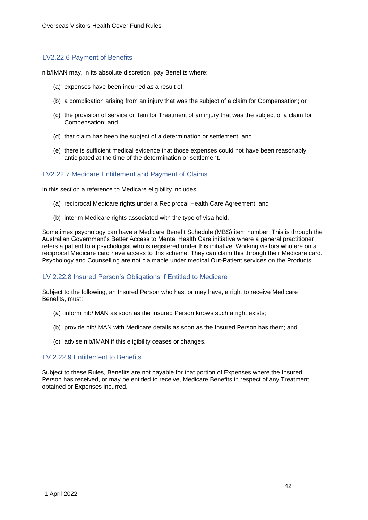## LV2.22.6 Payment of Benefits

nib/IMAN may, in its absolute discretion, pay Benefits where:

- (a) expenses have been incurred as a result of:
- (b) a complication arising from an injury that was the subject of a claim for Compensation; or
- (c) the provision of service or item for Treatment of an injury that was the subject of a claim for Compensation; and
- (d) that claim has been the subject of a determination or settlement; and
- (e) there is sufficient medical evidence that those expenses could not have been reasonably anticipated at the time of the determination or settlement.

#### LV2.22.7 Medicare Entitlement and Payment of Claims

In this section a reference to Medicare eligibility includes:

- (a) reciprocal Medicare rights under a Reciprocal Health Care Agreement; and
- (b) interim Medicare rights associated with the type of visa held.

Sometimes psychology can have a Medicare Benefit Schedule (MBS) item number. This is through the Australian Government's Better Access to Mental Health Care initiative where a general practitioner refers a patient to a psychologist who is registered under this initiative. Working visitors who are on a reciprocal Medicare card have access to this scheme. They can claim this through their Medicare card. Psychology and Counselling are not claimable under medical Out-Patient services on the Products.

#### LV 2.22.8 Insured Person's Obligations if Entitled to Medicare

Subject to the following, an Insured Person who has, or may have, a right to receive Medicare Benefits, must:

- (a) inform nib/IMAN as soon as the Insured Person knows such a right exists;
- (b) provide nib/IMAN with Medicare details as soon as the Insured Person has them; and
- (c) advise nib/IMAN if this eligibility ceases or changes.

#### LV 2.22.9 Entitlement to Benefits

Subject to these Rules, Benefits are not payable for that portion of Expenses where the Insured Person has received, or may be entitled to receive, Medicare Benefits in respect of any Treatment obtained or Expenses incurred.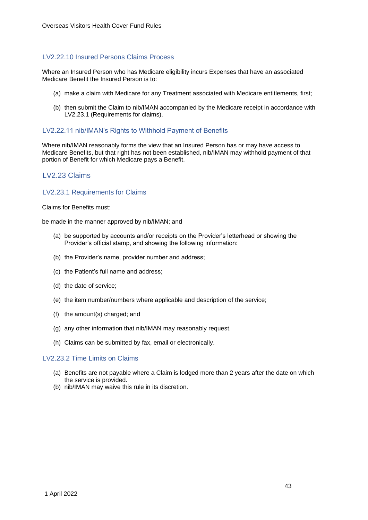#### LV2.22.10 Insured Persons Claims Process

Where an Insured Person who has Medicare eligibility incurs Expenses that have an associated Medicare Benefit the Insured Person is to:

- (a) make a claim with Medicare for any Treatment associated with Medicare entitlements, first;
- (b) then submit the Claim to nib/IMAN accompanied by the Medicare receipt in accordance with LV2.23.1 (Requirements for claims).

#### LV2.22.11 nib/IMAN's Rights to Withhold Payment of Benefits

Where nib/IMAN reasonably forms the view that an Insured Person has or may have access to Medicare Benefits, but that right has not been established, nib/IMAN may withhold payment of that portion of Benefit for which Medicare pays a Benefit.

## LV2.23 Claims

#### LV2.23.1 Requirements for Claims

Claims for Benefits must:

be made in the manner approved by nib/IMAN; and

- (a) be supported by accounts and/or receipts on the Provider's letterhead or showing the Provider's official stamp, and showing the following information:
- (b) the Provider's name, provider number and address;
- (c) the Patient's full name and address;
- (d) the date of service;
- (e) the item number/numbers where applicable and description of the service;
- (f) the amount(s) charged; and
- (g) any other information that nib/IMAN may reasonably request.
- (h) Claims can be submitted by fax, email or electronically.

#### LV2.23.2 Time Limits on Claims

- (a) Benefits are not payable where a Claim is lodged more than 2 years after the date on which the service is provided.
- (b) nib/IMAN may waive this rule in its discretion.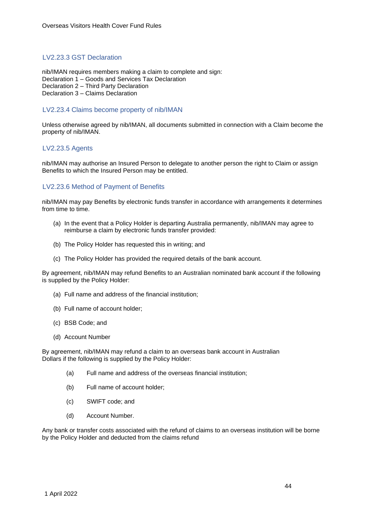### LV2.23.3 GST Declaration

nib/IMAN requires members making a claim to complete and sign: Declaration 1 – Goods and Services Tax Declaration Declaration 2 – Third Party Declaration Declaration 3 – Claims Declaration

#### LV2.23.4 Claims become property of nib/IMAN

Unless otherwise agreed by nib/IMAN, all documents submitted in connection with a Claim become the property of nib/IMAN.

#### LV2.23.5 Agents

nib/IMAN may authorise an Insured Person to delegate to another person the right to Claim or assign Benefits to which the Insured Person may be entitled.

#### LV2.23.6 Method of Payment of Benefits

nib/IMAN may pay Benefits by electronic funds transfer in accordance with arrangements it determines from time to time.

- (a) In the event that a Policy Holder is departing Australia permanently, nib/IMAN may agree to reimburse a claim by electronic funds transfer provided:
- (b) The Policy Holder has requested this in writing; and
- (c) The Policy Holder has provided the required details of the bank account.

By agreement, nib/IMAN may refund Benefits to an Australian nominated bank account if the following is supplied by the Policy Holder:

- (a) Full name and address of the financial institution;
- (b) Full name of account holder;
- (c) BSB Code; and
- (d) Account Number

By agreement, nib/IMAN may refund a claim to an overseas bank account in Australian Dollars if the following is supplied by the Policy Holder:

- (a) Full name and address of the overseas financial institution;
- (b) Full name of account holder;
- (c) SWIFT code; and
- (d) Account Number.

Any bank or transfer costs associated with the refund of claims to an overseas institution will be borne by the Policy Holder and deducted from the claims refund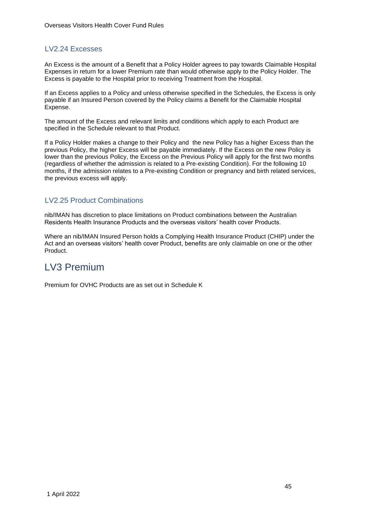## LV2.24 Excesses

An Excess is the amount of a Benefit that a Policy Holder agrees to pay towards Claimable Hospital Expenses in return for a lower Premium rate than would otherwise apply to the Policy Holder. The Excess is payable to the Hospital prior to receiving Treatment from the Hospital.

If an Excess applies to a Policy and unless otherwise specified in the Schedules, the Excess is only payable if an Insured Person covered by the Policy claims a Benefit for the Claimable Hospital Expense.

The amount of the Excess and relevant limits and conditions which apply to each Product are specified in the Schedule relevant to that Product.

If a Policy Holder makes a change to their Policy and the new Policy has a higher Excess than the previous Policy, the higher Excess will be payable immediately. If the Excess on the new Policy is lower than the previous Policy, the Excess on the Previous Policy will apply for the first two months (regardless of whether the admission is related to a Pre-existing Condition). For the following 10 months, if the admission relates to a Pre-existing Condition or pregnancy and birth related services, the previous excess will apply.

## LV2.25 Product Combinations

nib/IMAN has discretion to place limitations on Product combinations between the Australian Residents Health Insurance Products and the overseas visitors' health cover Products.

Where an nib/IMAN Insured Person holds a Complying Health Insurance Product (CHIP) under the Act and an overseas visitors' health cover Product, benefits are only claimable on one or the other Product.

# LV3 Premium

Premium for OVHC Products are as set out in Schedule K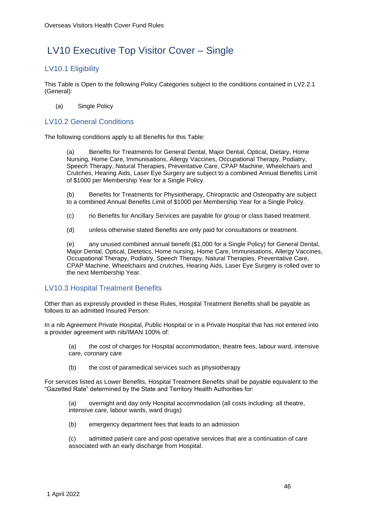# LV10 Executive Top Visitor Cover – Single

# LV10.1 Eligibility

This Table is Open to the following Policy Categories subject to the conditions contained in LV2.2.1 (General):

(a) Single Policy

## LV10.2 General Conditions

The following conditions apply to all Benefits for this Table:

Benefits for Treatments for General Dental, Major Dental, Optical, Dietary, Home Nursing, Home Care, Immunisations, Allergy Vaccines, Occupational Therapy, Podiatry, Speech Therapy, Natural Therapies, Preventative Care, CPAP Machine, Wheelchairs and Crutches, Hearing Aids, Laser Eye Surgery are subject to a combined Annual Benefits Limit of \$1000 per Membership Year for a Single Policy.

(b) Benefits for Treatments for Physiotherapy, Chiropractic and Osteopathy are subject to a combined Annual Benefits Limit of \$1000 per Membership Year for a Single Policy.

- (c) no Benefits for Ancillary Services are payable for group or class based treatment.
- (d) unless otherwise stated Benefits are only paid for consultations or treatment.

(e) any unused combined annual benefit (\$1,000 for a Single Policy) for General Dental, Major Dental, Optical, Dietetics, Home nursing, Home Care, Immunisations, Allergy Vaccines, Occupational Therapy, Podiatry, Speech Therapy, Natural Therapies, Preventative Care, CPAP Machine, Wheelchairs and crutches, Hearing Aids, Laser Eye Surgery is rolled over to the next Membership Year.

## LV10.3 Hospital Treatment Benefits

Other than as expressly provided in these Rules, Hospital Treatment Benefits shall be payable as follows to an admitted Insured Person:

In a nib Agreement Private Hospital, Public Hospital or in a Private Hospital that has not entered into a provider agreement with nib/IMAN 100% of:

(a) the cost of charges for Hospital accommodation, theatre fees, labour ward, intensive care, coronary care

(b) the cost of paramedical services such as physiotherapy

For services listed as Lower Benefits, Hospital Treatment Benefits shall be payable equivalent to the "Gazetted Rate" determined by the State and Territory Health Authorities for:

(a) overnight and day only Hospital accommodation (all costs including: all theatre, intensive care, labour wards, ward drugs)

(b) emergency department fees that leads to an admission

(c) admitted patient care and post-operative services that are a continuation of care associated with an early discharge from Hospital.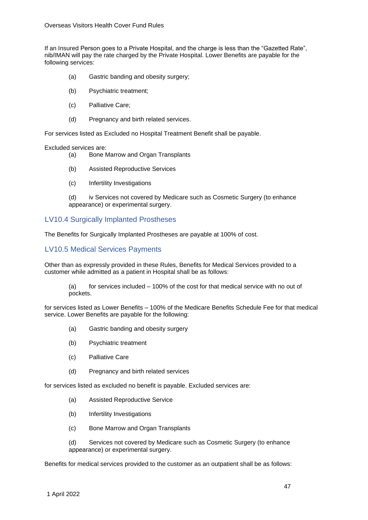If an Insured Person goes to a Private Hospital, and the charge is less than the "Gazetted Rate", nib/IMAN will pay the rate charged by the Private Hospital. Lower Benefits are payable for the following services:

- (a) Gastric banding and obesity surgery;
- (b) Psychiatric treatment;
- (c) Palliative Care;
- (d) Pregnancy and birth related services.

For services listed as Excluded no Hospital Treatment Benefit shall be payable.

#### Excluded services are:

- (a) Bone Marrow and Organ Transplants
- (b) Assisted Reproductive Services
- (c) Infertility Investigations

(d) iv Services not covered by Medicare such as Cosmetic Surgery (to enhance appearance) or experimental surgery.

## LV10.4 Surgically Implanted Prostheses

The Benefits for Surgically Implanted Prostheses are payable at 100% of cost.

#### LV10.5 Medical Services Payments

Other than as expressly provided in these Rules, Benefits for Medical Services provided to a customer while admitted as a patient in Hospital shall be as follows:

(a) for services included – 100% of the cost for that medical service with no out of pockets.

for services listed as Lower Benefits – 100% of the Medicare Benefits Schedule Fee for that medical service. Lower Benefits are payable for the following:

- (a) Gastric banding and obesity surgery
- (b) Psychiatric treatment
- (c) Palliative Care
- (d) Pregnancy and birth related services

for services listed as excluded no benefit is payable. Excluded services are:

- (a) Assisted Reproductive Service
- (b) Infertility Investigations
- (c) Bone Marrow and Organ Transplants

(d) Services not covered by Medicare such as Cosmetic Surgery (to enhance appearance) or experimental surgery.

Benefits for medical services provided to the customer as an outpatient shall be as follows: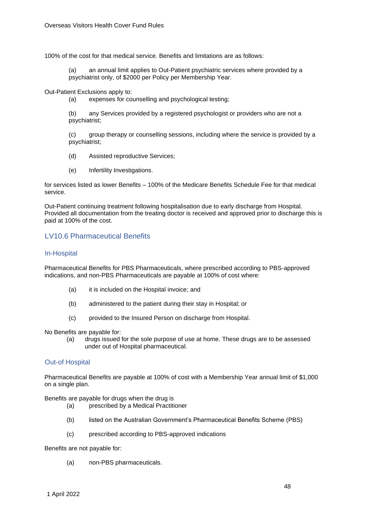100% of the cost for that medical service. Benefits and limitations are as follows:

(a) an annual limit applies to Out-Patient psychiatric services where provided by a psychiatrist only, of \$2000 per Policy per Membership Year.

Out-Patient Exclusions apply to:

(a) expenses for counselling and psychological testing;

(b) any Services provided by a registered psychologist or providers who are not a psychiatrist;

(c) group therapy or counselling sessions, including where the service is provided by a psychiatrist;

- (d) Assisted reproductive Services;
- (e) Infertility Investigations.

for services listed as lower Benefits – 100% of the Medicare Benefits Schedule Fee for that medical service.

Out-Patient continuing treatment following hospitalisation due to early discharge from Hospital. Provided all documentation from the treating doctor is received and approved prior to discharge this is paid at 100% of the cost.

## LV10.6 Pharmaceutical Benefits

### In-Hospital

Pharmaceutical Benefits for PBS Pharmaceuticals, where prescribed according to PBS-approved indications, and non-PBS Pharmaceuticals are payable at 100% of cost where:

- (a) it is included on the Hospital invoice; and
- (b) administered to the patient during their stay in Hospital; or
- (c) provided to the Insured Person on discharge from Hospital.

No Benefits are payable for:

(a) drugs issued for the sole purpose of use at home. These drugs are to be assessed under out of Hospital pharmaceutical.

#### Out-of Hospital

Pharmaceutical Benefits are payable at 100% of cost with a Membership Year annual limit of \$1,000 on a single plan.

Benefits are payable for drugs when the drug is

- (a) prescribed by a Medical Practitioner
- (b) listed on the Australian Government's Pharmaceutical Benefits Scheme (PBS)
- (c) prescribed according to PBS-approved indications

Benefits are not payable for:

(a) non-PBS pharmaceuticals.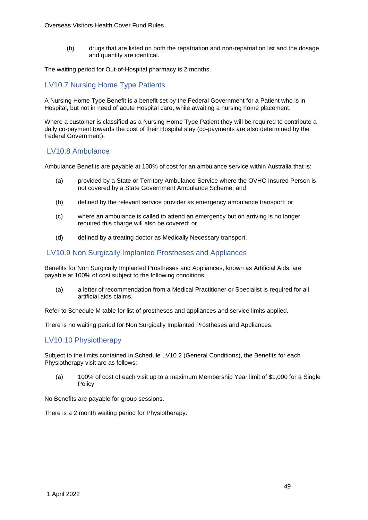(b) drugs that are listed on both the repatriation and non-repatriation list and the dosage and quantity are identical.

The waiting period for Out-of-Hospital pharmacy is 2 months.

### LV10.7 Nursing Home Type Patients

A Nursing Home Type Benefit is a benefit set by the Federal Government for a Patient who is in Hospital, but not in need of acute Hospital care, while awaiting a nursing home placement.

Where a customer is classified as a Nursing Home Type Patient they will be required to contribute a daily co-payment towards the cost of their Hospital stay (co-payments are also determined by the Federal Government).

### LV10.8 Ambulance

Ambulance Benefits are payable at 100% of cost for an ambulance service within Australia that is:

- (a) provided by a State or Territory Ambulance Service where the OVHC Insured Person is not covered by a State Government Ambulance Scheme; and
- (b) defined by the relevant service provider as emergency ambulance transport; or
- (c) where an ambulance is called to attend an emergency but on arriving is no longer required this charge will also be covered; or
- (d) defined by a treating doctor as Medically Necessary transport.

#### LV10.9 Non Surgically Implanted Prostheses and Appliances

Benefits for Non Surgically Implanted Prostheses and Appliances, known as Artificial Aids, are payable at 100% of cost subject to the following conditions:

(a) a letter of recommendation from a Medical Practitioner or Specialist is required for all artificial aids claims.

Refer to Schedule M table for list of prostheses and appliances and service limits applied.

There is no waiting period for Non Surgically Implanted Prostheses and Appliances.

## LV10.10 Physiotherapy

Subject to the limits contained in Schedule LV10.2 (General Conditions), the Benefits for each Physiotherapy visit are as follows:

(a) 100% of cost of each visit up to a maximum Membership Year limit of \$1,000 for a Single Policy

No Benefits are payable for group sessions.

There is a 2 month waiting period for Physiotherapy.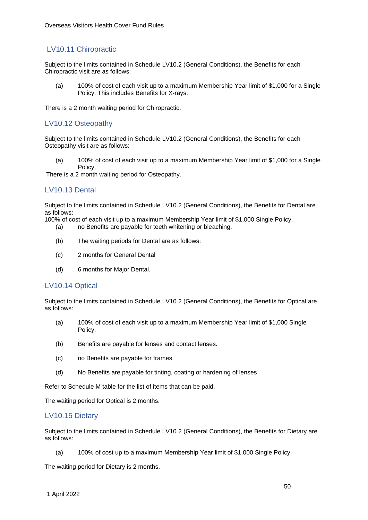# LV10.11 Chiropractic

Subject to the limits contained in Schedule LV10.2 (General Conditions), the Benefits for each Chiropractic visit are as follows:

(a) 100% of cost of each visit up to a maximum Membership Year limit of \$1,000 for a Single Policy. This includes Benefits for X-rays.

There is a 2 month waiting period for Chiropractic.

## LV10.12 Osteopathy

Subject to the limits contained in Schedule LV10.2 (General Conditions), the Benefits for each Osteopathy visit are as follows:

(a) 100% of cost of each visit up to a maximum Membership Year limit of \$1,000 for a Single Policy.

There is a 2 month waiting period for Osteopathy.

### LV10.13 Dental

Subject to the limits contained in Schedule LV10.2 (General Conditions), the Benefits for Dental are as follows:

100% of cost of each visit up to a maximum Membership Year limit of \$1,000 Single Policy.

- (a) no Benefits are payable for teeth whitening or bleaching.
- (b) The waiting periods for Dental are as follows:
- (c) 2 months for General Dental
- (d) 6 months for Major Dental.

#### LV10.14 Optical

Subject to the limits contained in Schedule LV10.2 (General Conditions), the Benefits for Optical are as follows:

- (a) 100% of cost of each visit up to a maximum Membership Year limit of \$1,000 Single Policy.
- (b) Benefits are payable for lenses and contact lenses.
- (c) no Benefits are payable for frames.
- (d) No Benefits are payable for tinting, coating or hardening of lenses

Refer to Schedule M table for the list of items that can be paid.

The waiting period for Optical is 2 months.

#### LV10.15 Dietary

Subject to the limits contained in Schedule LV10.2 (General Conditions), the Benefits for Dietary are as follows:

(a) 100% of cost up to a maximum Membership Year limit of \$1,000 Single Policy.

The waiting period for Dietary is 2 months.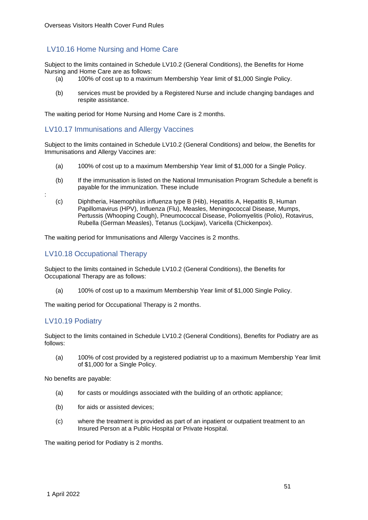# LV10.16 Home Nursing and Home Care

Subject to the limits contained in Schedule LV10.2 (General Conditions), the Benefits for Home Nursing and Home Care are as follows:

- (a) 100% of cost up to a maximum Membership Year limit of \$1,000 Single Policy.
- (b) services must be provided by a Registered Nurse and include changing bandages and respite assistance.

The waiting period for Home Nursing and Home Care is 2 months.

### LV10.17 Immunisations and Allergy Vaccines

Subject to the limits contained in Schedule LV10.2 (General Conditions) and below, the Benefits for Immunisations and Allergy Vaccines are:

- (a) 100% of cost up to a maximum Membership Year limit of \$1,000 for a Single Policy.
- (b) If the immunisation is listed on the National Immunisation Program Schedule a benefit is payable for the immunization. These include
- (c) [Diphtheria,](http://immunise.health.gov.au/internet/immunise/publishing.nsf/Content/immunise-diphtheria) Haemophilus influenza type B (Hib)[,](http://immunise.health.gov.au/internet/immunise/publishing.nsf/Content/immunise-hepa) [Hepatitis A,](http://immunise.health.gov.au/internet/immunise/publishing.nsf/Content/immunise-hepa) [Hepatitis B,](http://immunise.health.gov.au/internet/immunise/publishing.nsf/Content/immunise-hepb) Human Papillomavirus (HPV), [Influenza \(Flu\),](http://immunise.health.gov.au/internet/immunise/publishing.nsf/Content/immunise-influenza) [Measles,](http://immunise.health.gov.au/internet/immunise/publishing.nsf/Content/immunise-measles) [Meningococcal Disease,](http://immunise.health.gov.au/internet/immunise/publishing.nsf/Content/immunise-meningococcal) [Mumps,](http://immunise.health.gov.au/internet/immunise/publishing.nsf/Content/immunise-mumps) [Pertussis \(Whooping Cough\),](http://immunise.health.gov.au/internet/immunise/publishing.nsf/Content/immunise-pertussis) [Pneumococcal Disease,](http://immunise.health.gov.au/internet/immunise/publishing.nsf/Content/immunise-pneumococcal) [Poliomyelitis \(Polio\),](http://immunise.health.gov.au/internet/immunise/publishing.nsf/Content/immunise-poliomyelitis) [Rotavirus,](http://immunise.health.gov.au/internet/immunise/publishing.nsf/Content/immunise-rotavirus) [Rubella \(German Measles\),](http://immunise.health.gov.au/internet/immunise/publishing.nsf/Content/immunise-rubella) [Tetanus \(Lockjaw\),](http://immunise.health.gov.au/internet/immunise/publishing.nsf/Content/immunise-tetanus) [Varicella \(Chickenpox\).](http://immunise.health.gov.au/internet/immunise/publishing.nsf/Content/immunise-varicella)

The waiting period for Immunisations and Allergy Vaccines is 2 months.

## LV10.18 Occupational Therapy

Subject to the limits contained in Schedule LV10.2 (General Conditions), the Benefits for Occupational Therapy are as follows:

(a) 100% of cost up to a maximum Membership Year limit of \$1,000 Single Policy.

The waiting period for Occupational Therapy is 2 months.

# LV10.19 Podiatry

:

Subject to the limits contained in Schedule LV10.2 (General Conditions), Benefits for Podiatry are as follows:

(a) 100% of cost provided by a registered podiatrist up to a maximum Membership Year limit of \$1,000 for a Single Policy.

No benefits are payable:

- (a) for casts or mouldings associated with the building of an orthotic appliance;
- (b) for aids or assisted devices;
- (c) where the treatment is provided as part of an inpatient or outpatient treatment to an Insured Person at a Public Hospital or Private Hospital.

The waiting period for Podiatry is 2 months.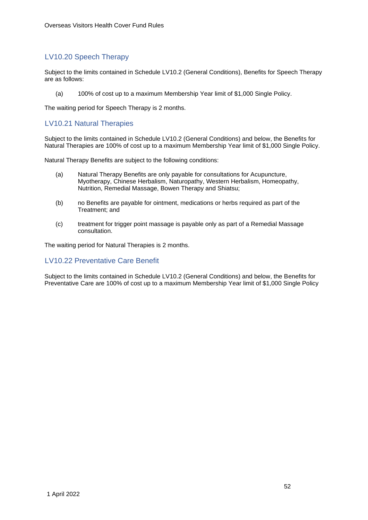# LV10.20 Speech Therapy

Subject to the limits contained in Schedule LV10.2 (General Conditions), Benefits for Speech Therapy are as follows:

(a) 100% of cost up to a maximum Membership Year limit of \$1,000 Single Policy.

The waiting period for Speech Therapy is 2 months.

## LV10.21 Natural Therapies

Subject to the limits contained in Schedule LV10.2 (General Conditions) and below, the Benefits for Natural Therapies are 100% of cost up to a maximum Membership Year limit of \$1,000 Single Policy.

Natural Therapy Benefits are subject to the following conditions:

- (a) Natural Therapy Benefits are only payable for consultations for Acupuncture, Myotherapy, Chinese Herbalism, Naturopathy, Western Herbalism, Homeopathy, Nutrition, Remedial Massage, Bowen Therapy and Shiatsu;
- (b) no Benefits are payable for ointment, medications or herbs required as part of the Treatment; and
- (c) treatment for trigger point massage is payable only as part of a Remedial Massage consultation.

The waiting period for Natural Therapies is 2 months.

#### LV10.22 Preventative Care Benefit

Subject to the limits contained in Schedule LV10.2 (General Conditions) and below, the Benefits for Preventative Care are 100% of cost up to a maximum Membership Year limit of \$1,000 Single Policy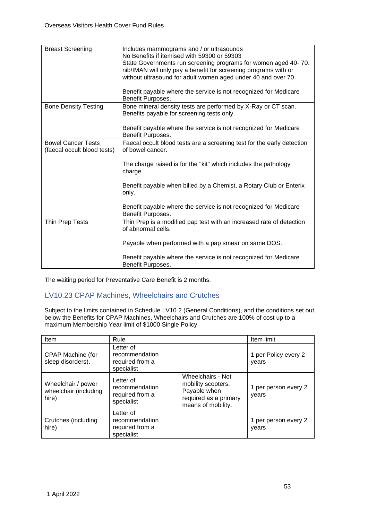| <b>Breast Screening</b>                                  | Includes mammograms and / or ultrasounds<br>No Benefits if itemised with 59300 or 59303<br>State Governments run screening programs for women aged 40-70.<br>nib/IMAN will only pay a benefit for screening programs with or<br>without ultrasound for adult women aged under 40 and over 70.<br>Benefit payable where the service is not recognized for Medicare<br>Benefit Purposes. |
|----------------------------------------------------------|----------------------------------------------------------------------------------------------------------------------------------------------------------------------------------------------------------------------------------------------------------------------------------------------------------------------------------------------------------------------------------------|
| <b>Bone Density Testing</b>                              | Bone mineral density tests are performed by X-Ray or CT scan.<br>Benefits payable for screening tests only.<br>Benefit payable where the service is not recognized for Medicare<br>Benefit Purposes.                                                                                                                                                                                   |
| <b>Bowel Cancer Tests</b><br>(faecal occult blood tests) | Faecal occult blood tests are a screening test for the early detection<br>of bowel cancer.<br>The charge raised is for the "kit" which includes the pathology<br>charge.<br>Benefit payable when billed by a Chemist, a Rotary Club or Enterix<br>only.<br>Benefit payable where the service is not recognized for Medicare<br>Benefit Purposes.                                       |
| Thin Prep Tests                                          | Thin Prep is a modified pap test with an increased rate of detection<br>of abnormal cells.<br>Payable when performed with a pap smear on same DOS.<br>Benefit payable where the service is not recognized for Medicare<br>Benefit Purposes.                                                                                                                                            |

The waiting period for Preventative Care Benefit is 2 months.

# LV10.23 CPAP Machines, Wheelchairs and Crutches

Subject to the limits contained in Schedule LV10.2 (General Conditions), and the conditions set out below the Benefits for CPAP Machines, Wheelchairs and Crutches are 100% of cost up to a maximum Membership Year limit of \$1000 Single Policy.

| Item                                                 | Rule                                                         |                                                                                                        | Item limit                    |
|------------------------------------------------------|--------------------------------------------------------------|--------------------------------------------------------------------------------------------------------|-------------------------------|
| CPAP Machine (for<br>sleep disorders).               | Letter of<br>recommendation<br>required from a<br>specialist |                                                                                                        | 1 per Policy every 2<br>years |
| Wheelchair / power<br>wheelchair (including<br>hire) | Letter of<br>recommendation<br>required from a<br>specialist | Wheelchairs - Not<br>mobility scooters.<br>Payable when<br>required as a primary<br>means of mobility. | 1 per person every 2<br>years |
| Crutches (including<br>hire)                         | Letter of<br>recommendation<br>required from a<br>specialist |                                                                                                        | 1 per person every 2<br>vears |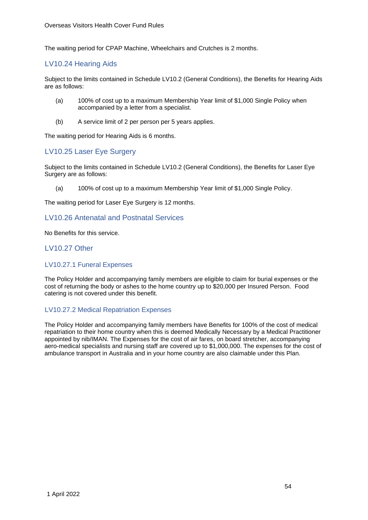The waiting period for CPAP Machine, Wheelchairs and Crutches is 2 months.

## LV10.24 Hearing Aids

Subject to the limits contained in Schedule LV10.2 (General Conditions), the Benefits for Hearing Aids are as follows:

- (a) 100% of cost up to a maximum Membership Year limit of \$1,000 Single Policy when accompanied by a letter from a specialist.
- (b) A service limit of 2 per person per 5 years applies.

The waiting period for Hearing Aids is 6 months.

## LV10.25 Laser Eye Surgery

Subject to the limits contained in Schedule LV10.2 (General Conditions), the Benefits for Laser Eye Surgery are as follows:

(a) 100% of cost up to a maximum Membership Year limit of \$1,000 Single Policy.

The waiting period for Laser Eye Surgery is 12 months.

## LV10.26 Antenatal and Postnatal Services

No Benefits for this service.

## LV10.27 Other

#### LV10.27.1 Funeral Expenses

The Policy Holder and accompanying family members are eligible to claim for burial expenses or the cost of returning the body or ashes to the home country up to \$20,000 per Insured Person. Food catering is not covered under this benefit.

#### LV10.27.2 Medical Repatriation Expenses

The Policy Holder and accompanying family members have Benefits for 100% of the cost of medical repatriation to their home country when this is deemed Medically Necessary by a Medical Practitioner appointed by nib/IMAN. The Expenses for the cost of air fares, on board stretcher, accompanying aero-medical specialists and nursing staff are covered up to \$1,000,000. The expenses for the cost of ambulance transport in Australia and in your home country are also claimable under this Plan.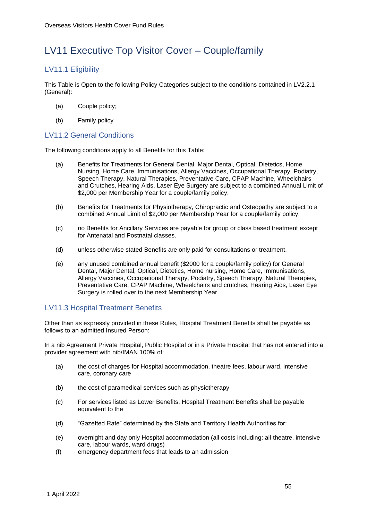# LV11 Executive Top Visitor Cover – Couple/family

# LV11.1 Eligibility

This Table is Open to the following Policy Categories subject to the conditions contained in LV2.2.1 (General):

- (a) Couple policy;
- (b) Family policy

# LV11.2 General Conditions

The following conditions apply to all Benefits for this Table:

- (a) Benefits for Treatments for General Dental, Major Dental, Optical, Dietetics, Home Nursing, Home Care, Immunisations, Allergy Vaccines, Occupational Therapy, Podiatry, Speech Therapy, Natural Therapies, Preventative Care, CPAP Machine, Wheelchairs and Crutches, Hearing Aids, Laser Eye Surgery are subject to a combined Annual Limit of \$2,000 per Membership Year for a couple/family policy.
- (b) Benefits for Treatments for Physiotherapy, Chiropractic and Osteopathy are subject to a combined Annual Limit of \$2,000 per Membership Year for a couple/family policy.
- (c) no Benefits for Ancillary Services are payable for group or class based treatment except for Antenatal and Postnatal classes.
- (d) unless otherwise stated Benefits are only paid for consultations or treatment.
- (e) any unused combined annual benefit (\$2000 for a couple/family policy) for General Dental, Major Dental, Optical, Dietetics, Home nursing, Home Care, Immunisations, Allergy Vaccines, Occupational Therapy, Podiatry, Speech Therapy, Natural Therapies, Preventative Care, CPAP Machine, Wheelchairs and crutches, Hearing Aids, Laser Eye Surgery is rolled over to the next Membership Year.

## LV11.3 Hospital Treatment Benefits

Other than as expressly provided in these Rules, Hospital Treatment Benefits shall be payable as follows to an admitted Insured Person:

In a nib Agreement Private Hospital, Public Hospital or in a Private Hospital that has not entered into a provider agreement with nib/IMAN 100% of:

- (a) the cost of charges for Hospital accommodation, theatre fees, labour ward, intensive care, coronary care
- (b) the cost of paramedical services such as physiotherapy
- (c) For services listed as Lower Benefits, Hospital Treatment Benefits shall be payable equivalent to the
- (d) "Gazetted Rate" determined by the State and Territory Health Authorities for:
- (e) overnight and day only Hospital accommodation (all costs including: all theatre, intensive care, labour wards, ward drugs)
- (f) emergency department fees that leads to an admission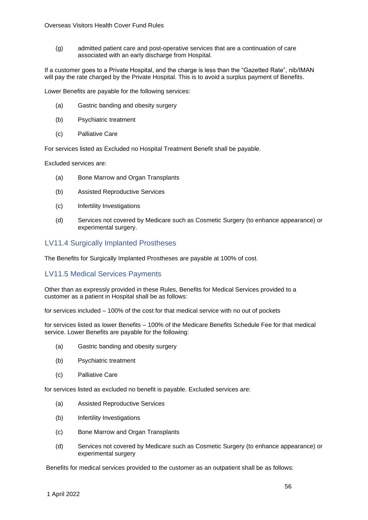(g) admitted patient care and post-operative services that are a continuation of care associated with an early discharge from Hospital.

If a customer goes to a Private Hospital, and the charge is less than the "Gazetted Rate", nib/IMAN will pay the rate charged by the Private Hospital. This is to avoid a surplus payment of Benefits.

Lower Benefits are payable for the following services:

- (a) Gastric banding and obesity surgery
- (b) Psychiatric treatment
- (c) Palliative Care

For services listed as Excluded no Hospital Treatment Benefit shall be payable.

Excluded services are:

- (a) Bone Marrow and Organ Transplants
- (b) Assisted Reproductive Services
- (c) Infertility Investigations
- (d) Services not covered by Medicare such as Cosmetic Surgery (to enhance appearance) or experimental surgery.

### LV11.4 Surgically Implanted Prostheses

The Benefits for Surgically Implanted Prostheses are payable at 100% of cost.

## LV11.5 Medical Services Payments

Other than as expressly provided in these Rules, Benefits for Medical Services provided to a customer as a patient in Hospital shall be as follows:

for services included – 100% of the cost for that medical service with no out of pockets

for services listed as lower Benefits – 100% of the Medicare Benefits Schedule Fee for that medical service. Lower Benefits are payable for the following:

- (a) Gastric banding and obesity surgery
- (b) Psychiatric treatment
- (c) Palliative Care

for services listed as excluded no benefit is payable. Excluded services are:

- (a) Assisted Reproductive Services
- (b) Infertility Investigations
- (c) Bone Marrow and Organ Transplants
- (d) Services not covered by Medicare such as Cosmetic Surgery (to enhance appearance) or experimental surgery

Benefits for medical services provided to the customer as an outpatient shall be as follows: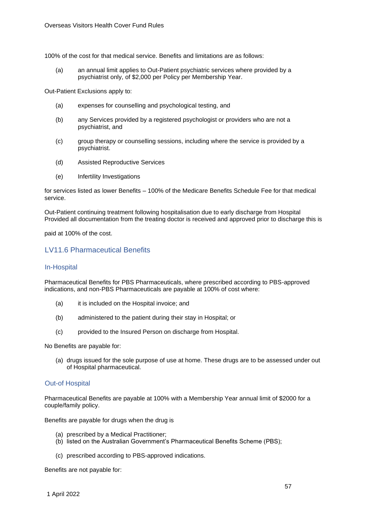100% of the cost for that medical service. Benefits and limitations are as follows:

(a) an annual limit applies to Out-Patient psychiatric services where provided by a psychiatrist only, of \$2,000 per Policy per Membership Year.

Out-Patient Exclusions apply to:

- (a) expenses for counselling and psychological testing, and
- (b) any Services provided by a registered psychologist or providers who are not a psychiatrist, and
- (c) group therapy or counselling sessions, including where the service is provided by a psychiatrist.
- (d) Assisted Reproductive Services
- (e) Infertility Investigations

for services listed as lower Benefits – 100% of the Medicare Benefits Schedule Fee for that medical service.

Out-Patient continuing treatment following hospitalisation due to early discharge from Hospital Provided all documentation from the treating doctor is received and approved prior to discharge this is

paid at 100% of the cost.

## LV11.6 Pharmaceutical Benefits

#### In-Hospital

Pharmaceutical Benefits for PBS Pharmaceuticals, where prescribed according to PBS-approved indications, and non-PBS Pharmaceuticals are payable at 100% of cost where:

- (a) it is included on the Hospital invoice; and
- (b) administered to the patient during their stay in Hospital; or
- (c) provided to the Insured Person on discharge from Hospital.

No Benefits are payable for:

(a) drugs issued for the sole purpose of use at home. These drugs are to be assessed under out of Hospital pharmaceutical.

#### Out-of Hospital

Pharmaceutical Benefits are payable at 100% with a Membership Year annual limit of \$2000 for a couple/family policy.

Benefits are payable for drugs when the drug is

- (a) prescribed by a Medical Practitioner;
- (b) listed on the Australian Government's Pharmaceutical Benefits Scheme (PBS);
- (c) prescribed according to PBS-approved indications.

Benefits are not payable for: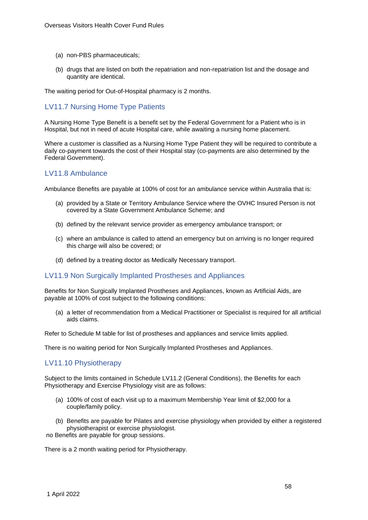- (a) non-PBS pharmaceuticals;
- (b) drugs that are listed on both the repatriation and non-repatriation list and the dosage and quantity are identical.

The waiting period for Out-of-Hospital pharmacy is 2 months.

## LV11.7 Nursing Home Type Patients

A Nursing Home Type Benefit is a benefit set by the Federal Government for a Patient who is in Hospital, but not in need of acute Hospital care, while awaiting a nursing home placement.

Where a customer is classified as a Nursing Home Type Patient they will be required to contribute a daily co-payment towards the cost of their Hospital stay (co-payments are also determined by the Federal Government).

## LV11.8 Ambulance

Ambulance Benefits are payable at 100% of cost for an ambulance service within Australia that is:

- (a) provided by a State or Territory Ambulance Service where the OVHC Insured Person is not covered by a State Government Ambulance Scheme; and
- (b) defined by the relevant service provider as emergency ambulance transport; or
- (c) where an ambulance is called to attend an emergency but on arriving is no longer required this charge will also be covered; or
- (d) defined by a treating doctor as Medically Necessary transport.

#### LV11.9 Non Surgically Implanted Prostheses and Appliances

Benefits for Non Surgically Implanted Prostheses and Appliances, known as Artificial Aids, are payable at 100% of cost subject to the following conditions:

(a) a letter of recommendation from a Medical Practitioner or Specialist is required for all artificial aids claims.

Refer to Schedule M table for list of prostheses and appliances and service limits applied.

There is no waiting period for Non Surgically Implanted Prostheses and Appliances.

## LV11.10 Physiotherapy

Subject to the limits contained in Schedule LV11.2 (General Conditions), the Benefits for each Physiotherapy and Exercise Physiology visit are as follows:

- (a) 100% of cost of each visit up to a maximum Membership Year limit of \$2,000 for a couple/family policy.
- (b) Benefits are payable for Pilates and exercise physiology when provided by either a registered physiotherapist or exercise physiologist.

no Benefits are payable for group sessions.

There is a 2 month waiting period for Physiotherapy.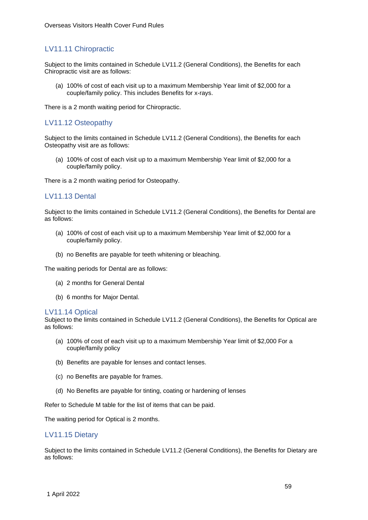# LV11.11 Chiropractic

Subject to the limits contained in Schedule LV11.2 (General Conditions), the Benefits for each Chiropractic visit are as follows:

(a) 100% of cost of each visit up to a maximum Membership Year limit of \$2,000 for a couple/family policy. This includes Benefits for x-rays.

There is a 2 month waiting period for Chiropractic.

## LV11.12 Osteopathy

Subject to the limits contained in Schedule LV11.2 (General Conditions), the Benefits for each Osteopathy visit are as follows:

(a) 100% of cost of each visit up to a maximum Membership Year limit of \$2,000 for a couple/family policy.

There is a 2 month waiting period for Osteopathy.

## LV11.13 Dental

Subject to the limits contained in Schedule LV11.2 (General Conditions), the Benefits for Dental are as follows:

- (a) 100% of cost of each visit up to a maximum Membership Year limit of \$2,000 for a couple/family policy.
- (b) no Benefits are payable for teeth whitening or bleaching.

The waiting periods for Dental are as follows:

- (a) 2 months for General Dental
- (b) 6 months for Major Dental.

#### LV11.14 Optical

Subject to the limits contained in Schedule LV11.2 (General Conditions), the Benefits for Optical are as follows:

- (a) 100% of cost of each visit up to a maximum Membership Year limit of \$2,000 For a couple/family policy
- (b) Benefits are payable for lenses and contact lenses.
- (c) no Benefits are payable for frames.
- (d) No Benefits are payable for tinting, coating or hardening of lenses

Refer to Schedule M table for the list of items that can be paid.

The waiting period for Optical is 2 months.

#### LV11.15 Dietary

Subject to the limits contained in Schedule LV11.2 (General Conditions), the Benefits for Dietary are as follows: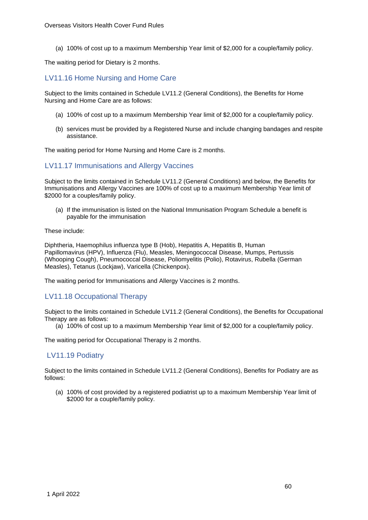(a) 100% of cost up to a maximum Membership Year limit of \$2,000 for a couple/family policy.

The waiting period for Dietary is 2 months.

## LV11.16 Home Nursing and Home Care

Subject to the limits contained in Schedule LV11.2 (General Conditions), the Benefits for Home Nursing and Home Care are as follows:

- (a) 100% of cost up to a maximum Membership Year limit of \$2,000 for a couple/family policy.
- (b) services must be provided by a Registered Nurse and include changing bandages and respite assistance.

The waiting period for Home Nursing and Home Care is 2 months.

### LV11.17 Immunisations and Allergy Vaccines

Subject to the limits contained in Schedule LV11.2 (General Conditions) and below, the Benefits for Immunisations and Allergy Vaccines are 100% of cost up to a maximum Membership Year limit of \$2000 for a couples/family policy.

(a) If the immunisation is listed on the National Immunisation Program Schedule a benefit is payable for the immunisation

These include:

[Diphtheria,](http://immunise.health.gov.au/internet/immunise/publishing.nsf/Content/immunise-diphtheria) Haemophilus influenza type B (Hob), [Hepatitis A,](http://immunise.health.gov.au/internet/immunise/publishing.nsf/Content/immunise-hepa) [Hepatitis B,](http://immunise.health.gov.au/internet/immunise/publishing.nsf/Content/immunise-hepb) Human Papillomavirus (HPV), [Influenza \(Flu\),](http://immunise.health.gov.au/internet/immunise/publishing.nsf/Content/immunise-influenza) [Measles,](http://immunise.health.gov.au/internet/immunise/publishing.nsf/Content/immunise-measles) [Meningococcal](http://immunise.health.gov.au/internet/immunise/publishing.nsf/Content/immunise-meningococcal) [Disease,](http://immunise.health.gov.au/internet/immunise/publishing.nsf/Content/immunise-meningococcal) [Mumps,](http://immunise.health.gov.au/internet/immunise/publishing.nsf/Content/immunise-mumps) [Pertussis](http://immunise.health.gov.au/internet/immunise/publishing.nsf/Content/immunise-pertussis)  [\(Whooping Cough\),](http://immunise.health.gov.au/internet/immunise/publishing.nsf/Content/immunise-pertussis) [Pneumococcal Disease,](http://immunise.health.gov.au/internet/immunise/publishing.nsf/Content/immunise-pneumococcal) [Poliomyelitis \(Polio\),](http://immunise.health.gov.au/internet/immunise/publishing.nsf/Content/immunise-poliomyelitis) [Rotavirus,](http://immunise.health.gov.au/internet/immunise/publishing.nsf/Content/immunise-rotavirus) [Rubella \(German](http://immunise.health.gov.au/internet/immunise/publishing.nsf/Content/immunise-rubella)  [Measles\),](http://immunise.health.gov.au/internet/immunise/publishing.nsf/Content/immunise-rubella) [Tetanus \(Lockjaw\),](http://immunise.health.gov.au/internet/immunise/publishing.nsf/Content/immunise-tetanus) [Varicella \(Chickenpox\).](http://immunise.health.gov.au/internet/immunise/publishing.nsf/Content/immunise-varicella)

The waiting period for Immunisations and Allergy Vaccines is 2 months.

## LV11.18 Occupational Therapy

Subject to the limits contained in Schedule LV11.2 (General Conditions), the Benefits for Occupational Therapy are as follows:

(a) 100% of cost up to a maximum Membership Year limit of \$2,000 for a couple/family policy.

The waiting period for Occupational Therapy is 2 months.

## LV11.19 Podiatry

Subject to the limits contained in Schedule LV11.2 (General Conditions), Benefits for Podiatry are as follows:

(a) 100% of cost provided by a registered podiatrist up to a maximum Membership Year limit of \$2000 for a couple/family policy.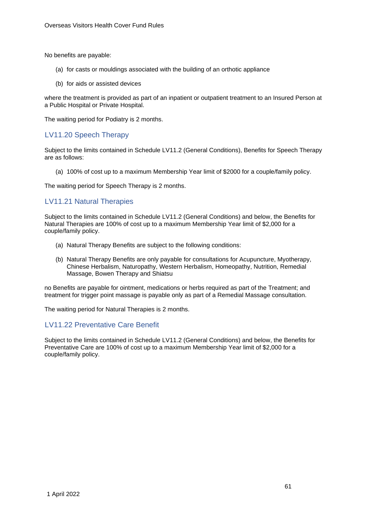No benefits are payable:

- (a) for casts or mouldings associated with the building of an orthotic appliance
- (b) for aids or assisted devices

where the treatment is provided as part of an inpatient or outpatient treatment to an Insured Person at a Public Hospital or Private Hospital.

The waiting period for Podiatry is 2 months.

## LV11.20 Speech Therapy

Subject to the limits contained in Schedule LV11.2 (General Conditions), Benefits for Speech Therapy are as follows:

(a) 100% of cost up to a maximum Membership Year limit of \$2000 for a couple/family policy.

The waiting period for Speech Therapy is 2 months.

# LV11.21 Natural Therapies

Subject to the limits contained in Schedule LV11.2 (General Conditions) and below, the Benefits for Natural Therapies are 100% of cost up to a maximum Membership Year limit of \$2,000 for a couple/family policy.

- (a) Natural Therapy Benefits are subject to the following conditions:
- (b) Natural Therapy Benefits are only payable for consultations for Acupuncture, Myotherapy, Chinese Herbalism, Naturopathy, Western Herbalism, Homeopathy, Nutrition, Remedial Massage, Bowen Therapy and Shiatsu

no Benefits are payable for ointment, medications or herbs required as part of the Treatment; and treatment for trigger point massage is payable only as part of a Remedial Massage consultation.

The waiting period for Natural Therapies is 2 months.

## LV11.22 Preventative Care Benefit

Subject to the limits contained in Schedule LV11.2 (General Conditions) and below, the Benefits for Preventative Care are 100% of cost up to a maximum Membership Year limit of \$2,000 for a couple/family policy.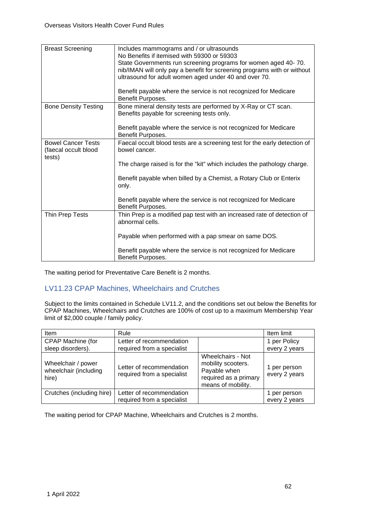| <b>Breast Screening</b>                                     | Includes mammograms and / or ultrasounds<br>No Benefits if itemised with 59300 or 59303<br>State Governments run screening programs for women aged 40-70.<br>nib/IMAN will only pay a benefit for screening programs with or without<br>ultrasound for adult women aged under 40 and over 70.<br>Benefit payable where the service is not recognized for Medicare<br>Benefit Purposes. |
|-------------------------------------------------------------|----------------------------------------------------------------------------------------------------------------------------------------------------------------------------------------------------------------------------------------------------------------------------------------------------------------------------------------------------------------------------------------|
| <b>Bone Density Testing</b>                                 | Bone mineral density tests are performed by X-Ray or CT scan.<br>Benefits payable for screening tests only.<br>Benefit payable where the service is not recognized for Medicare<br>Benefit Purposes.                                                                                                                                                                                   |
| <b>Bowel Cancer Tests</b><br>(faecal occult blood<br>tests) | Faecal occult blood tests are a screening test for the early detection of<br>bowel cancer.<br>The charge raised is for the "kit" which includes the pathology charge.<br>Benefit payable when billed by a Chemist, a Rotary Club or Enterix<br>only.<br>Benefit payable where the service is not recognized for Medicare<br>Benefit Purposes.                                          |
| Thin Prep Tests                                             | Thin Prep is a modified pap test with an increased rate of detection of<br>abnormal cells.<br>Payable when performed with a pap smear on same DOS.<br>Benefit payable where the service is not recognized for Medicare<br>Benefit Purposes.                                                                                                                                            |

The waiting period for Preventative Care Benefit is 2 months.

# LV11.23 CPAP Machines, Wheelchairs and Crutches

Subject to the limits contained in Schedule LV11.2, and the conditions set out below the Benefits for CPAP Machines, Wheelchairs and Crutches are 100% of cost up to a maximum Membership Year limit of \$2,000 couple / family policy.

| Item                                                 | Rule                                                   |                                                                                                        | Item limit                    |
|------------------------------------------------------|--------------------------------------------------------|--------------------------------------------------------------------------------------------------------|-------------------------------|
| CPAP Machine (for                                    | Letter of recommendation                               |                                                                                                        | 1 per Policy                  |
| sleep disorders).                                    | required from a specialist                             |                                                                                                        | every 2 years                 |
| Wheelchair / power<br>wheelchair (including<br>hire) | Letter of recommendation<br>required from a specialist | Wheelchairs - Not<br>mobility scooters.<br>Payable when<br>required as a primary<br>means of mobility. | 1 per person<br>every 2 years |
| Crutches (including hire)                            | Letter of recommendation                               |                                                                                                        | 1 per person                  |
|                                                      | required from a specialist                             |                                                                                                        | every 2 years                 |

The waiting period for CPAP Machine, Wheelchairs and Crutches is 2 months.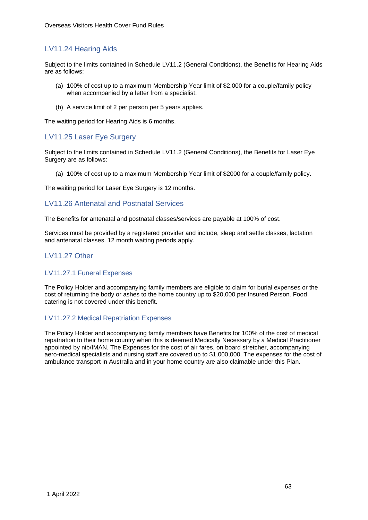# LV11.24 Hearing Aids

Subject to the limits contained in Schedule LV11.2 (General Conditions), the Benefits for Hearing Aids are as follows:

- (a) 100% of cost up to a maximum Membership Year limit of \$2,000 for a couple/family policy when accompanied by a letter from a specialist.
- (b) A service limit of 2 per person per 5 years applies.

The waiting period for Hearing Aids is 6 months.

## LV11.25 Laser Eye Surgery

Subject to the limits contained in Schedule LV11.2 (General Conditions), the Benefits for Laser Eye Surgery are as follows:

(a) 100% of cost up to a maximum Membership Year limit of \$2000 for a couple/family policy.

The waiting period for Laser Eye Surgery is 12 months.

### LV11.26 Antenatal and Postnatal Services

The Benefits for antenatal and postnatal classes/services are payable at 100% of cost.

Services must be provided by a registered provider and include, sleep and settle classes, lactation and antenatal classes. 12 month waiting periods apply.

## LV11.27 Other

#### LV11.27.1 Funeral Expenses

The Policy Holder and accompanying family members are eligible to claim for burial expenses or the cost of returning the body or ashes to the home country up to \$20,000 per Insured Person. Food catering is not covered under this benefit.

#### LV11.27.2 Medical Repatriation Expenses

The Policy Holder and accompanying family members have Benefits for 100% of the cost of medical repatriation to their home country when this is deemed Medically Necessary by a Medical Practitioner appointed by nib/IMAN. The Expenses for the cost of air fares, on board stretcher, accompanying aero-medical specialists and nursing staff are covered up to \$1,000,000. The expenses for the cost of ambulance transport in Australia and in your home country are also claimable under this Plan.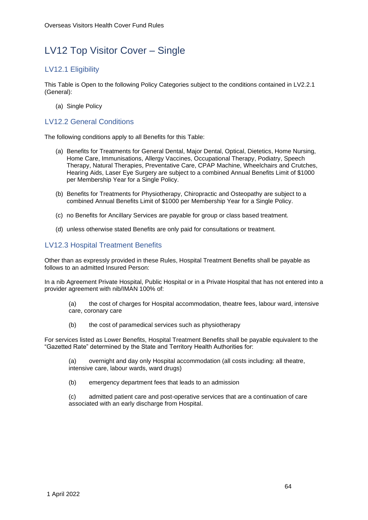# LV12 Top Visitor Cover – Single

# LV12.1 Eligibility

This Table is Open to the following Policy Categories subject to the conditions contained in LV2.2.1 (General):

(a) Single Policy

## LV12.2 General Conditions

The following conditions apply to all Benefits for this Table:

- (a) Benefits for Treatments for General Dental, Major Dental, Optical, Dietetics, Home Nursing, Home Care, Immunisations, Allergy Vaccines, Occupational Therapy, Podiatry, Speech Therapy, Natural Therapies, Preventative Care, CPAP Machine, Wheelchairs and Crutches, Hearing Aids, Laser Eye Surgery are subject to a combined Annual Benefits Limit of \$1000 per Membership Year for a Single Policy.
- (b) Benefits for Treatments for Physiotherapy, Chiropractic and Osteopathy are subject to a combined Annual Benefits Limit of \$1000 per Membership Year for a Single Policy.
- (c) no Benefits for Ancillary Services are payable for group or class based treatment.
- (d) unless otherwise stated Benefits are only paid for consultations or treatment.

# LV12.3 Hospital Treatment Benefits

Other than as expressly provided in these Rules, Hospital Treatment Benefits shall be payable as follows to an admitted Insured Person:

In a nib Agreement Private Hospital, Public Hospital or in a Private Hospital that has not entered into a provider agreement with nib/IMAN 100% of:

(a) the cost of charges for Hospital accommodation, theatre fees, labour ward, intensive care, coronary care

(b) the cost of paramedical services such as physiotherapy

For services listed as Lower Benefits, Hospital Treatment Benefits shall be payable equivalent to the "Gazetted Rate" determined by the State and Territory Health Authorities for:

(a) overnight and day only Hospital accommodation (all costs including: all theatre, intensive care, labour wards, ward drugs)

(b) emergency department fees that leads to an admission

(c) admitted patient care and post-operative services that are a continuation of care associated with an early discharge from Hospital.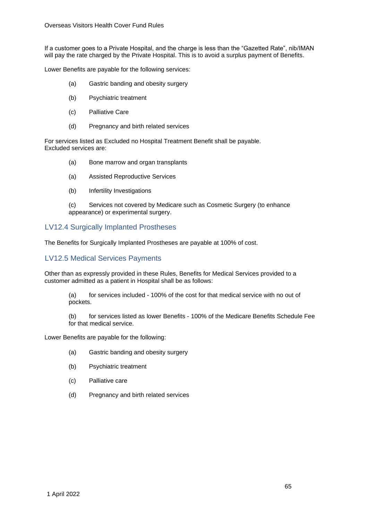If a customer goes to a Private Hospital, and the charge is less than the "Gazetted Rate", nib/IMAN will pay the rate charged by the Private Hospital. This is to avoid a surplus payment of Benefits.

Lower Benefits are payable for the following services:

- (a) Gastric banding and obesity surgery
- (b) Psychiatric treatment
- (c) Palliative Care
- (d) Pregnancy and birth related services

For services listed as Excluded no Hospital Treatment Benefit shall be payable. Excluded services are:

- (a) Bone marrow and organ transplants
- (a) Assisted Reproductive Services
- (b) Infertility Investigations

(c) Services not covered by Medicare such as Cosmetic Surgery (to enhance appearance) or experimental surgery.

### LV12.4 Surgically Implanted Prostheses

The Benefits for Surgically Implanted Prostheses are payable at 100% of cost.

## LV12.5 Medical Services Payments

Other than as expressly provided in these Rules, Benefits for Medical Services provided to a customer admitted as a patient in Hospital shall be as follows:

(a) for services included - 100% of the cost for that medical service with no out of pockets.

(b) for services listed as lower Benefits - 100% of the Medicare Benefits Schedule Fee for that medical service.

Lower Benefits are payable for the following:

- (a) Gastric banding and obesity surgery
- (b) Psychiatric treatment
- (c) Palliative care
- (d) Pregnancy and birth related services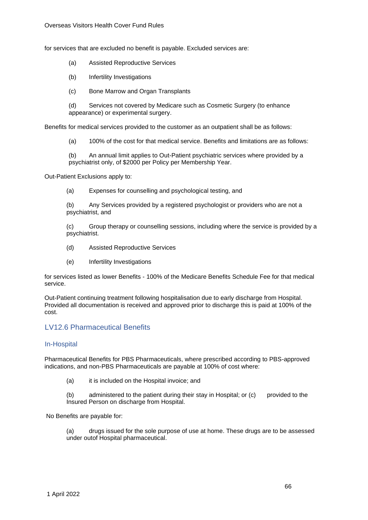for services that are excluded no benefit is payable. Excluded services are:

- (a) Assisted Reproductive Services
- (b) Infertility Investigations
- (c) Bone Marrow and Organ Transplants

(d) Services not covered by Medicare such as Cosmetic Surgery (to enhance appearance) or experimental surgery.

Benefits for medical services provided to the customer as an outpatient shall be as follows:

(a) 100% of the cost for that medical service. Benefits and limitations are as follows:

(b) An annual limit applies to Out-Patient psychiatric services where provided by a psychiatrist only, of \$2000 per Policy per Membership Year.

Out-Patient Exclusions apply to:

(a) Expenses for counselling and psychological testing, and

(b) Any Services provided by a registered psychologist or providers who are not a psychiatrist, and

(c) Group therapy or counselling sessions, including where the service is provided by a psychiatrist.

- (d) Assisted Reproductive Services
- (e) Infertility Investigations

for services listed as lower Benefits - 100% of the Medicare Benefits Schedule Fee for that medical service.

Out-Patient continuing treatment following hospitalisation due to early discharge from Hospital. Provided all documentation is received and approved prior to discharge this is paid at 100% of the cost.

#### LV12.6 Pharmaceutical Benefits

#### In-Hospital

Pharmaceutical Benefits for PBS Pharmaceuticals, where prescribed according to PBS-approved indications, and non-PBS Pharmaceuticals are payable at 100% of cost where:

(a) it is included on the Hospital invoice; and

(b) administered to the patient during their stay in Hospital; or (c) provided to the Insured Person on discharge from Hospital.

No Benefits are payable for:

(a) drugs issued for the sole purpose of use at home. These drugs are to be assessed under outof Hospital pharmaceutical.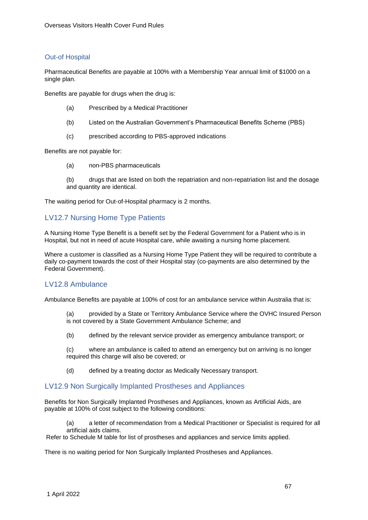#### Out-of Hospital

Pharmaceutical Benefits are payable at 100% with a Membership Year annual limit of \$1000 on a single plan.

Benefits are payable for drugs when the drug is:

- (a) Prescribed by a Medical Practitioner
- (b) Listed on the Australian Government's Pharmaceutical Benefits Scheme (PBS)
- (c) prescribed according to PBS-approved indications

Benefits are not payable for:

(a) non-PBS pharmaceuticals

(b) drugs that are listed on both the repatriation and non-repatriation list and the dosage and quantity are identical.

The waiting period for Out-of-Hospital pharmacy is 2 months.

## LV12.7 Nursing Home Type Patients

A Nursing Home Type Benefit is a benefit set by the Federal Government for a Patient who is in Hospital, but not in need of acute Hospital care, while awaiting a nursing home placement.

Where a customer is classified as a Nursing Home Type Patient they will be required to contribute a daily co-payment towards the cost of their Hospital stay (co-payments are also determined by the Federal Government).

## LV12.8 Ambulance

Ambulance Benefits are payable at 100% of cost for an ambulance service within Australia that is:

(a) provided by a State or Territory Ambulance Service where the OVHC Insured Person is not covered by a State Government Ambulance Scheme; and

(b) defined by the relevant service provider as emergency ambulance transport; or

(c) where an ambulance is called to attend an emergency but on arriving is no longer required this charge will also be covered; or

(d) defined by a treating doctor as Medically Necessary transport.

#### LV12.9 Non Surgically Implanted Prostheses and Appliances

Benefits for Non Surgically Implanted Prostheses and Appliances, known as Artificial Aids, are payable at 100% of cost subject to the following conditions:

(a) a letter of recommendation from a Medical Practitioner or Specialist is required for all artificial aids claims.

Refer to Schedule M table for list of prostheses and appliances and service limits applied.

There is no waiting period for Non Surgically Implanted Prostheses and Appliances.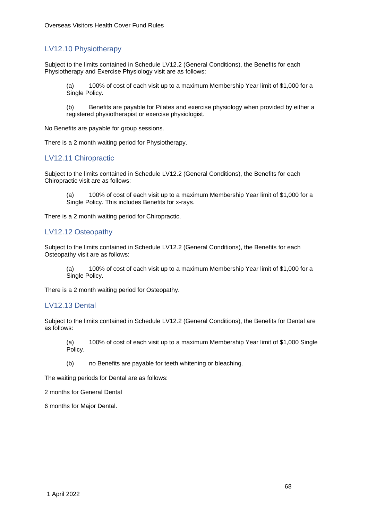# LV12.10 Physiotherapy

Subject to the limits contained in Schedule LV12.2 (General Conditions), the Benefits for each Physiotherapy and Exercise Physiology visit are as follows:

(a) 100% of cost of each visit up to a maximum Membership Year limit of \$1,000 for a Single Policy.

(b) Benefits are payable for Pilates and exercise physiology when provided by either a registered physiotherapist or exercise physiologist.

No Benefits are payable for group sessions.

There is a 2 month waiting period for Physiotherapy.

## LV12.11 Chiropractic

Subject to the limits contained in Schedule LV12.2 (General Conditions), the Benefits for each Chiropractic visit are as follows:

(a) 100% of cost of each visit up to a maximum Membership Year limit of \$1,000 for a Single Policy. This includes Benefits for x-rays.

There is a 2 month waiting period for Chiropractic.

## LV12.12 Osteopathy

Subject to the limits contained in Schedule LV12.2 (General Conditions), the Benefits for each Osteopathy visit are as follows:

(a) 100% of cost of each visit up to a maximum Membership Year limit of \$1,000 for a Single Policy.

There is a 2 month waiting period for Osteopathy.

#### LV12.13 Dental

Subject to the limits contained in Schedule LV12.2 (General Conditions), the Benefits for Dental are as follows:

(a) 100% of cost of each visit up to a maximum Membership Year limit of \$1,000 Single Policy.

(b) no Benefits are payable for teeth whitening or bleaching.

The waiting periods for Dental are as follows:

2 months for General Dental

6 months for Major Dental.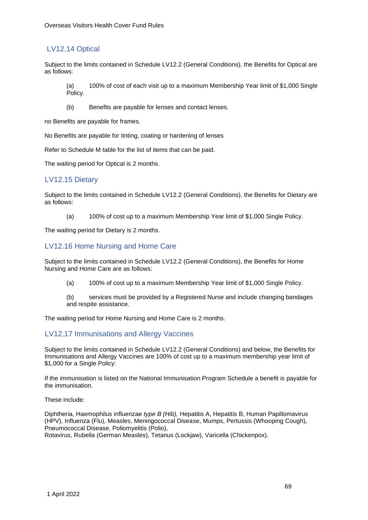# LV12.14 Optical

Subject to the limits contained in Schedule LV12.2 (General Conditions), the Benefits for Optical are as follows:

(a) 100% of cost of each visit up to a maximum Membership Year limit of \$1,000 Single Policy.

(b) Benefits are payable for lenses and contact lenses.

no Benefits are payable for frames.

No Benefits are payable for tinting, coating or hardening of lenses

Refer to Schedule M table for the list of items that can be paid.

The waiting period for Optical is 2 months.

## LV12.15 Dietary

Subject to the limits contained in Schedule LV12.2 (General Conditions), the Benefits for Dietary are as follows:

(a) 100% of cost up to a maximum Membership Year limit of \$1,000 Single Policy.

The waiting period for Dietary is 2 months.

## LV12.16 Home Nursing and Home Care

Subject to the limits contained in Schedule LV12.2 (General Conditions), the Benefits for Home Nursing and Home Care are as follows:

(a) 100% of cost up to a maximum Membership Year limit of \$1,000 Single Policy.

(b) services must be provided by a Registered Nurse and include changing bandages and respite assistance.

The waiting period for Home Nursing and Home Care is 2 months.

## LV12.17 Immunisations and Allergy Vaccines

Subject to the limits contained in Schedule LV12.2 (General Conditions) and below, the Benefits for Immunisations and Allergy Vaccines are 100% of cost up to a maximum membership year limit of \$1,000 for a Single Policy:

If the immunisation is listed on the National Immunisation Program Schedule a benefit is payable for the immunisation.

These include:

Diphtheria, Haemophilus influenzae *type B (Hib),* Hepatitis A, Hepatitis B, Human Papillomavirus (HPV), Influenza (Flu), Measles, Meningococcal Disease, Mumps, Pertussis (Whooping Cough), Pneumococcal Disease, Poliomyelitis (Polio), Rotavirus, Rubella (German Measles), Tetanus (Lockjaw), Varicella (Chickenpox).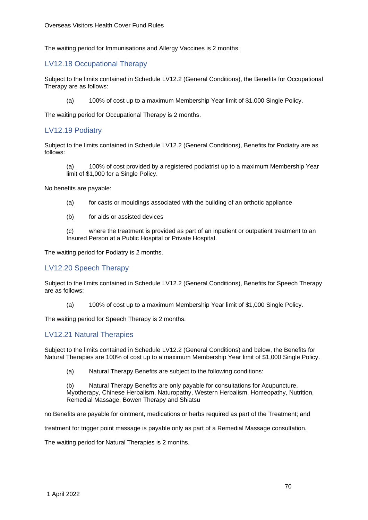The waiting period for Immunisations and Allergy Vaccines is 2 months.

## LV12.18 Occupational Therapy

Subject to the limits contained in Schedule LV12.2 (General Conditions), the Benefits for Occupational Therapy are as follows:

(a) 100% of cost up to a maximum Membership Year limit of \$1,000 Single Policy.

The waiting period for Occupational Therapy is 2 months.

## LV12.19 Podiatry

Subject to the limits contained in Schedule LV12.2 (General Conditions), Benefits for Podiatry are as follows:

(a) 100% of cost provided by a registered podiatrist up to a maximum Membership Year limit of \$1,000 for a Single Policy.

No benefits are payable:

- (a) for casts or mouldings associated with the building of an orthotic appliance
- (b) for aids or assisted devices

(c) where the treatment is provided as part of an inpatient or outpatient treatment to an Insured Person at a Public Hospital or Private Hospital.

The waiting period for Podiatry is 2 months.

## LV12.20 Speech Therapy

Subject to the limits contained in Schedule LV12.2 (General Conditions), Benefits for Speech Therapy are as follows:

(a) 100% of cost up to a maximum Membership Year limit of \$1,000 Single Policy.

The waiting period for Speech Therapy is 2 months.

## LV12.21 Natural Therapies

Subject to the limits contained in Schedule LV12.2 (General Conditions) and below, the Benefits for Natural Therapies are 100% of cost up to a maximum Membership Year limit of \$1,000 Single Policy.

(a) Natural Therapy Benefits are subject to the following conditions:

(b) Natural Therapy Benefits are only payable for consultations for Acupuncture, Myotherapy, Chinese Herbalism, Naturopathy, Western Herbalism, Homeopathy, Nutrition, Remedial Massage, Bowen Therapy and Shiatsu

no Benefits are payable for ointment, medications or herbs required as part of the Treatment; and

treatment for trigger point massage is payable only as part of a Remedial Massage consultation.

The waiting period for Natural Therapies is 2 months.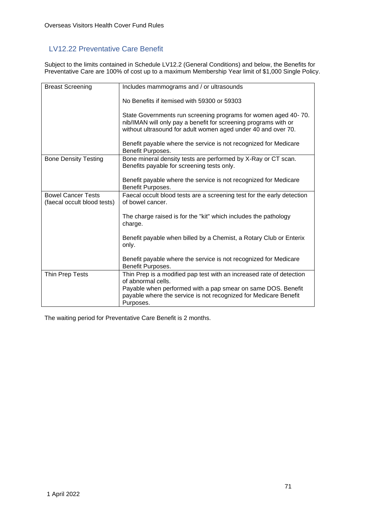# LV12.22 Preventative Care Benefit

Subject to the limits contained in Schedule LV12.2 (General Conditions) and below, the Benefits for Preventative Care are 100% of cost up to a maximum Membership Year limit of \$1,000 Single Policy.

| <b>Breast Screening</b>                                  | Includes mammograms and / or ultrasounds                                                                                                                                                           |  |  |
|----------------------------------------------------------|----------------------------------------------------------------------------------------------------------------------------------------------------------------------------------------------------|--|--|
|                                                          | No Benefits if itemised with 59300 or 59303                                                                                                                                                        |  |  |
|                                                          | State Governments run screening programs for women aged 40-70.<br>nib/IMAN will only pay a benefit for screening programs with or<br>without ultrasound for adult women aged under 40 and over 70. |  |  |
|                                                          | Benefit payable where the service is not recognized for Medicare<br>Benefit Purposes.                                                                                                              |  |  |
| <b>Bone Density Testing</b>                              | Bone mineral density tests are performed by X-Ray or CT scan.<br>Benefits payable for screening tests only.                                                                                        |  |  |
|                                                          | Benefit payable where the service is not recognized for Medicare<br>Benefit Purposes.                                                                                                              |  |  |
| <b>Bowel Cancer Tests</b><br>(faecal occult blood tests) | Faecal occult blood tests are a screening test for the early detection<br>of bowel cancer.                                                                                                         |  |  |
|                                                          | The charge raised is for the "kit" which includes the pathology<br>charge.                                                                                                                         |  |  |
|                                                          | Benefit payable when billed by a Chemist, a Rotary Club or Enterix<br>only.                                                                                                                        |  |  |
|                                                          | Benefit payable where the service is not recognized for Medicare<br>Benefit Purposes.                                                                                                              |  |  |
| Thin Prep Tests                                          | Thin Prep is a modified pap test with an increased rate of detection<br>of abnormal cells.                                                                                                         |  |  |
|                                                          | Payable when performed with a pap smear on same DOS. Benefit<br>payable where the service is not recognized for Medicare Benefit<br>Purposes.                                                      |  |  |

The waiting period for Preventative Care Benefit is 2 months.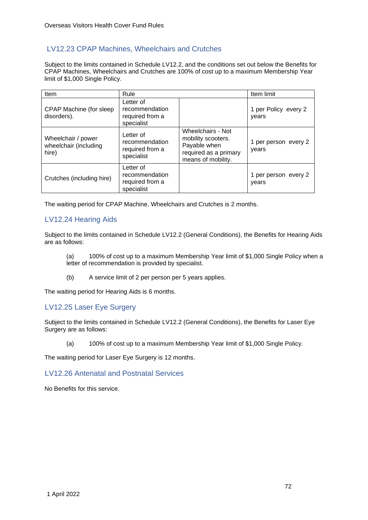# LV12.23 CPAP Machines, Wheelchairs and Crutches

Subject to the limits contained in Schedule LV12.2, and the conditions set out below the Benefits for CPAP Machines, Wheelchairs and Crutches are 100% of cost up to a maximum Membership Year limit of \$1,000 Single Policy.

| Item                                                 | Rule                                                         |                                                                                                        | Item limit                    |
|------------------------------------------------------|--------------------------------------------------------------|--------------------------------------------------------------------------------------------------------|-------------------------------|
| CPAP Machine (for sleep<br>disorders).               | Letter of<br>recommendation<br>required from a<br>specialist |                                                                                                        | 1 per Policy every 2<br>vears |
| Wheelchair / power<br>wheelchair (including<br>hire) | Letter of<br>recommendation<br>required from a<br>specialist | Wheelchairs - Not<br>mobility scooters.<br>Payable when<br>required as a primary<br>means of mobility. | 1 per person every 2<br>years |
| Crutches (including hire)                            | Letter of<br>recommendation<br>required from a<br>specialist |                                                                                                        | 1 per person every 2<br>vears |

The waiting period for CPAP Machine, Wheelchairs and Crutches is 2 months.

## LV12.24 Hearing Aids

Subject to the limits contained in Schedule LV12.2 (General Conditions), the Benefits for Hearing Aids are as follows:

- (a) 100% of cost up to a maximum Membership Year limit of \$1,000 Single Policy when a letter of recommendation is provided by specialist.
- (b) A service limit of 2 per person per 5 years applies.

The waiting period for Hearing Aids is 6 months.

## LV12.25 Laser Eye Surgery

Subject to the limits contained in Schedule LV12.2 (General Conditions), the Benefits for Laser Eye Surgery are as follows:

(a) 100% of cost up to a maximum Membership Year limit of \$1,000 Single Policy.

The waiting period for Laser Eye Surgery is 12 months.

## LV12.26 Antenatal and Postnatal Services

No Benefits for this service.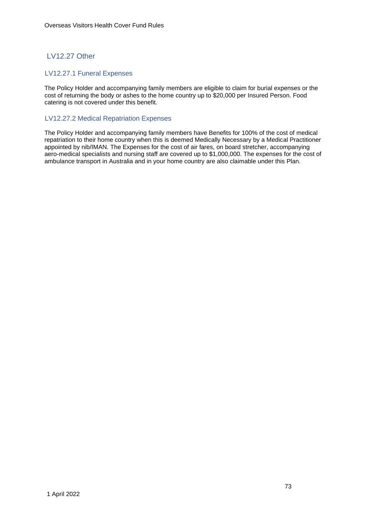# LV12.27 Other

### LV12.27.1 Funeral Expenses

The Policy Holder and accompanying family members are eligible to claim for burial expenses or the cost of returning the body or ashes to the home country up to \$20,000 per Insured Person. Food catering is not covered under this benefit.

# LV12.27.2 Medical Repatriation Expenses

The Policy Holder and accompanying family members have Benefits for 100% of the cost of medical repatriation to their home country when this is deemed Medically Necessary by a Medical Practitioner appointed by nib/IMAN. The Expenses for the cost of air fares, on board stretcher, accompanying aero-medical specialists and nursing staff are covered up to \$1,000,000. The expenses for the cost of ambulance transport in Australia and in your home country are also claimable under this Plan.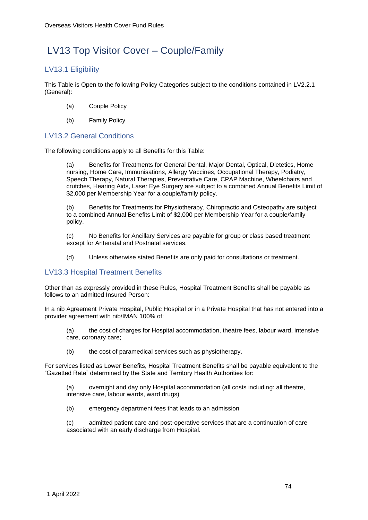# LV13 Top Visitor Cover – Couple/Family

# LV13.1 Eligibility

This Table is Open to the following Policy Categories subject to the conditions contained in LV2.2.1 (General):

- (a) Couple Policy
- (b) Family Policy

# LV13.2 General Conditions

The following conditions apply to all Benefits for this Table:

(a) Benefits for Treatments for General Dental, Major Dental, Optical, Dietetics, Home nursing, Home Care, Immunisations, Allergy Vaccines, Occupational Therapy, Podiatry, Speech Therapy, Natural Therapies, Preventative Care, CPAP Machine, Wheelchairs and crutches, Hearing Aids, Laser Eye Surgery are subject to a combined Annual Benefits Limit of \$2,000 per Membership Year for a couple/family policy.

(b) Benefits for Treatments for Physiotherapy, Chiropractic and Osteopathy are subject to a combined Annual Benefits Limit of \$2,000 per Membership Year for a couple/family policy.

(c) No Benefits for Ancillary Services are payable for group or class based treatment except for Antenatal and Postnatal services.

(d) Unless otherwise stated Benefits are only paid for consultations or treatment.

# LV13.3 Hospital Treatment Benefits

Other than as expressly provided in these Rules, Hospital Treatment Benefits shall be payable as follows to an admitted Insured Person:

In a nib Agreement Private Hospital, Public Hospital or in a Private Hospital that has not entered into a provider agreement with nib/IMAN 100% of:

- (a) the cost of charges for Hospital accommodation, theatre fees, labour ward, intensive care, coronary care;
- (b) the cost of paramedical services such as physiotherapy.

For services listed as Lower Benefits, Hospital Treatment Benefits shall be payable equivalent to the "Gazetted Rate" determined by the State and Territory Health Authorities for:

(a) overnight and day only Hospital accommodation (all costs including: all theatre, intensive care, labour wards, ward drugs)

(b) emergency department fees that leads to an admission

(c) admitted patient care and post-operative services that are a continuation of care associated with an early discharge from Hospital.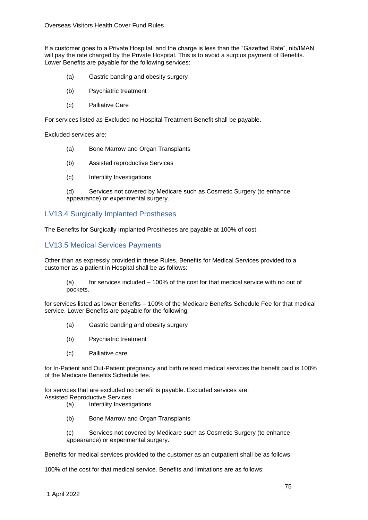If a customer goes to a Private Hospital, and the charge is less than the "Gazetted Rate", nib/IMAN will pay the rate charged by the Private Hospital. This is to avoid a surplus payment of Benefits. Lower Benefits are payable for the following services:

- (a) Gastric banding and obesity surgery
- (b) Psychiatric treatment
- (c) Palliative Care

For services listed as Excluded no Hospital Treatment Benefit shall be payable.

Excluded services are:

- (a) Bone Marrow and Organ Transplants
- (b) Assisted reproductive Services
- (c) Infertility Investigations

(d) Services not covered by Medicare such as Cosmetic Surgery (to enhance appearance) or experimental surgery.

# LV13.4 Surgically Implanted Prostheses

The Benefits for Surgically Implanted Prostheses are payable at 100% of cost.

# LV13.5 Medical Services Payments

Other than as expressly provided in these Rules, Benefits for Medical Services provided to a customer as a patient in Hospital shall be as follows:

 $(a)$  for services included  $-100\%$  of the cost for that medical service with no out of pockets.

for services listed as lower Benefits – 100% of the Medicare Benefits Schedule Fee for that medical service. Lower Benefits are payable for the following:

- (a) Gastric banding and obesity surgery
- (b) Psychiatric treatment
- (c) Palliative care

for In-Patient and Out-Patient pregnancy and birth related medical services the benefit paid is 100% of the Medicare Benefits Schedule fee.

for services that are excluded no benefit is payable. Excluded services are: Assisted Reproductive Services

- (a) Infertility Investigations
	- (b) Bone Marrow and Organ Transplants

(c) Services not covered by Medicare such as Cosmetic Surgery (to enhance appearance) or experimental surgery.

Benefits for medical services provided to the customer as an outpatient shall be as follows:

100% of the cost for that medical service. Benefits and limitations are as follows: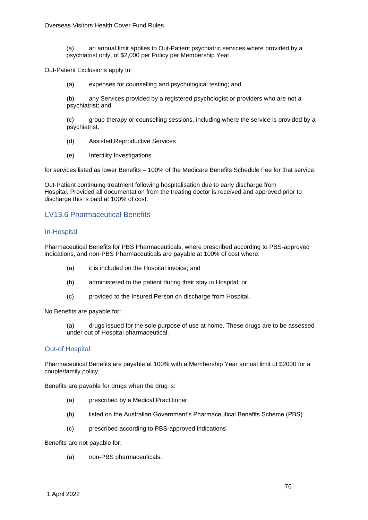(a) an annual limit applies to Out-Patient psychiatric services where provided by a psychiatrist only, of \$2,000 per Policy per Membership Year.

Out-Patient Exclusions apply to:

(a) expenses for counselling and psychological testing; and

(b) any Services provided by a registered psychologist or providers who are not a psychiatrist; and

(c) group therapy or counselling sessions, including where the service is provided by a psychiatrist.

- (d) Assisted Reproductive Services
- (e) Infertility Investigations

for services listed as lower Benefits – 100% of the Medicare Benefits Schedule Fee for that service.

Out-Patient continuing treatment following hospitalisation due to early discharge from Hospital. Provided all documentation from the treating doctor is received and approved prior to discharge this is paid at 100% of cost.

# LV13.6 Pharmaceutical Benefits

#### In-Hospital

Pharmaceutical Benefits for PBS Pharmaceuticals, where prescribed according to PBS-approved indications, and non-PBS Pharmaceuticals are payable at 100% of cost where:

- (a) it is included on the Hospital invoice; and
- (b) administered to the patient during their stay in Hospital; or
- (c) provided to the Insured Person on discharge from Hospital.

No Benefits are payable for:

(a) drugs issued for the sole purpose of use at home. These drugs are to be assessed under out of Hospital pharmaceutical.

#### Out-of Hospital

Pharmaceutical Benefits are payable at 100% with a Membership Year annual limit of \$2000 for a couple/family policy.

Benefits are payable for drugs when the drug is:

- (a) prescribed by a Medical Practitioner
- (b) listed on the Australian Government's Pharmaceutical Benefits Scheme (PBS)
- (c) prescribed according to PBS-approved indications

Benefits are not payable for:

(a) non-PBS pharmaceuticals.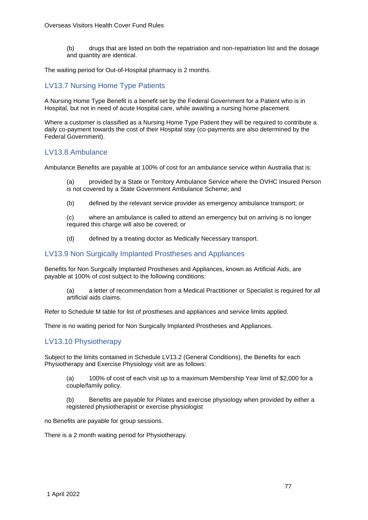(b) drugs that are listed on both the repatriation and non-repatriation list and the dosage and quantity are identical.

The waiting period for Out-of-Hospital pharmacy is 2 months.

# LV13.7 Nursing Home Type Patients

A Nursing Home Type Benefit is a benefit set by the Federal Government for a Patient who is in Hospital, but not in need of acute Hospital care, while awaiting a nursing home placement.

Where a customer is classified as a Nursing Home Type Patient they will be required to contribute a daily co-payment towards the cost of their Hospital stay (co-payments are also determined by the Federal Government).

### LV13.8 Ambulance

Ambulance Benefits are payable at 100% of cost for an ambulance service within Australia that is:

(a) provided by a State or Territory Ambulance Service where the OVHC Insured Person is not covered by a State Government Ambulance Scheme; and

(b) defined by the relevant service provider as emergency ambulance transport; or

(c) where an ambulance is called to attend an emergency but on arriving is no longer required this charge will also be covered; or

(d) defined by a treating doctor as Medically Necessary transport.

### LV13.9 Non Surgically Implanted Prostheses and Appliances

Benefits for Non Surgically Implanted Prostheses and Appliances, known as Artificial Aids, are payable at 100% of cost subject to the following conditions:

(a) a letter of recommendation from a Medical Practitioner or Specialist is required for all artificial aids claims.

Refer to Schedule M table for list of prostheses and appliances and service limits applied.

There is no waiting period for Non Surgically Implanted Prostheses and Appliances.

### LV13.10 Physiotherapy

Subject to the limits contained in Schedule LV13.2 (General Conditions), the Benefits for each Physiotherapy and Exercise Physiology visit are as follows:

(a) 100% of cost of each visit up to a maximum Membership Year limit of \$2,000 for a couple/family policy.

(b) Benefits are payable for Pilates and exercise physiology when provided by either a registered physiotherapist or exercise physiologist

no Benefits are payable for group sessions.

There is a 2 month waiting period for Physiotherapy.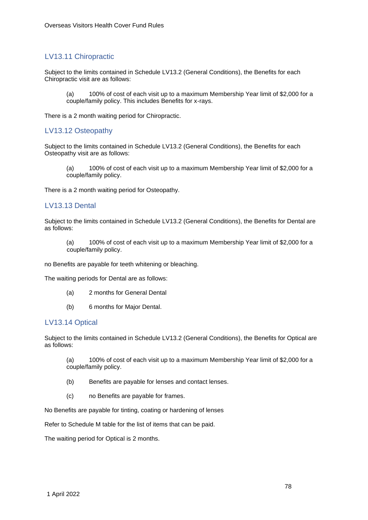# LV13.11 Chiropractic

Subject to the limits contained in Schedule LV13.2 (General Conditions), the Benefits for each Chiropractic visit are as follows:

(a) 100% of cost of each visit up to a maximum Membership Year limit of \$2,000 for a couple/family policy. This includes Benefits for x-rays.

There is a 2 month waiting period for Chiropractic.

## LV13.12 Osteopathy

Subject to the limits contained in Schedule LV13.2 (General Conditions), the Benefits for each Osteopathy visit are as follows:

(a) 100% of cost of each visit up to a maximum Membership Year limit of \$2,000 for a couple/family policy.

There is a 2 month waiting period for Osteopathy.

### LV13.13 Dental

Subject to the limits contained in Schedule LV13.2 (General Conditions), the Benefits for Dental are as follows:

(a) 100% of cost of each visit up to a maximum Membership Year limit of \$2,000 for a couple/family policy.

no Benefits are payable for teeth whitening or bleaching.

The waiting periods for Dental are as follows:

- (a) 2 months for General Dental
- (b) 6 months for Major Dental.

### LV13.14 Optical

Subject to the limits contained in Schedule LV13.2 (General Conditions), the Benefits for Optical are as follows:

(a) 100% of cost of each visit up to a maximum Membership Year limit of \$2,000 for a couple/family policy.

- (b) Benefits are payable for lenses and contact lenses.
- (c) no Benefits are payable for frames.

No Benefits are payable for tinting, coating or hardening of lenses

Refer to Schedule M table for the list of items that can be paid.

The waiting period for Optical is 2 months.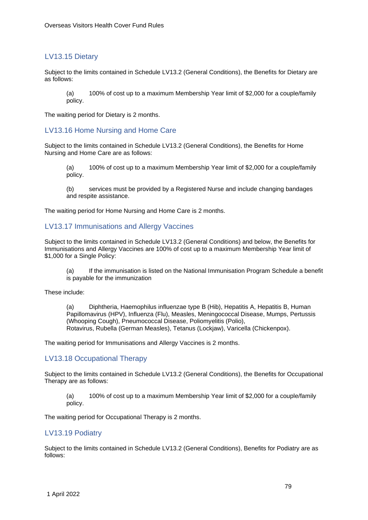# LV13.15 Dietary

Subject to the limits contained in Schedule LV13.2 (General Conditions), the Benefits for Dietary are as follows:

(a) 100% of cost up to a maximum Membership Year limit of \$2,000 for a couple/family policy.

The waiting period for Dietary is 2 months.

#### LV13.16 Home Nursing and Home Care

Subject to the limits contained in Schedule LV13.2 (General Conditions), the Benefits for Home Nursing and Home Care are as follows:

(a) 100% of cost up to a maximum Membership Year limit of \$2,000 for a couple/family policy.

(b) services must be provided by a Registered Nurse and include changing bandages and respite assistance.

The waiting period for Home Nursing and Home Care is 2 months.

## LV13.17 Immunisations and Allergy Vaccines

Subject to the limits contained in Schedule LV13.2 (General Conditions) and below, the Benefits for Immunisations and Allergy Vaccines are 100% of cost up to a maximum Membership Year limit of \$1,000 for a Single Policy:

(a) If the immunisation is listed on the National Immunisation Program Schedule a benefit is payable for the immunization

These include:

(a) Diphtheria, Haemophilus influenzae type B (Hib), Hepatitis A, Hepatitis B, Human Papillomavirus (HPV), Influenza (Flu), Measles, Meningococcal Disease, Mumps, Pertussis (Whooping Cough), Pneumococcal Disease, Poliomyelitis (Polio), Rotavirus, Rubella (German Measles), Tetanus (Lockjaw), Varicella (Chickenpox).

The waiting period for Immunisations and Allergy Vaccines is 2 months.

### LV13.18 Occupational Therapy

Subject to the limits contained in Schedule LV13.2 (General Conditions), the Benefits for Occupational Therapy are as follows:

(a) 100% of cost up to a maximum Membership Year limit of \$2,000 for a couple/family policy.

The waiting period for Occupational Therapy is 2 months.

### LV13.19 Podiatry

Subject to the limits contained in Schedule LV13.2 (General Conditions), Benefits for Podiatry are as follows: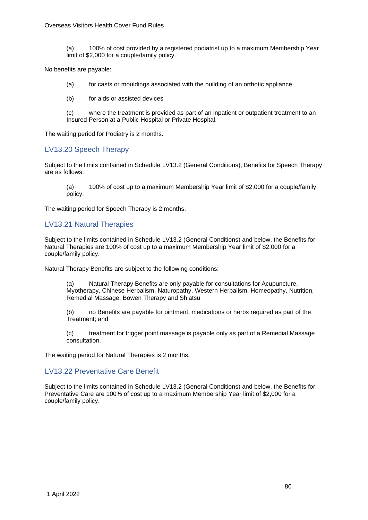(a) 100% of cost provided by a registered podiatrist up to a maximum Membership Year limit of \$2,000 for a couple/family policy.

No benefits are payable:

(a) for casts or mouldings associated with the building of an orthotic appliance

(b) for aids or assisted devices

(c) where the treatment is provided as part of an inpatient or outpatient treatment to an Insured Person at a Public Hospital or Private Hospital.

The waiting period for Podiatry is 2 months.

# LV13.20 Speech Therapy

Subject to the limits contained in Schedule LV13.2 (General Conditions), Benefits for Speech Therapy are as follows:

(a) 100% of cost up to a maximum Membership Year limit of \$2,000 for a couple/family policy.

The waiting period for Speech Therapy is 2 months.

### LV13.21 Natural Therapies

Subject to the limits contained in Schedule LV13.2 (General Conditions) and below, the Benefits for Natural Therapies are 100% of cost up to a maximum Membership Year limit of \$2,000 for a couple/family policy.

Natural Therapy Benefits are subject to the following conditions:

(a) Natural Therapy Benefits are only payable for consultations for Acupuncture, Myotherapy, Chinese Herbalism, Naturopathy, Western Herbalism, Homeopathy, Nutrition, Remedial Massage, Bowen Therapy and Shiatsu

(b) no Benefits are payable for ointment, medications or herbs required as part of the Treatment; and

(c) treatment for trigger point massage is payable only as part of a Remedial Massage consultation.

The waiting period for Natural Therapies is 2 months.

### LV13.22 Preventative Care Benefit

Subject to the limits contained in Schedule LV13.2 (General Conditions) and below, the Benefits for Preventative Care are 100% of cost up to a maximum Membership Year limit of \$2,000 for a couple/family policy.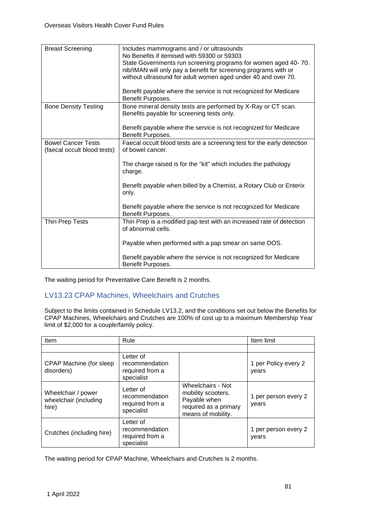| <b>Breast Screening</b>                                  | Includes mammograms and / or ultrasounds<br>No Benefits if itemised with 59300 or 59303<br>State Governments run screening programs for women aged 40-70.<br>nib/IMAN will only pay a benefit for screening programs with or<br>without ultrasound for adult women aged under 40 and over 70.<br>Benefit payable where the service is not recognized for Medicare<br>Benefit Purposes. |
|----------------------------------------------------------|----------------------------------------------------------------------------------------------------------------------------------------------------------------------------------------------------------------------------------------------------------------------------------------------------------------------------------------------------------------------------------------|
| <b>Bone Density Testing</b>                              | Bone mineral density tests are performed by X-Ray or CT scan.<br>Benefits payable for screening tests only.<br>Benefit payable where the service is not recognized for Medicare<br>Benefit Purposes.                                                                                                                                                                                   |
| <b>Bowel Cancer Tests</b><br>(faecal occult blood tests) | Faecal occult blood tests are a screening test for the early detection<br>of bowel cancer.<br>The charge raised is for the "kit" which includes the pathology<br>charge.<br>Benefit payable when billed by a Chemist, a Rotary Club or Enterix<br>only.<br>Benefit payable where the service is not recognized for Medicare<br>Benefit Purposes.                                       |
| Thin Prep Tests                                          | Thin Prep is a modified pap test with an increased rate of detection<br>of abnormal cells.<br>Payable when performed with a pap smear on same DOS.<br>Benefit payable where the service is not recognized for Medicare<br>Benefit Purposes.                                                                                                                                            |

The waiting period for Preventative Care Benefit is 2 months.

# LV13.23 CPAP Machines, Wheelchairs and Crutches

Subject to the limits contained in Schedule LV13.2, and the conditions set out below the Benefits for CPAP Machines, Wheelchairs and Crutches are 100% of cost up to a maximum Membership Year limit of \$2,000 for a couple/family policy.

| <b>Item</b>                                          | Rule                                                         |                                                                                                        | Item limit                    |
|------------------------------------------------------|--------------------------------------------------------------|--------------------------------------------------------------------------------------------------------|-------------------------------|
|                                                      |                                                              |                                                                                                        |                               |
| CPAP Machine (for sleep<br>disorders)                | Letter of<br>recommendation<br>required from a<br>specialist |                                                                                                        | 1 per Policy every 2<br>years |
| Wheelchair / power<br>wheelchair (including<br>hire) | Letter of<br>recommendation<br>required from a<br>specialist | Wheelchairs - Not<br>mobility scooters.<br>Payable when<br>required as a primary<br>means of mobility. | 1 per person every 2<br>years |
| Crutches (including hire)                            | Letter of<br>recommendation<br>required from a<br>specialist |                                                                                                        | 1 per person every 2<br>years |

The waiting period for CPAP Machine, Wheelchairs and Crutches is 2 months.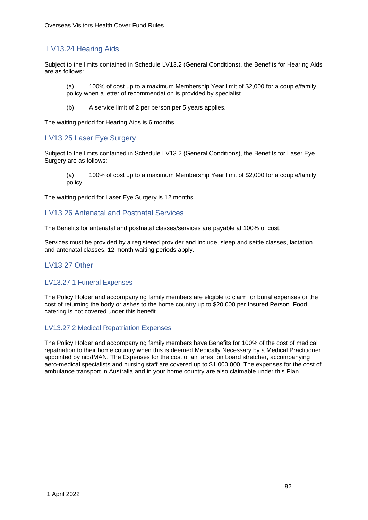# LV13.24 Hearing Aids

Subject to the limits contained in Schedule LV13.2 (General Conditions), the Benefits for Hearing Aids are as follows:

(a) 100% of cost up to a maximum Membership Year limit of \$2,000 for a couple/family policy when a letter of recommendation is provided by specialist.

(b) A service limit of 2 per person per 5 years applies.

The waiting period for Hearing Aids is 6 months.

# LV13.25 Laser Eye Surgery

Subject to the limits contained in Schedule LV13.2 (General Conditions), the Benefits for Laser Eye Surgery are as follows:

(a) 100% of cost up to a maximum Membership Year limit of \$2,000 for a couple/family policy.

The waiting period for Laser Eye Surgery is 12 months.

# LV13.26 Antenatal and Postnatal Services

The Benefits for antenatal and postnatal classes/services are payable at 100% of cost.

Services must be provided by a registered provider and include, sleep and settle classes, lactation and antenatal classes. 12 month waiting periods apply.

### LV13.27 Other

### LV13.27.1 Funeral Expenses

The Policy Holder and accompanying family members are eligible to claim for burial expenses or the cost of returning the body or ashes to the home country up to \$20,000 per Insured Person. Food catering is not covered under this benefit.

### LV13.27.2 Medical Repatriation Expenses

The Policy Holder and accompanying family members have Benefits for 100% of the cost of medical repatriation to their home country when this is deemed Medically Necessary by a Medical Practitioner appointed by nib/IMAN. The Expenses for the cost of air fares, on board stretcher, accompanying aero-medical specialists and nursing staff are covered up to \$1,000,000. The expenses for the cost of ambulance transport in Australia and in your home country are also claimable under this Plan.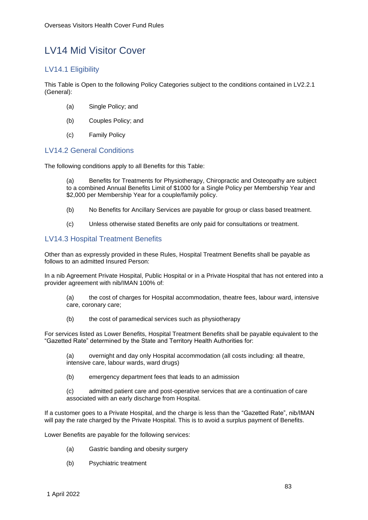# LV14 Mid Visitor Cover

# LV14.1 Eligibility

This Table is Open to the following Policy Categories subject to the conditions contained in LV2.2.1 (General):

- (a) Single Policy; and
- (b) Couples Policy; and
- (c) Family Policy

# LV14.2 General Conditions

The following conditions apply to all Benefits for this Table:

(a) Benefits for Treatments for Physiotherapy, Chiropractic and Osteopathy are subject to a combined Annual Benefits Limit of \$1000 for a Single Policy per Membership Year and \$2,000 per Membership Year for a couple/family policy.

- (b) No Benefits for Ancillary Services are payable for group or class based treatment.
- (c) Unless otherwise stated Benefits are only paid for consultations or treatment.

# LV14.3 Hospital Treatment Benefits

Other than as expressly provided in these Rules, Hospital Treatment Benefits shall be payable as follows to an admitted Insured Person:

In a nib Agreement Private Hospital, Public Hospital or in a Private Hospital that has not entered into a provider agreement with nib/IMAN 100% of:

- (a) the cost of charges for Hospital accommodation, theatre fees, labour ward, intensive care, coronary care;
- (b) the cost of paramedical services such as physiotherapy

For services listed as Lower Benefits, Hospital Treatment Benefits shall be payable equivalent to the "Gazetted Rate" determined by the State and Territory Health Authorities for:

(a) overnight and day only Hospital accommodation (all costs including: all theatre, intensive care, labour wards, ward drugs)

(b) emergency department fees that leads to an admission

(c) admitted patient care and post-operative services that are a continuation of care associated with an early discharge from Hospital.

If a customer goes to a Private Hospital, and the charge is less than the "Gazetted Rate", nib/IMAN will pay the rate charged by the Private Hospital. This is to avoid a surplus payment of Benefits.

Lower Benefits are payable for the following services:

- (a) Gastric banding and obesity surgery
- (b) Psychiatric treatment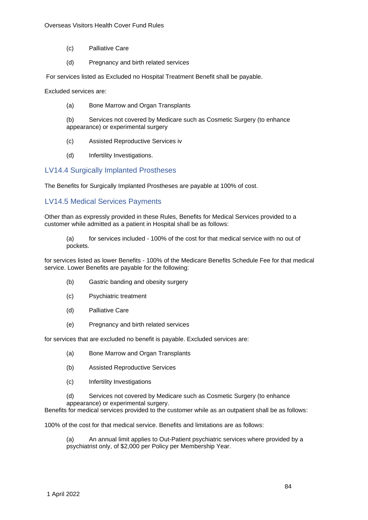- (c) Palliative Care
- (d) Pregnancy and birth related services

For services listed as Excluded no Hospital Treatment Benefit shall be payable.

Excluded services are:

(a) Bone Marrow and Organ Transplants

(b) Services not covered by Medicare such as Cosmetic Surgery (to enhance appearance) or experimental surgery

- (c) Assisted Reproductive Services iv
- (d) Infertility Investigations.

# LV14.4 Surgically Implanted Prostheses

The Benefits for Surgically Implanted Prostheses are payable at 100% of cost.

# LV14.5 Medical Services Payments

Other than as expressly provided in these Rules, Benefits for Medical Services provided to a customer while admitted as a patient in Hospital shall be as follows:

(a) for services included - 100% of the cost for that medical service with no out of pockets.

for services listed as lower Benefits - 100% of the Medicare Benefits Schedule Fee for that medical service. Lower Benefits are payable for the following:

- (b) Gastric banding and obesity surgery
- (c) Psychiatric treatment
- (d) Palliative Care
- (e) Pregnancy and birth related services

for services that are excluded no benefit is payable. Excluded services are:

- (a) Bone Marrow and Organ Transplants
- (b) Assisted Reproductive Services
- (c) Infertility Investigations
- (d) Services not covered by Medicare such as Cosmetic Surgery (to enhance appearance) or experimental surgery.

Benefits for medical services provided to the customer while as an outpatient shall be as follows:

100% of the cost for that medical service. Benefits and limitations are as follows:

(a) An annual limit applies to Out-Patient psychiatric services where provided by a psychiatrist only, of \$2,000 per Policy per Membership Year.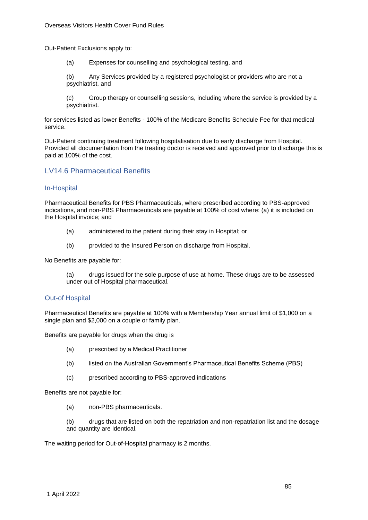Out-Patient Exclusions apply to:

(a) Expenses for counselling and psychological testing, and

(b) Any Services provided by a registered psychologist or providers who are not a psychiatrist, and

(c) Group therapy or counselling sessions, including where the service is provided by a psychiatrist.

for services listed as lower Benefits - 100% of the Medicare Benefits Schedule Fee for that medical service.

Out-Patient continuing treatment following hospitalisation due to early discharge from Hospital. Provided all documentation from the treating doctor is received and approved prior to discharge this is paid at 100% of the cost.

# LV14.6 Pharmaceutical Benefits

### In-Hospital

Pharmaceutical Benefits for PBS Pharmaceuticals, where prescribed according to PBS-approved indications, and non-PBS Pharmaceuticals are payable at 100% of cost where: (a) it is included on the Hospital invoice; and

- (a) administered to the patient during their stay in Hospital; or
- (b) provided to the Insured Person on discharge from Hospital.

No Benefits are payable for:

(a) drugs issued for the sole purpose of use at home. These drugs are to be assessed under out of Hospital pharmaceutical.

### Out-of Hospital

Pharmaceutical Benefits are payable at 100% with a Membership Year annual limit of \$1,000 on a single plan and \$2,000 on a couple or family plan.

Benefits are payable for drugs when the drug is

- (a) prescribed by a Medical Practitioner
- (b) listed on the Australian Government's Pharmaceutical Benefits Scheme (PBS)
- (c) prescribed according to PBS-approved indications

Benefits are not payable for:

(a) non-PBS pharmaceuticals.

(b) drugs that are listed on both the repatriation and non-repatriation list and the dosage and quantity are identical.

The waiting period for Out-of-Hospital pharmacy is 2 months.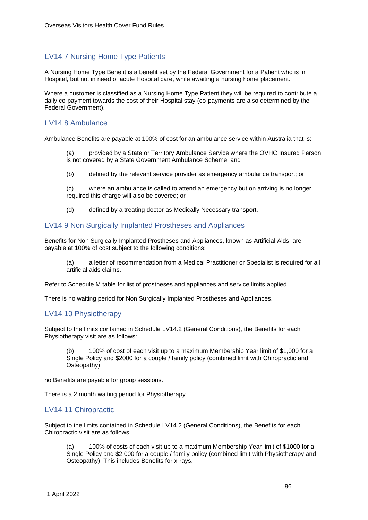# LV14.7 Nursing Home Type Patients

A Nursing Home Type Benefit is a benefit set by the Federal Government for a Patient who is in Hospital, but not in need of acute Hospital care, while awaiting a nursing home placement.

Where a customer is classified as a Nursing Home Type Patient they will be required to contribute a daily co-payment towards the cost of their Hospital stay (co-payments are also determined by the Federal Government).

# LV14.8 Ambulance

Ambulance Benefits are payable at 100% of cost for an ambulance service within Australia that is:

(a) provided by a State or Territory Ambulance Service where the OVHC Insured Person is not covered by a State Government Ambulance Scheme; and

(b) defined by the relevant service provider as emergency ambulance transport; or

(c) where an ambulance is called to attend an emergency but on arriving is no longer required this charge will also be covered; or

(d) defined by a treating doctor as Medically Necessary transport.

# LV14.9 Non Surgically Implanted Prostheses and Appliances

Benefits for Non Surgically Implanted Prostheses and Appliances, known as Artificial Aids, are payable at 100% of cost subject to the following conditions:

(a) a letter of recommendation from a Medical Practitioner or Specialist is required for all artificial aids claims.

Refer to Schedule M table for list of prostheses and appliances and service limits applied.

There is no waiting period for Non Surgically Implanted Prostheses and Appliances.

### LV14.10 Physiotherapy

Subject to the limits contained in Schedule LV14.2 (General Conditions), the Benefits for each Physiotherapy visit are as follows:

100% of cost of each visit up to a maximum Membership Year limit of \$1,000 for a Single Policy and \$2000 for a couple / family policy (combined limit with Chiropractic and Osteopathy)

no Benefits are payable for group sessions.

There is a 2 month waiting period for Physiotherapy.

# LV14.11 Chiropractic

Subject to the limits contained in Schedule LV14.2 (General Conditions), the Benefits for each Chiropractic visit are as follows:

(a) 100% of costs of each visit up to a maximum Membership Year limit of \$1000 for a Single Policy and \$2,000 for a couple / family policy (combined limit with Physiotherapy and Osteopathy). This includes Benefits for x-rays.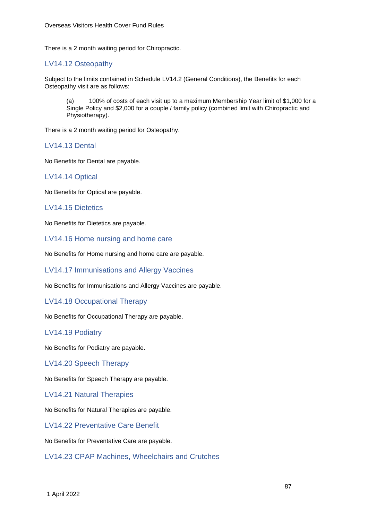There is a 2 month waiting period for Chiropractic.

# LV14.12 Osteopathy

Subject to the limits contained in Schedule LV14.2 (General Conditions), the Benefits for each Osteopathy visit are as follows:

(a) 100% of costs of each visit up to a maximum Membership Year limit of \$1,000 for a Single Policy and \$2,000 for a couple / family policy (combined limit with Chiropractic and Physiotherapy).

There is a 2 month waiting period for Osteopathy.

LV14.13 Dental

No Benefits for Dental are payable.

# LV14.14 Optical

No Benefits for Optical are payable.

# LV14.15 Dietetics

No Benefits for Dietetics are payable.

LV14.16 Home nursing and home care

No Benefits for Home nursing and home care are payable.

LV14.17 Immunisations and Allergy Vaccines

No Benefits for Immunisations and Allergy Vaccines are payable.

### LV14.18 Occupational Therapy

No Benefits for Occupational Therapy are payable.

### LV14.19 Podiatry

No Benefits for Podiatry are payable.

LV14.20 Speech Therapy

No Benefits for Speech Therapy are payable.

LV14.21 Natural Therapies

No Benefits for Natural Therapies are payable.

LV14.22 Preventative Care Benefit

No Benefits for Preventative Care are payable.

LV14.23 CPAP Machines, Wheelchairs and Crutches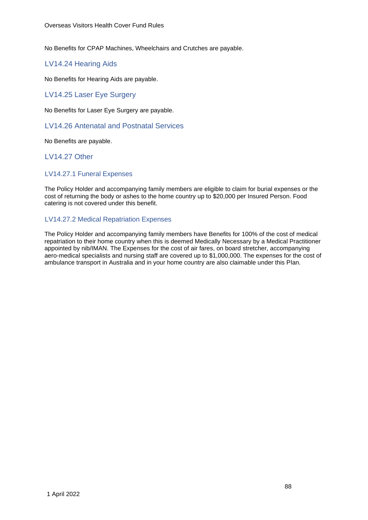No Benefits for CPAP Machines, Wheelchairs and Crutches are payable.

## LV14.24 Hearing Aids

No Benefits for Hearing Aids are payable.

# LV14.25 Laser Eye Surgery

No Benefits for Laser Eye Surgery are payable.

### LV14.26 Antenatal and Postnatal Services

No Benefits are payable.

LV14.27 Other

### LV14.27.1 Funeral Expenses

The Policy Holder and accompanying family members are eligible to claim for burial expenses or the cost of returning the body or ashes to the home country up to \$20,000 per Insured Person. Food catering is not covered under this benefit.

# LV14.27.2 Medical Repatriation Expenses

The Policy Holder and accompanying family members have Benefits for 100% of the cost of medical repatriation to their home country when this is deemed Medically Necessary by a Medical Practitioner appointed by nib/IMAN. The Expenses for the cost of air fares, on board stretcher, accompanying aero-medical specialists and nursing staff are covered up to \$1,000,000. The expenses for the cost of ambulance transport in Australia and in your home country are also claimable under this Plan.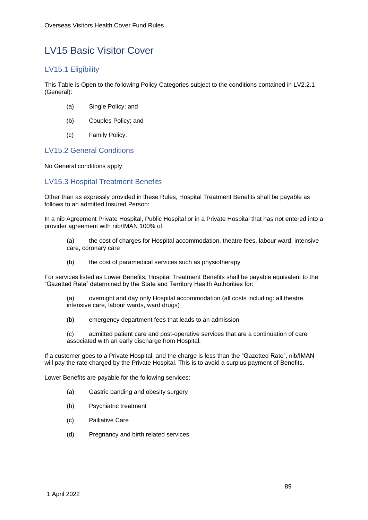# LV15 Basic Visitor Cover

# LV15.1 Eligibility

This Table is Open to the following Policy Categories subject to the conditions contained in LV2.2.1 (General):

- (a) Single Policy; and
- (b) Couples Policy; and
- (c) Family Policy.

# LV15.2 General Conditions

No General conditions apply

# LV15.3 Hospital Treatment Benefits

Other than as expressly provided in these Rules, Hospital Treatment Benefits shall be payable as follows to an admitted Insured Person:

In a nib Agreement Private Hospital, Public Hospital or in a Private Hospital that has not entered into a provider agreement with nib/IMAN 100% of:

- (a) the cost of charges for Hospital accommodation, theatre fees, labour ward, intensive care, coronary care
- (b) the cost of paramedical services such as physiotherapy

For services listed as Lower Benefits, Hospital Treatment Benefits shall be payable equivalent to the "Gazetted Rate" determined by the State and Territory Health Authorities for:

- (a) overnight and day only Hospital accommodation (all costs including: all theatre, intensive care, labour wards, ward drugs)
- (b) emergency department fees that leads to an admission
- (c) admitted patient care and post-operative services that are a continuation of care associated with an early discharge from Hospital.

If a customer goes to a Private Hospital, and the charge is less than the "Gazetted Rate", nib/IMAN will pay the rate charged by the Private Hospital. This is to avoid a surplus payment of Benefits.

Lower Benefits are payable for the following services:

- (a) Gastric banding and obesity surgery
- (b) Psychiatric treatment
- (c) Palliative Care
- (d) Pregnancy and birth related services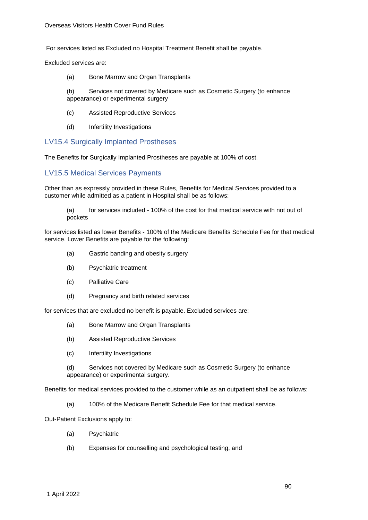For services listed as Excluded no Hospital Treatment Benefit shall be payable.

Excluded services are:

(a) Bone Marrow and Organ Transplants

(b) Services not covered by Medicare such as Cosmetic Surgery (to enhance appearance) or experimental surgery

- (c) Assisted Reproductive Services
- (d) Infertility Investigations

### LV15.4 Surgically Implanted Prostheses

The Benefits for Surgically Implanted Prostheses are payable at 100% of cost.

### LV15.5 Medical Services Payments

Other than as expressly provided in these Rules, Benefits for Medical Services provided to a customer while admitted as a patient in Hospital shall be as follows:

(a) for services included - 100% of the cost for that medical service with not out of pockets

for services listed as lower Benefits - 100% of the Medicare Benefits Schedule Fee for that medical service. Lower Benefits are payable for the following:

- (a) Gastric banding and obesity surgery
- (b) Psychiatric treatment
- (c) Palliative Care
- (d) Pregnancy and birth related services

for services that are excluded no benefit is payable. Excluded services are:

- (a) Bone Marrow and Organ Transplants
- (b) Assisted Reproductive Services
- (c) Infertility Investigations

(d) Services not covered by Medicare such as Cosmetic Surgery (to enhance appearance) or experimental surgery.

Benefits for medical services provided to the customer while as an outpatient shall be as follows:

(a) 100% of the Medicare Benefit Schedule Fee for that medical service.

Out-Patient Exclusions apply to:

- (a) Psychiatric
- (b) Expenses for counselling and psychological testing, and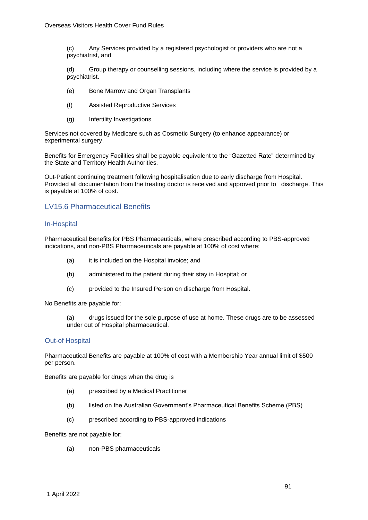(c) Any Services provided by a registered psychologist or providers who are not a psychiatrist, and

(d) Group therapy or counselling sessions, including where the service is provided by a psychiatrist.

- (e) Bone Marrow and Organ Transplants
- (f) Assisted Reproductive Services
- (g) Infertility Investigations

Services not covered by Medicare such as Cosmetic Surgery (to enhance appearance) or experimental surgery.

Benefits for Emergency Facilities shall be payable equivalent to the "Gazetted Rate" determined by the State and Territory Health Authorities.

Out-Patient continuing treatment following hospitalisation due to early discharge from Hospital. Provided all documentation from the treating doctor is received and approved prior to discharge. This is payable at 100% of cost.

# LV15.6 Pharmaceutical Benefits

#### In-Hospital

Pharmaceutical Benefits for PBS Pharmaceuticals, where prescribed according to PBS-approved indications, and non-PBS Pharmaceuticals are payable at 100% of cost where:

- (a) it is included on the Hospital invoice; and
- (b) administered to the patient during their stay in Hospital; or
- (c) provided to the Insured Person on discharge from Hospital.

No Benefits are payable for:

(a) drugs issued for the sole purpose of use at home. These drugs are to be assessed under out of Hospital pharmaceutical.

### Out-of Hospital

Pharmaceutical Benefits are payable at 100% of cost with a Membership Year annual limit of \$500 per person.

Benefits are payable for drugs when the drug is

- (a) prescribed by a Medical Practitioner
- (b) listed on the Australian Government's Pharmaceutical Benefits Scheme (PBS)
- (c) prescribed according to PBS-approved indications

#### Benefits are not payable for:

(a) non-PBS pharmaceuticals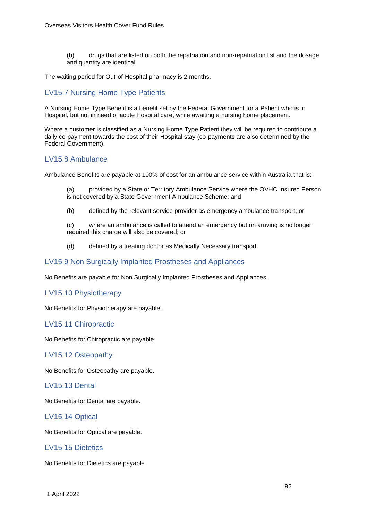(b) drugs that are listed on both the repatriation and non-repatriation list and the dosage and quantity are identical

The waiting period for Out-of-Hospital pharmacy is 2 months.

# LV15.7 Nursing Home Type Patients

A Nursing Home Type Benefit is a benefit set by the Federal Government for a Patient who is in Hospital, but not in need of acute Hospital care, while awaiting a nursing home placement.

Where a customer is classified as a Nursing Home Type Patient they will be required to contribute a daily co-payment towards the cost of their Hospital stay (co-payments are also determined by the Federal Government).

# LV15.8 Ambulance

Ambulance Benefits are payable at 100% of cost for an ambulance service within Australia that is:

(a) provided by a State or Territory Ambulance Service where the OVHC Insured Person is not covered by a State Government Ambulance Scheme; and

(b) defined by the relevant service provider as emergency ambulance transport; or

(c) where an ambulance is called to attend an emergency but on arriving is no longer required this charge will also be covered; or

(d) defined by a treating doctor as Medically Necessary transport.

# LV15.9 Non Surgically Implanted Prostheses and Appliances

No Benefits are payable for Non Surgically Implanted Prostheses and Appliances.

### LV15.10 Physiotherapy

No Benefits for Physiotherapy are payable.

# LV15.11 Chiropractic

No Benefits for Chiropractic are payable.

### LV15.12 Osteopathy

No Benefits for Osteopathy are payable.

### LV15.13 Dental

No Benefits for Dental are payable.

# LV15.14 Optical

No Benefits for Optical are payable.

# LV15.15 Dietetics

No Benefits for Dietetics are payable.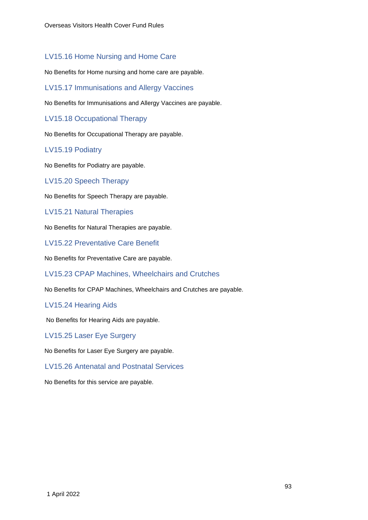# LV15.16 Home Nursing and Home Care

No Benefits for Home nursing and home care are payable.

LV15.17 Immunisations and Allergy Vaccines

No Benefits for Immunisations and Allergy Vaccines are payable.

LV15.18 Occupational Therapy

No Benefits for Occupational Therapy are payable.

# LV15.19 Podiatry

No Benefits for Podiatry are payable.

### LV15.20 Speech Therapy

No Benefits for Speech Therapy are payable.

LV15.21 Natural Therapies

No Benefits for Natural Therapies are payable.

LV15.22 Preventative Care Benefit

No Benefits for Preventative Care are payable.

LV15.23 CPAP Machines, Wheelchairs and Crutches

No Benefits for CPAP Machines, Wheelchairs and Crutches are payable.

### LV15.24 Hearing Aids

No Benefits for Hearing Aids are payable.

LV15.25 Laser Eye Surgery

No Benefits for Laser Eye Surgery are payable.

# LV15.26 Antenatal and Postnatal Services

No Benefits for this service are payable.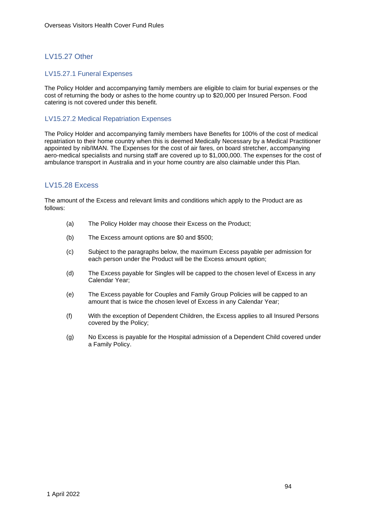# LV15.27 Other

#### LV15.27.1 Funeral Expenses

The Policy Holder and accompanying family members are eligible to claim for burial expenses or the cost of returning the body or ashes to the home country up to \$20,000 per Insured Person. Food catering is not covered under this benefit.

#### LV15.27.2 Medical Repatriation Expenses

The Policy Holder and accompanying family members have Benefits for 100% of the cost of medical repatriation to their home country when this is deemed Medically Necessary by a Medical Practitioner appointed by nib/IMAN. The Expenses for the cost of air fares, on board stretcher, accompanying aero-medical specialists and nursing staff are covered up to \$1,000,000. The expenses for the cost of ambulance transport in Australia and in your home country are also claimable under this Plan.

# LV15.28 Excess

The amount of the Excess and relevant limits and conditions which apply to the Product are as follows:

- (a) The Policy Holder may choose their Excess on the Product;
- (b) The Excess amount options are \$0 and \$500;
- (c) Subject to the paragraphs below, the maximum Excess payable per admission for each person under the Product will be the Excess amount option;
- (d) The Excess payable for Singles will be capped to the chosen level of Excess in any Calendar Year;
- (e) The Excess payable for Couples and Family Group Policies will be capped to an amount that is twice the chosen level of Excess in any Calendar Year;
- (f) With the exception of Dependent Children, the Excess applies to all Insured Persons covered by the Policy;
- (g) No Excess is payable for the Hospital admission of a Dependent Child covered under a Family Policy.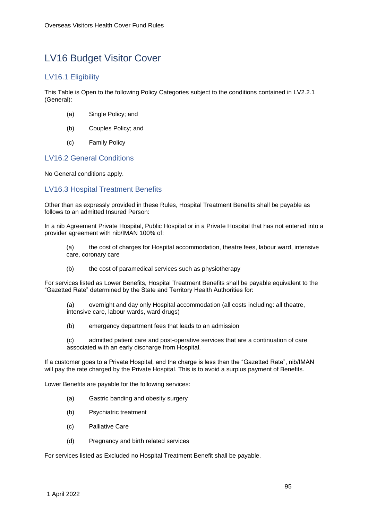# LV16 Budget Visitor Cover

# LV16.1 Eligibility

This Table is Open to the following Policy Categories subject to the conditions contained in LV2.2.1 (General):

- (a) Single Policy; and
- (b) Couples Policy; and
- (c) Family Policy

# LV16.2 General Conditions

No General conditions apply.

# LV16.3 Hospital Treatment Benefits

Other than as expressly provided in these Rules, Hospital Treatment Benefits shall be payable as follows to an admitted Insured Person:

In a nib Agreement Private Hospital, Public Hospital or in a Private Hospital that has not entered into a provider agreement with nib/IMAN 100% of:

- (a) the cost of charges for Hospital accommodation, theatre fees, labour ward, intensive care, coronary care
- (b) the cost of paramedical services such as physiotherapy

For services listed as Lower Benefits, Hospital Treatment Benefits shall be payable equivalent to the "Gazetted Rate" determined by the State and Territory Health Authorities for:

(a) overnight and day only Hospital accommodation (all costs including: all theatre, intensive care, labour wards, ward drugs)

(b) emergency department fees that leads to an admission

(c) admitted patient care and post-operative services that are a continuation of care associated with an early discharge from Hospital.

If a customer goes to a Private Hospital, and the charge is less than the "Gazetted Rate", nib/IMAN will pay the rate charged by the Private Hospital. This is to avoid a surplus payment of Benefits.

Lower Benefits are payable for the following services:

- (a) Gastric banding and obesity surgery
- (b) Psychiatric treatment
- (c) Palliative Care
- (d) Pregnancy and birth related services

For services listed as Excluded no Hospital Treatment Benefit shall be payable.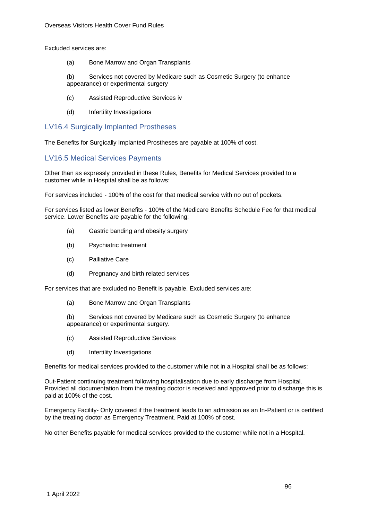Excluded services are:

(a) Bone Marrow and Organ Transplants

(b) Services not covered by Medicare such as Cosmetic Surgery (to enhance appearance) or experimental surgery

- (c) Assisted Reproductive Services iv
- (d) Infertility Investigations

## LV16.4 Surgically Implanted Prostheses

The Benefits for Surgically Implanted Prostheses are payable at 100% of cost.

# LV16.5 Medical Services Payments

Other than as expressly provided in these Rules, Benefits for Medical Services provided to a customer while in Hospital shall be as follows:

For services included - 100% of the cost for that medical service with no out of pockets.

For services listed as lower Benefits - 100% of the Medicare Benefits Schedule Fee for that medical service. Lower Benefits are payable for the following:

- (a) Gastric banding and obesity surgery
- (b) Psychiatric treatment
- (c) Palliative Care
- (d) Pregnancy and birth related services

For services that are excluded no Benefit is payable. Excluded services are:

(a) Bone Marrow and Organ Transplants

(b) Services not covered by Medicare such as Cosmetic Surgery (to enhance appearance) or experimental surgery.

- (c) Assisted Reproductive Services
- (d) Infertility Investigations

Benefits for medical services provided to the customer while not in a Hospital shall be as follows:

Out-Patient continuing treatment following hospitalisation due to early discharge from Hospital. Provided all documentation from the treating doctor is received and approved prior to discharge this is paid at 100% of the cost.

Emergency Facility- Only covered if the treatment leads to an admission as an In-Patient or is certified by the treating doctor as Emergency Treatment. Paid at 100% of cost.

No other Benefits payable for medical services provided to the customer while not in a Hospital.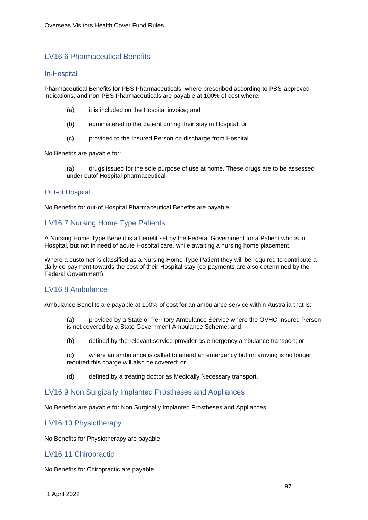# LV16.6 Pharmaceutical Benefits

#### In-Hospital

Pharmaceutical Benefits for PBS Pharmaceuticals, where prescribed according to PBS-approved indications, and non-PBS Pharmaceuticals are payable at 100% of cost where:

- (a) it is included on the Hospital invoice; and
- (b) administered to the patient during their stay in Hospital; or
- (c) provided to the Insured Person on discharge from Hospital.

No Benefits are payable for:

(a) drugs issued for the sole purpose of use at home. These drugs are to be assessed under outof Hospital pharmaceutical.

#### Out-of Hospital

No Benefits for out-of Hospital Pharmaceutical Benefits are payable.

# LV16.7 Nursing Home Type Patients

A Nursing Home Type Benefit is a benefit set by the Federal Government for a Patient who is in Hospital, but not in need of acute Hospital care, while awaiting a nursing home placement.

Where a customer is classified as a Nursing Home Type Patient they will be required to contribute a daily co-payment towards the cost of their Hospital stay (co-payments are also determined by the Federal Government).

### LV16.8 Ambulance

Ambulance Benefits are payable at 100% of cost for an ambulance service within Australia that is:

- (a) provided by a State or Territory Ambulance Service where the OVHC Insured Person is not covered by a State Government Ambulance Scheme; and
- (b) defined by the relevant service provider as emergency ambulance transport; or

(c) where an ambulance is called to attend an emergency but on arriving is no longer required this charge will also be covered; or

(d) defined by a treating doctor as Medically Necessary transport.

### LV16.9 Non Surgically Implanted Prostheses and Appliances

No Benefits are payable for Non Surgically Implanted Prostheses and Appliances.

### LV16.10 Physiotherapy

No Benefits for Physiotherapy are payable.

### LV16.11 Chiropractic

No Benefits for Chiropractic are payable.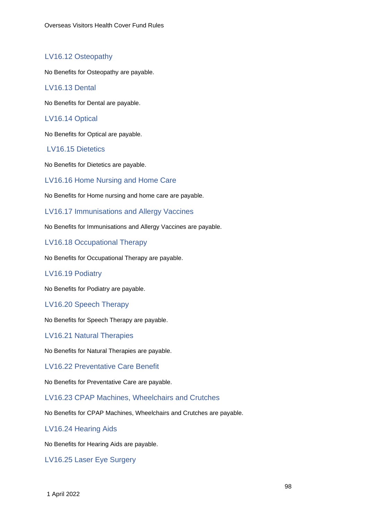# LV16.12 Osteopathy

No Benefits for Osteopathy are payable.

# LV16.13 Dental

No Benefits for Dental are payable.

# LV16.14 Optical

No Benefits for Optical are payable.

### LV16.15 Dietetics

No Benefits for Dietetics are payable.

LV16.16 Home Nursing and Home Care

No Benefits for Home nursing and home care are payable.

LV16.17 Immunisations and Allergy Vaccines

No Benefits for Immunisations and Allergy Vaccines are payable.

LV16.18 Occupational Therapy

No Benefits for Occupational Therapy are payable.

### LV16.19 Podiatry

No Benefits for Podiatry are payable.

### LV16.20 Speech Therapy

No Benefits for Speech Therapy are payable.

LV16.21 Natural Therapies

No Benefits for Natural Therapies are payable.

LV16.22 Preventative Care Benefit

No Benefits for Preventative Care are payable.

## LV16.23 CPAP Machines, Wheelchairs and Crutches

No Benefits for CPAP Machines, Wheelchairs and Crutches are payable.

### LV16.24 Hearing Aids

No Benefits for Hearing Aids are payable.

LV16.25 Laser Eye Surgery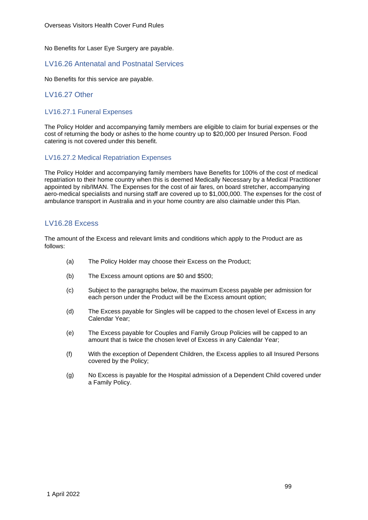No Benefits for Laser Eye Surgery are payable.

## LV16.26 Antenatal and Postnatal Services

No Benefits for this service are payable.

# LV16.27 Other

### LV16.27.1 Funeral Expenses

The Policy Holder and accompanying family members are eligible to claim for burial expenses or the cost of returning the body or ashes to the home country up to \$20,000 per Insured Person. Food catering is not covered under this benefit.

### LV16.27.2 Medical Repatriation Expenses

The Policy Holder and accompanying family members have Benefits for 100% of the cost of medical repatriation to their home country when this is deemed Medically Necessary by a Medical Practitioner appointed by nib/IMAN. The Expenses for the cost of air fares, on board stretcher, accompanying aero-medical specialists and nursing staff are covered up to \$1,000,000. The expenses for the cost of ambulance transport in Australia and in your home country are also claimable under this Plan.

# LV16.28 Excess

The amount of the Excess and relevant limits and conditions which apply to the Product are as follows:

- (a) The Policy Holder may choose their Excess on the Product;
- (b) The Excess amount options are \$0 and \$500;
- (c) Subject to the paragraphs below, the maximum Excess payable per admission for each person under the Product will be the Excess amount option;
- (d) The Excess payable for Singles will be capped to the chosen level of Excess in any Calendar Year;
- (e) The Excess payable for Couples and Family Group Policies will be capped to an amount that is twice the chosen level of Excess in any Calendar Year;
- (f) With the exception of Dependent Children, the Excess applies to all Insured Persons covered by the Policy;
- (g) No Excess is payable for the Hospital admission of a Dependent Child covered under a Family Policy.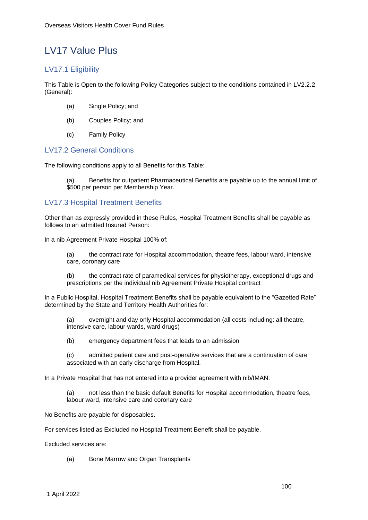# LV17 Value Plus

# LV17.1 Eligibility

This Table is Open to the following Policy Categories subject to the conditions contained in LV2.2.2 (General):

- (a) Single Policy; and
- (b) Couples Policy; and
- (c) Family Policy

# LV17.2 General Conditions

The following conditions apply to all Benefits for this Table:

Benefits for outpatient Pharmaceutical Benefits are payable up to the annual limit of \$500 per person per Membership Year.

# LV17.3 Hospital Treatment Benefits

Other than as expressly provided in these Rules, Hospital Treatment Benefits shall be payable as follows to an admitted Insured Person:

In a nib Agreement Private Hospital 100% of:

(a) the contract rate for Hospital accommodation, theatre fees, labour ward, intensive care, coronary care

(b) the contract rate of paramedical services for physiotherapy, exceptional drugs and prescriptions per the individual nib Agreement Private Hospital contract

In a Public Hospital, Hospital Treatment Benefits shall be payable equivalent to the "Gazetted Rate" determined by the State and Territory Health Authorities for:

(a) overnight and day only Hospital accommodation (all costs including: all theatre, intensive care, labour wards, ward drugs)

(b) emergency department fees that leads to an admission

(c) admitted patient care and post-operative services that are a continuation of care associated with an early discharge from Hospital.

In a Private Hospital that has not entered into a provider agreement with nib/IMAN:

(a) not less than the basic default Benefits for Hospital accommodation, theatre fees, labour ward, intensive care and coronary care

No Benefits are payable for disposables.

For services listed as Excluded no Hospital Treatment Benefit shall be payable.

Excluded services are:

(a) Bone Marrow and Organ Transplants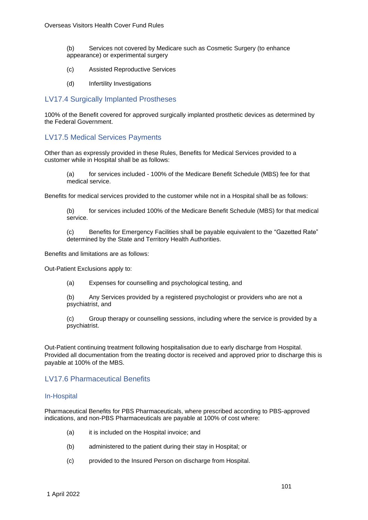(b) Services not covered by Medicare such as Cosmetic Surgery (to enhance appearance) or experimental surgery

- (c) Assisted Reproductive Services
- (d) Infertility Investigations

# LV17.4 Surgically Implanted Prostheses

100% of the Benefit covered for approved surgically implanted prosthetic devices as determined by the Federal Government.

# LV17.5 Medical Services Payments

Other than as expressly provided in these Rules, Benefits for Medical Services provided to a customer while in Hospital shall be as follows:

(a) for services included - 100% of the Medicare Benefit Schedule (MBS) fee for that medical service.

Benefits for medical services provided to the customer while not in a Hospital shall be as follows:

(b) for services included 100% of the Medicare Benefit Schedule (MBS) for that medical service.

(c) Benefits for Emergency Facilities shall be payable equivalent to the "Gazetted Rate" determined by the State and Territory Health Authorities.

Benefits and limitations are as follows:

Out-Patient Exclusions apply to:

(a) Expenses for counselling and psychological testing, and

(b) Any Services provided by a registered psychologist or providers who are not a psychiatrist, and

(c) Group therapy or counselling sessions, including where the service is provided by a psychiatrist.

Out-Patient continuing treatment following hospitalisation due to early discharge from Hospital. Provided all documentation from the treating doctor is received and approved prior to discharge this is payable at 100% of the MBS.

## LV17.6 Pharmaceutical Benefits

#### In-Hospital

Pharmaceutical Benefits for PBS Pharmaceuticals, where prescribed according to PBS-approved indications, and non-PBS Pharmaceuticals are payable at 100% of cost where:

- (a) it is included on the Hospital invoice; and
- (b) administered to the patient during their stay in Hospital; or
- (c) provided to the Insured Person on discharge from Hospital.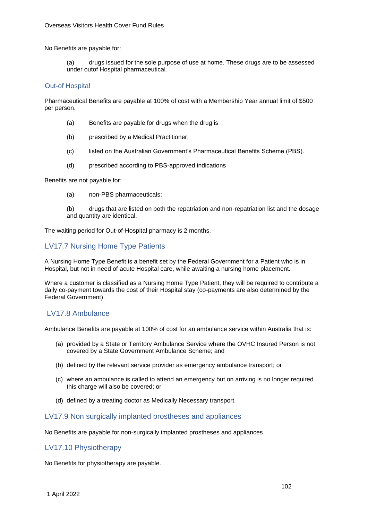No Benefits are payable for:

(a) drugs issued for the sole purpose of use at home. These drugs are to be assessed under outof Hospital pharmaceutical.

#### Out-of Hospital

Pharmaceutical Benefits are payable at 100% of cost with a Membership Year annual limit of \$500 per person.

- (a) Benefits are payable for drugs when the drug is
- (b) prescribed by a Medical Practitioner;
- (c) listed on the Australian Government's Pharmaceutical Benefits Scheme (PBS).
- (d) prescribed according to PBS-approved indications

Benefits are not payable for:

- (a) non-PBS pharmaceuticals;
- (b) drugs that are listed on both the repatriation and non-repatriation list and the dosage and quantity are identical.

The waiting period for Out-of-Hospital pharmacy is 2 months.

# LV17.7 Nursing Home Type Patients

A Nursing Home Type Benefit is a benefit set by the Federal Government for a Patient who is in Hospital, but not in need of acute Hospital care, while awaiting a nursing home placement.

Where a customer is classified as a Nursing Home Type Patient, they will be required to contribute a daily co-payment towards the cost of their Hospital stay (co-payments are also determined by the Federal Government).

### LV17.8 Ambulance

Ambulance Benefits are payable at 100% of cost for an ambulance service within Australia that is:

- (a) provided by a State or Territory Ambulance Service where the OVHC Insured Person is not covered by a State Government Ambulance Scheme; and
- (b) defined by the relevant service provider as emergency ambulance transport; or
- (c) where an ambulance is called to attend an emergency but on arriving is no longer required this charge will also be covered; or
- (d) defined by a treating doctor as Medically Necessary transport.

### LV17.9 Non surgically implanted prostheses and appliances

No Benefits are payable for non-surgically implanted prostheses and appliances.

### LV17.10 Physiotherapy

No Benefits for physiotherapy are payable.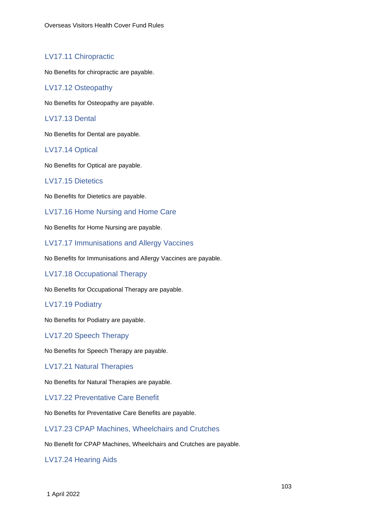# LV17.11 Chiropractic

No Benefits for chiropractic are payable.

# LV17.12 Osteopathy

No Benefits for Osteopathy are payable.

# LV17.13 Dental

No Benefits for Dental are payable.

# LV17.14 Optical

No Benefits for Optical are payable.

# LV17.15 Dietetics

No Benefits for Dietetics are payable.

# LV17.16 Home Nursing and Home Care

No Benefits for Home Nursing are payable.

LV17.17 Immunisations and Allergy Vaccines

No Benefits for Immunisations and Allergy Vaccines are payable.

LV17.18 Occupational Therapy

No Benefits for Occupational Therapy are payable.

### LV17.19 Podiatry

No Benefits for Podiatry are payable.

LV17.20 Speech Therapy

No Benefits for Speech Therapy are payable.

### LV17.21 Natural Therapies

No Benefits for Natural Therapies are payable.

LV17.22 Preventative Care Benefit

No Benefits for Preventative Care Benefits are payable.

LV17.23 CPAP Machines, Wheelchairs and Crutches

No Benefit for CPAP Machines, Wheelchairs and Crutches are payable.

LV17.24 Hearing Aids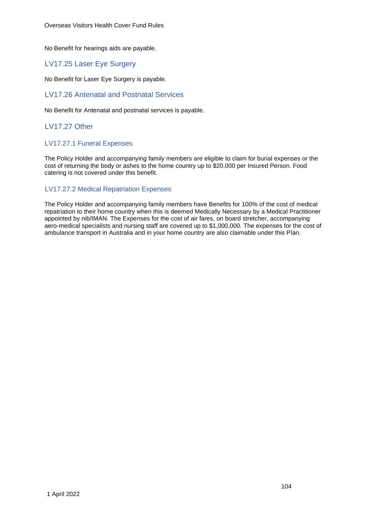No Benefit for hearings aids are payable.

# LV17.25 Laser Eye Surgery

No Benefit for Laser Eye Surgery is payable.

# LV17.26 Antenatal and Postnatal Services

No Benefit for Antenatal and postnatal services is payable.

# LV17.27 Other

### LV17.27.1 Funeral Expenses

The Policy Holder and accompanying family members are eligible to claim for burial expenses or the cost of returning the body or ashes to the home country up to \$20,000 per Insured Person. Food catering is not covered under this benefit.

# LV17.27.2 Medical Repatriation Expenses

The Policy Holder and accompanying family members have Benefits for 100% of the cost of medical repatriation to their home country when this is deemed Medically Necessary by a Medical Practitioner appointed by nib/IMAN. The Expenses for the cost of air fares, on board stretcher, accompanying aero-medical specialists and nursing staff are covered up to \$1,000,000. The expenses for the cost of ambulance transport in Australia and in your home country are also claimable under this Plan.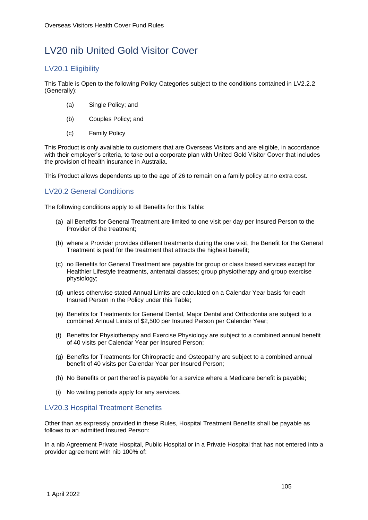# LV20 nib United Gold Visitor Cover

# LV20.1 Eligibility

This Table is Open to the following Policy Categories subject to the conditions contained in LV2.2.2 (Generally):

- (a) Single Policy; and
- (b) Couples Policy; and
- (c) Family Policy

This Product is only available to customers that are Overseas Visitors and are eligible, in accordance with their employer's criteria, to take out a corporate plan with United Gold Visitor Cover that includes the provision of health insurance in Australia.

This Product allows dependents up to the age of 26 to remain on a family policy at no extra cost.

# LV20.2 General Conditions

The following conditions apply to all Benefits for this Table:

- (a) all Benefits for General Treatment are limited to one visit per day per Insured Person to the Provider of the treatment;
- (b) where a Provider provides different treatments during the one visit, the Benefit for the General Treatment is paid for the treatment that attracts the highest benefit;
- (c) no Benefits for General Treatment are payable for group or class based services except for Healthier Lifestyle treatments, antenatal classes; group physiotherapy and group exercise physiology;
- (d) unless otherwise stated Annual Limits are calculated on a Calendar Year basis for each Insured Person in the Policy under this Table;
- (e) Benefits for Treatments for General Dental, Major Dental and Orthodontia are subject to a combined Annual Limits of \$2,500 per Insured Person per Calendar Year;
- (f) Benefits for Physiotherapy and Exercise Physiology are subject to a combined annual benefit of 40 visits per Calendar Year per Insured Person;
- (g) Benefits for Treatments for Chiropractic and Osteopathy are subject to a combined annual benefit of 40 visits per Calendar Year per Insured Person;
- (h) No Benefits or part thereof is payable for a service where a Medicare benefit is payable;
- (i) No waiting periods apply for any services.

# LV20.3 Hospital Treatment Benefits

Other than as expressly provided in these Rules, Hospital Treatment Benefits shall be payable as follows to an admitted Insured Person:

In a nib Agreement Private Hospital, Public Hospital or in a Private Hospital that has not entered into a provider agreement with nib 100% of: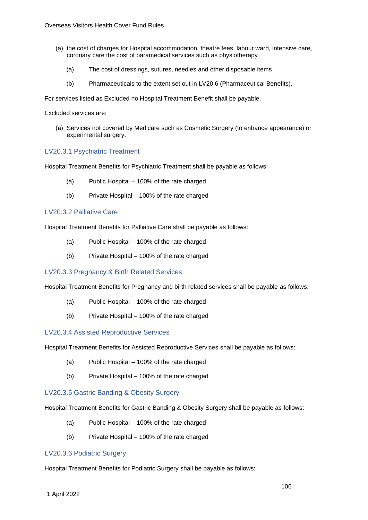- (a) the cost of charges for Hospital accommodation, theatre fees, labour ward, intensive care, coronary care the cost of paramedical services such as physiotherapy
	- (a) The cost of dressings, sutures, needles and other disposable items
	- (b) Pharmaceuticals to the extent set out in LV20.6 (Pharmaceutical Benefits).

For services listed as Excluded no Hospital Treatment Benefit shall be payable.

Excluded services are:

(a) Services not covered by Medicare such as Cosmetic Surgery (to enhance appearance) or experimental surgery.

### LV20.3.1 Psychiatric Treatment

Hospital Treatment Benefits for Psychiatric Treatment shall be payable as follows:

- (a) Public Hospital 100% of the rate charged
- (b) Private Hospital 100% of the rate charged

### LV20.3.2 Palliative Care

Hospital Treatment Benefits for Palliative Care shall be payable as follows:

- (a) Public Hospital 100% of the rate charged
- (b) Private Hospital 100% of the rate charged

### LV20.3.3 Pregnancy & Birth Related Services

Hospital Treatment Benefits for Pregnancy and birth related services shall be payable as follows:

- (a) Public Hospital 100% of the rate charged
- (b) Private Hospital 100% of the rate charged

### LV20.3.4 Assisted Reproductive Services

Hospital Treatment Benefits for Assisted Reproductive Services shall be payable as follows:

- (a) Public Hospital 100% of the rate charged
- (b) Private Hospital 100% of the rate charged

### LV20.3.5 Gastric Banding & Obesity Surgery

Hospital Treatment Benefits for Gastric Banding & Obesity Surgery shall be payable as follows:

- (a) Public Hospital 100% of the rate charged
- (b) Private Hospital 100% of the rate charged

### LV20.3.6 Podiatric Surgery

Hospital Treatment Benefits for Podiatric Surgery shall be payable as follows: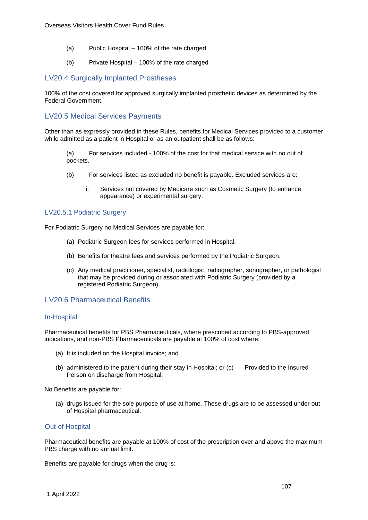- (a) Public Hospital 100% of the rate charged
- (b) Private Hospital 100% of the rate charged

# LV20.4 Surgically Implanted Prostheses

100% of the cost covered for approved surgically implanted prosthetic devices as determined by the Federal Government.

# LV20.5 Medical Services Payments

Other than as expressly provided in these Rules, benefits for Medical Services provided to a customer while admitted as a patient in Hospital or as an outpatient shall be as follows:

(a) For services included - 100% of the cost for that medical service with no out of pockets.

- (b) For services listed as excluded no benefit is payable. Excluded services are:
	- i. Services not covered by Medicare such as Cosmetic Surgery (to enhance appearance) or experimental surgery.

#### LV20.5.1 Podiatric Surgery

For Podiatric Surgery no Medical Services are payable for:

- (a) Podiatric Surgeon fees for services performed in Hospital.
- (b) Benefits for theatre fees and services performed by the Podiatric Surgeon.
- (c) Any medical practitioner, specialist, radiologist, radiographer, sonographer, or pathologist that may be provided during or associated with Podiatric Surgery (provided by a registered Podiatric Surgeon).

# LV20.6 Pharmaceutical Benefits

#### In-Hospital

Pharmaceutical benefits for PBS Pharmaceuticals, where prescribed according to PBS-approved indications, and non-PBS Pharmaceuticals are payable at 100% of cost where:

- (a) It is included on the Hospital invoice; and
- (b) administered to the patient during their stay in Hospital; or (c) Provided to the Insured Person on discharge from Hospital.

No Benefits are payable for:

(a) drugs issued for the sole purpose of use at home. These drugs are to be assessed under out of Hospital pharmaceutical.

### Out-of Hospital

Pharmaceutical benefits are payable at 100% of cost of the prescription over and above the maximum PBS charge with no annual limit.

Benefits are payable for drugs when the drug is: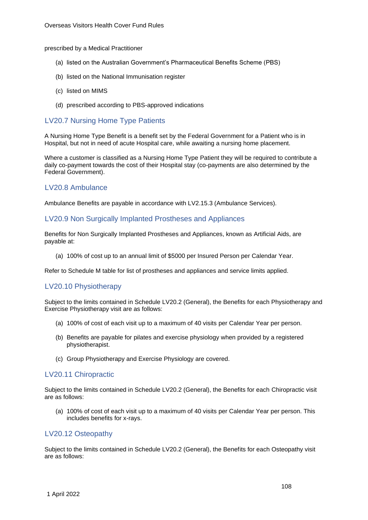prescribed by a Medical Practitioner

- (a) listed on the Australian Government's Pharmaceutical Benefits Scheme (PBS)
- (b) listed on the National Immunisation register
- (c) listed on MIMS
- (d) prescribed according to PBS-approved indications

# LV20.7 Nursing Home Type Patients

A Nursing Home Type Benefit is a benefit set by the Federal Government for a Patient who is in Hospital, but not in need of acute Hospital care, while awaiting a nursing home placement.

Where a customer is classified as a Nursing Home Type Patient they will be required to contribute a daily co-payment towards the cost of their Hospital stay (co-payments are also determined by the Federal Government).

### LV20.8 Ambulance

Ambulance Benefits are payable in accordance with LV2.15.3 (Ambulance Services).

### LV20.9 Non Surgically Implanted Prostheses and Appliances

Benefits for Non Surgically Implanted Prostheses and Appliances, known as Artificial Aids, are payable at:

(a) 100% of cost up to an annual limit of \$5000 per Insured Person per Calendar Year.

Refer to Schedule M table for list of prostheses and appliances and service limits applied.

### LV20.10 Physiotherapy

Subject to the limits contained in Schedule LV20.2 (General), the Benefits for each Physiotherapy and Exercise Physiotherapy visit are as follows:

- (a) 100% of cost of each visit up to a maximum of 40 visits per Calendar Year per person.
- (b) Benefits are payable for pilates and exercise physiology when provided by a registered physiotherapist.
- (c) Group Physiotherapy and Exercise Physiology are covered.

#### LV20.11 Chiropractic

Subject to the limits contained in Schedule LV20.2 (General), the Benefits for each Chiropractic visit are as follows:

(a) 100% of cost of each visit up to a maximum of 40 visits per Calendar Year per person. This includes benefits for x-rays.

### LV20.12 Osteopathy

Subject to the limits contained in Schedule LV20.2 (General), the Benefits for each Osteopathy visit are as follows: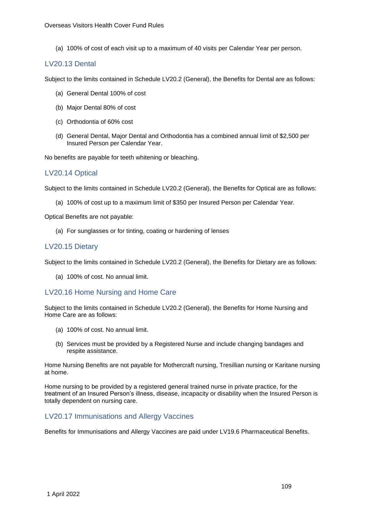(a) 100% of cost of each visit up to a maximum of 40 visits per Calendar Year per person.

## LV20.13 Dental

Subject to the limits contained in Schedule LV20.2 (General), the Benefits for Dental are as follows:

- (a) General Dental 100% of cost
- (b) Major Dental 80% of cost
- (c) Orthodontia of 60% cost
- (d) General Dental, Major Dental and Orthodontia has a combined annual limit of \$2,500 per Insured Person per Calendar Year.

No benefits are payable for teeth whitening or bleaching.

## LV20.14 Optical

Subject to the limits contained in Schedule LV20.2 (General), the Benefits for Optical are as follows:

(a) 100% of cost up to a maximum limit of \$350 per Insured Person per Calendar Year.

Optical Benefits are not payable:

(a) For sunglasses or for tinting, coating or hardening of lenses

## LV20.15 Dietary

Subject to the limits contained in Schedule LV20.2 (General), the Benefits for Dietary are as follows:

(a) 100% of cost. No annual limit.

## LV20.16 Home Nursing and Home Care

Subject to the limits contained in Schedule LV20.2 (General), the Benefits for Home Nursing and Home Care are as follows:

- (a) 100% of cost. No annual limit.
- (b) Services must be provided by a Registered Nurse and include changing bandages and respite assistance.

Home Nursing Benefits are not payable for Mothercraft nursing, Tresillian nursing or Karitane nursing at home.

Home nursing to be provided by a registered general trained nurse in private practice, for the treatment of an Insured Person's illness, disease, incapacity or disability when the Insured Person is totally dependent on nursing care.

## LV20.17 Immunisations and Allergy Vaccines

Benefits for Immunisations and Allergy Vaccines are paid under LV19.6 Pharmaceutical Benefits.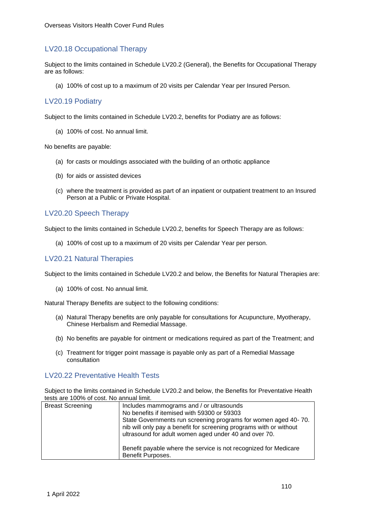## LV20.18 Occupational Therapy

Subject to the limits contained in Schedule LV20.2 (General), the Benefits for Occupational Therapy are as follows:

(a) 100% of cost up to a maximum of 20 visits per Calendar Year per Insured Person.

## LV20.19 Podiatry

Subject to the limits contained in Schedule LV20.2, benefits for Podiatry are as follows:

(a) 100% of cost. No annual limit.

No benefits are payable:

- (a) for casts or mouldings associated with the building of an orthotic appliance
- (b) for aids or assisted devices
- (c) where the treatment is provided as part of an inpatient or outpatient treatment to an Insured Person at a Public or Private Hospital.

#### LV20.20 Speech Therapy

Subject to the limits contained in Schedule LV20.2, benefits for Speech Therapy are as follows:

(a) 100% of cost up to a maximum of 20 visits per Calendar Year per person.

## LV20.21 Natural Therapies

Subject to the limits contained in Schedule LV20.2 and below, the Benefits for Natural Therapies are:

(a) 100% of cost. No annual limit.

Natural Therapy Benefits are subject to the following conditions:

- (a) Natural Therapy benefits are only payable for consultations for Acupuncture, Myotherapy, Chinese Herbalism and Remedial Massage.
- (b) No benefits are payable for ointment or medications required as part of the Treatment; and
- (c) Treatment for trigger point massage is payable only as part of a Remedial Massage consultation

## LV20.22 Preventative Health Tests

Subject to the limits contained in Schedule LV20.2 and below, the Benefits for Preventative Health tests are 100% of cost. No annual limit.

| <b>Breast Screening</b> | Includes mammograms and / or ultrasounds<br>No benefits if itemised with 59300 or 59303<br>State Governments run screening programs for women aged 40-70.<br>nib will only pay a benefit for screening programs with or without<br>ultrasound for adult women aged under 40 and over 70. |
|-------------------------|------------------------------------------------------------------------------------------------------------------------------------------------------------------------------------------------------------------------------------------------------------------------------------------|
|                         | Benefit payable where the service is not recognized for Medicare<br>Benefit Purposes.                                                                                                                                                                                                    |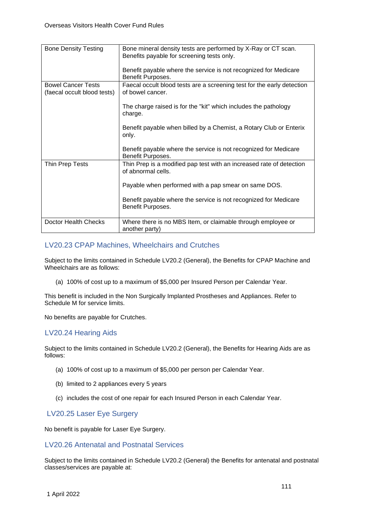| <b>Bone Density Testing</b>                              | Bone mineral density tests are performed by X-Ray or CT scan.<br>Benefits payable for screening tests only. |
|----------------------------------------------------------|-------------------------------------------------------------------------------------------------------------|
|                                                          | Benefit payable where the service is not recognized for Medicare<br>Benefit Purposes.                       |
| <b>Bowel Cancer Tests</b><br>(faecal occult blood tests) | Faecal occult blood tests are a screening test for the early detection<br>of bowel cancer.                  |
|                                                          | The charge raised is for the "kit" which includes the pathology<br>charge.                                  |
|                                                          | Benefit payable when billed by a Chemist, a Rotary Club or Enterix<br>only.                                 |
|                                                          | Benefit payable where the service is not recognized for Medicare<br>Benefit Purposes.                       |
| Thin Prep Tests                                          | Thin Prep is a modified pap test with an increased rate of detection<br>of abnormal cells.                  |
|                                                          | Payable when performed with a pap smear on same DOS.                                                        |
|                                                          | Benefit payable where the service is not recognized for Medicare<br>Benefit Purposes.                       |
| Doctor Health Checks                                     | Where there is no MBS Item, or claimable through employee or<br>another party)                              |

## LV20.23 CPAP Machines, Wheelchairs and Crutches

Subject to the limits contained in Schedule LV20.2 (General), the Benefits for CPAP Machine and Wheelchairs are as follows:

(a) 100% of cost up to a maximum of \$5,000 per Insured Person per Calendar Year.

This benefit is included in the Non Surgically Implanted Prostheses and Appliances. Refer to Schedule M for service limits.

No benefits are payable for Crutches.

## LV20.24 Hearing Aids

Subject to the limits contained in Schedule LV20.2 (General), the Benefits for Hearing Aids are as follows:

- (a) 100% of cost up to a maximum of \$5,000 per person per Calendar Year.
- (b) limited to 2 appliances every 5 years
- (c) includes the cost of one repair for each Insured Person in each Calendar Year.

## LV20.25 Laser Eye Surgery

No benefit is payable for Laser Eye Surgery.

## LV20.26 Antenatal and Postnatal Services

Subject to the limits contained in Schedule LV20.2 (General) the Benefits for antenatal and postnatal classes/services are payable at: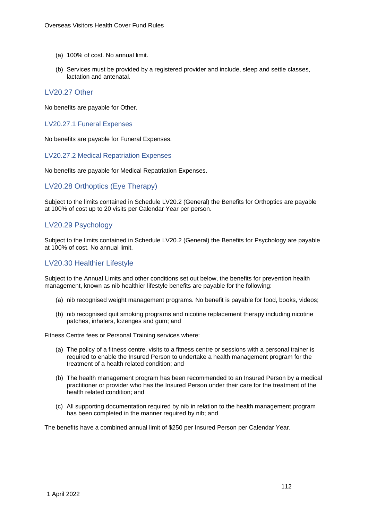- (a) 100% of cost. No annual limit.
- (b) Services must be provided by a registered provider and include, sleep and settle classes, lactation and antenatal.

#### LV20.27 Other

No benefits are payable for Other.

#### LV20.27.1 Funeral Expenses

No benefits are payable for Funeral Expenses.

#### LV20.27.2 Medical Repatriation Expenses

No benefits are payable for Medical Repatriation Expenses.

## LV20.28 Orthoptics (Eye Therapy)

Subject to the limits contained in Schedule LV20.2 (General) the Benefits for Orthoptics are payable at 100% of cost up to 20 visits per Calendar Year per person.

## LV20.29 Psychology

Subject to the limits contained in Schedule LV20.2 (General) the Benefits for Psychology are payable at 100% of cost. No annual limit.

## LV20.30 Healthier Lifestyle

Subject to the Annual Limits and other conditions set out below, the benefits for prevention health management, known as nib healthier lifestyle benefits are payable for the following:

- (a) nib recognised weight management programs. No benefit is payable for food, books, videos;
- (b) nib recognised quit smoking programs and nicotine replacement therapy including nicotine patches, inhalers, lozenges and gum; and

Fitness Centre fees or Personal Training services where:

- (a) The policy of a fitness centre, visits to a fitness centre or sessions with a personal trainer is required to enable the Insured Person to undertake a health management program for the treatment of a health related condition; and
- (b) The health management program has been recommended to an Insured Person by a medical practitioner or provider who has the Insured Person under their care for the treatment of the health related condition; and
- (c) All supporting documentation required by nib in relation to the health management program has been completed in the manner required by nib; and

The benefits have a combined annual limit of \$250 per Insured Person per Calendar Year.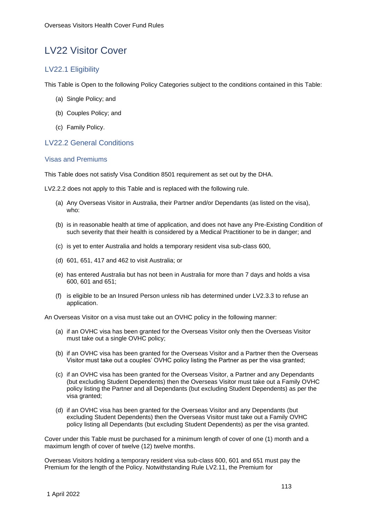## LV22 Visitor Cover

## LV22.1 Eligibility

This Table is Open to the following Policy Categories subject to the conditions contained in this Table:

- (a) Single Policy; and
- (b) Couples Policy; and
- (c) Family Policy.

## LV22.2 General Conditions

#### Visas and Premiums

This Table does not satisfy Visa Condition 8501 requirement as set out by the DHA.

LV2.2.2 does not apply to this Table and is replaced with the following rule.

- (a) Any Overseas Visitor in Australia, their Partner and/or Dependants (as listed on the visa), who:
- (b) is in reasonable health at time of application, and does not have any Pre-Existing Condition of such severity that their health is considered by a Medical Practitioner to be in danger; and
- (c) is yet to enter Australia and holds a temporary resident visa sub-class 600,
- (d) 601, 651, 417 and 462 to visit Australia; or
- (e) has entered Australia but has not been in Australia for more than 7 days and holds a visa 600, 601 and 651;
- (f) is eligible to be an Insured Person unless nib has determined under LV2.3.3 to refuse an application.

An Overseas Visitor on a visa must take out an OVHC policy in the following manner:

- (a) if an OVHC visa has been granted for the Overseas Visitor only then the Overseas Visitor must take out a single OVHC policy;
- (b) if an OVHC visa has been granted for the Overseas Visitor and a Partner then the Overseas Visitor must take out a couples' OVHC policy listing the Partner as per the visa granted;
- (c) if an OVHC visa has been granted for the Overseas Visitor, a Partner and any Dependants (but excluding Student Dependents) then the Overseas Visitor must take out a Family OVHC policy listing the Partner and all Dependants (but excluding Student Dependents) as per the visa granted;
- (d) if an OVHC visa has been granted for the Overseas Visitor and any Dependants (but excluding Student Dependents) then the Overseas Visitor must take out a Family OVHC policy listing all Dependants (but excluding Student Dependents) as per the visa granted.

Cover under this Table must be purchased for a minimum length of cover of one (1) month and a maximum length of cover of twelve (12) twelve months.

Overseas Visitors holding a temporary resident visa sub-class 600, 601 and 651 must pay the Premium for the length of the Policy. Notwithstanding Rule LV2.11, the Premium for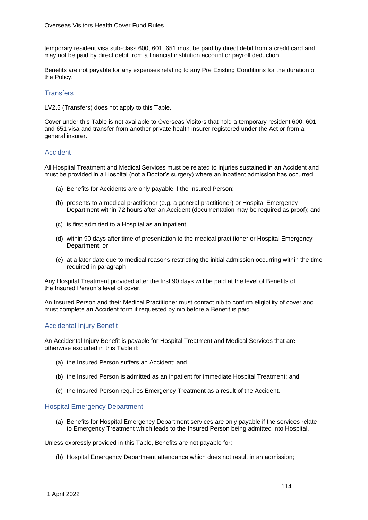temporary resident visa sub-class 600, 601, 651 must be paid by direct debit from a credit card and may not be paid by direct debit from a financial institution account or payroll deduction.

Benefits are not payable for any expenses relating to any Pre Existing Conditions for the duration of the Policy.

#### **Transfers**

LV2.5 (Transfers) does not apply to this Table.

Cover under this Table is not available to Overseas Visitors that hold a temporary resident 600, 601 and 651 visa and transfer from another private health insurer registered under the Act or from a general insurer.

#### **Accident**

All Hospital Treatment and Medical Services must be related to injuries sustained in an Accident and must be provided in a Hospital (not a Doctor's surgery) where an inpatient admission has occurred.

- (a) Benefits for Accidents are only payable if the Insured Person:
- (b) presents to a medical practitioner (e.g. a general practitioner) or Hospital Emergency Department within 72 hours after an Accident (documentation may be required as proof); and
- (c) is first admitted to a Hospital as an inpatient:
- (d) within 90 days after time of presentation to the medical practitioner or Hospital Emergency Department; or
- (e) at a later date due to medical reasons restricting the initial admission occurring within the time required in paragraph

Any Hospital Treatment provided after the first 90 days will be paid at the level of Benefits of the Insured Person's level of cover.

An Insured Person and their Medical Practitioner must contact nib to confirm eligibility of cover and must complete an Accident form if requested by nib before a Benefit is paid.

#### Accidental Injury Benefit

An Accidental Injury Benefit is payable for Hospital Treatment and Medical Services that are otherwise excluded in this Table if:

- (a) the Insured Person suffers an Accident; and
- (b) the Insured Person is admitted as an inpatient for immediate Hospital Treatment; and
- (c) the Insured Person requires Emergency Treatment as a result of the Accident.

#### Hospital Emergency Department

(a) Benefits for Hospital Emergency Department services are only payable if the services relate to Emergency Treatment which leads to the Insured Person being admitted into Hospital.

Unless expressly provided in this Table, Benefits are not payable for:

(b) Hospital Emergency Department attendance which does not result in an admission;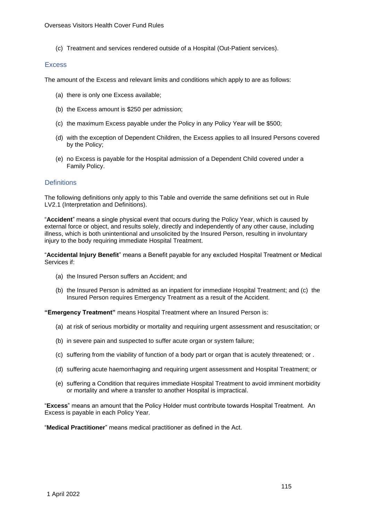(c) Treatment and services rendered outside of a Hospital (Out-Patient services).

#### **Excess**

The amount of the Excess and relevant limits and conditions which apply to are as follows:

- (a) there is only one Excess available;
- (b) the Excess amount is \$250 per admission;
- (c) the maximum Excess payable under the Policy in any Policy Year will be \$500;
- (d) with the exception of Dependent Children, the Excess applies to all Insured Persons covered by the Policy;
- (e) no Excess is payable for the Hospital admission of a Dependent Child covered under a Family Policy.

#### **Definitions**

The following definitions only apply to this Table and override the same definitions set out in Rule LV2.1 (Interpretation and Definitions).

"**Accident**" means a single physical event that occurs during the Policy Year, which is caused by external force or object, and results solely, directly and independently of any other cause, including illness, which is both unintentional and unsolicited by the Insured Person, resulting in involuntary injury to the body requiring immediate Hospital Treatment.

"**Accidental Injury Benefit**" means a Benefit payable for any excluded Hospital Treatment or Medical Services if:

- (a) the Insured Person suffers an Accident; and
- (b) the Insured Person is admitted as an inpatient for immediate Hospital Treatment; and (c) the Insured Person requires Emergency Treatment as a result of the Accident.

**"Emergency Treatment"** means Hospital Treatment where an Insured Person is:

- (a) at risk of serious morbidity or mortality and requiring urgent assessment and resuscitation; or
- (b) in severe pain and suspected to suffer acute organ or system failure;
- (c) suffering from the viability of function of a body part or organ that is acutely threatened; or .
- (d) suffering acute haemorrhaging and requiring urgent assessment and Hospital Treatment; or
- (e) suffering a Condition that requires immediate Hospital Treatment to avoid imminent morbidity or mortality and where a transfer to another Hospital is impractical.

"**Excess**" means an amount that the Policy Holder must contribute towards Hospital Treatment. An Excess is payable in each Policy Year.

"**Medical Practitioner**" means medical practitioner as defined in the Act.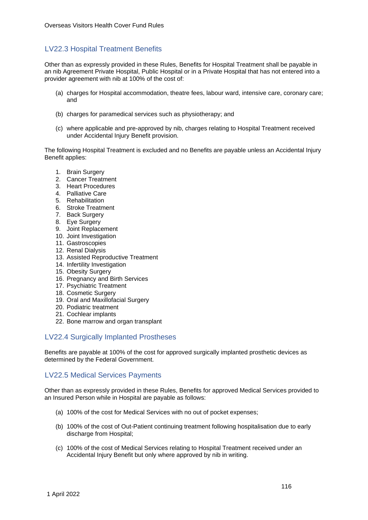## LV22.3 Hospital Treatment Benefits

Other than as expressly provided in these Rules, Benefits for Hospital Treatment shall be payable in an nib Agreement Private Hospital, Public Hospital or in a Private Hospital that has not entered into a provider agreement with nib at 100% of the cost of:

- (a) charges for Hospital accommodation, theatre fees, labour ward, intensive care, coronary care; and
- (b) charges for paramedical services such as physiotherapy; and
- (c) where applicable and pre-approved by nib, charges relating to Hospital Treatment received under Accidental Injury Benefit provision.

The following Hospital Treatment is excluded and no Benefits are payable unless an Accidental Injury Benefit applies:

- 1. Brain Surgery
- 2. Cancer Treatment
- 3. Heart Procedures
- 4. Palliative Care
- 5. Rehabilitation
- 6. Stroke Treatment
- 7. Back Surgery
- 8. Eye Surgery
- 9. Joint Replacement
- 10. Joint Investigation
- 11. Gastroscopies
- 12. Renal Dialysis
- 13. Assisted Reproductive Treatment
- 14. Infertility Investigation
- 15. Obesity Surgery
- 16. Pregnancy and Birth Services
- 17. Psychiatric Treatment
- 18. Cosmetic Surgery
- 19. Oral and Maxillofacial Surgery
- 20. Podiatric treatment
- 21. Cochlear implants
- 22. Bone marrow and organ transplant

## LV22.4 Surgically Implanted Prostheses

Benefits are payable at 100% of the cost for approved surgically implanted prosthetic devices as determined by the Federal Government.

## LV22.5 Medical Services Payments

Other than as expressly provided in these Rules, Benefits for approved Medical Services provided to an Insured Person while in Hospital are payable as follows:

- (a) 100% of the cost for Medical Services with no out of pocket expenses;
- (b) 100% of the cost of Out-Patient continuing treatment following hospitalisation due to early discharge from Hospital:
- (c) 100% of the cost of Medical Services relating to Hospital Treatment received under an Accidental Injury Benefit but only where approved by nib in writing.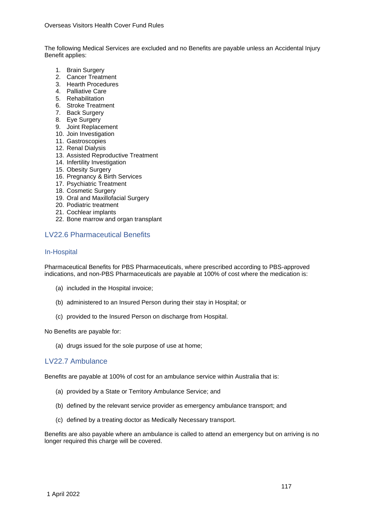The following Medical Services are excluded and no Benefits are payable unless an Accidental Injury Benefit applies:

- 1. Brain Surgery
- 2. Cancer Treatment
- 3. Hearth Procedures
- 4. Palliative Care
- 5. Rehabilitation
- 6. Stroke Treatment
- 7. Back Surgery
- 8. Eye Surgery
- 9. Joint Replacement
- 10. Join Investigation
- 11. Gastroscopies
- 12. Renal Dialysis
- 13. Assisted Reproductive Treatment
- 14. Infertility Investigation
- 15. Obesity Surgery
- 16. Pregnancy & Birth Services
- 17. Psychiatric Treatment
- 18. Cosmetic Surgery
- 19. Oral and Maxillofacial Surgery
- 20. Podiatric treatment
- 21. Cochlear implants
- 22. Bone marrow and organ transplant

## LV22.6 Pharmaceutical Benefits

#### In-Hospital

Pharmaceutical Benefits for PBS Pharmaceuticals, where prescribed according to PBS-approved indications, and non-PBS Pharmaceuticals are payable at 100% of cost where the medication is:

- (a) included in the Hospital invoice;
- (b) administered to an Insured Person during their stay in Hospital; or
- (c) provided to the Insured Person on discharge from Hospital.

No Benefits are payable for:

(a) drugs issued for the sole purpose of use at home;

#### LV22.7 Ambulance

Benefits are payable at 100% of cost for an ambulance service within Australia that is:

- (a) provided by a State or Territory Ambulance Service; and
- (b) defined by the relevant service provider as emergency ambulance transport; and
- (c) defined by a treating doctor as Medically Necessary transport.

Benefits are also payable where an ambulance is called to attend an emergency but on arriving is no longer required this charge will be covered.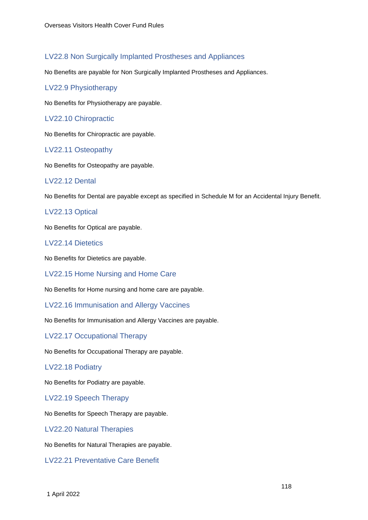## LV22.8 Non Surgically Implanted Prostheses and Appliances

No Benefits are payable for Non Surgically Implanted Prostheses and Appliances.

#### LV22.9 Physiotherapy

No Benefits for Physiotherapy are payable.

#### LV22.10 Chiropractic

No Benefits for Chiropractic are payable.

#### LV22.11 Osteopathy

No Benefits for Osteopathy are payable.

#### LV22.12 Dental

No Benefits for Dental are payable except as specified in Schedule M for an Accidental Injury Benefit.

## LV22.13 Optical

No Benefits for Optical are payable.

## LV22.14 Dietetics

No Benefits for Dietetics are payable.

#### LV22.15 Home Nursing and Home Care

No Benefits for Home nursing and home care are payable.

#### LV22.16 Immunisation and Allergy Vaccines

No Benefits for Immunisation and Allergy Vaccines are payable.

#### LV22.17 Occupational Therapy

No Benefits for Occupational Therapy are payable.

#### LV22.18 Podiatry

No Benefits for Podiatry are payable.

LV22.19 Speech Therapy

No Benefits for Speech Therapy are payable.

LV22.20 Natural Therapies

No Benefits for Natural Therapies are payable.

LV22.21 Preventative Care Benefit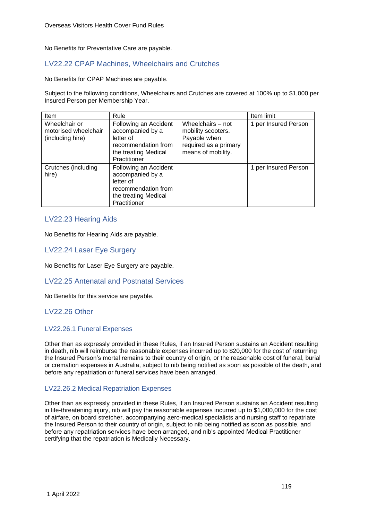No Benefits for Preventative Care are payable.

## LV22.22 CPAP Machines, Wheelchairs and Crutches

No Benefits for CPAP Machines are payable.

Subject to the following conditions, Wheelchairs and Crutches are covered at 100% up to \$1,000 per Insured Person per Membership Year.

| <b>Item</b>                                               | Rule                                                                                                                  |                                                                                                        | Item limit           |
|-----------------------------------------------------------|-----------------------------------------------------------------------------------------------------------------------|--------------------------------------------------------------------------------------------------------|----------------------|
| Wheelchair or<br>motorised wheelchair<br>(including hire) | Following an Accident<br>accompanied by a<br>letter of<br>recommendation from<br>the treating Medical<br>Practitioner | Wheelchairs - not<br>mobility scooters.<br>Payable when<br>required as a primary<br>means of mobility. | 1 per Insured Person |
| Crutches (including<br>hire)                              | Following an Accident<br>accompanied by a<br>letter of<br>recommendation from<br>the treating Medical<br>Practitioner |                                                                                                        | 1 per Insured Person |

#### LV22.23 Hearing Aids

No Benefits for Hearing Aids are payable.

#### LV22.24 Laser Eye Surgery

No Benefits for Laser Eye Surgery are payable.

#### LV22.25 Antenatal and Postnatal Services

No Benefits for this service are payable.

## LV22.26 Other

#### LV22.26.1 Funeral Expenses

Other than as expressly provided in these Rules, if an Insured Person sustains an Accident resulting in death, nib will reimburse the reasonable expenses incurred up to \$20,000 for the cost of returning the Insured Person's mortal remains to their country of origin, or the reasonable cost of funeral, burial or cremation expenses in Australia, subject to nib being notified as soon as possible of the death, and before any repatriation or funeral services have been arranged.

#### LV22.26.2 Medical Repatriation Expenses

Other than as expressly provided in these Rules, if an Insured Person sustains an Accident resulting in life-threatening injury, nib will pay the reasonable expenses incurred up to \$1,000,000 for the cost of airfare, on board stretcher, accompanying aero-medical specialists and nursing staff to repatriate the Insured Person to their country of origin, subject to nib being notified as soon as possible, and before any repatriation services have been arranged, and nib's appointed Medical Practitioner certifying that the repatriation is Medically Necessary.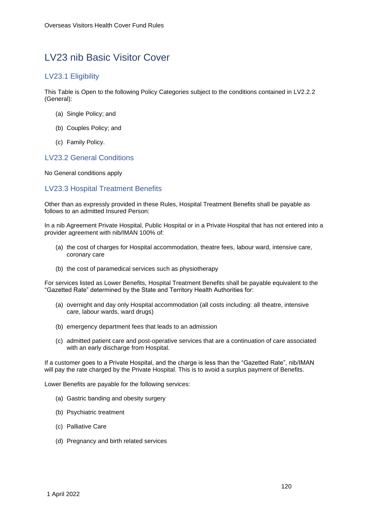## LV23 nib Basic Visitor Cover

## LV23.1 Eligibility

This Table is Open to the following Policy Categories subject to the conditions contained in LV2.2.2 (General):

- (a) Single Policy; and
- (b) Couples Policy; and
- (c) Family Policy.

## LV23.2 General Conditions

No General conditions apply

## LV23.3 Hospital Treatment Benefits

Other than as expressly provided in these Rules, Hospital Treatment Benefits shall be payable as follows to an admitted Insured Person:

In a nib Agreement Private Hospital, Public Hospital or in a Private Hospital that has not entered into a provider agreement with nib/IMAN 100% of:

- (a) the cost of charges for Hospital accommodation, theatre fees, labour ward, intensive care, coronary care
- (b) the cost of paramedical services such as physiotherapy

For services listed as Lower Benefits, Hospital Treatment Benefits shall be payable equivalent to the "Gazetted Rate" determined by the State and Territory Health Authorities for:

- (a) overnight and day only Hospital accommodation (all costs including: all theatre, intensive care, labour wards, ward drugs)
- (b) emergency department fees that leads to an admission
- (c) admitted patient care and post-operative services that are a continuation of care associated with an early discharge from Hospital.

If a customer goes to a Private Hospital, and the charge is less than the "Gazetted Rate", nib/IMAN will pay the rate charged by the Private Hospital. This is to avoid a surplus payment of Benefits.

Lower Benefits are payable for the following services:

- (a) Gastric banding and obesity surgery
- (b) Psychiatric treatment
- (c) Palliative Care
- (d) Pregnancy and birth related services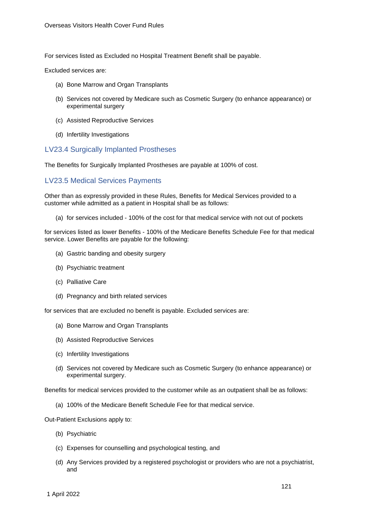For services listed as Excluded no Hospital Treatment Benefit shall be payable.

Excluded services are:

- (a) Bone Marrow and Organ Transplants
- (b) Services not covered by Medicare such as Cosmetic Surgery (to enhance appearance) or experimental surgery
- (c) Assisted Reproductive Services
- (d) Infertility Investigations

#### LV23.4 Surgically Implanted Prostheses

The Benefits for Surgically Implanted Prostheses are payable at 100% of cost.

#### LV23.5 Medical Services Payments

Other than as expressly provided in these Rules, Benefits for Medical Services provided to a customer while admitted as a patient in Hospital shall be as follows:

(a) for services included - 100% of the cost for that medical service with not out of pockets

for services listed as lower Benefits - 100% of the Medicare Benefits Schedule Fee for that medical service. Lower Benefits are payable for the following:

- (a) Gastric banding and obesity surgery
- (b) Psychiatric treatment
- (c) Palliative Care
- (d) Pregnancy and birth related services

for services that are excluded no benefit is payable. Excluded services are:

- (a) Bone Marrow and Organ Transplants
- (b) Assisted Reproductive Services
- (c) Infertility Investigations
- (d) Services not covered by Medicare such as Cosmetic Surgery (to enhance appearance) or experimental surgery.

Benefits for medical services provided to the customer while as an outpatient shall be as follows:

(a) 100% of the Medicare Benefit Schedule Fee for that medical service.

Out-Patient Exclusions apply to:

- (b) Psychiatric
- (c) Expenses for counselling and psychological testing, and
- (d) Any Services provided by a registered psychologist or providers who are not a psychiatrist, and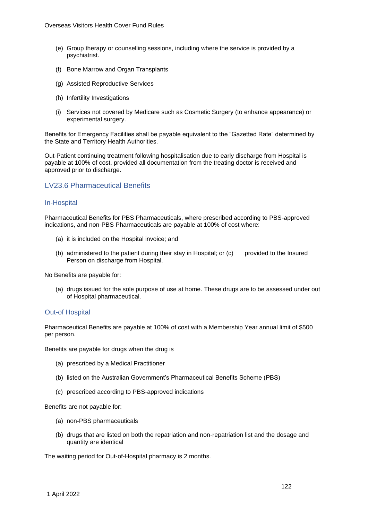- (e) Group therapy or counselling sessions, including where the service is provided by a psychiatrist.
- (f) Bone Marrow and Organ Transplants
- (g) Assisted Reproductive Services
- (h) Infertility Investigations
- (i) Services not covered by Medicare such as Cosmetic Surgery (to enhance appearance) or experimental surgery.

Benefits for Emergency Facilities shall be payable equivalent to the "Gazetted Rate" determined by the State and Territory Health Authorities.

Out-Patient continuing treatment following hospitalisation due to early discharge from Hospital is payable at 100% of cost, provided all documentation from the treating doctor is received and approved prior to discharge.

## LV23.6 Pharmaceutical Benefits

#### In-Hospital

Pharmaceutical Benefits for PBS Pharmaceuticals, where prescribed according to PBS-approved indications, and non-PBS Pharmaceuticals are payable at 100% of cost where:

- (a) it is included on the Hospital invoice; and
- (b) administered to the patient during their stay in Hospital; or (c) provided to the Insured Person on discharge from Hospital.

No Benefits are payable for:

(a) drugs issued for the sole purpose of use at home. These drugs are to be assessed under out of Hospital pharmaceutical.

#### Out-of Hospital

Pharmaceutical Benefits are payable at 100% of cost with a Membership Year annual limit of \$500 per person.

Benefits are payable for drugs when the drug is

- (a) prescribed by a Medical Practitioner
- (b) listed on the Australian Government's Pharmaceutical Benefits Scheme (PBS)
- (c) prescribed according to PBS-approved indications

Benefits are not payable for:

- (a) non-PBS pharmaceuticals
- (b) drugs that are listed on both the repatriation and non-repatriation list and the dosage and quantity are identical

The waiting period for Out-of-Hospital pharmacy is 2 months.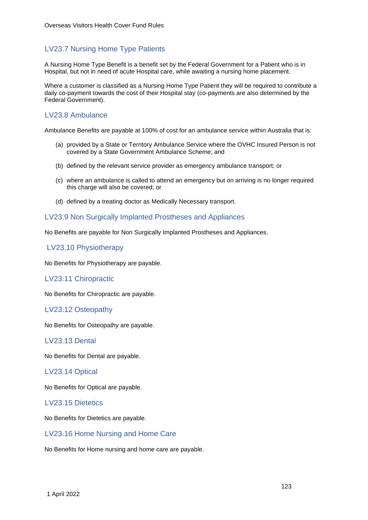## LV23.7 Nursing Home Type Patients

A Nursing Home Type Benefit is a benefit set by the Federal Government for a Patient who is in Hospital, but not in need of acute Hospital care, while awaiting a nursing home placement.

Where a customer is classified as a Nursing Home Type Patient they will be required to contribute a daily co-payment towards the cost of their Hospital stay (co-payments are also determined by the Federal Government).

## LV23.8 Ambulance

Ambulance Benefits are payable at 100% of cost for an ambulance service within Australia that is:

- (a) provided by a State or Territory Ambulance Service where the OVHC Insured Person is not covered by a State Government Ambulance Scheme; and
- (b) defined by the relevant service provider as emergency ambulance transport; or
- (c) where an ambulance is called to attend an emergency but on arriving is no longer required this charge will also be covered; or
- (d) defined by a treating doctor as Medically Necessary transport.

#### LV23.9 Non Surgically Implanted Prostheses and Appliances

No Benefits are payable for Non Surgically Implanted Prostheses and Appliances.

#### LV23.10 Physiotherapy

No Benefits for Physiotherapy are payable.

#### LV23.11 Chiropractic

No Benefits for Chiropractic are payable.

#### LV23.12 Osteopathy

No Benefits for Osteopathy are payable.

#### LV23.13 Dental

No Benefits for Dental are payable.

#### LV23.14 Optical

No Benefits for Optical are payable.

#### LV23.15 Dietetics

No Benefits for Dietetics are payable.

#### LV23.16 Home Nursing and Home Care

No Benefits for Home nursing and home care are payable.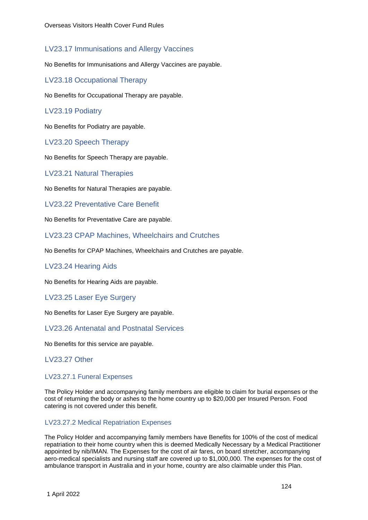## LV23.17 Immunisations and Allergy Vaccines

No Benefits for Immunisations and Allergy Vaccines are payable.

LV23.18 Occupational Therapy

No Benefits for Occupational Therapy are payable.

#### LV23.19 Podiatry

No Benefits for Podiatry are payable.

LV23.20 Speech Therapy

No Benefits for Speech Therapy are payable.

LV23.21 Natural Therapies

No Benefits for Natural Therapies are payable.

LV23.22 Preventative Care Benefit

No Benefits for Preventative Care are payable.

LV23.23 CPAP Machines, Wheelchairs and Crutches

No Benefits for CPAP Machines, Wheelchairs and Crutches are payable.

#### LV23.24 Hearing Aids

No Benefits for Hearing Aids are payable.

LV23.25 Laser Eye Surgery

No Benefits for Laser Eye Surgery are payable.

LV23.26 Antenatal and Postnatal Services

No Benefits for this service are payable.

LV23.27 Other

#### LV23.27.1 Funeral Expenses

The Policy Holder and accompanying family members are eligible to claim for burial expenses or the cost of returning the body or ashes to the home country up to \$20,000 per Insured Person. Food catering is not covered under this benefit.

#### LV23.27.2 Medical Repatriation Expenses

The Policy Holder and accompanying family members have Benefits for 100% of the cost of medical repatriation to their home country when this is deemed Medically Necessary by a Medical Practitioner appointed by nib/IMAN. The Expenses for the cost of air fares, on board stretcher, accompanying aero-medical specialists and nursing staff are covered up to \$1,000,000. The expenses for the cost of ambulance transport in Australia and in your home, country are also claimable under this Plan.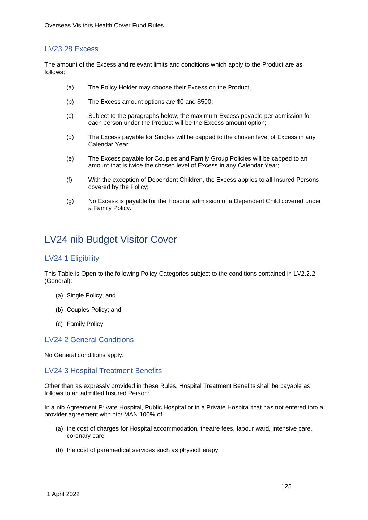#### LV23.28 Excess

The amount of the Excess and relevant limits and conditions which apply to the Product are as follows:

- (a) The Policy Holder may choose their Excess on the Product;
- (b) The Excess amount options are \$0 and \$500;
- (c) Subject to the paragraphs below, the maximum Excess payable per admission for each person under the Product will be the Excess amount option;
- (d) The Excess payable for Singles will be capped to the chosen level of Excess in any Calendar Year;
- (e) The Excess payable for Couples and Family Group Policies will be capped to an amount that is twice the chosen level of Excess in any Calendar Year;
- (f) With the exception of Dependent Children, the Excess applies to all Insured Persons covered by the Policy;
- (g) No Excess is payable for the Hospital admission of a Dependent Child covered under a Family Policy.

## LV24 nib Budget Visitor Cover

#### LV24.1 Eligibility

This Table is Open to the following Policy Categories subject to the conditions contained in LV2.2.2 (General):

- (a) Single Policy; and
- (b) Couples Policy; and
- (c) Family Policy

#### LV24.2 General Conditions

No General conditions apply.

#### LV24.3 Hospital Treatment Benefits

Other than as expressly provided in these Rules, Hospital Treatment Benefits shall be payable as follows to an admitted Insured Person:

In a nib Agreement Private Hospital, Public Hospital or in a Private Hospital that has not entered into a provider agreement with nib/IMAN 100% of:

- (a) the cost of charges for Hospital accommodation, theatre fees, labour ward, intensive care, coronary care
- (b) the cost of paramedical services such as physiotherapy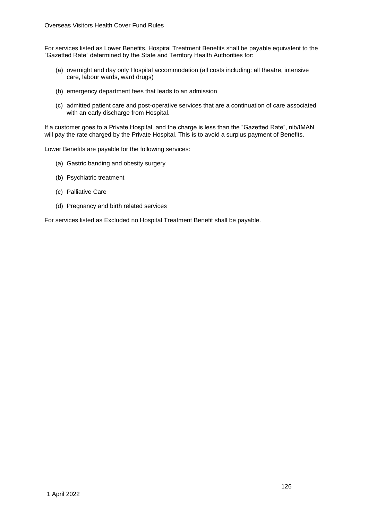For services listed as Lower Benefits, Hospital Treatment Benefits shall be payable equivalent to the "Gazetted Rate" determined by the State and Territory Health Authorities for:

- (a) overnight and day only Hospital accommodation (all costs including: all theatre, intensive care, labour wards, ward drugs)
- (b) emergency department fees that leads to an admission
- (c) admitted patient care and post-operative services that are a continuation of care associated with an early discharge from Hospital.

If a customer goes to a Private Hospital, and the charge is less than the "Gazetted Rate", nib/IMAN will pay the rate charged by the Private Hospital. This is to avoid a surplus payment of Benefits.

Lower Benefits are payable for the following services:

- (a) Gastric banding and obesity surgery
- (b) Psychiatric treatment
- (c) Palliative Care
- (d) Pregnancy and birth related services

For services listed as Excluded no Hospital Treatment Benefit shall be payable.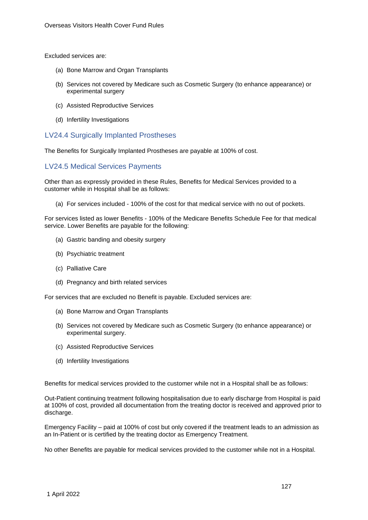Excluded services are:

- (a) Bone Marrow and Organ Transplants
- (b) Services not covered by Medicare such as Cosmetic Surgery (to enhance appearance) or experimental surgery
- (c) Assisted Reproductive Services
- (d) Infertility Investigations

LV24.4 Surgically Implanted Prostheses

The Benefits for Surgically Implanted Prostheses are payable at 100% of cost.

#### LV24.5 Medical Services Payments

Other than as expressly provided in these Rules, Benefits for Medical Services provided to a customer while in Hospital shall be as follows:

(a) For services included - 100% of the cost for that medical service with no out of pockets.

For services listed as lower Benefits - 100% of the Medicare Benefits Schedule Fee for that medical service. Lower Benefits are payable for the following:

- (a) Gastric banding and obesity surgery
- (b) Psychiatric treatment
- (c) Palliative Care
- (d) Pregnancy and birth related services

For services that are excluded no Benefit is payable. Excluded services are:

- (a) Bone Marrow and Organ Transplants
- (b) Services not covered by Medicare such as Cosmetic Surgery (to enhance appearance) or experimental surgery.
- (c) Assisted Reproductive Services
- (d) Infertility Investigations

Benefits for medical services provided to the customer while not in a Hospital shall be as follows:

Out-Patient continuing treatment following hospitalisation due to early discharge from Hospital is paid at 100% of cost, provided all documentation from the treating doctor is received and approved prior to discharge.

Emergency Facility – paid at 100% of cost but only covered if the treatment leads to an admission as an In-Patient or is certified by the treating doctor as Emergency Treatment.

No other Benefits are payable for medical services provided to the customer while not in a Hospital.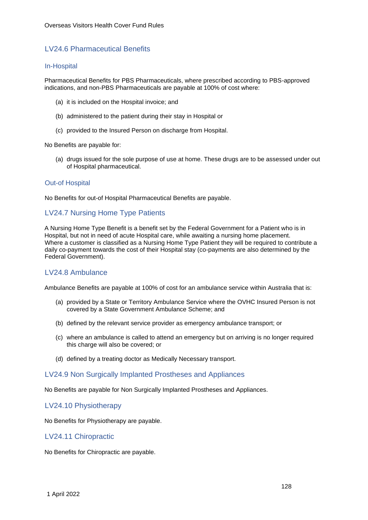## LV24.6 Pharmaceutical Benefits

#### In-Hospital

Pharmaceutical Benefits for PBS Pharmaceuticals, where prescribed according to PBS-approved indications, and non-PBS Pharmaceuticals are payable at 100% of cost where:

- (a) it is included on the Hospital invoice; and
- (b) administered to the patient during their stay in Hospital or
- (c) provided to the Insured Person on discharge from Hospital.

No Benefits are payable for:

(a) drugs issued for the sole purpose of use at home. These drugs are to be assessed under out of Hospital pharmaceutical.

#### Out-of Hospital

No Benefits for out-of Hospital Pharmaceutical Benefits are payable.

## LV24.7 Nursing Home Type Patients

A Nursing Home Type Benefit is a benefit set by the Federal Government for a Patient who is in Hospital, but not in need of acute Hospital care, while awaiting a nursing home placement. Where a customer is classified as a Nursing Home Type Patient they will be required to contribute a daily co-payment towards the cost of their Hospital stay (co-payments are also determined by the Federal Government).

#### LV24.8 Ambulance

Ambulance Benefits are payable at 100% of cost for an ambulance service within Australia that is:

- (a) provided by a State or Territory Ambulance Service where the OVHC Insured Person is not covered by a State Government Ambulance Scheme; and
- (b) defined by the relevant service provider as emergency ambulance transport; or
- (c) where an ambulance is called to attend an emergency but on arriving is no longer required this charge will also be covered; or
- (d) defined by a treating doctor as Medically Necessary transport.

#### LV24.9 Non Surgically Implanted Prostheses and Appliances

No Benefits are payable for Non Surgically Implanted Prostheses and Appliances.

LV24.10 Physiotherapy

No Benefits for Physiotherapy are payable.

#### LV24.11 Chiropractic

No Benefits for Chiropractic are payable.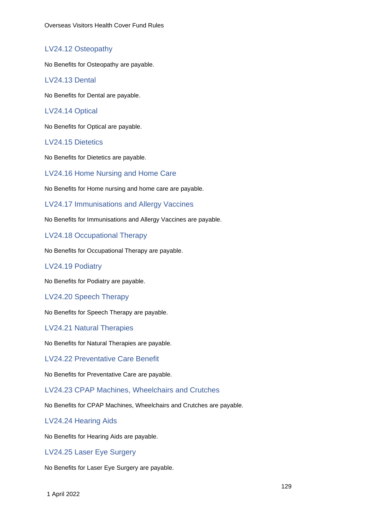## LV24.12 Osteopathy

No Benefits for Osteopathy are payable.

#### LV24.13 Dental

No Benefits for Dental are payable.

#### LV24.14 Optical

No Benefits for Optical are payable.

## LV24.15 Dietetics

No Benefits for Dietetics are payable.

#### LV24.16 Home Nursing and Home Care

No Benefits for Home nursing and home care are payable.

LV24.17 Immunisations and Allergy Vaccines

No Benefits for Immunisations and Allergy Vaccines are payable.

LV24.18 Occupational Therapy

No Benefits for Occupational Therapy are payable.

#### LV24.19 Podiatry

No Benefits for Podiatry are payable.

#### LV24.20 Speech Therapy

No Benefits for Speech Therapy are payable.

#### LV24.21 Natural Therapies

No Benefits for Natural Therapies are payable.

LV24.22 Preventative Care Benefit

No Benefits for Preventative Care are payable.

LV24.23 CPAP Machines, Wheelchairs and Crutches

No Benefits for CPAP Machines, Wheelchairs and Crutches are payable.

#### LV24.24 Hearing Aids

No Benefits for Hearing Aids are payable.

#### LV24.25 Laser Eye Surgery

No Benefits for Laser Eye Surgery are payable.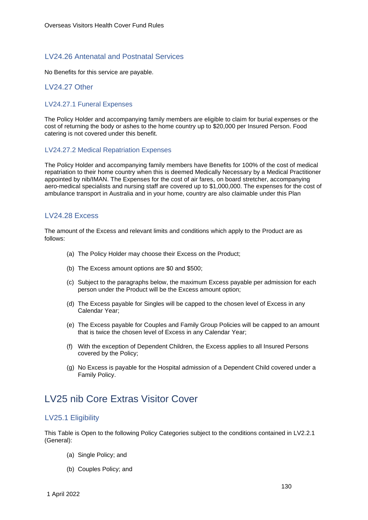## LV24.26 Antenatal and Postnatal Services

No Benefits for this service are payable.

## LV24.27 Other

#### LV24.27.1 Funeral Expenses

The Policy Holder and accompanying family members are eligible to claim for burial expenses or the cost of returning the body or ashes to the home country up to \$20,000 per Insured Person. Food catering is not covered under this benefit.

#### LV24.27.2 Medical Repatriation Expenses

The Policy Holder and accompanying family members have Benefits for 100% of the cost of medical repatriation to their home country when this is deemed Medically Necessary by a Medical Practitioner appointed by nib/IMAN. The Expenses for the cost of air fares, on board stretcher, accompanying aero-medical specialists and nursing staff are covered up to \$1,000,000. The expenses for the cost of ambulance transport in Australia and in your home, country are also claimable under this Plan

## LV24.28 Excess

The amount of the Excess and relevant limits and conditions which apply to the Product are as follows:

- (a) The Policy Holder may choose their Excess on the Product;
- (b) The Excess amount options are \$0 and \$500;
- (c) Subject to the paragraphs below, the maximum Excess payable per admission for each person under the Product will be the Excess amount option;
- (d) The Excess payable for Singles will be capped to the chosen level of Excess in any Calendar Year;
- (e) The Excess payable for Couples and Family Group Policies will be capped to an amount that is twice the chosen level of Excess in any Calendar Year;
- (f) With the exception of Dependent Children, the Excess applies to all Insured Persons covered by the Policy;
- (g) No Excess is payable for the Hospital admission of a Dependent Child covered under a Family Policy.

## LV25 nib Core Extras Visitor Cover

## LV25.1 Eligibility

This Table is Open to the following Policy Categories subject to the conditions contained in LV2.2.1 (General):

- (a) Single Policy; and
- (b) Couples Policy; and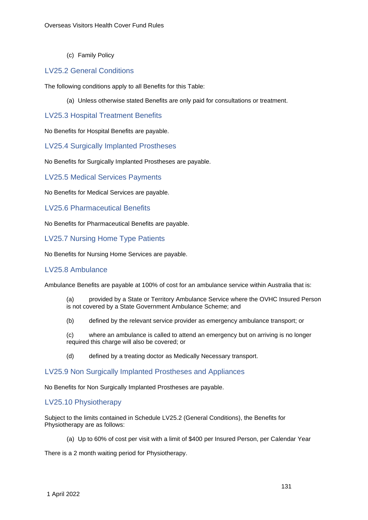(c) Family Policy

#### LV25.2 General Conditions

The following conditions apply to all Benefits for this Table:

(a) Unless otherwise stated Benefits are only paid for consultations or treatment.

## LV25.3 Hospital Treatment Benefits

No Benefits for Hospital Benefits are payable.

LV25.4 Surgically Implanted Prostheses

No Benefits for Surgically Implanted Prostheses are payable.

LV25.5 Medical Services Payments

No Benefits for Medical Services are payable.

LV25.6 Pharmaceutical Benefits

No Benefits for Pharmaceutical Benefits are payable.

#### LV25.7 Nursing Home Type Patients

No Benefits for Nursing Home Services are payable.

#### LV25.8 Ambulance

Ambulance Benefits are payable at 100% of cost for an ambulance service within Australia that is:

- (a) provided by a State or Territory Ambulance Service where the OVHC Insured Person is not covered by a State Government Ambulance Scheme; and
- (b) defined by the relevant service provider as emergency ambulance transport; or

(c) where an ambulance is called to attend an emergency but on arriving is no longer required this charge will also be covered; or

(d) defined by a treating doctor as Medically Necessary transport.

#### LV25.9 Non Surgically Implanted Prostheses and Appliances

No Benefits for Non Surgically Implanted Prostheses are payable.

## LV25.10 Physiotherapy

Subject to the limits contained in Schedule LV25.2 (General Conditions), the Benefits for Physiotherapy are as follows:

(a) Up to 60% of cost per visit with a limit of \$400 per Insured Person, per Calendar Year

There is a 2 month waiting period for Physiotherapy.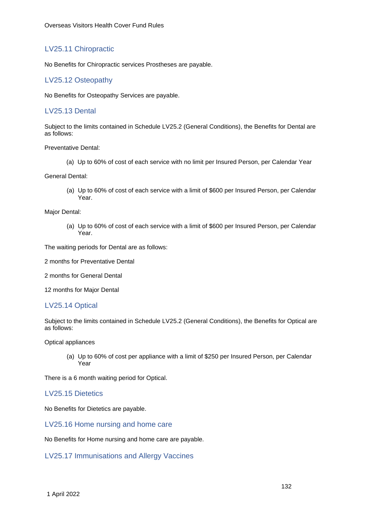## LV25.11 Chiropractic

No Benefits for Chiropractic services Prostheses are payable.

## LV25.12 Osteopathy

No Benefits for Osteopathy Services are payable.

## LV25.13 Dental

Subject to the limits contained in Schedule LV25.2 (General Conditions), the Benefits for Dental are as follows:

Preventative Dental:

(a) Up to 60% of cost of each service with no limit per Insured Person, per Calendar Year

General Dental:

(a) Up to 60% of cost of each service with a limit of \$600 per Insured Person, per Calendar Year.

#### Major Dental:

(a) Up to 60% of cost of each service with a limit of \$600 per Insured Person, per Calendar Year.

The waiting periods for Dental are as follows:

2 months for Preventative Dental

2 months for General Dental

12 months for Major Dental

## LV25.14 Optical

Subject to the limits contained in Schedule LV25.2 (General Conditions), the Benefits for Optical are as follows:

Optical appliances

(a) Up to 60% of cost per appliance with a limit of \$250 per Insured Person, per Calendar Year

There is a 6 month waiting period for Optical.

## LV25.15 Dietetics

No Benefits for Dietetics are payable.

## LV25.16 Home nursing and home care

No Benefits for Home nursing and home care are payable.

LV25.17 Immunisations and Allergy Vaccines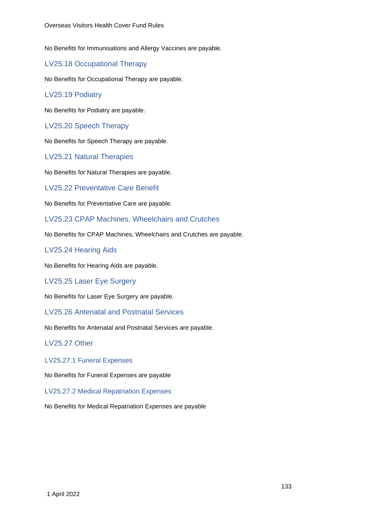No Benefits for Immunisations and Allergy Vaccines are payable.

LV25.18 Occupational Therapy

No Benefits for Occupational Therapy are payable.

LV25.19 Podiatry

No Benefits for Podiatry are payable.

LV25.20 Speech Therapy

No Benefits for Speech Therapy are payable.

LV25.21 Natural Therapies

No Benefits for Natural Therapies are payable.

LV25.22 Preventative Care Benefit

No Benefits for Preventative Care are payable.

LV25.23 CPAP Machines, Wheelchairs and Crutches

No Benefits for CPAP Machines, Wheelchairs and Crutches are payable.

LV25.24 Hearing Aids

No Benefits for Hearing Aids are payable.

LV25.25 Laser Eye Surgery

No Benefits for Laser Eye Surgery are payable.

LV25.26 Antenatal and Postnatal Services

No Benefits for Antenatal and Postnatal Services are payable.

#### LV25.27 Other

LV25.27.1 Funeral Expenses

No Benefits for Funeral Expenses are payable

LV25.27.2 Medical Repatriation Expenses

No Benefits for Medical Repatriation Expenses are payable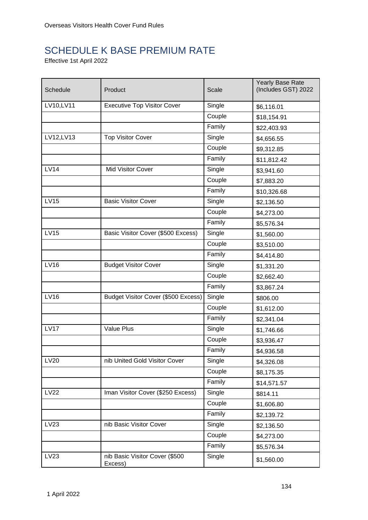# SCHEDULE K BASE PREMIUM RATE

Effective 1st April 2022

| Schedule    | Product                                   | Scale  | Yearly Base Rate<br>(Includes GST) 2022 |
|-------------|-------------------------------------------|--------|-----------------------------------------|
| LV10, LV11  | <b>Executive Top Visitor Cover</b>        | Single | \$6,116.01                              |
|             |                                           | Couple | \$18,154.91                             |
|             |                                           | Family | \$22,403.93                             |
| LV12, LV13  | <b>Top Visitor Cover</b>                  | Single | \$4,656.55                              |
|             |                                           | Couple | \$9,312.85                              |
|             |                                           | Family | \$11,812.42                             |
| <b>LV14</b> | Mid Visitor Cover                         | Single | \$3,941.60                              |
|             |                                           | Couple | \$7,883.20                              |
|             |                                           | Family | \$10,326.68                             |
| <b>LV15</b> | <b>Basic Visitor Cover</b>                | Single | \$2,136.50                              |
|             |                                           | Couple | \$4,273.00                              |
|             |                                           | Family | \$5,576.34                              |
| <b>LV15</b> | Basic Visitor Cover (\$500 Excess)        | Single | \$1,560.00                              |
|             |                                           | Couple | \$3,510.00                              |
|             |                                           | Family | \$4,414.80                              |
| <b>LV16</b> | <b>Budget Visitor Cover</b>               | Single | \$1,331.20                              |
|             |                                           | Couple | \$2,662.40                              |
|             |                                           | Family | \$3,867.24                              |
| <b>LV16</b> | Budget Visitor Cover (\$500 Excess)       | Single | \$806.00                                |
|             |                                           | Couple | \$1,612.00                              |
|             |                                           | Family | \$2,341.04                              |
| <b>LV17</b> | Value Plus                                | Single | \$1,746.66                              |
|             |                                           | Couple | \$3,936.47                              |
|             |                                           | Family | \$4,936.58                              |
| <b>LV20</b> | nib United Gold Visitor Cover             | Single | \$4,326.08                              |
|             |                                           | Couple | \$8,175.35                              |
|             |                                           | Family | \$14,571.57                             |
| <b>LV22</b> | Iman Visitor Cover (\$250 Excess)         | Single | \$814.11                                |
|             |                                           | Couple | \$1,606.80                              |
|             |                                           | Family | \$2,139.72                              |
| LV23        | nib Basic Visitor Cover                   | Single | \$2,136.50                              |
|             |                                           | Couple | \$4,273.00                              |
|             |                                           | Family | \$5,576.34                              |
| LV23        | nib Basic Visitor Cover (\$500<br>Excess) | Single | \$1,560.00                              |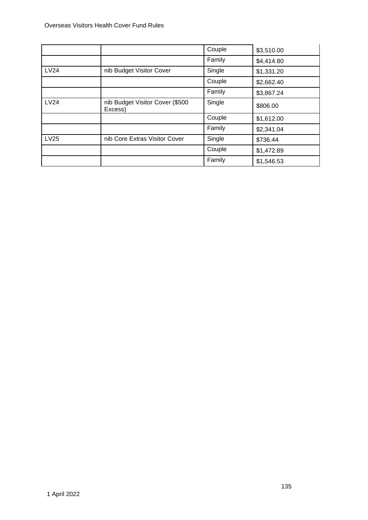|             |                                            | Couple | \$3,510.00 |
|-------------|--------------------------------------------|--------|------------|
|             |                                            | Family | \$4,414.80 |
| <b>LV24</b> | nib Budget Visitor Cover                   | Single | \$1,331.20 |
|             |                                            | Couple | \$2,662.40 |
|             |                                            | Family | \$3,867.24 |
| LV24        | nib Budget Visitor Cover (\$500<br>Excess) | Single | \$806.00   |
|             |                                            | Couple | \$1,612.00 |
|             |                                            | Family | \$2,341.04 |
| LV25        | nib Core Extras Visitor Cover              | Single | \$736.44   |
|             |                                            | Couple | \$1,472.89 |
|             |                                            | Family | \$1,546.53 |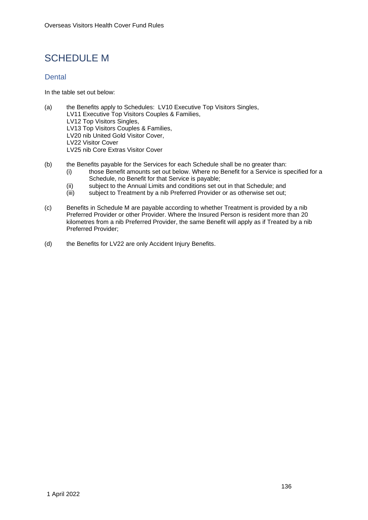## SCHEDULE M

## **Dental**

In the table set out below:

- (a) the Benefits apply to Schedules: LV10 Executive Top Visitors Singles, LV11 Executive Top Visitors Couples & Families, LV12 Top Visitors Singles, LV13 Top Visitors Couples & Families, LV20 nib United Gold Visitor Cover, LV22 Visitor Cover LV25 nib Core Extras Visitor Cover
- (b) the Benefits payable for the Services for each Schedule shall be no greater than:
	- (i) those Benefit amounts set out below. Where no Benefit for a Service is specified for a Schedule, no Benefit for that Service is payable;
	- (ii) subject to the Annual Limits and conditions set out in that Schedule; and<br>(iii) subject to Treatment by a nib Preferred Provider or as otherwise set out:
	- subject to Treatment by a nib Preferred Provider or as otherwise set out;
- (c) Benefits in Schedule M are payable according to whether Treatment is provided by a nib Preferred Provider or other Provider. Where the Insured Person is resident more than 20 kilometres from a nib Preferred Provider, the same Benefit will apply as if Treated by a nib Preferred Provider;
- (d) the Benefits for LV22 are only Accident Injury Benefits.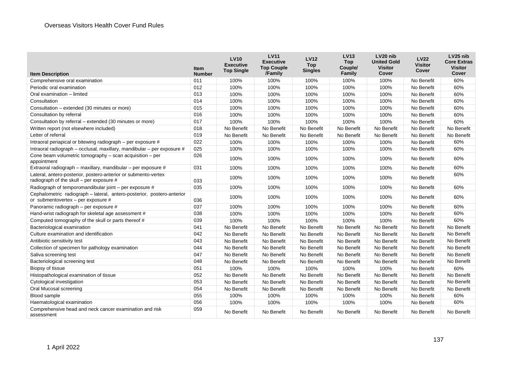| <b>Item Description</b>                                                                                        | <b>Item</b><br><b>Number</b> | <b>LV10</b><br><b>Executive</b><br><b>Top Single</b> | <b>LV11</b><br><b>Executive</b><br><b>Top Couple</b><br>/Family | <b>LV12</b><br><b>Top</b><br><b>Singles</b> | <b>LV13</b><br><b>Top</b><br>Couple/<br><b>Family</b> | LV <sub>20</sub> nib<br><b>United Gold</b><br><b>Visitor</b><br>Cover | <b>LV22</b><br><b>Visitor</b><br>Cover | LV <sub>25</sub> nib<br><b>Core Extras</b><br><b>Visitor</b><br>Cover |
|----------------------------------------------------------------------------------------------------------------|------------------------------|------------------------------------------------------|-----------------------------------------------------------------|---------------------------------------------|-------------------------------------------------------|-----------------------------------------------------------------------|----------------------------------------|-----------------------------------------------------------------------|
| Comprehensive oral examination                                                                                 | 011                          | 100%                                                 | 100%                                                            | 100%                                        | 100%                                                  | 100%                                                                  | No Benefit                             | 60%                                                                   |
| Periodic oral examination                                                                                      | 012                          | 100%                                                 | 100%                                                            | 100%                                        | 100%                                                  | 100%                                                                  | No Benefit                             | 60%                                                                   |
| Oral examination - limited                                                                                     | 013                          | 100%                                                 | 100%                                                            | 100%                                        | 100%                                                  | 100%                                                                  | No Benefit                             | 60%                                                                   |
| Consultation                                                                                                   | 014                          | 100%                                                 | 100%                                                            | 100%                                        | 100%                                                  | 100%                                                                  | No Benefit                             | 60%                                                                   |
| Consultation – extended (30 minutes or more)                                                                   | 015                          | 100%                                                 | 100%                                                            | 100%                                        | 100%                                                  | 100%                                                                  | No Benefit                             | 60%                                                                   |
| Consultation by referral                                                                                       | 016                          | 100%                                                 | 100%                                                            | 100%                                        | 100%                                                  | 100%                                                                  | No Benefit                             | 60%                                                                   |
| Consultation by referral - extended (30 minutes or more)                                                       | 017                          | 100%                                                 | 100%                                                            | 100%                                        | 100%                                                  | 100%                                                                  | No Benefit                             | 60%                                                                   |
| Written report (not elsewhere included)                                                                        | 018                          | No Benefit                                           | No Benefit                                                      | No Benefit                                  | No Benefit                                            | No Benefit                                                            | No Benefit                             | No Benefit                                                            |
| Letter of referral                                                                                             | 019                          | No Benefit                                           | No Benefit                                                      | No Benefit                                  | No Benefit                                            | No Benefit                                                            | No Benefit                             | No Benefit                                                            |
| Intraoral periapical or bitewing radiograph – per exposure #                                                   | 022                          | 100%                                                 | 100%                                                            | 100%                                        | 100%                                                  | 100%                                                                  | No Benefit                             | 60%                                                                   |
| Intraoral radiograph - occlusal, maxillary, mandibular - per exposure #                                        | 025                          | 100%                                                 | 100%                                                            | 100%                                        | 100%                                                  | 100%                                                                  | No Benefit                             | 60%                                                                   |
| Cone beam volumetric tomography $-$ scan acquisition $-$ per<br>appointment                                    | 026                          | 100%                                                 | 100%                                                            | 100%                                        | 100%                                                  | 100%                                                                  | No Benefit                             | 60%                                                                   |
| Extraoral radiograph - maxillary, mandibular - per exposure #                                                  | 031                          | 100%                                                 | 100%                                                            | 100%                                        | 100%                                                  | 100%                                                                  | No Benefit                             | 60%                                                                   |
| Lateral, antero-posterior, postero-anterior or submento-vertex<br>radiograph of the skull - per exposure #     | 033                          | 100%                                                 | 100%                                                            | 100%                                        | 100%                                                  | 100%                                                                  | No Benefit                             | 60%                                                                   |
| Radiograph of temporomandibular joint – per exposure #                                                         | 035                          | 100%                                                 | 100%                                                            | 100%                                        | 100%                                                  | 100%                                                                  | No Benefit                             | 60%                                                                   |
| Cephalometric radiograph - lateral, antero-posterior, postero-anterior<br>or submentovertex - per exposure $#$ | 036                          | 100%                                                 | 100%                                                            | 100%                                        | 100%                                                  | 100%                                                                  | No Benefit                             | 60%                                                                   |
| Panoramic radiograph – per exposure #                                                                          | 037                          | 100%                                                 | 100%                                                            | 100%                                        | 100%                                                  | 100%                                                                  | No Benefit                             | 60%                                                                   |
| Hand-wrist radiograph for skeletal age assessment #                                                            | 038                          | 100%                                                 | 100%                                                            | 100%                                        | 100%                                                  | 100%                                                                  | No Benefit                             | 60%                                                                   |
| Computed tomography of the skull or parts thereof #                                                            | 039                          | 100%                                                 | 100%                                                            | 100%                                        | 100%                                                  | 100%                                                                  | No Benefit                             | 60%                                                                   |
| Bacteriological examination                                                                                    | 041                          | No Benefit                                           | No Benefit                                                      | No Benefit                                  | No Benefit                                            | No Benefit                                                            | No Benefit                             | No Benefit                                                            |
| Culture examination and identification                                                                         | 042                          | No Benefit                                           | No Benefit                                                      | No Benefit                                  | No Benefit                                            | No Benefit                                                            | No Benefit                             | No Benefit                                                            |
| Antibiotic sensitivity test                                                                                    | 043                          | No Benefit                                           | No Benefit                                                      | No Benefit                                  | No Benefit                                            | No Benefit                                                            | No Benefit                             | No Benefit                                                            |
| Collection of specimen for pathology examination                                                               | 044                          | No Benefit                                           | No Benefit                                                      | No Benefit                                  | No Benefit                                            | No Benefit                                                            | No Benefit                             | No Benefit                                                            |
| Saliva screening test                                                                                          | 047                          | No Benefit                                           | No Benefit                                                      | No Benefit                                  | No Benefit                                            | No Benefit                                                            | No Benefit                             | No Benefit                                                            |
| Bacteriological screening test                                                                                 | 048                          | No Benefit                                           | No Benefit                                                      | No Benefit                                  | No Benefit                                            | No Benefit                                                            | No Benefit                             | No Benefit                                                            |
| Biopsy of tissue                                                                                               | 051                          | 100%                                                 | 100%                                                            | 100%                                        | 100%                                                  | 100%                                                                  | No Benefit                             | 60%                                                                   |
| Histopathological examination of tissue                                                                        | 052                          | No Benefit                                           | No Benefit                                                      | No Benefit                                  | No Benefit                                            | No Benefit                                                            | No Benefit                             | No Benefit                                                            |
| Cytological investigation                                                                                      | 053                          | No Benefit                                           | No Benefit                                                      | No Benefit                                  | No Benefit                                            | No Benefit                                                            | No Benefit                             | No Benefit                                                            |
| Oral Mucosal screening                                                                                         | 054                          | No Benefit                                           | No Benefit                                                      | No Benefit                                  | No Benefit                                            | No Benefit                                                            | No Benefit                             | No Benefit                                                            |
| Blood sample                                                                                                   | 055                          | 100%                                                 | 100%                                                            | 100%                                        | 100%                                                  | 100%                                                                  | No Benefit                             | 60%                                                                   |
| Haematological examination                                                                                     | 056                          | 100%                                                 | 100%                                                            | 100%                                        | 100%                                                  | 100%                                                                  | No Benefit                             | 60%                                                                   |
| Comprehensive head and neck cancer examination and risk<br>assessment                                          | 059                          | No Benefit                                           | No Benefit                                                      | No Benefit                                  | No Benefit                                            | No Benefit                                                            | No Benefit                             | No Benefit                                                            |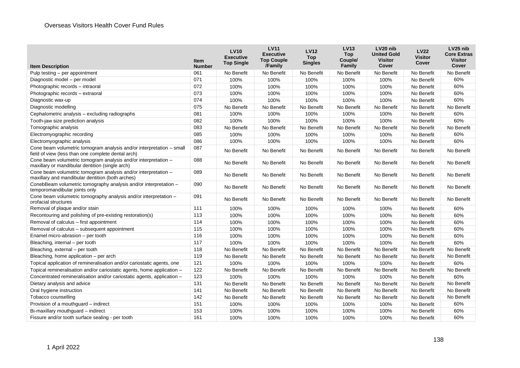| <b>Item Description</b>                                                                                                    | <b>Item</b><br><b>Number</b> | <b>LV10</b><br><b>Executive</b><br><b>Top Single</b> | <b>LV11</b><br><b>Executive</b><br><b>Top Couple</b><br>/Family | <b>LV12</b><br><b>Top</b><br><b>Singles</b> | <b>LV13</b><br><b>Top</b><br>Couple/<br><b>Family</b> | LV <sub>20</sub> nib<br><b>United Gold</b><br><b>Visitor</b><br>Cover | <b>LV22</b><br><b>Visitor</b><br>Cover | LV <sub>25</sub> nib<br><b>Core Extras</b><br><b>Visitor</b><br>Cover |
|----------------------------------------------------------------------------------------------------------------------------|------------------------------|------------------------------------------------------|-----------------------------------------------------------------|---------------------------------------------|-------------------------------------------------------|-----------------------------------------------------------------------|----------------------------------------|-----------------------------------------------------------------------|
| Pulp testing – per appointment                                                                                             | 061                          | No Benefit                                           | No Benefit                                                      | No Benefit                                  | No Benefit                                            | No Benefit                                                            | No Benefit                             | No Benefit                                                            |
| Diagnostic model - per model                                                                                               | 071                          | 100%                                                 | 100%                                                            | 100%                                        | 100%                                                  | 100%                                                                  | No Benefit                             | 60%                                                                   |
| Photographic records - intraoral                                                                                           | 072                          | 100%                                                 | 100%                                                            | 100%                                        | 100%                                                  | 100%                                                                  | No Benefit                             | 60%                                                                   |
| Photographic records - extraoral                                                                                           | 073                          | 100%                                                 | 100%                                                            | 100%                                        | 100%                                                  | 100%                                                                  | No Benefit                             | 60%                                                                   |
| Diagnostic wax-up                                                                                                          | 074                          | 100%                                                 | 100%                                                            | 100%                                        | 100%                                                  | 100%                                                                  | No Benefit                             | 60%                                                                   |
| Diagnostic modelling                                                                                                       | 075                          | No Benefit                                           | No Benefit                                                      | No Benefit                                  | No Benefit                                            | No Benefit                                                            | No Benefit                             | No Benefit                                                            |
| Cephalometric analysis - excluding radiographs                                                                             | 081                          | 100%                                                 | 100%                                                            | 100%                                        | 100%                                                  | 100%                                                                  | No Benefit                             | 60%                                                                   |
| Tooth-jaw size prediction analysis                                                                                         | 082                          | 100%                                                 | 100%                                                            | 100%                                        | 100%                                                  | 100%                                                                  | No Benefit                             | 60%                                                                   |
| Tomographic analysis                                                                                                       | 083                          | No Benefit                                           | No Benefit                                                      | No Benefit                                  | No Benefit                                            | No Benefit                                                            | No Benefit                             | No Benefit                                                            |
| Electromyographic recording                                                                                                | 085                          | 100%                                                 | 100%                                                            | 100%                                        | 100%                                                  | 100%                                                                  | No Benefit                             | 60%                                                                   |
| Electromyographic analysis                                                                                                 | 086                          | 100%                                                 | 100%                                                            | 100%                                        | 100%                                                  | 100%                                                                  | No Benefit                             | 60%                                                                   |
| Cone beam volumetric tomogram analysis and/or interpretation - small<br>field of view (less than one complete dental arch) | 087                          | No Benefit                                           | No Benefit                                                      | No Benefit                                  | No Benefit                                            | No Benefit                                                            | No Benefit                             | No Benefit                                                            |
| Cone beam volumetric tomogram analysis and/or interpretation -<br>maxillary or mandibular dentition (single arch)          | 088                          | No Benefit                                           | No Benefit                                                      | No Benefit                                  | No Benefit                                            | No Benefit                                                            | No Benefit                             | No Benefit                                                            |
| Cone beam volumetric tomogram analysis and/or interpretation -<br>maxillary and mandibular dentition (both arches)         | 089                          | No Benefit                                           | No Benefit                                                      | No Benefit                                  | No Benefit                                            | No Benefit                                                            | No Benefit                             | No Benefit                                                            |
| ConebBeam volumetric tomography analysis and/or interpretation -<br>temporomandibular joints only                          | 090                          | No Benefit                                           | No Benefit                                                      | No Benefit                                  | No Benefit                                            | No Benefit                                                            | No Benefit                             | No Benefit                                                            |
| Cone beam volumetric tomography analysis and/or interpretation -<br>orofacial structures                                   | 091                          | No Benefit                                           | No Benefit                                                      | No Benefit                                  | No Benefit                                            | No Benefit                                                            | No Benefit                             | No Benefit                                                            |
| Removal of plaque and/or stain                                                                                             | 111                          | 100%                                                 | 100%                                                            | 100%                                        | 100%                                                  | 100%                                                                  | No Benefit                             | 60%                                                                   |
| Recontouring and polishing of pre-existing restoration(s)                                                                  | 113                          | 100%                                                 | 100%                                                            | 100%                                        | 100%                                                  | 100%                                                                  | No Benefit                             | 60%                                                                   |
| Removal of calculus - first appointment                                                                                    | 114                          | 100%                                                 | 100%                                                            | 100%                                        | 100%                                                  | 100%                                                                  | No Benefit                             | 60%                                                                   |
| Removal of calculus - subsequent appointment                                                                               | 115                          | 100%                                                 | 100%                                                            | 100%                                        | 100%                                                  | 100%                                                                  | No Benefit                             | 60%                                                                   |
| Enamel micro-abrasion - per tooth                                                                                          | 116                          | 100%                                                 | 100%                                                            | 100%                                        | 100%                                                  | 100%                                                                  | No Benefit                             | 60%                                                                   |
| Bleaching, internal - per tooth                                                                                            | 117                          | 100%                                                 | 100%                                                            | 100%                                        | 100%                                                  | 100%                                                                  | No Benefit                             | 60%                                                                   |
| Bleaching, external - per tooth                                                                                            | 118                          | No Benefit                                           | No Benefit                                                      | No Benefit                                  | No Benefit                                            | No Benefit                                                            | No Benefit                             | No Benefit                                                            |
| Bleaching, home application - per arch                                                                                     | 119                          | No Benefit                                           | No Benefit                                                      | No Benefit                                  | No Benefit                                            | No Benefit                                                            | No Benefit                             | No Benefit                                                            |
| Topical application of remineralisation and/or cariostatic agents, one                                                     | 121                          | 100%                                                 | 100%                                                            | 100%                                        | 100%                                                  | 100%                                                                  | No Benefit                             | 60%                                                                   |
| Topical remineralisation and/or cariostatic agents, home application -                                                     | 122                          | No Benefit                                           | No Benefit                                                      | No Benefit                                  | No Benefit                                            | No Benefit                                                            | No Benefit                             | No Benefit                                                            |
| Concentrated remineralisation and/or cariostatic agents, application -                                                     | 123                          | 100%                                                 | 100%                                                            | 100%                                        | 100%                                                  | 100%                                                                  | No Benefit                             | 60%                                                                   |
| Dietary analysis and advice                                                                                                | 131                          | No Benefit                                           | No Benefit                                                      | No Benefit                                  | No Benefit                                            | No Benefit                                                            | No Benefit                             | No Benefit                                                            |
| Oral hygiene instruction                                                                                                   | 141                          | No Benefit                                           | No Benefit                                                      | No Benefit                                  | No Benefit                                            | No Benefit                                                            | No Benefit                             | No Benefit                                                            |
| Tobacco counselling                                                                                                        | 142                          | No Benefit                                           | No Benefit                                                      | No Benefit                                  | No Benefit                                            | No Benefit                                                            | No Benefit                             | No Benefit                                                            |
| Provision of a mouthguard - indirect                                                                                       | 151                          | 100%                                                 | 100%                                                            | 100%                                        | 100%                                                  | 100%                                                                  | No Benefit                             | 60%                                                                   |
| Bi-maxillary mouthguard - indirect                                                                                         | 153                          | 100%                                                 | 100%                                                            | 100%                                        | 100%                                                  | 100%                                                                  | No Benefit                             | 60%                                                                   |
| Fissure and/or tooth surface sealing - per tooth                                                                           | 161                          | 100%                                                 | 100%                                                            | 100%                                        | 100%                                                  | 100%                                                                  | No Benefit                             | 60%                                                                   |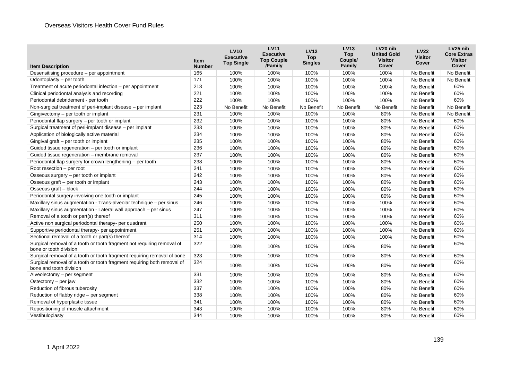| <b>Item Description</b>                                                                            | <b>Item</b><br><b>Number</b> | <b>LV10</b><br><b>Executive</b><br><b>Top Single</b> | <b>LV11</b><br><b>Executive</b><br><b>Top Couple</b><br>/Family | <b>LV12</b><br><b>Top</b><br><b>Singles</b> | <b>LV13</b><br><b>Top</b><br>Couple/<br>Family | LV20 nib<br><b>United Gold</b><br><b>Visitor</b><br>Cover | <b>LV22</b><br><b>Visitor</b><br>Cover | LV25 nib<br><b>Core Extras</b><br><b>Visitor</b><br>Cover |
|----------------------------------------------------------------------------------------------------|------------------------------|------------------------------------------------------|-----------------------------------------------------------------|---------------------------------------------|------------------------------------------------|-----------------------------------------------------------|----------------------------------------|-----------------------------------------------------------|
| Desensitising procedure – per appointment                                                          | 165                          | 100%                                                 | 100%                                                            | 100%                                        | 100%                                           | 100%                                                      | No Benefit                             | No Benefit                                                |
| Odontoplasty $-$ per tooth                                                                         | 171                          | 100%                                                 | 100%                                                            | 100%                                        | 100%                                           | 100%                                                      | No Benefit                             | No Benefit                                                |
| Treatment of acute periodontal infection – per appointment                                         | 213                          | 100%                                                 | 100%                                                            | 100%                                        | 100%                                           | 100%                                                      | No Benefit                             | 60%                                                       |
| Clinical periodontal analysis and recording                                                        | 221                          | 100%                                                 | 100%                                                            | 100%                                        | 100%                                           | 100%                                                      | No Benefit                             | 60%                                                       |
| Periodontal debridement - per tooth                                                                | 222                          | 100%                                                 | 100%                                                            | 100%                                        | 100%                                           | 100%                                                      | No Benefit                             | 60%                                                       |
| Non-surgical treatment of peri-implant disease – per implant                                       | 223                          | No Benefit                                           | No Benefit                                                      | No Benefit                                  | No Benefit                                     | No Benefit                                                | No Benefit                             | No Benefit                                                |
| Gingivectomy - per tooth or implant                                                                | 231                          | 100%                                                 | 100%                                                            | 100%                                        | 100%                                           | 80%                                                       | No Benefit                             | No Benefit                                                |
| Periodontal flap surgery – per tooth or implant                                                    | 232                          | 100%                                                 | 100%                                                            | 100%                                        | 100%                                           | 80%                                                       | No Benefit                             | 60%                                                       |
| Surgical treatment of peri-implant disease – per implant                                           | 233                          | 100%                                                 | 100%                                                            | 100%                                        | 100%                                           | 80%                                                       | No Benefit                             | 60%                                                       |
| Application of biologically active material                                                        | 234                          | 100%                                                 | 100%                                                            | 100%                                        | 100%                                           | 80%                                                       | No Benefit                             | 60%                                                       |
| Gingival graft - per tooth or implant                                                              | 235                          | 100%                                                 | 100%                                                            | 100%                                        | 100%                                           | 80%                                                       | No Benefit                             | 60%                                                       |
| Guided tissue regeneration – per tooth or implant                                                  | 236                          | 100%                                                 | 100%                                                            | 100%                                        | 100%                                           | 80%                                                       | No Benefit                             | 60%                                                       |
| Guided tissue regeneration - membrane removal                                                      | 237                          | 100%                                                 | 100%                                                            | 100%                                        | 100%                                           | 80%                                                       | No Benefit                             | 60%                                                       |
| Periodontal flap surgery for crown lengthening - per tooth                                         | 238                          | 100%                                                 | 100%                                                            | 100%                                        | 100%                                           | 80%                                                       | No Benefit                             | 60%                                                       |
| Root resection - per root                                                                          | 241                          | 100%                                                 | 100%                                                            | 100%                                        | 100%                                           | 80%                                                       | No Benefit                             | 60%                                                       |
| Osseous surgery – per tooth or implant                                                             | 242                          | 100%                                                 | 100%                                                            | 100%                                        | 100%                                           | 80%                                                       | No Benefit                             | 60%                                                       |
| Osseous graft – per tooth or implant                                                               | 243                          | 100%                                                 | 100%                                                            | 100%                                        | 100%                                           | 80%                                                       | No Benefit                             | 60%                                                       |
| Osseous graft - block                                                                              | 244                          | 100%                                                 | 100%                                                            | 100%                                        | 100%                                           | 80%                                                       | No Benefit                             | 60%                                                       |
| Periodontal surgery involving one tooth or implant                                                 | 245                          | 100%                                                 | 100%                                                            | 100%                                        | 100%                                           | 80%                                                       | No Benefit                             | 60%                                                       |
| Maxillary sinus augmentation - Trans-alveolar technique - per sinus                                | 246                          | 100%                                                 | 100%                                                            | 100%                                        | 100%                                           | 100%                                                      | No Benefit                             | 60%                                                       |
| Maxillary sinus augmentation - Lateral wall approach - per sinus                                   | 247                          | 100%                                                 | 100%                                                            | 100%                                        | 100%                                           | 100%                                                      | No Benefit                             | 60%                                                       |
| Removal of a tooth or part(s) thereof                                                              | 311                          | 100%                                                 | 100%                                                            | 100%                                        | 100%                                           | 100%                                                      | No Benefit                             | 60%                                                       |
| Active non surgical periodontal therapy- per quadrant                                              | 250                          | 100%                                                 | 100%                                                            | 100%                                        | 100%                                           | 100%                                                      | No Benefit                             | 60%                                                       |
| Supportive periodontal therapy- per appointment                                                    | 251                          | 100%                                                 | 100%                                                            | 100%                                        | 100%                                           | 100%                                                      | No Benefit                             | 60%                                                       |
| Sectional removal of a tooth or part(s) thereof                                                    | 314                          | 100%                                                 | 100%                                                            | 100%                                        | 100%                                           | 100%                                                      | No Benefit                             | 60%                                                       |
| Surgical removal of a tooth or tooth fragment not requiring removal of<br>bone or tooth division   | 322                          | 100%                                                 | 100%                                                            | 100%                                        | 100%                                           | 80%                                                       | No Benefit                             | 60%                                                       |
| Surgical removal of a tooth or tooth fragment requiring removal of bone                            | 323                          | 100%                                                 | 100%                                                            | 100%                                        | 100%                                           | 80%                                                       | No Benefit                             | 60%                                                       |
| Surgical removal of a tooth or tooth fragment requiring both removal of<br>bone and tooth division | 324                          | 100%                                                 | 100%                                                            | 100%                                        | 100%                                           | 80%                                                       | No Benefit                             | 60%                                                       |
| Alveolectomy – per segment                                                                         | 331                          | 100%                                                 | 100%                                                            | 100%                                        | 100%                                           | 80%                                                       | No Benefit                             | 60%                                                       |
| Ostectomy - per jaw                                                                                | 332                          | 100%                                                 | 100%                                                            | 100%                                        | 100%                                           | 80%                                                       | No Benefit                             | 60%                                                       |
| Reduction of fibrous tuberosity                                                                    | 337                          | 100%                                                 | 100%                                                            | 100%                                        | 100%                                           | 80%                                                       | No Benefit                             | 60%                                                       |
| Reduction of flabby ridge - per segment                                                            | 338                          | 100%                                                 | 100%                                                            | 100%                                        | 100%                                           | 80%                                                       | No Benefit                             | 60%                                                       |
| Removal of hyperplastic tissue                                                                     | 341                          | 100%                                                 | 100%                                                            | 100%                                        | 100%                                           | 80%                                                       | No Benefit                             | 60%                                                       |
| Repositioning of muscle attachment                                                                 | 343                          | 100%                                                 | 100%                                                            | 100%                                        | 100%                                           | 80%                                                       | No Benefit                             | 60%                                                       |
| Vestibuloplasty                                                                                    | 344                          | 100%                                                 | 100%                                                            | 100%                                        | 100%                                           | 80%                                                       | No Benefit                             | 60%                                                       |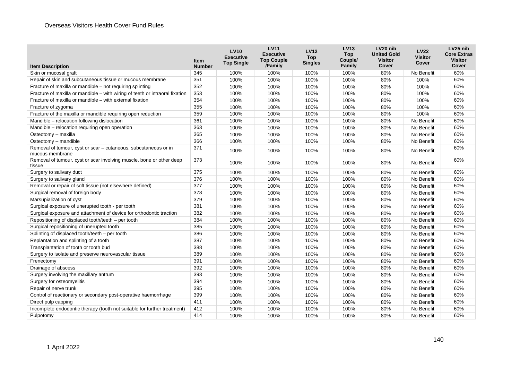| Family<br>/Family<br>Cover<br>Cover<br><b>Item Description</b><br><b>Number</b><br>345<br>60%<br>Skin or mucosal graft<br>100%<br>100%<br>100%<br>100%<br>80%<br>No Benefit<br>100%<br>100%<br>80%<br>351<br>100%<br>100%<br>100%<br>60%<br>Repair of skin and subcutaneous tissue or mucous membrane<br>Fracture of maxilla or mandible - not requiring splinting<br>352<br>60%<br>100%<br>100%<br>100%<br>100%<br>80%<br>100%<br>353<br>60%<br>Fracture of maxilla or mandible – with wiring of teeth or intraoral fixation<br>100%<br>100%<br>100%<br>100%<br>100%<br>80% |
|------------------------------------------------------------------------------------------------------------------------------------------------------------------------------------------------------------------------------------------------------------------------------------------------------------------------------------------------------------------------------------------------------------------------------------------------------------------------------------------------------------------------------------------------------------------------------|
|                                                                                                                                                                                                                                                                                                                                                                                                                                                                                                                                                                              |
|                                                                                                                                                                                                                                                                                                                                                                                                                                                                                                                                                                              |
|                                                                                                                                                                                                                                                                                                                                                                                                                                                                                                                                                                              |
|                                                                                                                                                                                                                                                                                                                                                                                                                                                                                                                                                                              |
|                                                                                                                                                                                                                                                                                                                                                                                                                                                                                                                                                                              |
| 354<br>Fracture of maxilla or mandible – with external fixation<br>100%<br>80%<br>60%<br>100%<br>100%<br>100%<br>100%                                                                                                                                                                                                                                                                                                                                                                                                                                                        |
| 355<br>60%<br>Fracture of zygoma<br>100%<br>100%<br>100%<br>100%<br>80%<br>100%                                                                                                                                                                                                                                                                                                                                                                                                                                                                                              |
| Fracture of the maxilla or mandible requiring open reduction<br>359<br>60%<br>100%<br>100%<br>100%<br>100%<br>80%<br>100%                                                                                                                                                                                                                                                                                                                                                                                                                                                    |
| Mandible - relocation following dislocation<br>361<br>80%<br>No Benefit<br>60%<br>100%<br>100%<br>100%<br>100%                                                                                                                                                                                                                                                                                                                                                                                                                                                               |
| Mandible - relocation requiring open operation<br>363<br>100%<br>100%<br>100%<br>100%<br>80%<br>No Benefit<br>60%                                                                                                                                                                                                                                                                                                                                                                                                                                                            |
| 365<br>100%<br>100%<br>100%<br>100%<br>80%<br>No Benefit<br>60%<br>Osteotomy - maxilla                                                                                                                                                                                                                                                                                                                                                                                                                                                                                       |
| Osteotomy - mandible<br>366<br>60%<br>100%<br>100%<br>100%<br>100%<br>80%<br>No Benefit                                                                                                                                                                                                                                                                                                                                                                                                                                                                                      |
| 371<br>60%<br>Removal of tumour, cyst or scar - cutaneous, subcutaneous or in<br>100%<br>100%<br>100%<br>80%<br>100%<br>No Benefit<br>mucous membrane                                                                                                                                                                                                                                                                                                                                                                                                                        |
| Removal of tumour, cyst or scar involving muscle, bone or other deep<br>373<br>60%<br>100%<br>100%<br>100%<br>100%<br>80%<br>No Benefit<br>tissue                                                                                                                                                                                                                                                                                                                                                                                                                            |
| Surgery to salivary duct<br>375<br>No Benefit<br>60%<br>100%<br>100%<br>100%<br>100%<br>80%                                                                                                                                                                                                                                                                                                                                                                                                                                                                                  |
| 376<br>60%<br>Surgery to salivary gland<br>100%<br>100%<br>100%<br>100%<br>80%<br>No Benefit                                                                                                                                                                                                                                                                                                                                                                                                                                                                                 |
| 377<br>Removal or repair of soft tissue (not elsewhere defined)<br>100%<br>100%<br>80%<br>60%<br>100%<br>100%<br>No Benefit                                                                                                                                                                                                                                                                                                                                                                                                                                                  |
| Surgical removal of foreign body<br>378<br>100%<br>100%<br>100%<br>60%<br>100%<br>80%<br>No Benefit                                                                                                                                                                                                                                                                                                                                                                                                                                                                          |
| 379<br>60%<br>Marsupialization of cyst<br>100%<br>100%<br>100%<br>80%<br>No Benefit<br>100%                                                                                                                                                                                                                                                                                                                                                                                                                                                                                  |
| 381<br>Surgical exposure of unerupted tooth - per tooth<br>100%<br>100%<br>80%<br>60%<br>100%<br>100%<br>No Benefit                                                                                                                                                                                                                                                                                                                                                                                                                                                          |
| 382<br>100%<br>100%<br>Surgical exposure and attachment of device for orthodontic traction<br>100%<br>100%<br>80%<br>No Benefit<br>60%                                                                                                                                                                                                                                                                                                                                                                                                                                       |
| Repositioning of displaced tooth/teeth - per tooth<br>384<br>60%<br>100%<br>100%<br>100%<br>100%<br>80%<br>No Benefit                                                                                                                                                                                                                                                                                                                                                                                                                                                        |
| Surgical repositioning of unerupted tooth<br>385<br>100%<br>100%<br>80%<br>60%<br>100%<br>100%<br>No Benefit                                                                                                                                                                                                                                                                                                                                                                                                                                                                 |
| Splinting of displaced tooth/teeth - per tooth<br>386<br>60%<br>100%<br>100%<br>100%<br>100%<br>80%<br>No Benefit                                                                                                                                                                                                                                                                                                                                                                                                                                                            |
| 387<br>100%<br>100%<br>100%<br>80%<br>No Benefit<br>60%<br>Replantation and splinting of a tooth<br>100%                                                                                                                                                                                                                                                                                                                                                                                                                                                                     |
| Transplantation of tooth or tooth bud<br>60%<br>388<br>100%<br>100%<br>100%<br>100%<br>80%<br>No Benefit                                                                                                                                                                                                                                                                                                                                                                                                                                                                     |
| 389<br>100%<br>100%<br>100%<br>100%<br>80%<br>No Benefit<br>60%<br>Surgery to isolate and preserve neurovascular tissue                                                                                                                                                                                                                                                                                                                                                                                                                                                      |
| 60%<br>391<br>Frenectomy<br>100%<br>100%<br>100%<br>100%<br>80%<br>No Benefit                                                                                                                                                                                                                                                                                                                                                                                                                                                                                                |
| 392<br>100%<br>100%<br>60%<br>Drainage of abscess<br>100%<br>100%<br>80%<br>No Benefit                                                                                                                                                                                                                                                                                                                                                                                                                                                                                       |
| 393<br>60%<br>Surgery involving the maxillary antrum<br>100%<br>100%<br>100%<br>100%<br>80%<br>No Benefit                                                                                                                                                                                                                                                                                                                                                                                                                                                                    |
| 394<br>Surgery for osteomyelitis<br>100%<br>100%<br>80%<br>60%<br>100%<br>100%<br>No Benefit                                                                                                                                                                                                                                                                                                                                                                                                                                                                                 |
| 395<br>60%<br>Repair of nerve trunk<br>100%<br>100%<br>100%<br>100%<br>80%<br>No Benefit                                                                                                                                                                                                                                                                                                                                                                                                                                                                                     |
| 60%<br>Control of reactionary or secondary post-operative haemorrhage<br>399<br>100%<br>100%<br>100%<br>80%<br>No Benefit<br>100%                                                                                                                                                                                                                                                                                                                                                                                                                                            |
| 411<br>60%<br>Direct pulp capping<br>100%<br>100%<br>100%<br>100%<br>80%<br>No Benefit                                                                                                                                                                                                                                                                                                                                                                                                                                                                                       |
| 412<br>60%<br>Incomplete endodontic therapy (tooth not suitable for further treatment)<br>100%<br>100%<br>100%<br>100%<br>80%<br>No Benefit                                                                                                                                                                                                                                                                                                                                                                                                                                  |
| 414<br>60%<br>100%<br>100%<br>100%<br>100%<br>80%<br>Pulpotomy<br>No Benefit                                                                                                                                                                                                                                                                                                                                                                                                                                                                                                 |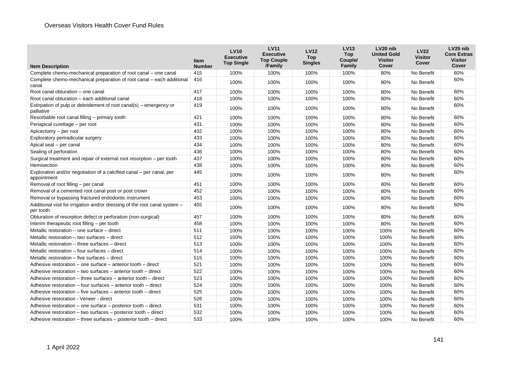| <b>Item Description</b>                                                                 | <b>Item</b><br><b>Number</b> | <b>LV10</b><br><b>Executive</b><br><b>Top Single</b> | <b>LV11</b><br><b>Executive</b><br><b>Top Couple</b><br>/Family | <b>LV12</b><br><b>Top</b><br><b>Singles</b> | <b>LV13</b><br><b>Top</b><br>Couple/<br>Family | LV20 nib<br><b>United Gold</b><br><b>Visitor</b><br>Cover | <b>LV22</b><br>Visitor<br>Cover | LV25 nib<br><b>Core Extras</b><br><b>Visitor</b><br>Cover |
|-----------------------------------------------------------------------------------------|------------------------------|------------------------------------------------------|-----------------------------------------------------------------|---------------------------------------------|------------------------------------------------|-----------------------------------------------------------|---------------------------------|-----------------------------------------------------------|
| Complete chemo-mechanical preparation of root canal – one canal                         | 415                          | 100%                                                 | 100%                                                            | 100%                                        | 100%                                           | 80%                                                       | No Benefit                      | 60%                                                       |
| Complete chemo-mechanical preparation of root canal – each additional<br>canal          | 416                          | 100%                                                 | 100%                                                            | 100%                                        | 100%                                           | 80%                                                       | No Benefit                      | 60%                                                       |
| Root canal obturation - one canal                                                       | 417                          | 100%                                                 | 100%                                                            | 100%                                        | 100%                                           | 80%                                                       | No Benefit                      | 60%                                                       |
| Root canal obturation - each additional canal                                           | 418                          | 100%                                                 | 100%                                                            | 100%                                        | 100%                                           | 80%                                                       | No Benefit                      | 60%                                                       |
| Extirpation of pulp or debridement of root canal(s) – emergency or<br>palliative        | 419                          | 100%                                                 | 100%                                                            | 100%                                        | 100%                                           | 80%                                                       | No Benefit                      | 60%                                                       |
| Resorbable root canal filling - primary tooth                                           | 421                          | 100%                                                 | 100%                                                            | 100%                                        | 100%                                           | 80%                                                       | No Benefit                      | 60%                                                       |
| Periapical curettage - per root                                                         | 431                          | 100%                                                 | 100%                                                            | 100%                                        | 100%                                           | 80%                                                       | No Benefit                      | 60%                                                       |
| Apicectomy - per root                                                                   | 432                          | 100%                                                 | 100%                                                            | 100%                                        | 100%                                           | 80%                                                       | No Benefit                      | 60%                                                       |
| Exploratory periradicular surgery                                                       | 433                          | 100%                                                 | 100%                                                            | 100%                                        | 100%                                           | 80%                                                       | No Benefit                      | 60%                                                       |
| Apical seal – per canal                                                                 | 434                          | 100%                                                 | 100%                                                            | 100%                                        | 100%                                           | 80%                                                       | No Benefit                      | 60%                                                       |
| Sealing of perforation                                                                  | 436                          | 100%                                                 | 100%                                                            | 100%                                        | 100%                                           | 80%                                                       | No Benefit                      | 60%                                                       |
| Surgical treatment and repair of external root resorption – per tooth                   | 437                          | 100%                                                 | 100%                                                            | 100%                                        | 100%                                           | 80%                                                       | No Benefit                      | 60%                                                       |
| Hemisection                                                                             | 438                          | 100%                                                 | 100%                                                            | 100%                                        | 100%                                           | 80%                                                       | No Benefit                      | 60%                                                       |
| Exploration and/or negotiation of a calcified canal – per canal, per<br>appointment     | 445                          | 100%                                                 | 100%                                                            | 100%                                        | 100%                                           | 80%                                                       | No Benefit                      | 60%                                                       |
| Removal of root filling - per canal                                                     | 451                          | 100%                                                 | 100%                                                            | 100%                                        | 100%                                           | 80%                                                       | No Benefit                      | 60%                                                       |
| Removal of a cemented root canal post or post crown                                     | 452                          | 100%                                                 | 100%                                                            | 100%                                        | 100%                                           | 80%                                                       | No Benefit                      | 60%                                                       |
| Removal or bypassing fractured endodontic instrument                                    | 453                          | 100%                                                 | 100%                                                            | 100%                                        | 100%                                           | 80%                                                       | No Benefit                      | 60%                                                       |
| Additional visit for irrigation and/or dressing of the root canal system -<br>per tooth | 455                          | 100%                                                 | 100%                                                            | 100%                                        | 100%                                           | 80%                                                       | No Benefit                      | 60%                                                       |
| Obturation of resorption defect or perforation (non-surgical)                           | 457                          | 100%                                                 | 100%                                                            | 100%                                        | 100%                                           | 80%                                                       | No Benefit                      | 60%                                                       |
| Interim therapeutic root filling - per tooth                                            | 458                          | 100%                                                 | 100%                                                            | 100%                                        | 100%                                           | 80%                                                       | No Benefit                      | 60%                                                       |
| Metallic restoration $-$ one surface $-$ direct                                         | 511                          | 100%                                                 | 100%                                                            | 100%                                        | 100%                                           | 100%                                                      | No Benefit                      | 60%                                                       |
| Metallic restoration – two surfaces – direct                                            | 512                          | 100%                                                 | 100%                                                            | 100%                                        | 100%                                           | 100%                                                      | No Benefit                      | 60%                                                       |
| Metallic restoration – three surfaces – direct                                          | 513                          | 100%                                                 | 100%                                                            | 100%                                        | 100%                                           | 100%                                                      | No Benefit                      | 60%                                                       |
| Metallic restoration – four surfaces – direct                                           | 514                          | 100%                                                 | 100%                                                            | 100%                                        | 100%                                           | 100%                                                      | No Benefit                      | 60%                                                       |
| Metallic restoration – five surfaces – direct                                           | 515                          | 100%                                                 | 100%                                                            | 100%                                        | 100%                                           | 100%                                                      | No Benefit                      | 60%                                                       |
| Adhesive restoration – one surface – anterior tooth – direct                            | 521                          | 100%                                                 | 100%                                                            | 100%                                        | 100%                                           | 100%                                                      | No Benefit                      | 60%                                                       |
| Adhesive restoration – two surfaces – anterior tooth – direct                           | 522                          | 100%                                                 | 100%                                                            | 100%                                        | 100%                                           | 100%                                                      | No Benefit                      | 60%                                                       |
| Adhesive restoration – three surfaces – anterior tooth – direct                         | 523                          | 100%                                                 | 100%                                                            | 100%                                        | 100%                                           | 100%                                                      | No Benefit                      | 60%                                                       |
| Adhesive restoration – four surfaces – anterior tooth – direct                          | 524                          | 100%                                                 | 100%                                                            | 100%                                        | 100%                                           | 100%                                                      | No Benefit                      | 60%                                                       |
| Adhesive restoration - five surfaces - anterior tooth - direct                          | 525                          | 100%                                                 | 100%                                                            | 100%                                        | 100%                                           | 100%                                                      | No Benefit                      | 60%                                                       |
| Adhesive restoration - Veneer - direct                                                  | 526                          | 100%                                                 | 100%                                                            | 100%                                        | 100%                                           | 100%                                                      | No Benefit                      | 60%                                                       |
| Adhesive restoration – one surface – posterior tooth – direct                           | 531                          | 100%                                                 | 100%                                                            | 100%                                        | 100%                                           | 100%                                                      | No Benefit                      | 60%                                                       |
| Adhesive restoration – two surfaces – posterior tooth – direct                          | 532                          | 100%                                                 | 100%                                                            | 100%                                        | 100%                                           | 100%                                                      | No Benefit                      | 60%                                                       |
| Adhesive restoration – three surfaces – posterior tooth – direct                        | 533                          | 100%                                                 | 100%                                                            | 100%                                        | 100%                                           | 100%                                                      | No Benefit                      | 60%                                                       |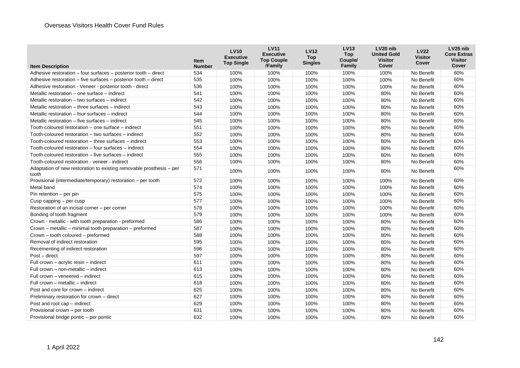|                                                                               | <b>Item</b>   | <b>LV10</b><br><b>Executive</b><br><b>Top Single</b> | <b>LV11</b><br><b>Executive</b><br><b>Top Couple</b> | <b>LV12</b><br><b>Top</b><br><b>Singles</b> | <b>LV13</b><br><b>Top</b><br>Couple/ | LV <sub>20</sub> nib<br><b>United Gold</b><br><b>Visitor</b> | <b>LV22</b><br><b>Visitor</b><br>Cover | LV <sub>25</sub> nib<br><b>Core Extras</b><br><b>Visitor</b> |
|-------------------------------------------------------------------------------|---------------|------------------------------------------------------|------------------------------------------------------|---------------------------------------------|--------------------------------------|--------------------------------------------------------------|----------------------------------------|--------------------------------------------------------------|
| <b>Item Description</b>                                                       | <b>Number</b> |                                                      | /Family                                              |                                             | Family                               | Cover                                                        |                                        | Cover                                                        |
| Adhesive restoration – four surfaces – posterior tooth – direct               | 534           | 100%                                                 | 100%                                                 | 100%                                        | 100%                                 | 100%                                                         | No Benefit                             | 60%                                                          |
| Adhesive restoration - five surfaces - posterior tooth - direct               | 535           | 100%                                                 | 100%                                                 | 100%                                        | 100%                                 | 100%                                                         | No Benefit                             | 60%                                                          |
| Adhesive restoration - Veneer - posterior tooth - direct                      | 536           | 100%                                                 | 100%                                                 | 100%                                        | 100%                                 | 100%                                                         | No Benefit                             | 60%                                                          |
| Metallic restoration – one surface – indirect                                 | 541           | 100%                                                 | 100%                                                 | 100%                                        | 100%                                 | 80%                                                          | No Benefit                             | 60%                                                          |
| Metallic restoration – two surfaces – indirect                                | 542           | 100%                                                 | 100%                                                 | 100%                                        | 100%                                 | 80%                                                          | No Benefit                             | 60%                                                          |
| Metallic restoration - three surfaces - indirect                              | 543           | 100%                                                 | 100%                                                 | 100%                                        | 100%                                 | 80%                                                          | No Benefit                             | 60%                                                          |
| Metallic restoration – four surfaces – indirect                               | 544           | 100%                                                 | 100%                                                 | 100%                                        | 100%                                 | 80%                                                          | No Benefit                             | 60%                                                          |
| Metallic restoration – five surfaces – indirect                               | 545           | 100%                                                 | 100%                                                 | 100%                                        | 100%                                 | 80%                                                          | No Benefit                             | 60%                                                          |
| Tooth-coloured restoration - one surface - indirect                           | 551           | 100%                                                 | 100%                                                 | 100%                                        | 100%                                 | 80%                                                          | No Benefit                             | 60%                                                          |
| Tooth-coloured restoration - two surfaces - indirect                          | 552           | 100%                                                 | 100%                                                 | 100%                                        | 100%                                 | 80%                                                          | No Benefit                             | 60%                                                          |
| Tooth-coloured restoration – three surfaces – indirect                        | 553           | 100%                                                 | 100%                                                 | 100%                                        | 100%                                 | 80%                                                          | No Benefit                             | 60%                                                          |
| Tooth-coloured restoration - four surfaces - indirect                         | 554           | 100%                                                 | 100%                                                 | 100%                                        | 100%                                 | 80%                                                          | No Benefit                             | 60%                                                          |
| Tooth-coloured restoration – five surfaces – indirect                         | 555           | 100%                                                 | 100%                                                 | 100%                                        | 100%                                 | 80%                                                          | No Benefit                             | 60%                                                          |
| Tooth-coloured restoration - veneer - indirect                                | 556           | 100%                                                 | 100%                                                 | 100%                                        | 100%                                 | 80%                                                          | No Benefit                             | 60%                                                          |
| Adaptation of new restoration to existing removable prosthesis – per<br>tooth | 571           | 100%                                                 | 100%                                                 | 100%                                        | 100%                                 | 80%                                                          | No Benefit                             | 60%                                                          |
| Provisional (intermediate/temporary) restoration - per tooth                  | 572           | 100%                                                 | 100%                                                 | 100%                                        | 100%                                 | 100%                                                         | No Benefit                             | 60%                                                          |
| Metal band                                                                    | 574           | 100%                                                 | 100%                                                 | 100%                                        | 100%                                 | 100%                                                         | No Benefit                             | 60%                                                          |
| Pin retention – per pin                                                       | 575           | 100%                                                 | 100%                                                 | 100%                                        | 100%                                 | 100%                                                         | No Benefit                             | 60%                                                          |
| Cusp capping $-$ per cusp                                                     | 577           | 100%                                                 | 100%                                                 | 100%                                        | 100%                                 | 100%                                                         | No Benefit                             | 60%                                                          |
| Restoration of an incisal corner - per corner                                 | 578           | 100%                                                 | 100%                                                 | 100%                                        | 100%                                 | 100%                                                         | No Benefit                             | 60%                                                          |
| Bonding of tooth fragment                                                     | 579           | 100%                                                 | 100%                                                 | 100%                                        | 100%                                 | 100%                                                         | No Benefit                             | 60%                                                          |
| Crown - metallic - with tooth preparation - preformed                         | 586           | 100%                                                 | 100%                                                 | 100%                                        | 100%                                 | 80%                                                          | No Benefit                             | 60%                                                          |
| Crown – metallic – minimal tooth preparation – preformed                      | 587           | 100%                                                 | 100%                                                 | 100%                                        | 100%                                 | 80%                                                          | No Benefit                             | 60%                                                          |
| Crown - tooth coloured - preformed                                            | 588           | 100%                                                 | 100%                                                 | 100%                                        | 100%                                 | 80%                                                          | No Benefit                             | 60%                                                          |
| Removal of indirect restoration                                               | 595           | 100%                                                 | 100%                                                 | 100%                                        | 100%                                 | 80%                                                          | No Benefit                             | 60%                                                          |
| Recementing of indirect restoration                                           | 596           | 100%                                                 | 100%                                                 | 100%                                        | 100%                                 | 80%                                                          | No Benefit                             | 60%                                                          |
| Post - direct                                                                 | 597           | 100%                                                 | 100%                                                 | 100%                                        | 100%                                 | 80%                                                          | No Benefit                             | 60%                                                          |
| Full crown - acrylic resin - indirect                                         | 611           | 100%                                                 | 100%                                                 | 100%                                        | 100%                                 | 80%                                                          | No Benefit                             | 60%                                                          |
| Full crown - non-metallic - indirect                                          | 613           | 100%                                                 | 100%                                                 | 100%                                        | 100%                                 | 80%                                                          | No Benefit                             | 60%                                                          |
| Full crown - veneered - indirect                                              | 615           | 100%                                                 | 100%                                                 | 100%                                        | 100%                                 | 80%                                                          | No Benefit                             | 60%                                                          |
| Full crown - metallic - indirect                                              | 618           | 100%                                                 | 100%                                                 | 100%                                        | 100%                                 | 80%                                                          | No Benefit                             | 60%                                                          |
| Post and core for crown – indirect                                            | 625           | 100%                                                 | 100%                                                 | 100%                                        | 100%                                 | 80%                                                          | No Benefit                             | 60%                                                          |
| Preliminary restoration for crown - direct                                    | 627           | 100%                                                 | 100%                                                 | 100%                                        | 100%                                 | 80%                                                          | No Benefit                             | 60%                                                          |
| Post and root cap - indirect                                                  | 629           | 100%                                                 | 100%                                                 | 100%                                        | 100%                                 | 80%                                                          | No Benefit                             | 60%                                                          |
| Provisional crown - per tooth                                                 | 631           | 100%                                                 | 100%                                                 | 100%                                        | 100%                                 | 80%                                                          | No Benefit                             | 60%                                                          |
| Provisional bridge pontic - per pontic                                        | 632           | 100%                                                 | 100%                                                 | 100%                                        | 100%                                 | 80%                                                          | No Benefit                             | 60%                                                          |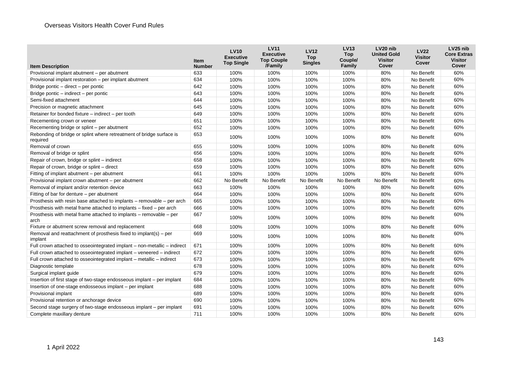| <b>Item Description</b>                                                          | <b>Item</b><br><b>Number</b> | <b>LV10</b><br><b>Executive</b><br><b>Top Single</b> | <b>LV11</b><br><b>Executive</b><br><b>Top Couple</b><br>/Family | <b>LV12</b><br><b>Top</b><br><b>Singles</b> | <b>LV13</b><br><b>Top</b><br>Couple/<br>Family | LV <sub>20</sub> nib<br><b>United Gold</b><br><b>Visitor</b><br>Cover | <b>LV22</b><br><b>Visitor</b><br>Cover | LV <sub>25</sub> nib<br><b>Core Extras</b><br><b>Visitor</b><br>Cover |
|----------------------------------------------------------------------------------|------------------------------|------------------------------------------------------|-----------------------------------------------------------------|---------------------------------------------|------------------------------------------------|-----------------------------------------------------------------------|----------------------------------------|-----------------------------------------------------------------------|
| Provisional implant abutment - per abutment                                      | 633                          | 100%                                                 | 100%                                                            | 100%                                        | 100%                                           | 80%                                                                   | No Benefit                             | 60%                                                                   |
| Provisional implant restoration - per implant abutment                           | 634                          | 100%                                                 | 100%                                                            | 100%                                        | 100%                                           | 80%                                                                   | No Benefit                             | 60%                                                                   |
| Bridge pontic – direct – per pontic                                              | 642                          | 100%                                                 | 100%                                                            | 100%                                        | 100%                                           | 80%                                                                   | No Benefit                             | 60%                                                                   |
| Bridge pontic - indirect - per pontic                                            | 643                          | 100%                                                 | 100%                                                            | 100%                                        | 100%                                           | 80%                                                                   | No Benefit                             | 60%                                                                   |
| Semi-fixed attachment                                                            | 644                          | 100%                                                 | 100%                                                            | 100%                                        | 100%                                           | 80%                                                                   | No Benefit                             | 60%                                                                   |
| Precision or magnetic attachment                                                 | 645                          | 100%                                                 | 100%                                                            | 100%                                        | 100%                                           | 80%                                                                   | No Benefit                             | 60%                                                                   |
| Retainer for bonded fixture - indirect - per tooth                               | 649                          | 100%                                                 | 100%                                                            | 100%                                        | 100%                                           | 80%                                                                   | No Benefit                             | 60%                                                                   |
| Recementing crown or veneer                                                      | 651                          | 100%                                                 | 100%                                                            | 100%                                        | 100%                                           | 80%                                                                   | No Benefit                             | 60%                                                                   |
| Recementing bridge or splint - per abutment                                      | 652                          | 100%                                                 | 100%                                                            | 100%                                        | 100%                                           | 80%                                                                   | No Benefit                             | 60%                                                                   |
| Rebonding of bridge or splint where retreatment of bridge surface is<br>required | 653                          | 100%                                                 | 100%                                                            | 100%                                        | 100%                                           | 80%                                                                   | No Benefit                             | 60%                                                                   |
| Removal of crown                                                                 | 655                          | 100%                                                 | 100%                                                            | 100%                                        | 100%                                           | 80%                                                                   | No Benefit                             | 60%                                                                   |
| Removal of bridge or splint                                                      | 656                          | 100%                                                 | 100%                                                            | 100%                                        | 100%                                           | 80%                                                                   | No Benefit                             | 60%                                                                   |
| Repair of crown, bridge or splint - indirect                                     | 658                          | 100%                                                 | 100%                                                            | 100%                                        | 100%                                           | 80%                                                                   | No Benefit                             | 60%                                                                   |
| Repair of crown, bridge or splint - direct                                       | 659                          | 100%                                                 | 100%                                                            | 100%                                        | 100%                                           | 80%                                                                   | No Benefit                             | 60%                                                                   |
| Fitting of implant abutment - per abutment                                       | 661                          | 100%                                                 | 100%                                                            | 100%                                        | 100%                                           | 80%                                                                   | No Benefit                             | 60%                                                                   |
| Provisional implant crown abutment - per abutment                                | 662                          | No Benefit                                           | No Benefit                                                      | No Benefit                                  | No Benefit                                     | No Benefit                                                            | No Benefit                             | 60%                                                                   |
| Removal of implant and/or retention device                                       | 663                          | 100%                                                 | 100%                                                            | 100%                                        | 100%                                           | 80%                                                                   | No Benefit                             | 60%                                                                   |
| Fitting of bar for denture – per abutment                                        | 664                          | 100%                                                 | 100%                                                            | 100%                                        | 100%                                           | 80%                                                                   | No Benefit                             | 60%                                                                   |
| Prosthesis with resin base attached to implants – removable – per arch           | 665                          | 100%                                                 | 100%                                                            | 100%                                        | 100%                                           | 80%                                                                   | No Benefit                             | 60%                                                                   |
| Prosthesis with metal frame attached to implants – fixed – per arch              | 666                          | 100%                                                 | 100%                                                            | 100%                                        | 100%                                           | 80%                                                                   | No Benefit                             | 60%                                                                   |
| Prosthesis with metal frame attached to implants – removable – per<br>arch       | 667                          | 100%                                                 | 100%                                                            | 100%                                        | 100%                                           | 80%                                                                   | No Benefit                             | 60%                                                                   |
| Fixture or abutment screw removal and replacement                                | 668                          | 100%                                                 | 100%                                                            | 100%                                        | 100%                                           | 80%                                                                   | No Benefit                             | 60%                                                                   |
| Removal and reattachment of prosthesis fixed to implant(s) $-$ per<br>implant    | 669                          | 100%                                                 | 100%                                                            | 100%                                        | 100%                                           | 80%                                                                   | No Benefit                             | 60%                                                                   |
| Full crown attached to osseointegrated implant - non-metallic - indirect         | 671                          | 100%                                                 | 100%                                                            | 100%                                        | 100%                                           | 80%                                                                   | No Benefit                             | 60%                                                                   |
| Full crown attached to osseointegrated implant - veneered - indirect             | 672                          | 100%                                                 | 100%                                                            | 100%                                        | 100%                                           | 80%                                                                   | No Benefit                             | 60%                                                                   |
| Full crown attached to osseointegrated implant – metallic – indirect             | 673                          | 100%                                                 | 100%                                                            | 100%                                        | 100%                                           | 80%                                                                   | No Benefit                             | 60%                                                                   |
| Diagnostic template                                                              | 678                          | 100%                                                 | 100%                                                            | 100%                                        | 100%                                           | 80%                                                                   | No Benefit                             | 60%                                                                   |
| Surgical implant guide                                                           | 679                          | 100%                                                 | 100%                                                            | 100%                                        | 100%                                           | 80%                                                                   | No Benefit                             | 60%                                                                   |
| Insertion of first stage of two-stage endosseous implant – per implant           | 684                          | 100%                                                 | 100%                                                            | 100%                                        | 100%                                           | 80%                                                                   | No Benefit                             | 60%                                                                   |
| Insertion of one-stage endosseous implant - per implant                          | 688                          | 100%                                                 | 100%                                                            | 100%                                        | 100%                                           | 80%                                                                   | No Benefit                             | 60%                                                                   |
| Provisional implant                                                              | 689                          | 100%                                                 | 100%                                                            | 100%                                        | 100%                                           | 80%                                                                   | No Benefit                             | 60%                                                                   |
| Provisional retention or anchorage device                                        | 690                          | 100%                                                 | 100%                                                            | 100%                                        | 100%                                           | 80%                                                                   | No Benefit                             | 60%                                                                   |
| Second stage surgery of two-stage endosseous implant – per implant               | 691                          | 100%                                                 | 100%                                                            | 100%                                        | 100%                                           | 80%                                                                   | No Benefit                             | 60%                                                                   |
| Complete maxillary denture                                                       | 711                          | 100%                                                 | 100%                                                            | 100%                                        | 100%                                           | 80%                                                                   | No Benefit                             | 60%                                                                   |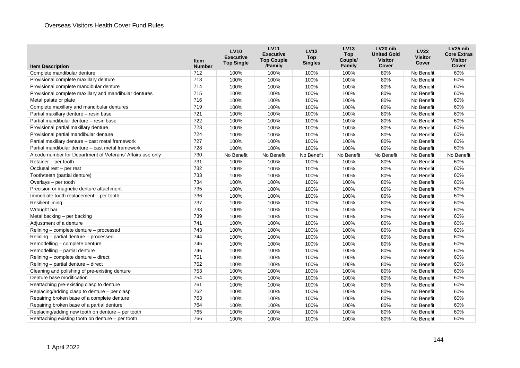|                                                            | Item          | <b>LV10</b><br><b>Executive</b><br><b>Top Single</b> | <b>LV11</b><br><b>Executive</b><br><b>Top Couple</b> | <b>LV12</b><br><b>Top</b><br><b>Singles</b> | <b>LV13</b><br><b>Top</b><br>Couple/ | LV20 nib<br><b>United Gold</b><br><b>Visitor</b> | <b>LV22</b><br><b>Visitor</b><br>Cover | LV25 nib<br><b>Core Extras</b><br><b>Visitor</b> |
|------------------------------------------------------------|---------------|------------------------------------------------------|------------------------------------------------------|---------------------------------------------|--------------------------------------|--------------------------------------------------|----------------------------------------|--------------------------------------------------|
| <b>Item Description</b>                                    | <b>Number</b> |                                                      | /Family                                              |                                             | Family                               | Cover                                            |                                        | Cover                                            |
| Complete mandibular denture                                | 712           | 100%                                                 | 100%                                                 | 100%                                        | 100%                                 | 80%                                              | No Benefit                             | 60%                                              |
| Provisional complete maxillary denture                     | 713           | 100%                                                 | 100%                                                 | 100%                                        | 100%                                 | 80%                                              | No Benefit                             | 60%                                              |
| Provisional complete mandibular denture                    | 714           | 100%                                                 | 100%                                                 | 100%                                        | 100%                                 | 80%                                              | No Benefit                             | 60%                                              |
| Provisional complete maxillary and mandibular dentures     | 715           | 100%                                                 | 100%                                                 | 100%                                        | 100%                                 | 80%                                              | No Benefit                             | 60%                                              |
| Metal palate or plate                                      | 716           | 100%                                                 | 100%                                                 | 100%                                        | 100%                                 | 80%                                              | No Benefit                             | 60%                                              |
| Complete maxillary and mandibular dentures                 | 719           | 100%                                                 | 100%                                                 | 100%                                        | 100%                                 | 80%                                              | No Benefit                             | 60%                                              |
| Partial maxillary denture - resin base                     | 721           | 100%                                                 | 100%                                                 | 100%                                        | 100%                                 | 80%                                              | No Benefit                             | 60%                                              |
| Partial mandibular denture - resin base                    | 722           | 100%                                                 | 100%                                                 | 100%                                        | 100%                                 | 80%                                              | No Benefit                             | 60%                                              |
| Provisional partial maxillary denture                      | 723           | 100%                                                 | 100%                                                 | 100%                                        | 100%                                 | 80%                                              | No Benefit                             | 60%                                              |
| Provisional partial mandibular denture                     | 724           | 100%                                                 | 100%                                                 | 100%                                        | 100%                                 | 80%                                              | No Benefit                             | 60%                                              |
| Partial maxillary denture - cast metal framework           | 727           | 100%                                                 | 100%                                                 | 100%                                        | 100%                                 | 80%                                              | No Benefit                             | 60%                                              |
| Partial mandibular denture – cast metal framework          | 728           | 100%                                                 | 100%                                                 | 100%                                        | 100%                                 | 80%                                              | No Benefit                             | 60%                                              |
| A code number for Department of Veterans' Affairs use only | 730           | No Benefit                                           | No Benefit                                           | No Benefit                                  | No Benefit                           | No Benefit                                       | No Benefit                             | No Benefit                                       |
| Retainer – per tooth                                       | 731           | 100%                                                 | 100%                                                 | 100%                                        | 100%                                 | 80%                                              | No Benefit                             | 60%                                              |
| Occlusal rest - per rest                                   | 732           | 100%                                                 | 100%                                                 | 100%                                        | 100%                                 | 80%                                              | No Benefit                             | 60%                                              |
| Tooth/teeth (partial denture)                              | 733           | 100%                                                 | 100%                                                 | 100%                                        | 100%                                 | 80%                                              | No Benefit                             | 60%                                              |
| Overlays - per tooth                                       | 734           | 100%                                                 | 100%                                                 | 100%                                        | 100%                                 | 80%                                              | No Benefit                             | 60%                                              |
| Precision or magnetic denture attachment                   | 735           | 100%                                                 | 100%                                                 | 100%                                        | 100%                                 | 80%                                              | No Benefit                             | 60%                                              |
| Immediate tooth replacement - per tooth                    | 736           | 100%                                                 | 100%                                                 | 100%                                        | 100%                                 | 80%                                              | No Benefit                             | 60%                                              |
| <b>Resilient lining</b>                                    | 737           | 100%                                                 | 100%                                                 | 100%                                        | 100%                                 | 80%                                              | No Benefit                             | 60%                                              |
| Wrought bar                                                | 738           | 100%                                                 | 100%                                                 | 100%                                        | 100%                                 | 80%                                              | No Benefit                             | 60%                                              |
| Metal backing - per backing                                | 739           | 100%                                                 | 100%                                                 | 100%                                        | 100%                                 | 80%                                              | No Benefit                             | 60%                                              |
| Adjustment of a denture                                    | 741           | 100%                                                 | 100%                                                 | 100%                                        | 100%                                 | 80%                                              | No Benefit                             | 60%                                              |
| Relining - complete denture - processed                    | 743           | 100%                                                 | 100%                                                 | 100%                                        | 100%                                 | 80%                                              | No Benefit                             | 60%                                              |
| Relining - partial denture - processed                     | 744           | 100%                                                 | 100%                                                 | 100%                                        | 100%                                 | 80%                                              | No Benefit                             | 60%                                              |
| Remodelling - complete denture                             | 745           | 100%                                                 | 100%                                                 | 100%                                        | 100%                                 | 80%                                              | No Benefit                             | 60%                                              |
| Remodelling - partial denture                              | 746           | 100%                                                 | 100%                                                 | 100%                                        | 100%                                 | 80%                                              | No Benefit                             | 60%                                              |
| Relining – complete denture – direct                       | 751           | 100%                                                 | 100%                                                 | 100%                                        | 100%                                 | 80%                                              | No Benefit                             | 60%                                              |
| Relining - partial denture - direct                        | 752           | 100%                                                 | 100%                                                 | 100%                                        | 100%                                 | 80%                                              | No Benefit                             | 60%                                              |
| Cleaning and polishing of pre-existing denture             | 753           | 100%                                                 | 100%                                                 | 100%                                        | 100%                                 | 80%                                              | No Benefit                             | 60%                                              |
| Denture base modification                                  | 754           | 100%                                                 | 100%                                                 | 100%                                        | 100%                                 | 80%                                              | No Benefit                             | 60%                                              |
| Reattaching pre-existing clasp to denture                  | 761           | 100%                                                 | 100%                                                 | 100%                                        | 100%                                 | 80%                                              | No Benefit                             | 60%                                              |
| Replacing/adding clasp to denture - per clasp              | 762           | 100%                                                 | 100%                                                 | 100%                                        | 100%                                 | 80%                                              | No Benefit                             | 60%                                              |
| Repairing broken base of a complete denture                | 763           | 100%                                                 | 100%                                                 | 100%                                        | 100%                                 | 80%                                              | No Benefit                             | 60%                                              |
| Repairing broken base of a partial denture                 | 764           | 100%                                                 | 100%                                                 | 100%                                        | 100%                                 | 80%                                              | No Benefit                             | 60%                                              |
| Replacing/adding new tooth on denture – per tooth          | 765           | 100%                                                 | 100%                                                 | 100%                                        | 100%                                 | 80%                                              | No Benefit                             | 60%                                              |
| Reattaching existing tooth on denture - per tooth          | 766           | 100%                                                 | 100%                                                 | 100%                                        | 100%                                 | 80%                                              | No Benefit                             | 60%                                              |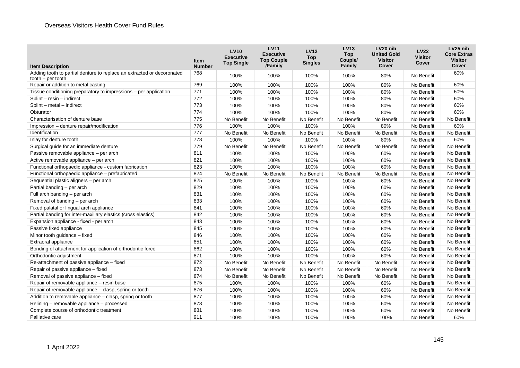| <b>Item Description</b>                                                | <b>Item</b><br><b>Number</b> | <b>LV10</b><br><b>Executive</b><br><b>Top Single</b> | <b>LV11</b><br><b>Executive</b><br><b>Top Couple</b><br>/Family | <b>LV12</b><br><b>Top</b><br><b>Singles</b> | <b>LV13</b><br><b>Top</b><br>Couple/<br>Family | LV20 nib<br><b>United Gold</b><br><b>Visitor</b><br>Cover | <b>LV22</b><br><b>Visitor</b><br>Cover | LV <sub>25</sub> nib<br><b>Core Extras</b><br><b>Visitor</b><br>Cover |
|------------------------------------------------------------------------|------------------------------|------------------------------------------------------|-----------------------------------------------------------------|---------------------------------------------|------------------------------------------------|-----------------------------------------------------------|----------------------------------------|-----------------------------------------------------------------------|
| Adding tooth to partial denture to replace an extracted or decoronated | 768                          | 100%                                                 | 100%                                                            | 100%                                        | 100%                                           | 80%                                                       | No Benefit                             | 60%                                                                   |
| $tooth - per tooth$                                                    |                              |                                                      |                                                                 |                                             |                                                |                                                           |                                        |                                                                       |
| Repair or addition to metal casting                                    | 769                          | 100%                                                 | 100%                                                            | 100%                                        | 100%                                           | 80%                                                       | No Benefit                             | 60%                                                                   |
| Tissue conditioning preparatory to impressions – per application       | 771                          | 100%                                                 | 100%                                                            | 100%                                        | 100%                                           | 80%                                                       | No Benefit                             | 60%                                                                   |
| Splint - resin - indirect                                              | 772                          | 100%                                                 | 100%                                                            | 100%                                        | 100%                                           | 80%                                                       | No Benefit                             | 60%                                                                   |
| Splint - metal - indirect                                              | 773                          | 100%                                                 | 100%                                                            | 100%                                        | 100%                                           | 80%                                                       | No Benefit                             | 60%                                                                   |
| Obturator                                                              | 774                          | 100%                                                 | 100%                                                            | 100%                                        | 100%                                           | 80%                                                       | No Benefit                             | 60%                                                                   |
| Characterisation of denture base                                       | 775                          | No Benefit                                           | No Benefit                                                      | No Benefit                                  | No Benefit                                     | No Benefit                                                | No Benefit                             | No Benefit                                                            |
| Impression - denture repair/modification                               | 776                          | 100%                                                 | 100%                                                            | 100%                                        | 100%                                           | 80%                                                       | No Benefit                             | 60%                                                                   |
| Identification                                                         | 777                          | No Benefit                                           | No Benefit                                                      | No Benefit                                  | No Benefit                                     | No Benefit                                                | No Benefit                             | No Benefit                                                            |
| Inlay for denture tooth                                                | 778                          | 100%                                                 | 100%                                                            | 100%                                        | 100%                                           | 80%                                                       | No Benefit                             | 60%                                                                   |
| Surgical guide for an immediate denture                                | 779                          | No Benefit                                           | No Benefit                                                      | No Benefit                                  | No Benefit                                     | No Benefit                                                | No Benefit                             | No Benefit                                                            |
| Passive removable appliance - per arch                                 | 811                          | 100%                                                 | 100%                                                            | 100%                                        | 100%                                           | 60%                                                       | No Benefit                             | No Benefit                                                            |
| Active removable appliance - per arch                                  | 821                          | 100%                                                 | 100%                                                            | 100%                                        | 100%                                           | 60%                                                       | No Benefit                             | No Benefit                                                            |
| Functional orthopaedic appliance - custom fabrication                  | 823                          | 100%                                                 | 100%                                                            | 100%                                        | 100%                                           | 60%                                                       | No Benefit                             | No Benefit                                                            |
| Functional orthopaedic appliance - prefabricated                       | 824                          | No Benefit                                           | No Benefit                                                      | No Benefit                                  | No Benefit                                     | No Benefit                                                | No Benefit                             | No Benefit                                                            |
| Sequential plastic aligners - per arch                                 | 825                          | 100%                                                 | 100%                                                            | 100%                                        | 100%                                           | 60%                                                       | No Benefit                             | No Benefit                                                            |
| Partial banding - per arch                                             | 829                          | 100%                                                 | 100%                                                            | 100%                                        | 100%                                           | 60%                                                       | No Benefit                             | No Benefit                                                            |
| Full arch banding - per arch                                           | 831                          | 100%                                                 | 100%                                                            | 100%                                        | 100%                                           | 60%                                                       | No Benefit                             | No Benefit                                                            |
| Removal of banding - per arch                                          | 833                          | 100%                                                 | 100%                                                            | 100%                                        | 100%                                           | 60%                                                       | No Benefit                             | No Benefit                                                            |
| Fixed palatal or lingual arch appliance                                | 841                          | 100%                                                 | 100%                                                            | 100%                                        | 100%                                           | 60%                                                       | No Benefit                             | No Benefit                                                            |
| Partial banding for inter-maxillary elastics (cross elastics)          | 842                          | 100%                                                 | 100%                                                            | 100%                                        | 100%                                           | 60%                                                       | No Benefit                             | No Benefit                                                            |
| Expansion appliance - fixed - per arch                                 | 843                          | 100%                                                 | 100%                                                            | 100%                                        | 100%                                           | 60%                                                       | No Benefit                             | No Benefit                                                            |
| Passive fixed appliance                                                | 845                          | 100%                                                 | 100%                                                            | 100%                                        | 100%                                           | 60%                                                       | No Benefit                             | No Benefit                                                            |
| Minor tooth guidance - fixed                                           | 846                          | 100%                                                 | 100%                                                            | 100%                                        | 100%                                           | 60%                                                       | No Benefit                             | No Benefit                                                            |
| Extraoral appliance                                                    | 851                          | 100%                                                 | 100%                                                            | 100%                                        | 100%                                           | 60%                                                       | No Benefit                             | No Benefit                                                            |
| Bonding of attachment for application of orthodontic force             | 862                          | 100%                                                 | 100%                                                            | 100%                                        | 100%                                           | 60%                                                       | No Benefit                             | No Benefit                                                            |
| Orthodontic adjustment                                                 | 871                          | 100%                                                 | 100%                                                            | 100%                                        | 100%                                           | 60%                                                       | No Benefit                             | No Benefit                                                            |
| Re-attachment of passive appliance - fixed                             | 872                          | No Benefit                                           | No Benefit                                                      | No Benefit                                  | No Benefit                                     | No Benefit                                                | No Benefit                             | No Benefit                                                            |
| Repair of passive appliance - fixed                                    | 873                          | No Benefit                                           | No Benefit                                                      | No Benefit                                  | No Benefit                                     | No Benefit                                                | No Benefit                             | No Benefit                                                            |
| Removal of passive appliance - fixed                                   | 874                          | No Benefit                                           | No Benefit                                                      | No Benefit                                  | No Benefit                                     | No Benefit                                                | No Benefit                             | No Benefit                                                            |
| Repair of removable appliance - resin base                             | 875                          | 100%                                                 | 100%                                                            | 100%                                        | 100%                                           | 60%                                                       | No Benefit                             | No Benefit                                                            |
| Repair of removable appliance - clasp, spring or tooth                 | 876                          | 100%                                                 | 100%                                                            | 100%                                        | 100%                                           | 60%                                                       | No Benefit                             | No Benefit                                                            |
| Addition to removable appliance – clasp, spring or tooth               | 877                          | 100%                                                 | 100%                                                            | 100%                                        | 100%                                           | 60%                                                       | No Benefit                             | No Benefit                                                            |
| Relining - removable appliance - processed                             | 878                          | 100%                                                 | 100%                                                            | 100%                                        | 100%                                           | 60%                                                       | No Benefit                             | No Benefit                                                            |
| Complete course of orthodontic treatment                               | 881                          | 100%                                                 | 100%                                                            | 100%                                        | 100%                                           | 60%                                                       | No Benefit                             | No Benefit                                                            |
| Palliative care                                                        | 911                          | 100%                                                 | 100%                                                            | 100%                                        | 100%                                           | 100%                                                      | No Benefit                             | 60%                                                                   |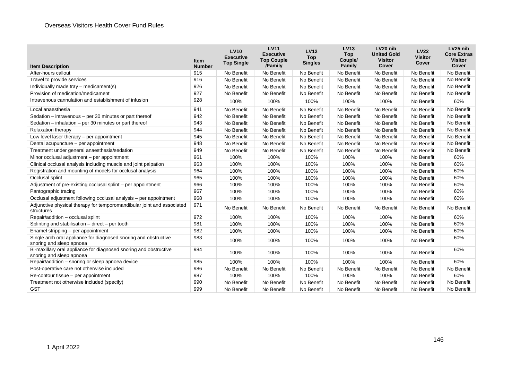| <b>Item Description</b>                                                                       | <b>Item</b><br><b>Number</b> | <b>LV10</b><br><b>Executive</b><br><b>Top Single</b> | <b>LV11</b><br><b>Executive</b><br><b>Top Couple</b><br>/Family | <b>LV12</b><br><b>Top</b><br><b>Singles</b> | <b>LV13</b><br><b>Top</b><br>Couple/<br>Family | LV20 nib<br><b>United Gold</b><br><b>Visitor</b><br>Cover | <b>LV22</b><br><b>Visitor</b><br><b>Cover</b> | LV25 nib<br><b>Core Extras</b><br><b>Visitor</b><br><b>Cover</b> |
|-----------------------------------------------------------------------------------------------|------------------------------|------------------------------------------------------|-----------------------------------------------------------------|---------------------------------------------|------------------------------------------------|-----------------------------------------------------------|-----------------------------------------------|------------------------------------------------------------------|
| After-hours callout                                                                           | 915                          | No Benefit                                           | No Benefit                                                      | No Benefit                                  | No Benefit                                     | No Benefit                                                | No Benefit                                    | No Benefit                                                       |
| Travel to provide services                                                                    | 916                          | No Benefit                                           | No Benefit                                                      | No Benefit                                  | No Benefit                                     | No Benefit                                                | No Benefit                                    | No Benefit                                                       |
| Individually made tray - medicament(s)                                                        | 926                          | No Benefit                                           | No Benefit                                                      | No Benefit                                  | No Benefit                                     | No Benefit                                                | No Benefit                                    | No Benefit                                                       |
| Provision of medication/medicament                                                            | 927                          | No Benefit                                           | No Benefit                                                      | No Benefit                                  | No Benefit                                     | No Benefit                                                | No Benefit                                    | No Benefit                                                       |
| Intravenous cannulation and establishment of infusion                                         | 928                          | 100%                                                 | 100%                                                            | 100%                                        | 100%                                           | 100%                                                      | No Benefit                                    | 60%                                                              |
| Local anaesthesia                                                                             | 941                          | No Benefit                                           | No Benefit                                                      | No Benefit                                  | No Benefit                                     | No Benefit                                                | No Benefit                                    | No Benefit                                                       |
| Sedation - intravenous - per 30 minutes or part thereof                                       | 942                          | No Benefit                                           | No Benefit                                                      | No Benefit                                  | No Benefit                                     | No Benefit                                                | No Benefit                                    | No Benefit                                                       |
| Sedation - inhalation - per 30 minutes or part thereof                                        | 943                          | No Benefit                                           | No Benefit                                                      | No Benefit                                  | No Benefit                                     | No Benefit                                                | No Benefit                                    | No Benefit                                                       |
| Relaxation therapy                                                                            | 944                          | No Benefit                                           | No Benefit                                                      | No Benefit                                  | No Benefit                                     | No Benefit                                                | No Benefit                                    | No Benefit                                                       |
| Low level laser therapy - per appointment                                                     | 945                          | No Benefit                                           | No Benefit                                                      | No Benefit                                  | No Benefit                                     | No Benefit                                                | No Benefit                                    | No Benefit                                                       |
| Dental acupuncture - per appointment                                                          | 948                          | No Benefit                                           | No Benefit                                                      | No Benefit                                  | No Benefit                                     | No Benefit                                                | No Benefit                                    | No Benefit                                                       |
| Treatment under general anaesthesia/sedation                                                  | 949                          | No Benefit                                           | No Benefit                                                      | No Benefit                                  | No Benefit                                     | No Benefit                                                | No Benefit                                    | No Benefit                                                       |
| Minor occlusal adjustment - per appointment                                                   | 961                          | 100%                                                 | 100%                                                            | 100%                                        | 100%                                           | 100%                                                      | No Benefit                                    | 60%                                                              |
| Clinical occlusal analysis including muscle and joint palpation                               | 963                          | 100%                                                 | 100%                                                            | 100%                                        | 100%                                           | 100%                                                      | No Benefit                                    | 60%                                                              |
| Registration and mounting of models for occlusal analysis                                     | 964                          | 100%                                                 | 100%                                                            | 100%                                        | 100%                                           | 100%                                                      | No Benefit                                    | 60%                                                              |
| Occlusal splint                                                                               | 965                          | 100%                                                 | 100%                                                            | 100%                                        | 100%                                           | 100%                                                      | No Benefit                                    | 60%                                                              |
| Adjustment of pre-existing occlusal splint – per appointment                                  | 966                          | 100%                                                 | 100%                                                            | 100%                                        | 100%                                           | 100%                                                      | No Benefit                                    | 60%                                                              |
| Pantographic tracing                                                                          | 967                          | 100%                                                 | 100%                                                            | 100%                                        | 100%                                           | 100%                                                      | No Benefit                                    | 60%                                                              |
| Occlusal adjustment following occlusal analysis - per appointment                             | 968                          | 100%                                                 | 100%                                                            | 100%                                        | 100%                                           | 100%                                                      | No Benefit                                    | 60%                                                              |
| Adjunctive physical therapy for temporomandibular joint and associated<br>structures          | 971                          | No Benefit                                           | No Benefit                                                      | No Benefit                                  | No Benefit                                     | No Benefit                                                | No Benefit                                    | No Benefit                                                       |
| Repair/addition - occlusal splint                                                             | 972                          | 100%                                                 | 100%                                                            | 100%                                        | 100%                                           | 100%                                                      | No Benefit                                    | 60%                                                              |
| Splinting and stabilisation - direct - per tooth                                              | 981                          | 100%                                                 | 100%                                                            | 100%                                        | 100%                                           | 100%                                                      | No Benefit                                    | 60%                                                              |
| Enamel stripping - per appointment                                                            | 982                          | 100%                                                 | 100%                                                            | 100%                                        | 100%                                           | 100%                                                      | No Benefit                                    | 60%                                                              |
| Single arch oral appliance for diagnosed snoring and obstructive<br>snoring and sleep apnoea  | 983                          | 100%                                                 | 100%                                                            | 100%                                        | 100%                                           | 100%                                                      | No Benefit                                    | 60%                                                              |
| Bi-maxillary oral appliance for diagnosed snoring and obstructive<br>snoring and sleep apnoea | 984                          | 100%                                                 | 100%                                                            | 100%                                        | 100%                                           | 100%                                                      | No Benefit                                    | 60%                                                              |
| Repair/addition - snoring or sleep apnoea device                                              | 985                          | 100%                                                 | 100%                                                            | 100%                                        | 100%                                           | 100%                                                      | No Benefit                                    | 60%                                                              |
| Post-operative care not otherwise included                                                    | 986                          | No Benefit                                           | No Benefit                                                      | No Benefit                                  | No Benefit                                     | No Benefit                                                | No Benefit                                    | No Benefit                                                       |
| Re-contour tissue - per appointment                                                           | 987                          | 100%                                                 | 100%                                                            | 100%                                        | 100%                                           | 100%                                                      | No Benefit                                    | 60%                                                              |
| Treatment not otherwise included (specify)                                                    | 990                          | No Benefit                                           | No Benefit                                                      | No Benefit                                  | No Benefit                                     | No Benefit                                                | No Benefit                                    | No Benefit                                                       |
| <b>GST</b>                                                                                    | 999                          | No Benefit                                           | No Benefit                                                      | No Benefit                                  | No Benefit                                     | No Benefit                                                | No Benefit                                    | No Benefit                                                       |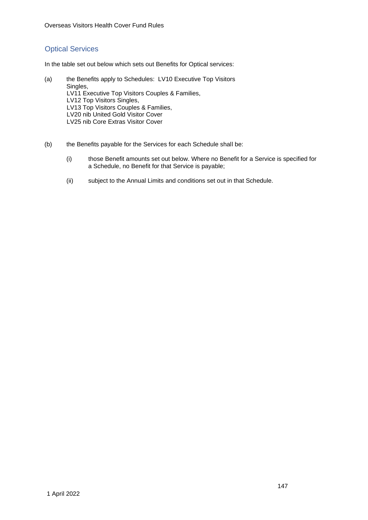## Optical Services

In the table set out below which sets out Benefits for Optical services:

- (a) the Benefits apply to Schedules: LV10 Executive Top Visitors Singles, LV11 Executive Top Visitors Couples & Families, LV12 Top Visitors Singles, LV13 Top Visitors Couples & Families, LV20 nib United Gold Visitor Cover LV25 nib Core Extras Visitor Cover
- (b) the Benefits payable for the Services for each Schedule shall be:
	- (i) those Benefit amounts set out below. Where no Benefit for a Service is specified for a Schedule, no Benefit for that Service is payable;
	- (ii) subject to the Annual Limits and conditions set out in that Schedule.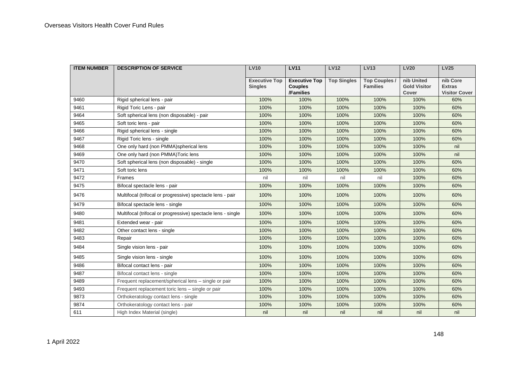| <b>ITEM NUMBER</b> | <b>DESCRIPTION OF SERVICE</b>                                | <b>LV10</b>                            | <b>LV11</b>                                         | <b>LV12</b>        | <b>LV13</b>                             | <b>LV20</b>                                | <b>LV25</b>                                       |
|--------------------|--------------------------------------------------------------|----------------------------------------|-----------------------------------------------------|--------------------|-----------------------------------------|--------------------------------------------|---------------------------------------------------|
|                    |                                                              | <b>Executive Top</b><br><b>Singles</b> | <b>Executive Top</b><br><b>Couples</b><br>/Families | <b>Top Singles</b> | <b>Top Couples /</b><br><b>Families</b> | nib United<br><b>Gold Visitor</b><br>Cover | nib Core<br><b>Extras</b><br><b>Visitor Cover</b> |
| 9460               | Rigid spherical lens - pair                                  | 100%                                   | 100%                                                | 100%               | 100%                                    | 100%                                       | 60%                                               |
| 9461               | Rigid Toric Lens - pair                                      | 100%                                   | 100%                                                | 100%               | 100%                                    | 100%                                       | 60%                                               |
| 9464               | Soft spherical lens (non disposable) - pair                  | 100%                                   | 100%                                                | 100%               | 100%                                    | 100%                                       | 60%                                               |
| 9465               | Soft toric lens - pair                                       | 100%                                   | 100%                                                | 100%               | 100%                                    | 100%                                       | 60%                                               |
| 9466               | Rigid spherical lens - single                                | 100%                                   | 100%                                                | 100%               | 100%                                    | 100%                                       | 60%                                               |
| 9467               | Rigid Toric lens - single                                    | 100%                                   | 100%                                                | 100%               | 100%                                    | 100%                                       | 60%                                               |
| 9468               | One only hard (non PMMA)spherical lens                       | 100%                                   | 100%                                                | 100%               | 100%                                    | 100%                                       | nil                                               |
| 9469               | One only hard (non PMMA) Toric lens                          | 100%                                   | 100%                                                | 100%               | 100%                                    | 100%                                       | nil                                               |
| 9470               | Soft spherical lens (non disposable) - single                | 100%                                   | 100%                                                | 100%               | 100%                                    | 100%                                       | 60%                                               |
| 9471               | Soft toric lens                                              | 100%                                   | 100%                                                | 100%               | 100%                                    | 100%                                       | 60%                                               |
| 9472               | Frames                                                       | nil                                    | nil                                                 | nil                | nil                                     | 100%                                       | 60%                                               |
| 9475               | Bifocal spectacle lens - pair                                | 100%                                   | 100%                                                | 100%               | 100%                                    | 100%                                       | 60%                                               |
| 9476               | Multifocal (trifocal or progressive) spectacle lens - pair   | 100%                                   | 100%                                                | 100%               | 100%                                    | 100%                                       | 60%                                               |
| 9479               | Bifocal spectacle lens - single                              | 100%                                   | 100%                                                | 100%               | 100%                                    | 100%                                       | 60%                                               |
| 9480               | Multifocal (trifocal or progressive) spectacle lens - single | 100%                                   | 100%                                                | 100%               | 100%                                    | 100%                                       | 60%                                               |
| 9481               | Extended wear - pair                                         | 100%                                   | 100%                                                | 100%               | 100%                                    | 100%                                       | 60%                                               |
| 9482               | Other contact lens - single                                  | 100%                                   | 100%                                                | 100%               | 100%                                    | 100%                                       | 60%                                               |
| 9483               | Repair                                                       | 100%                                   | 100%                                                | 100%               | 100%                                    | 100%                                       | 60%                                               |
| 9484               | Single vision lens - pair                                    | 100%                                   | 100%                                                | 100%               | 100%                                    | 100%                                       | 60%                                               |
| 9485               | Single vision lens - single                                  | 100%                                   | 100%                                                | 100%               | 100%                                    | 100%                                       | 60%                                               |
| 9486               | Bifocal contact lens - pair                                  | 100%                                   | 100%                                                | 100%               | 100%                                    | 100%                                       | 60%                                               |
| 9487               | Bifocal contact lens - single                                | 100%                                   | 100%                                                | 100%               | 100%                                    | 100%                                       | 60%                                               |
| 9489               | Frequent replacement/spherical lens - single or pair         | 100%                                   | 100%                                                | 100%               | 100%                                    | 100%                                       | 60%                                               |
| 9493               | Frequent replacement toric lens - single or pair             | 100%                                   | 100%                                                | 100%               | 100%                                    | 100%                                       | 60%                                               |
| 9873               | Orthokeratology contact lens - single                        | 100%                                   | 100%                                                | 100%               | 100%                                    | 100%                                       | 60%                                               |
| 9874               | Orthokeratology contact lens - pair                          | 100%                                   | 100%                                                | 100%               | 100%                                    | 100%                                       | 60%                                               |
| 611                | High Index Material (single)                                 | nil                                    | nil                                                 | nil                | nil                                     | nil                                        | nil                                               |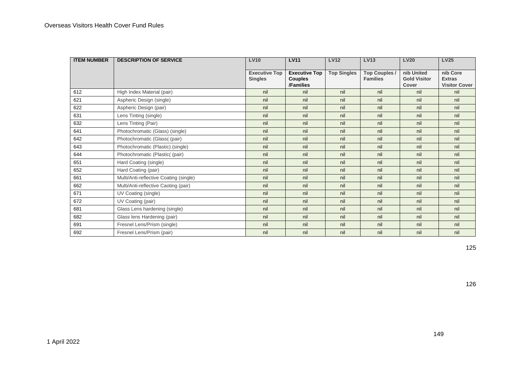| <b>ITEM NUMBER</b> | <b>DESCRIPTION OF SERVICE</b>          | <b>LV10</b>                            | <b>LV11</b>                                         | <b>LV12</b>        | <b>LV13</b>                             | <b>LV20</b>                                | <b>LV25</b>                                       |
|--------------------|----------------------------------------|----------------------------------------|-----------------------------------------------------|--------------------|-----------------------------------------|--------------------------------------------|---------------------------------------------------|
|                    |                                        | <b>Executive Top</b><br><b>Singles</b> | <b>Executive Top</b><br><b>Couples</b><br>/Families | <b>Top Singles</b> | <b>Top Couples /</b><br><b>Families</b> | nib United<br><b>Gold Visitor</b><br>Cover | nib Core<br><b>Extras</b><br><b>Visitor Cover</b> |
| 612                | High Index Material (pair)             | nil                                    | nil                                                 | nil                | nil                                     | nil                                        | nil                                               |
| 621                | Aspheric Design (single)               | nil                                    | nil                                                 | nil                | nil                                     | nil                                        | nil                                               |
| 622                | Aspheric Design (pair)                 | nil                                    | nil                                                 | nil                | nil                                     | nil                                        | nil                                               |
| 631                | Lens Tinting (single)                  | nil                                    | nil                                                 | nil                | nil                                     | nil                                        | nil                                               |
| 632                | Lens Tinting (Pair)                    | nil                                    | nil                                                 | nil                | nil                                     | nil                                        | nil                                               |
| 641                | Photochromatic (Glass) (single)        | nil                                    | nil                                                 | nil                | nil                                     | nil                                        | nil                                               |
| 642                | Photochromatic (Glass( (pair)          | nil                                    | nil                                                 | nil                | nil                                     | nil                                        | nil                                               |
| 643                | Photochromatic (Plastic) (single)      | nil                                    | nil                                                 | nil                | nil                                     | nil                                        | nil                                               |
| 644                | Photochromatic (Plastic( (pair)        | nil                                    | nil                                                 | nil                | nil                                     | nil                                        | nil                                               |
| 651                | Hard Coating (single)                  | nil                                    | nil                                                 | nil                | nil                                     | nil                                        | nil                                               |
| 652                | Hard Coating (pair)                    | nil                                    | nil                                                 | nil                | nil                                     | nil                                        | nil                                               |
| 661                | Multi/Anti-reflective Coating (single) | nil                                    | nil                                                 | nil                | nil                                     | nil                                        | nil                                               |
| 662                | Multi/Anti-reflective Caoting (pair)   | nil                                    | nil                                                 | nil                | nil                                     | nil                                        | nil                                               |
| 671                | UV Coating (single)                    | nil                                    | nil                                                 | nil                | nil                                     | nil                                        | nil                                               |
| 672                | UV Coating (pair)                      | nil                                    | nil                                                 | nil                | nil                                     | nil                                        | nil                                               |
| 681                | Glass Lens hardening (single)          | nil                                    | nil                                                 | nil                | nil                                     | nil                                        | nil                                               |
| 682                | Glass lens Hardening (pair)            | nil                                    | nil                                                 | nil                | nil                                     | nil                                        | nil                                               |
| 691                | Fresnel Lens/Prism (single)            | nil                                    | nil                                                 | nil                | nil                                     | nil                                        | nil                                               |
| 692                | Fresnel Lens/Prism (pair)              | nil                                    | nil                                                 | nil                | nil                                     | nil                                        | nil                                               |

125

126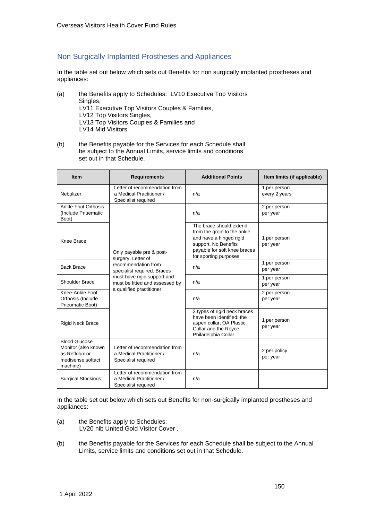## Non Surgically Implanted Prostheses and Appliances

In the table set out below which sets out Benefits for non surgically implanted prostheses and appliances:

- (a) the Benefits apply to Schedules: LV10 Executive Top Visitors Singles, LV11 Executive Top Visitors Couples & Families, LV12 Top Visitors Singles, LV13 Top Visitors Couples & Families and LV14 Mid Visitors
- (b) the Benefits payable for the Services for each Schedule shall be subject to the Annual Limits, service limits and conditions set out in that Schedule.

| <b>Item</b>                                                                                    | <b>Requirements</b>                                                              | <b>Additional Points</b>                                                                                                                                            | Item limits (if applicable)   |
|------------------------------------------------------------------------------------------------|----------------------------------------------------------------------------------|---------------------------------------------------------------------------------------------------------------------------------------------------------------------|-------------------------------|
| Nebulizer                                                                                      | Letter of recommendation from<br>a Medical Practitioner /<br>Specialist required | n/a                                                                                                                                                                 | 1 per person<br>every 2 years |
| Ankle-Foot Orthosis<br>(Include Pnuematic<br>Boot)                                             |                                                                                  | n/a                                                                                                                                                                 | 2 per person<br>per year      |
| Knee Brace                                                                                     | Only payable pre & post-<br>surgery. Letter of                                   | The brace should extend<br>from the groin to the ankle<br>and have a hinged rigid<br>support. No Benefits<br>payable for soft knee braces<br>for sporting purposes. | 1 per person<br>per year      |
| <b>Back Brace</b>                                                                              | recommendation from<br>specialist required. Braces                               | n/a                                                                                                                                                                 | 1 per person<br>per year      |
| Shoulder Brace                                                                                 | must have rigid support and<br>must be fitted and assessed by                    | n/a                                                                                                                                                                 | 1 per person<br>per year      |
| Knee-Ankle Foot<br>Orthosis (Include<br>Pneumatic Boot)                                        | a qualified practitioner                                                         | n/a                                                                                                                                                                 | 2 per person<br>per year      |
| <b>Rigid Neck Brace</b>                                                                        |                                                                                  | 3 types of rigid neck braces<br>have been identified: the<br>aspen collar, OA Plastic<br>Collar and the Royce<br>Philadelphia Collar                                | 1 per person<br>per year      |
| <b>Blood Glucose</b><br>Monitor (also known<br>as Reflolux or<br>medisense softact<br>machine) | Letter of recommendation from<br>a Medical Practitioner /<br>Specialist required | n/a                                                                                                                                                                 | 2 per policy<br>per year      |
| <b>Surgical Stockings</b>                                                                      | Letter of recommendation from<br>a Medical Practitioner /<br>Specialist required | n/a                                                                                                                                                                 |                               |

In the table set out below which sets out Benefits for non-surgically implanted prostheses and appliances:

- (a) the Benefits apply to Schedules: LV20 nib United Gold Visitor Cover .
- (b) the Benefits payable for the Services for each Schedule shall be subject to the Annual Limits, service limits and conditions set out in that Schedule.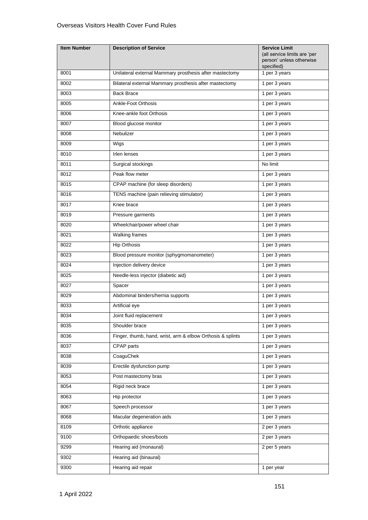| <b>Item Number</b> | <b>Description of Service</b>                              | <b>Service Limit</b><br>(all service limits are 'per<br>person' unless otherwise<br>specified) |
|--------------------|------------------------------------------------------------|------------------------------------------------------------------------------------------------|
| 8001               | Unilateral external Mammary prosthesis after mastectomy    | 1 per 3 years                                                                                  |
| 8002               | Bilateral external Mammary prosthesis after mastectomy     | 1 per 3 years                                                                                  |
| 8003               | <b>Back Brace</b>                                          | 1 per 3 years                                                                                  |
| 8005               | Ankle-Foot Orthosis                                        | 1 per 3 years                                                                                  |
| 8006               | Knee-ankle foot Orthosis                                   | 1 per 3 years                                                                                  |
| 8007               | Blood glucose monitor                                      | 1 per 3 years                                                                                  |
| 8008               | Nebulizer                                                  | 1 per 3 years                                                                                  |
| 8009               | Wigs                                                       | 1 per 3 years                                                                                  |
| 8010               | Irlen lenses                                               | 1 per 3 years                                                                                  |
| 8011               | Surgical stockings                                         | No limit                                                                                       |
| 8012               | Peak flow meter                                            | 1 per 3 years                                                                                  |
| 8015               | CPAP machine (for sleep disorders)                         | 1 per 3 years                                                                                  |
| 8016               | TENS machine (pain relieving stimulator)                   | 1 per 3 years                                                                                  |
| 8017               | Knee brace                                                 | 1 per 3 years                                                                                  |
| 8019               | Pressure garments                                          | 1 per 3 years                                                                                  |
| 8020               | Wheelchair/power wheel chair                               | 1 per 3 years                                                                                  |
| 8021               | <b>Walking frames</b>                                      | 1 per 3 years                                                                                  |
| 8022               | <b>Hip Orthosis</b>                                        | 1 per 3 years                                                                                  |
| 8023               | Blood pressure monitor (sphygmomanometer)                  | 1 per 3 years                                                                                  |
| 8024               | Injection delivery device                                  | 1 per 3 years                                                                                  |
| 8025               | Needle-less injector (diabetic aid)                        | 1 per 3 years                                                                                  |
| 8027               | Spacer                                                     | 1 per 3 years                                                                                  |
| 8029               | Abdominal binders/hernia supports                          | 1 per 3 years                                                                                  |
| 8033               | Artificial eye                                             | 1 per 3 years                                                                                  |
| 8034               | Joint fluid replacement                                    | 1 per 3 years                                                                                  |
| 8035               | Shoulder brace                                             | 1 per 3 years                                                                                  |
| 8036               | Finger, thumb, hand, wrist, arm & elbow Orthosis & splints | 1 per 3 years                                                                                  |
| 8037               | CPAP parts                                                 | 1 per 3 years                                                                                  |
| 8038               | CoaguChek                                                  | 1 per 3 years                                                                                  |
| 8039               | Erectile dysfunction pump                                  | 1 per 3 years                                                                                  |
| 8053               | Post mastectomy bras                                       | 1 per 3 years                                                                                  |
| 8054               | Rigid neck brace                                           | 1 per 3 years                                                                                  |
| 8063               | Hip protector                                              | 1 per 3 years                                                                                  |
| 8067               | Speech processor                                           | 1 per 3 years                                                                                  |
| 8068               | Macular degeneration aids                                  | 1 per 3 years                                                                                  |
| 8109               | Orthotic appliance                                         | 2 per 3 years                                                                                  |
| 9100               | Orthopaedic shoes/boots                                    | 2 per 3 years                                                                                  |
| 9299               | Hearing aid (monaural)                                     | 2 per 5 years                                                                                  |
| 9302               | Hearing aid (binaural)                                     |                                                                                                |
| 9300               | Hearing aid repair                                         | 1 per year                                                                                     |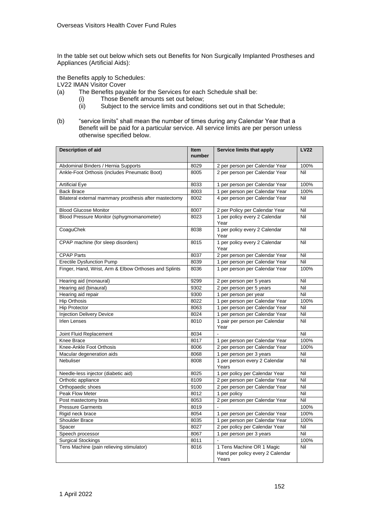In the table set out below which sets out Benefits for Non Surgically Implanted Prostheses and Appliances (Artificial Aids):

the Benefits apply to Schedules:

LV22 IMAN Visitor Cover

- (a) The Benefits payable for the Services for each Schedule shall be:
	- (i) Those Benefit amounts set out below;<br>(ii) Subject to the service limits and condit
		- Subject to the service limits and conditions set out in that Schedule;
- (b) "service limits" shall mean the number of times during any Calendar Year that a Benefit will be paid for a particular service. All service limits are per person unless otherwise specified below.

| <b>Description of aid</b>                              | <b>Item</b><br>number | Service limits that apply                                              | <b>LV22</b> |
|--------------------------------------------------------|-----------------------|------------------------------------------------------------------------|-------------|
| Abdominal Binders / Hernia Supports                    | 8029                  | 2 per person per Calendar Year                                         | 100%        |
| Ankle-Foot Orthosis (includes Pneumatic Boot)          | 8005                  | 2 per person per Calendar Year                                         | Nil         |
| <b>Artificial Eye</b>                                  | 8033                  | 1 per person per Calendar Year                                         | 100%        |
| <b>Back Brace</b>                                      | 8003                  | 1 per person per Calendar Year                                         | 100%        |
| Bilateral external mammary prosthesis after mastectomy | 8002                  | 4 per person per Calendar Year                                         | Nil         |
| <b>Blood Glucose Monitor</b>                           | 8007                  | 2 per Policy per Calendar Year                                         | Nil         |
| Blood Pressure Monitor (sphygmomanometer)              | 8023                  | 1 per policy every 2 Calendar<br>Year                                  | Nil         |
| CoaguChek                                              | 8038                  | 1 per policy every 2 Calendar<br>Year                                  | Nil         |
| CPAP machine (for sleep disorders)                     | 8015                  | 1 per policy every 2 Calendar<br>Year                                  | Nil         |
| <b>CPAP Parts</b>                                      | 8037                  | 2 per person per Calendar Year                                         | Nil         |
| <b>Erectile Dysfunction Pump</b>                       | 8039                  | 1 per person per Calendar Year                                         | Nil         |
| Finger, Hand, Wrist, Arm & Elbow Orthoses and Splints  | 8036                  | 1 per person per Calendar Year                                         | 100%        |
| Hearing aid (monaural)                                 | 9299                  | 2 per person per 5 years                                               | Nil         |
| Hearing aid (binaural)                                 | 9302                  | 2 per person per 5 years                                               | Nil         |
| Hearing aid repair                                     | 9300                  | 1 per person per year                                                  | Nil         |
| <b>Hip Orthosis</b>                                    | 8022                  | 1 per person per Calendar Year                                         | 100%        |
| <b>Hip Protector</b>                                   | 8063                  | 1 per person per Calendar Year                                         | Nil         |
| <b>Injection Delivery Device</b>                       | 8024                  | 1 per person per Calendar Year                                         | Nil         |
| <b>Irlen Lenses</b>                                    | 8010                  | 1 pair per person per Calendar<br>Year                                 | Nil         |
| Joint Fluid Replacement                                | 8034                  | $\overline{a}$                                                         | Nil         |
| Knee Brace                                             | 8017                  | 1 per person per Calendar Year                                         | 100%        |
| Knee-Ankle Foot Orthosis                               | 8006                  | 2 per person per Calendar Year                                         | 100%        |
| Macular degeneration aids                              | 8068                  | 1 per person per 3 years                                               | Nil         |
| Nebuliser                                              | 8008                  | 1 per person every 2 Calendar<br>Years                                 | Nil         |
| Needle-less injector (diabetic aid)                    | 8025                  | 1 per policy per Calendar Year                                         | Nil         |
| Orthotic appliance                                     | 8109                  | 2 per person per Calendar Year                                         | Nil         |
| Orthopaedic shoes                                      | 9100                  | 2 per person per Calendar Year                                         | Nil         |
| Peak Flow Meter                                        | 8012                  | 1 per policy                                                           | Nil         |
| Post mastectomy bras                                   | 8053                  | 2 per person per Calendar Year                                         | Nil         |
| <b>Pressure Garments</b>                               | 8019                  |                                                                        | 100%        |
| Rigid neck brace                                       | 8054                  | 1 per person per Calendar Year                                         | 100%        |
| <b>Shoulder Brace</b>                                  | 8035                  | 1 per person per Calendar Year                                         | 100%        |
| Spacer                                                 | 8027                  | 2 per policy per Calendar Year                                         | Nil         |
| Speech processor                                       | 8067                  | 1 per person per 3 years                                               | Nil         |
| <b>Surgical Stockings</b>                              | 8011                  |                                                                        | 100%        |
| Tens Machine (pain relieving stimulator)               | 8016                  | 1 Tens Machine OR 1 Magic<br>Hand per policy every 2 Calendar<br>Years | Nil         |